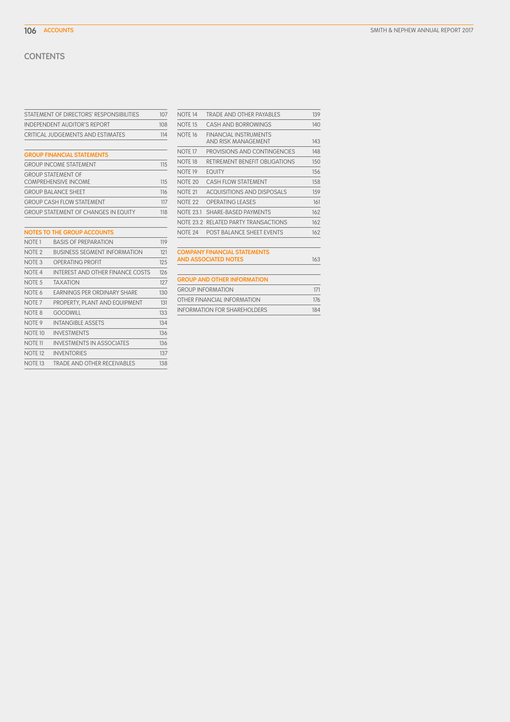## **CONTENTS**

| STATEMENT OF DIRECTORS' RESPONSIBILITIES | 107 |
|------------------------------------------|-----|
| <b>INDEPENDENT AUDITOR'S REPORT</b>      | 108 |
| CRITICAL JUDGEMENTS AND ESTIMATES        | 114 |
|                                          |     |

## **GROUP FINANCIAL STATEMENTS**

| <b>GROUP INCOME STATEMENT</b>                            | 115 |
|----------------------------------------------------------|-----|
| <b>GROUP STATEMENT OF</b><br><b>COMPREHENSIVE INCOME</b> | 115 |
| <b>GROUP BALANCE SHEET</b>                               | 116 |
| <b>GROUP CASH FLOW STATEMENT</b>                         | 117 |
| GROUP STATEMENT OF CHANGES IN EOUITY                     | 118 |
|                                                          |     |

## **NOTES TO THE GROUP ACCOUNTS**

| NOTE <sub>1</sub>  | <b>BASIS OF PREPARATION</b>             | 119 |
|--------------------|-----------------------------------------|-----|
| NOTE <sub>2</sub>  | <b>BUSINESS SEGMENT INFORMATION</b>     | 121 |
| NOTE <sub>3</sub>  | OPERATING PROFIT                        | 125 |
| NOTE <sub>4</sub>  | <b>INTEREST AND OTHER FINANCE COSTS</b> | 126 |
| NOTE <sub>5</sub>  | <b><i>TAXATION</i></b>                  | 127 |
| NOTE 6             | <b>EARNINGS PER ORDINARY SHARE</b>      | 130 |
| NOTE <sub>7</sub>  | PROPERTY, PLANT AND EOUIPMENT           | 131 |
| NOTE <sub>8</sub>  | <b>GOODWILL</b>                         | 133 |
| NOTE <sub>9</sub>  | <b>INTANGIBLE ASSETS</b>                | 134 |
| NOTE <sub>10</sub> | <b>INVESTMENTS</b>                      | 136 |
| <b>NOTE 11</b>     | <b>INVESTMENTS IN ASSOCIATES</b>        | 136 |
| NOTE <sub>12</sub> | <b>INVENTORIES</b>                      | 137 |
| NOTE <sub>13</sub> | <b>TRADE AND OTHER RECEIVABLES</b>      | 138 |

| NOTE <sub>14</sub> | <b>TRADE AND OTHER PAYABLES</b>              | 139 |
|--------------------|----------------------------------------------|-----|
| <b>NOTE 15</b>     | <b>CASH AND BORROWINGS</b>                   | 140 |
| <b>NOTF 16</b>     | FINANCIAL INSTRUMENTS<br>AND RISK MANAGEMENT | 143 |
| <b>NOTE 17</b>     | PROVISIONS AND CONTINGENCIES                 | 148 |
| NOTE <sub>18</sub> | RETIREMENT BENEFIT OBLIGATIONS               | 150 |
| NOTE <sub>19</sub> | <b>EOUITY</b>                                | 156 |
| NOTE <sub>20</sub> | <b>CASH FLOW STATEMENT</b>                   | 158 |
| NOTE 21            | <b>ACOUISITIONS AND DISPOSALS</b>            | 159 |
| NOTF <sub>22</sub> | <b>OPERATING LEASES</b>                      | 161 |
| <b>NOTE 23.1</b>   | <b>SHARE-BASED PAYMENTS</b>                  | 162 |
|                    | NOTE 23.2 RELATED PARTY TRANSACTIONS         | 162 |
| NOTE <sub>24</sub> | POST BALANCE SHEET EVENTS                    | 162 |
|                    |                                              |     |
|                    |                                              |     |

| <b>COMPANY FINANCIAL STATEMENTS</b> |      |
|-------------------------------------|------|
| <b>AND ASSOCIATED NOTES</b>         | 16.3 |
|                                     |      |
| <b>GROUP AND OTHER INFORMATION</b>  |      |

| <b>GROUP INFORMATION</b>     | 171 |
|------------------------------|-----|
| OTHER FINANCIAL INFORMATION  | 176 |
| INFORMATION FOR SHAREHOLDERS | 184 |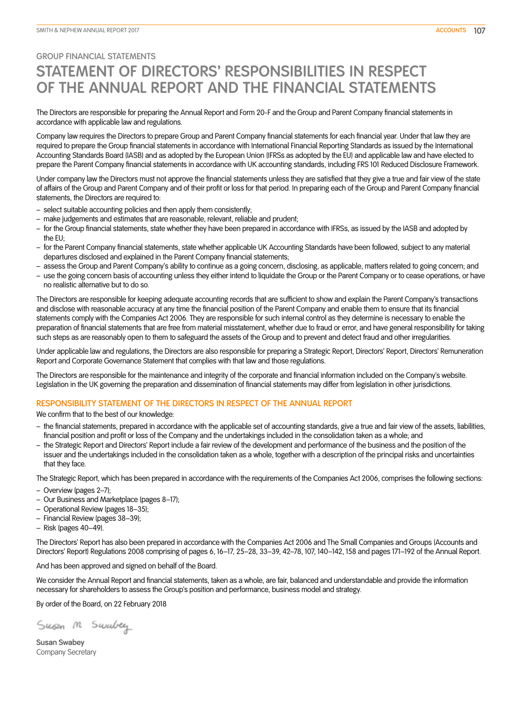## **GROUP FINANCIAL STATEMENTS STATEMENT OF DIRECTORS' RESPONSIBILITIES IN RESPECT OF THE ANNUAL REPORT AND THE FINANCIAL STATEMENTS**

The Directors are responsible for preparing the Annual Report and Form 20-F and the Group and Parent Company financial statements in accordance with applicable law and regulations.

Company law requires the Directors to prepare Group and Parent Company financial statements for each financial year. Under that law they are required to prepare the Group financial statements in accordance with International Financial Reporting Standards as issued by the International Accounting Standards Board (IASB) and as adopted by the European Union (IFRSs as adopted by the EU) and applicable law and have elected to prepare the Parent Company financial statements in accordance with UK accounting standards, including FRS 101 Reduced Disclosure Framework.

Under company law the Directors must not approve the financial statements unless they are satisfied that they give a true and fair view of the state of affairs of the Group and Parent Company and of their profit or loss for that period. In preparing each of the Group and Parent Company financial statements, the Directors are required to:

- select suitable accounting policies and then apply them consistently;
- make judgements and estimates that are reasonable, relevant, reliable and prudent;
- for the Group financial statements, state whether they have been prepared in accordance with IFRSs, as issued by the IASB and adopted by the EU;
- for the Parent Company financial statements, state whether applicable UK Accounting Standards have been followed, subject to any material departures disclosed and explained in the Parent Company financial statements;
- assess the Group and Parent Company's ability to continue as a going concern, disclosing, as applicable, matters related to going concern; and – use the going concern basis of accounting unless they either intend to liquidate the Group or the Parent Company or to cease operations, or have
- no realistic alternative but to do so. The Directors are responsible for keeping adequate accounting records that are sufficient to show and explain the Parent Company's transactions and disclose with reasonable accuracy at any time the financial position of the Parent Company and enable them to ensure that its financial

statements comply with the Companies Act 2006. They are responsible for such internal control as they determine is necessary to enable the preparation of financial statements that are free from material misstatement, whether due to fraud or error, and have general responsibility for taking such steps as are reasonably open to them to safeguard the assets of the Group and to prevent and detect fraud and other irregularities.

Under applicable law and regulations, the Directors are also responsible for preparing a Strategic Report, Directors' Report, Directors' Remuneration Report and Corporate Governance Statement that complies with that law and those regulations.

The Directors are responsible for the maintenance and integrity of the corporate and financial information included on the Company's website. Legislation in the UK governing the preparation and dissemination of financial statements may differ from legislation in other jurisdictions.

## **RESPONSIBILITY STATEMENT OF THE DIRECTORS IN RESPECT OF THE ANNUAL REPORT**

We confirm that to the best of our knowledge:

- the financial statements, prepared in accordance with the applicable set of accounting standards, give a true and fair view of the assets, liabilities, financial position and profit or loss of the Company and the undertakings included in the consolidation taken as a whole; and
- the Strategic Report and Directors' Report include a fair review of the development and performance of the business and the position of the issuer and the undertakings included in the consolidation taken as a whole, together with a description of the principal risks and uncertainties that they face.

The Strategic Report, which has been prepared in accordance with the requirements of the Companies Act 2006, comprises the following sections:

- Overview (pages 2–7);
- Our Business and Marketplace (pages 8–17);
- Operational Review (pages 18–35);
- Financial Review (pages 38–39);
- Risk (pages 40–49).

The Directors' Report has also been prepared in accordance with the Companies Act 2006 and The Small Companies and Groups (Accounts and Directors' Report) Regulations 2008 comprising of pages 6, 16–17, 25–28, 33–39, 42–78, 107, 140–142, 158 and pages 171–192 of the Annual Report.

And has been approved and signed on behalf of the Board.

We consider the Annual Report and financial statements, taken as a whole, are fair, balanced and understandable and provide the information necessary for shareholders to assess the Group's position and performance, business model and strategy.

By order of the Board, on 22 February 2018

Susan M Swabey

**Susan Swabey**  Company Secretary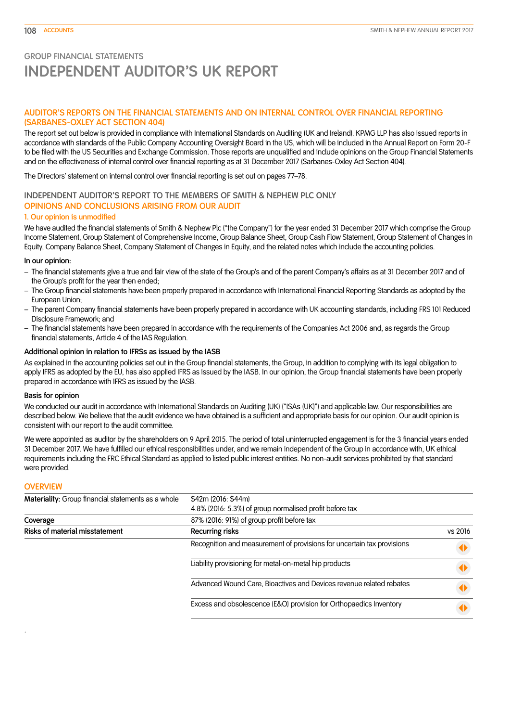## **GROUP FINANCIAL STATEMENTS INDEPENDENT AUDITOR'S UK REPORT**

## **AUDITOR'S REPORTS ON THE FINANCIAL STATEMENTS AND ON INTERNAL CONTROL OVER FINANCIAL REPORTING (SARBANES‑OXLEY ACT SECTION 404)**

The report set out below is provided in compliance with International Standards on Auditing (UK and Ireland). KPMG LLP has also issued reports in accordance with standards of the Public Company Accounting Oversight Board in the US, which will be included in the Annual Report on Form 20-F to be filed with the US Securities and Exchange Commission. Those reports are unqualified and include opinions on the Group Financial Statements and on the effectiveness of internal control over financial reporting as at 31 December 2017 (Sarbanes-Oxley Act Section 404).

The Directors' statement on internal control over financial reporting is set out on pages 77–78.

## **INDEPENDENT AUDITOR'S REPORT TO THE MEMBERS OF SMITH & NEPHEW PLC ONLY OPINIONS AND CONCLUSIONS ARISING FROM OUR AUDIT**

#### **1. Our opinion is unmodified**

We have audited the financial statements of Smith & Nephew Plc ("the Company") for the year ended 31 December 2017 which comprise the Group Income Statement, Group Statement of Comprehensive Income, Group Balance Sheet, Group Cash Flow Statement, Group Statement of Changes in Equity, Company Balance Sheet, Company Statement of Changes in Equity, and the related notes which include the accounting policies.

#### **In our opinion:**

- The financial statements give a true and fair view of the state of the Group's and of the parent Company's affairs as at 31 December 2017 and of the Group's profit for the year then ended;
- The Group financial statements have been properly prepared in accordance with International Financial Reporting Standards as adopted by the European Union;
- The parent Company financial statements have been properly prepared in accordance with UK accounting standards, including FRS 101 Reduced Disclosure Framework; and
- The financial statements have been prepared in accordance with the requirements of the Companies Act 2006 and, as regards the Group financial statements, Article 4 of the IAS Regulation.

## **Additional opinion in relation to IFRSs as issued by the IASB**

As explained in the accounting policies set out in the Group financial statements, the Group, in addition to complying with its legal obligation to apply IFRS as adopted by the EU, has also applied IFRS as issued by the IASB. In our opinion, the Group financial statements have been properly prepared in accordance with IFRS as issued by the IASB.

#### **Basis for opinion**

We conducted our audit in accordance with International Standards on Auditing (UK) ("ISAs (UK)") and applicable law. Our responsibilities are described below. We believe that the audit evidence we have obtained is a sufficient and appropriate basis for our opinion. Our audit opinion is consistent with our report to the audit committee.

We were appointed as auditor by the shareholders on 9 April 2015. The period of total uninterrupted engagement is for the 3 financial years ended 31 December 2017. We have fulfilled our ethical responsibilities under, and we remain independent of the Group in accordance with, UK ethical requirements including the FRC Ethical Standard as applied to listed public interest entities. No non-audit services prohibited by that standard were provided.

## **OVERVIEW**

.

| \$42m (2016: \$44m)                                                    |         |
|------------------------------------------------------------------------|---------|
| 4.8% (2016: 5.3%) of group normalised profit before tax                |         |
| 87% (2016: 91%) of group profit before tax                             |         |
| Recurring risks                                                        | vs 2016 |
| Recognition and measurement of provisions for uncertain tax provisions |         |
| Liability provisioning for metal-on-metal hip products                 |         |
| Advanced Wound Care, Bioactives and Devices revenue related rebates    |         |
| Excess and obsolescence (E&O) provision for Orthopaedics Inventory     |         |
|                                                                        |         |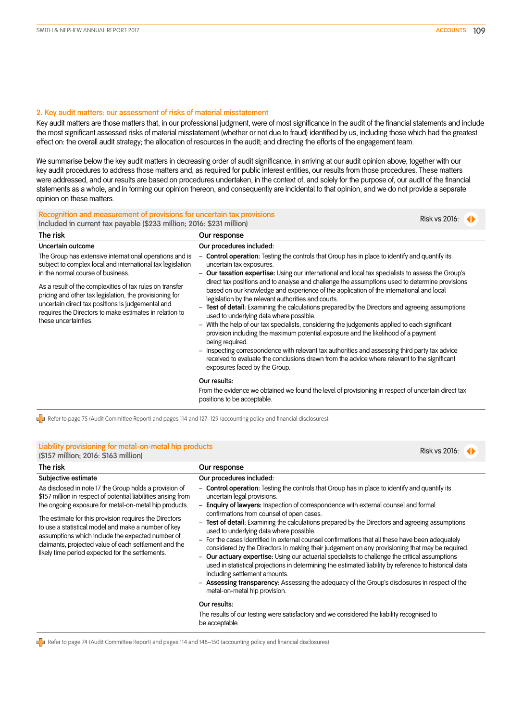#### **2. Key audit matters: our assessment of risks of material misstatement**

Key audit matters are those matters that, in our professional judgment, were of most significance in the audit of the financial statements and include the most significant assessed risks of material misstatement (whether or not due to fraud) identified by us, including those which had the greatest effect on: the overall audit strategy; the allocation of resources in the audit; and directing the efforts of the engagement team.

We summarise below the key audit matters in decreasing order of audit significance, in arriving at our audit opinion above, together with our key audit procedures to address those matters and, as required for public interest entities, our results from those procedures. These matters were addressed, and our results are based on procedures undertaken, in the context of, and solely for the purpose of, our audit of the financial statements as a whole, and in forming our opinion thereon, and consequently are incidental to that opinion, and we do not provide a separate opinion on these matters.

**Recognition and measurement of provisions for uncertain tax provisions Included in current tax payable (\$233 million; 2016: \$231 million)** Risk vs 2016:

| $\mu$ included in current tax payable (\$255 million); 2010: \$251 million)                                                                                                                                                                                                                                                                                                                                                                    |                                                                                                                                                                                                                                                                                                                                                                                                                                                                                                                                                                                                                                                                                                                                                                                                                                                                                                                                                                                                                                                                                                                                    |  |
|------------------------------------------------------------------------------------------------------------------------------------------------------------------------------------------------------------------------------------------------------------------------------------------------------------------------------------------------------------------------------------------------------------------------------------------------|------------------------------------------------------------------------------------------------------------------------------------------------------------------------------------------------------------------------------------------------------------------------------------------------------------------------------------------------------------------------------------------------------------------------------------------------------------------------------------------------------------------------------------------------------------------------------------------------------------------------------------------------------------------------------------------------------------------------------------------------------------------------------------------------------------------------------------------------------------------------------------------------------------------------------------------------------------------------------------------------------------------------------------------------------------------------------------------------------------------------------------|--|
| The risk                                                                                                                                                                                                                                                                                                                                                                                                                                       | Our response                                                                                                                                                                                                                                                                                                                                                                                                                                                                                                                                                                                                                                                                                                                                                                                                                                                                                                                                                                                                                                                                                                                       |  |
| Uncertain outcome<br>The Group has extensive international operations and is<br>subject to complex local and international tax legislation<br>in the normal course of business.<br>As a result of the complexities of tax rules on transfer<br>pricing and other tax legislation, the provisioning for<br>uncertain direct tax positions is judgemental and<br>requires the Directors to make estimates in relation to<br>these uncertainties. | Our procedures included:<br>- <b>Control operation:</b> Testing the controls that Group has in place to identify and quantify its<br>uncertain tax exposures.<br>- Our taxation expertise: Using our international and local tax specialists to assess the Group's<br>direct tax positions and to analyse and challenge the assumptions used to determine provisions<br>based on our knowledge and experience of the application of the international and local<br>legislation by the relevant authorities and courts.<br>- Test of detail: Examining the calculations prepared by the Directors and agreeing assumptions<br>used to underlying data where possible.<br>- With the help of our tax specialists, considering the judgements applied to each significant<br>provision including the maximum potential exposure and the likelihood of a payment<br>being required.<br>- Inspecting correspondence with relevant tax authorities and assessing third party tax advice<br>received to evaluate the conclusions drawn from the advice where relevant to the significant<br>exposures faced by the Group.<br>Our results: |  |
|                                                                                                                                                                                                                                                                                                                                                                                                                                                | From the evidence we obtained we found the level of provisioning in respect of uncertain direct tax<br>positions to be acceptable.                                                                                                                                                                                                                                                                                                                                                                                                                                                                                                                                                                                                                                                                                                                                                                                                                                                                                                                                                                                                 |  |

Refer to page 75 (Audit Committee Report) and pages 114 and 127–129 (accounting policy and financial disclosures).

| Liability provisioning for metal-on-metal hip products<br>(\$157 million; 2016: \$163 million)                                                                                                                                                                                                                                                                                                                                                                      | Risk vs 2016:                                                                                                                                                                                                                                                                                                                                                                                                                                                                                                                                                                                                                                                                                                                                                                                                                                                                                                                                                                                                                                                                                                                                                                             |  |
|---------------------------------------------------------------------------------------------------------------------------------------------------------------------------------------------------------------------------------------------------------------------------------------------------------------------------------------------------------------------------------------------------------------------------------------------------------------------|-------------------------------------------------------------------------------------------------------------------------------------------------------------------------------------------------------------------------------------------------------------------------------------------------------------------------------------------------------------------------------------------------------------------------------------------------------------------------------------------------------------------------------------------------------------------------------------------------------------------------------------------------------------------------------------------------------------------------------------------------------------------------------------------------------------------------------------------------------------------------------------------------------------------------------------------------------------------------------------------------------------------------------------------------------------------------------------------------------------------------------------------------------------------------------------------|--|
| The risk                                                                                                                                                                                                                                                                                                                                                                                                                                                            | Our response                                                                                                                                                                                                                                                                                                                                                                                                                                                                                                                                                                                                                                                                                                                                                                                                                                                                                                                                                                                                                                                                                                                                                                              |  |
| Subjective estimate                                                                                                                                                                                                                                                                                                                                                                                                                                                 | Our procedures included:                                                                                                                                                                                                                                                                                                                                                                                                                                                                                                                                                                                                                                                                                                                                                                                                                                                                                                                                                                                                                                                                                                                                                                  |  |
| As disclosed in note 17 the Group holds a provision of<br>\$157 million in respect of potential liabilities arising from<br>the ongoing exposure for metal-on-metal hip products.<br>The estimate for this provision requires the Directors<br>to use a statistical model and make a number of key<br>assumptions which include the expected number of<br>claimants, projected value of each settlement and the<br>likely time period expected for the settlements. | - Control operation: Testing the controls that Group has in place to identify and quantify its<br>uncertain legal provisions.<br>Enquiry of lawyers: Inspection of correspondence with external counsel and formal<br>$\overline{\phantom{0}}$<br>confirmations from counsel of open cases.<br>- Test of detail: Examining the calculations prepared by the Directors and agreeing assumptions<br>used to underlying data where possible.<br>- For the cases identified in external counsel confirmations that all these have been adequately<br>considered by the Directors in making their judgement on any provisioning that may be required.<br>Our actuary expertise: Using our actuarial specialists to challenge the critical assumptions<br>$\overline{\phantom{0}}$<br>used in statistical projections in determining the estimated liability by reference to historical data<br>including settlement amounts.<br>- Assessing transparency: Assessing the adequacy of the Group's disclosures in respect of the<br>metal-on-metal hip provision.<br>Our results:<br>The results of our testing were satisfactory and we considered the liability recognised to<br>be acceptable. |  |
|                                                                                                                                                                                                                                                                                                                                                                                                                                                                     |                                                                                                                                                                                                                                                                                                                                                                                                                                                                                                                                                                                                                                                                                                                                                                                                                                                                                                                                                                                                                                                                                                                                                                                           |  |

Rater to page 74 (Audit Committee Report) and pages 114 and 148–150 (accounting policy and financial disclosures)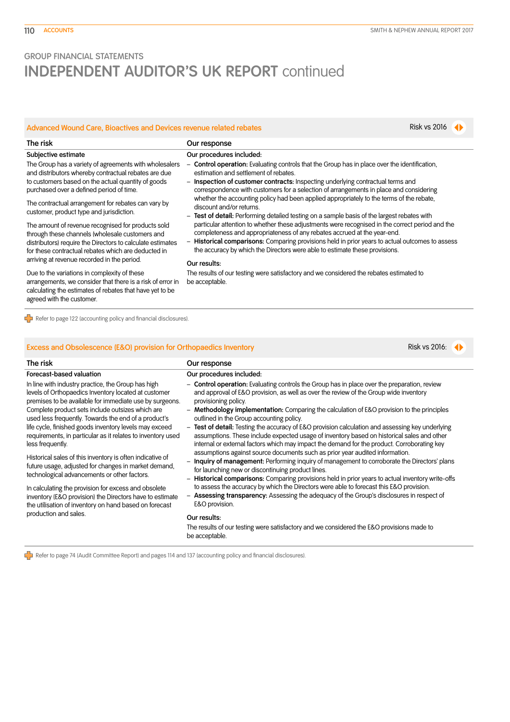## **GROUP FINANCIAL STATEMENTS INDEPENDENT AUDITOR'S UK REPORT** continued

## **Advanced Wound Care, Bioactives and Devices revenue related rebates and Risk vs 2016** Risk vs 2016

| Subjective estimate                                    | Our proce  |
|--------------------------------------------------------|------------|
| The Group has a variety of agreements with wholesalers | - Contro   |
| and distributors whereby contractual rebates are due   | estimat    |
| to customers based on the actual quantity of goods     | $-$ Inspec |
| purchased over a defined period of time.               | corresp    |
|                                                        |            |

**The risk Our response**

The contractual arrangement for rebates can vary by customer, product type and jurisdiction.

The amount of revenue recognised for products sold through these channels (wholesale customers and distributors) require the Directors to calculate estimates for these contractual rebates which are deducted in arriving at revenue recorded in the period.

Due to the variations in complexity of these arrangements, we consider that there is a risk of error in calculating the estimates of rebates that have yet to be agreed with the customer.

#### edures included:

- **Control operation:** Evaluating controls that the Group has in place over the identification, tion and settlement of rebates
- tion of customer contracts: Inspecting underlying contractual terms and pondence with customers for a selection of arrangements in place and considering whether the accounting policy had been applied appropriately to the terms of the rebate, discount and/or returns.
- **Test of detail:** Performing detailed testing on a sample basis of the largest rebates with particular attention to whether these adjustments were recognised in the correct period and the completeness and appropriateness of any rebates accrued at the year-end.
- **Historical comparisons:** Comparing provisions held in prior years to actual outcomes to assess the accuracy by which the Directors were able to estimate these provisions.

#### **Our results:**

The results of our testing were satisfactory and we considered the rebates estimated to be acceptable.

Refer to page 122 (accounting policy and financial disclosures).

## **Excess and Obsolescence (E&O) provision for Orthopaedics Inventory** *Risk vs* **2016:**

| The risk                                                                                                                                                                                                                                                                          | Our response                                                                                                                                                                                                                                                                                                                                                                      |
|-----------------------------------------------------------------------------------------------------------------------------------------------------------------------------------------------------------------------------------------------------------------------------------|-----------------------------------------------------------------------------------------------------------------------------------------------------------------------------------------------------------------------------------------------------------------------------------------------------------------------------------------------------------------------------------|
| Forecast-based valuation                                                                                                                                                                                                                                                          | Our procedures included:                                                                                                                                                                                                                                                                                                                                                          |
| In line with industry practice, the Group has high<br>levels of Orthopaedics Inventory located at customer<br>premises to be available for immediate use by surgeons.<br>Complete product sets include outsizes which are<br>used less frequently. Towards the end of a product's | - Control operation: Evaluating controls the Group has in place over the preparation, review<br>and approval of E&O provision, as well as over the review of the Group wide inventory<br>provisioning policy.<br>Methodology implementation: Comparing the calculation of E&O provision to the principles<br>$\overline{\phantom{0}}$<br>outlined in the Group accounting policy. |
| life cycle, finished goods inventory levels may exceed<br>requirements, in particular as it relates to inventory used<br>less frequently.                                                                                                                                         | - Test of detail: Testing the accuracy of E&O provision calculation and assessing key underlying<br>assumptions. These include expected usage of inventory based on historical sales and other<br>internal or external factors which may impact the demand for the product. Corroborating key                                                                                     |
| Historical sales of this inventory is often indicative of<br>future usage, adjusted for changes in market demand,<br>technological advancements or other factors.                                                                                                                 | assumptions against source documents such as prior year audited information.<br>- Inquiry of management: Performing inquiry of management to corroborate the Directors' plans<br>for launching new or discontinuing product lines.<br>- Historical comparisons: Comparing provisions held in prior years to actual inventory write-offs                                           |
| In calculating the provision for excess and obsolete<br>inventory (E&O provision) the Directors have to estimate<br>the utilisation of inventory on hand based on forecast                                                                                                        | to assess the accuracy by which the Directors were able to forecast this E&O provision.<br>Assessing transparency: Assessing the adequacy of the Group's disclosures in respect of<br>$\overline{\phantom{0}}$<br>E&O provision.                                                                                                                                                  |
| production and sales.                                                                                                                                                                                                                                                             | Our results:                                                                                                                                                                                                                                                                                                                                                                      |
|                                                                                                                                                                                                                                                                                   | The results of our testing were satisfactory and we considered the E&O provisions made to<br>be acceptable.                                                                                                                                                                                                                                                                       |

Refer to page 74 (Audit Committee Report) and pages 114 and 137 (accounting policy and financial disclosures).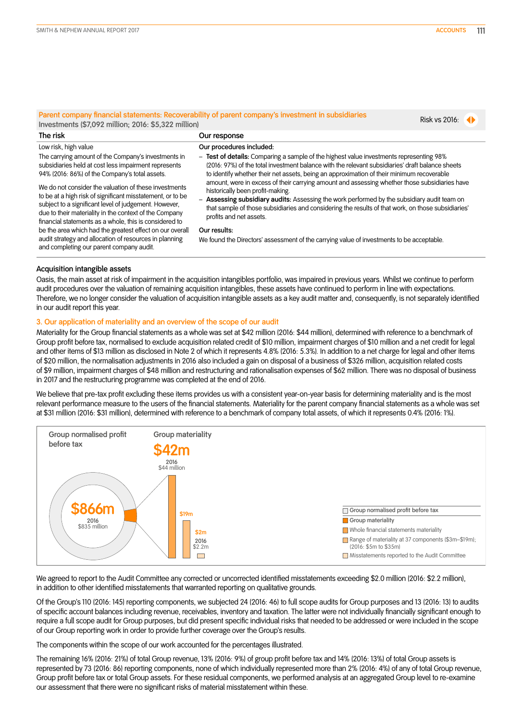| Parent company financial statements: Recoverability of parent company's investment in subsidiaries<br>Risk vs 2016:<br>Investments (\$7,092 million; 2016: \$5,322 million)                                                                                                                                                                                                                                                                                       |                                                                                                                                                                                                                                                                                                                                                                                                                                                                                                                                                                                                                                                               |
|-------------------------------------------------------------------------------------------------------------------------------------------------------------------------------------------------------------------------------------------------------------------------------------------------------------------------------------------------------------------------------------------------------------------------------------------------------------------|---------------------------------------------------------------------------------------------------------------------------------------------------------------------------------------------------------------------------------------------------------------------------------------------------------------------------------------------------------------------------------------------------------------------------------------------------------------------------------------------------------------------------------------------------------------------------------------------------------------------------------------------------------------|
| The risk                                                                                                                                                                                                                                                                                                                                                                                                                                                          | Our response                                                                                                                                                                                                                                                                                                                                                                                                                                                                                                                                                                                                                                                  |
| Low risk, high value                                                                                                                                                                                                                                                                                                                                                                                                                                              | Our procedures included:                                                                                                                                                                                                                                                                                                                                                                                                                                                                                                                                                                                                                                      |
| The carrying amount of the Company's investments in<br>subsidiaries held at cost less impairment represents<br>94% (2016: 86%) of the Company's total assets.<br>We do not consider the valuation of these investments<br>to be at a high risk of significant misstatement, or to be<br>subject to a significant level of judgement. However,<br>due to their materiality in the context of the Company<br>financial statements as a whole, this is considered to | - Test of details: Comparing a sample of the highest value investments representing 98%<br>(2016: 97%) of the total investment balance with the relevant subsidiaries' draft balance sheets<br>to identify whether their net assets, being an approximation of their minimum recoverable<br>amount, were in excess of their carrying amount and assessing whether those subsidiaries have<br>historically been profit-making.<br>- Assessing subsidiary audits: Assessing the work performed by the subsidiary audit team on<br>that sample of those subsidiaries and considering the results of that work, on those subsidiaries'<br>profits and net assets. |
| be the area which had the greatest effect on our overall<br>audit strategy and allocation of resources in planning<br>and completing our parent company audit.                                                                                                                                                                                                                                                                                                    | Our results:<br>We found the Directors' assessment of the carrying value of investments to be acceptable.                                                                                                                                                                                                                                                                                                                                                                                                                                                                                                                                                     |

## **Acquisition intangible assets**

Oasis, the main asset at risk of impairment in the acquisition intangibles portfolio, was impaired in previous years. Whilst we continue to perform audit procedures over the valuation of remaining acquisition intangibles, these assets have continued to perform in line with expectations. Therefore, we no longer consider the valuation of acquisition intangible assets as a key audit matter and, consequently, is not separately identified in our audit report this year.

#### **3. Our application of materiality and an overview of the scope of our audit**

Materiality for the Group financial statements as a whole was set at \$42 million (2016: \$44 million), determined with reference to a benchmark of Group profit before tax, normalised to exclude acquisition related credit of \$10 million, impairment charges of \$10 million and a net credit for legal and other items of \$13 million as disclosed in Note 2 of which it represents 4.8% (2016: 5.3%). In addition to a net charge for legal and other items of \$20 million, the normalisation adjustments in 2016 also included a gain on disposal of a business of \$326 million, acquisition related costs of \$9 million, impairment charges of \$48 million and restructuring and rationalisation expenses of \$62 million. There was no disposal of business in 2017 and the restructuring programme was completed at the end of 2016.

We believe that pre-tax profit excluding these items provides us with a consistent year-on-year basis for determining materiality and is the most relevant performance measure to the users of the financial statements. Materiality for the parent company financial statements as a whole was set at \$31 million (2016: \$31 million), determined with reference to a benchmark of company total assets, of which it represents 0.4% (2016: 1%).



We agreed to report to the Audit Committee any corrected or uncorrected identified misstatements exceeding \$2.0 million (2016: \$2.2 million), in addition to other identified misstatements that warranted reporting on qualitative grounds.

Of the Group's 110 (2016: 145) reporting components, we subjected 24 (2016: 46) to full scope audits for Group purposes and 13 (2016: 13) to audits of specific account balances including revenue, receivables, inventory and taxation. The latter were not individually financially significant enough to require a full scope audit for Group purposes, but did present specific individual risks that needed to be addressed or were included in the scope of our Group reporting work in order to provide further coverage over the Group's results.

The components within the scope of our work accounted for the percentages illustrated.

The remaining 16% (2016: 21%) of total Group revenue, 13% (2016: 9%) of group profit before tax and 14% (2016: 13%) of total Group assets is represented by 73 (2016: 86) reporting components, none of which individually represented more than 2% (2016: 4%) of any of total Group revenue, Group profit before tax or total Group assets. For these residual components, we performed analysis at an aggregated Group level to re-examine our assessment that there were no significant risks of material misstatement within these.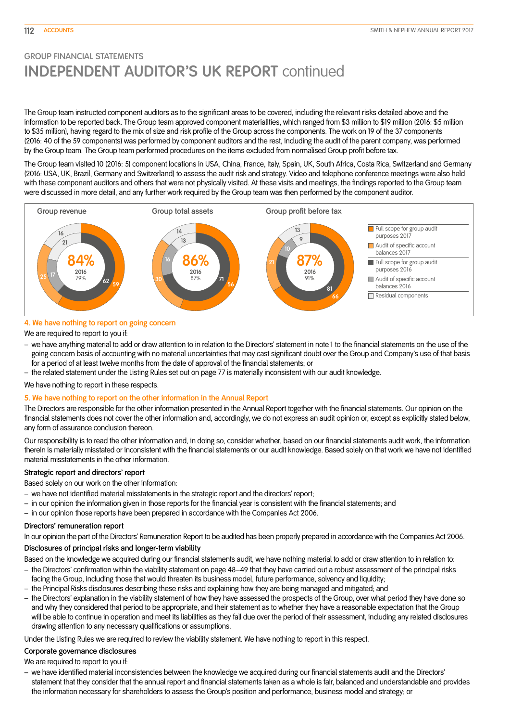## **GROUP FINANCIAL STATEMENTS INDEPENDENT AUDITOR'S UK REPORT** continued

The Group team instructed component auditors as to the significant areas to be covered, including the relevant risks detailed above and the information to be reported back. The Group team approved component materialities, which ranged from \$3 million to \$19 million (2016: \$5 million to \$35 million), having regard to the mix of size and risk profile of the Group across the components. The work on 19 of the 37 components (2016: 40 of the 59 components) was performed by component auditors and the rest, including the audit of the parent company, was performed by the Group team. The Group team performed procedures on the items excluded from normalised Group profit before tax.

The Group team visited 10 (2016: 5) component locations in USA, China, France, Italy, Spain, UK, South Africa, Costa Rica, Switzerland and Germany (2016: USA, UK, Brazil, Germany and Switzerland) to assess the audit risk and strategy. Video and telephone conference meetings were also held with these component auditors and others that were not physically visited. At these visits and meetings, the findings reported to the Group team were discussed in more detail, and any further work required by the Group team was then performed by the component auditor.



## **4. We have nothing to report on going concern**

We are required to report to you if:

- we have anything material to add or draw attention to in relation to the Directors' statement in note 1 to the financial statements on the use of the going concern basis of accounting with no material uncertainties that may cast significant doubt over the Group and Company's use of that basis for a period of at least twelve months from the date of approval of the financial statements; or
- the related statement under the Listing Rules set out on page 77 is materially inconsistent with our audit knowledge.

We have nothing to report in these respects.

## **5. We have nothing to report on the other information in the Annual Report**

The Directors are responsible for the other information presented in the Annual Report together with the financial statements. Our opinion on the financial statements does not cover the other information and, accordingly, we do not express an audit opinion or, except as explicitly stated below, any form of assurance conclusion thereon.

Our responsibility is to read the other information and, in doing so, consider whether, based on our financial statements audit work, the information therein is materially misstated or inconsistent with the financial statements or our audit knowledge. Based solely on that work we have not identified material misstatements in the other information.

#### **Strategic report and directors' report**

Based solely on our work on the other information:

- we have not identified material misstatements in the strategic report and the directors' report;
- in our opinion the information given in those reports for the financial year is consistent with the financial statements; and
- in our opinion those reports have been prepared in accordance with the Companies Act 2006.

#### **Directors' remuneration report**

In our opinion the part of the Directors' Remuneration Report to be audited has been properly prepared in accordance with the Companies Act 2006.

## **Disclosures of principal risks and longer-term viability**

Based on the knowledge we acquired during our financial statements audit, we have nothing material to add or draw attention to in relation to:

- the Directors' confirmation within the viability statement on page 48–49 that they have carried out a robust assessment of the principal risks facing the Group, including those that would threaten its business model, future performance, solvency and liquidity;
- the Principal Risks disclosures describing these risks and explaining how they are being managed and mitigated; and
- the Directors' explanation in the viability statement of how they have assessed the prospects of the Group, over what period they have done so and why they considered that period to be appropriate, and their statement as to whether they have a reasonable expectation that the Group will be able to continue in operation and meet its liabilities as they fall due over the period of their assessment, including any related disclosures drawing attention to any necessary qualifications or assumptions.

Under the Listing Rules we are required to review the viability statement. We have nothing to report in this respect.

## **Corporate governance disclosures**

We are required to report to you if:

– we have identified material inconsistencies between the knowledge we acquired during our financial statements audit and the Directors' statement that they consider that the annual report and financial statements taken as a whole is fair, balanced and understandable and provides the information necessary for shareholders to assess the Group's position and performance, business model and strategy; or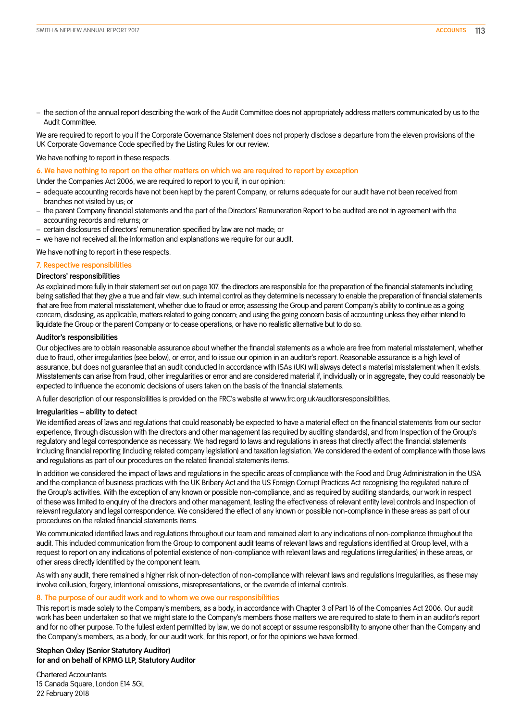– the section of the annual report describing the work of the Audit Committee does not appropriately address matters communicated by us to the Audit Committee.

We are required to report to you if the Corporate Governance Statement does not properly disclose a departure from the eleven provisions of the UK Corporate Governance Code specified by the Listing Rules for our review.

We have nothing to report in these respects.

**6. We have nothing to report on the other matters on which we are required to report by exception** 

Under the Companies Act 2006, we are required to report to you if, in our opinion:

- adequate accounting records have not been kept by the parent Company, or returns adequate for our audit have not been received from branches not visited by us; or
- the parent Company financial statements and the part of the Directors' Remuneration Report to be audited are not in agreement with the accounting records and returns; or
- certain disclosures of directors' remuneration specified by law are not made; or

– we have not received all the information and explanations we require for our audit.

We have nothing to report in these respects.

#### **7. Respective responsibilities**

### **Directors' responsibilities**

As explained more fully in their statement set out on page 107, the directors are responsible for: the preparation of the financial statements including being satisfied that they give a true and fair view; such internal control as they determine is necessary to enable the preparation of financial statements that are free from material misstatement, whether due to fraud or error; assessing the Group and parent Company's ability to continue as a going concern, disclosing, as applicable, matters related to going concern; and using the going concern basis of accounting unless they either intend to liquidate the Group or the parent Company or to cease operations, or have no realistic alternative but to do so.

#### **Auditor's responsibilities**

Our objectives are to obtain reasonable assurance about whether the financial statements as a whole are free from material misstatement, whether due to fraud, other irregularities (see below), or error, and to issue our opinion in an auditor's report. Reasonable assurance is a high level of assurance, but does not guarantee that an audit conducted in accordance with ISAs (UK) will always detect a material misstatement when it exists. Misstatements can arise from fraud, other irregularities or error and are considered material if, individually or in aggregate, they could reasonably be expected to influence the economic decisions of users taken on the basis of the financial statements.

A fuller description of our responsibilities is provided on the FRC's website at www.frc.org.uk/auditorsresponsibilities.

#### **Irregularities – ability to detect**

We identified areas of laws and regulations that could reasonably be expected to have a material effect on the financial statements from our sector experience, through discussion with the directors and other management (as required by auditing standards), and from inspection of the Group's regulatory and legal correspondence as necessary. We had regard to laws and regulations in areas that directly affect the financial statements including financial reporting (including related company legislation) and taxation legislation. We considered the extent of compliance with those laws and regulations as part of our procedures on the related financial statements items.

In addition we considered the impact of laws and regulations in the specific areas of compliance with the Food and Drug Administration in the USA and the compliance of business practices with the UK Bribery Act and the US Foreign Corrupt Practices Act recognising the regulated nature of the Group's activities. With the exception of any known or possible non-compliance, and as required by auditing standards, our work in respect of these was limited to enquiry of the directors and other management, testing the effectiveness of relevant entity level controls and inspection of relevant regulatory and legal correspondence. We considered the effect of any known or possible non-compliance in these areas as part of our procedures on the related financial statements items.

We communicated identified laws and regulations throughout our team and remained alert to any indications of non-compliance throughout the audit. This included communication from the Group to component audit teams of relevant laws and regulations identified at Group level, with a request to report on any indications of potential existence of non-compliance with relevant laws and regulations (irregularities) in these areas, or other areas directly identified by the component team.

As with any audit, there remained a higher risk of non-detection of non-compliance with relevant laws and regulations irregularities, as these may involve collusion, forgery, intentional omissions, misrepresentations, or the override of internal controls.

#### **8. The purpose of our audit work and to whom we owe our responsibilities**

This report is made solely to the Company's members, as a body, in accordance with Chapter 3 of Part 16 of the Companies Act 2006. Our audit work has been undertaken so that we might state to the Company's members those matters we are required to state to them in an auditor's report and for no other purpose. To the fullest extent permitted by law, we do not accept or assume responsibility to anyone other than the Company and the Company's members, as a body, for our audit work, for this report, or for the opinions we have formed.

**Stephen Oxley (Senior Statutory Auditor) for and on behalf of KPMG LLP, Statutory Auditor** 

Chartered Accountants 15 Canada Square, London E14 5GL 22 February 2018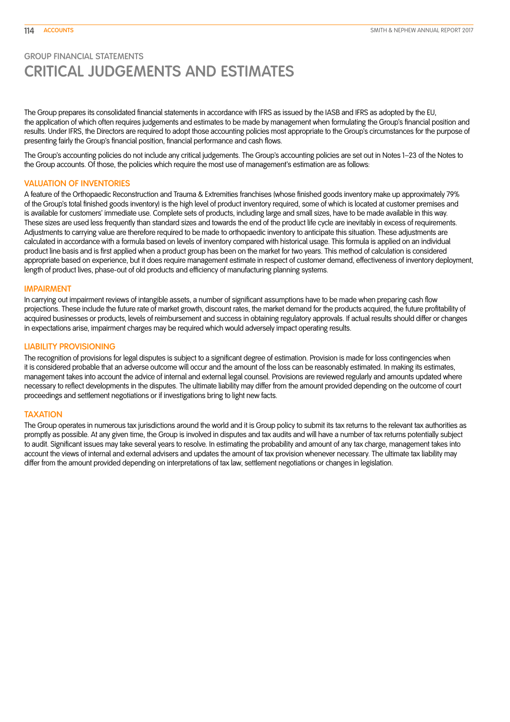## **GROUP FINANCIAL STATEMENTS CRITICAL JUDGEMENTS AND ESTIMATES**

The Group prepares its consolidated financial statements in accordance with IFRS as issued by the IASB and IFRS as adopted by the EU, the application of which often requires judgements and estimates to be made by management when formulating the Group's financial position and results. Under IFRS, the Directors are required to adopt those accounting policies most appropriate to the Group's circumstances for the purpose of presenting fairly the Group's financial position, financial performance and cash flows.

The Group's accounting policies do not include any critical judgements. The Group's accounting policies are set out in Notes 1–23 of the Notes to the Group accounts. Of those, the policies which require the most use of management's estimation are as follows:

## **VALUATION OF INVENTORIES**

A feature of the Orthopaedic Reconstruction and Trauma & Extremities franchises (whose finished goods inventory make up approximately 79% of the Group's total finished goods inventory) is the high level of product inventory required, some of which is located at customer premises and is available for customers' immediate use. Complete sets of products, including large and small sizes, have to be made available in this way. These sizes are used less frequently than standard sizes and towards the end of the product life cycle are inevitably in excess of requirements. Adjustments to carrying value are therefore required to be made to orthopaedic inventory to anticipate this situation. These adjustments are calculated in accordance with a formula based on levels of inventory compared with historical usage. This formula is applied on an individual product line basis and is first applied when a product group has been on the market for two years. This method of calculation is considered appropriate based on experience, but it does require management estimate in respect of customer demand, effectiveness of inventory deployment, length of product lives, phase-out of old products and efficiency of manufacturing planning systems.

#### **IMPAIRMENT**

In carrying out impairment reviews of intangible assets, a number of significant assumptions have to be made when preparing cash flow projections. These include the future rate of market growth, discount rates, the market demand for the products acquired, the future profitability of acquired businesses or products, levels of reimbursement and success in obtaining regulatory approvals. If actual results should differ or changes in expectations arise, impairment charges may be required which would adversely impact operating results.

#### **LIABILITY PROVISIONING**

The recognition of provisions for legal disputes is subject to a significant degree of estimation. Provision is made for loss contingencies when it is considered probable that an adverse outcome will occur and the amount of the loss can be reasonably estimated. In making its estimates, management takes into account the advice of internal and external legal counsel. Provisions are reviewed regularly and amounts updated where necessary to reflect developments in the disputes. The ultimate liability may differ from the amount provided depending on the outcome of court proceedings and settlement negotiations or if investigations bring to light new facts.

#### **TAXATION**

The Group operates in numerous tax jurisdictions around the world and it is Group policy to submit its tax returns to the relevant tax authorities as promptly as possible. At any given time, the Group is involved in disputes and tax audits and will have a number of tax returns potentially subject to audit. Significant issues may take several years to resolve. In estimating the probability and amount of any tax charge, management takes into account the views of internal and external advisers and updates the amount of tax provision whenever necessary. The ultimate tax liability may differ from the amount provided depending on interpretations of tax law, settlement negotiations or changes in legislation.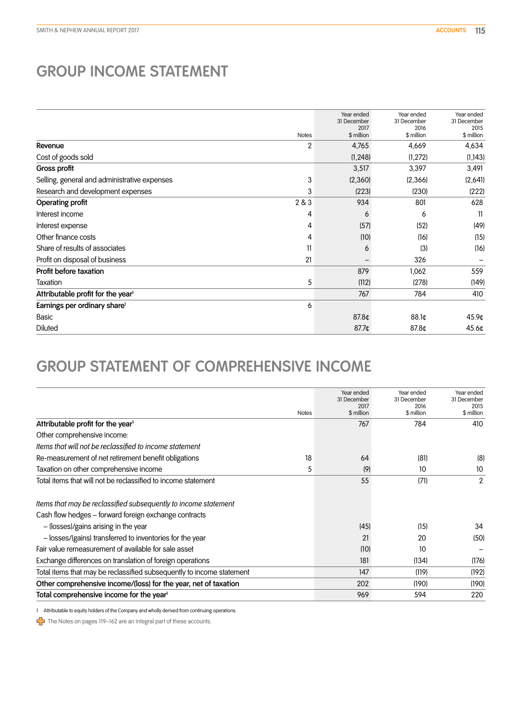# **GROUP INCOME STATEMENT**

|                                               |              | Year ended<br>31 December | Year ended<br>31 December | Year ended<br>31 December |
|-----------------------------------------------|--------------|---------------------------|---------------------------|---------------------------|
|                                               |              | 2017                      | 2016                      | 2015                      |
|                                               | <b>Notes</b> | \$ million                | \$ million                | \$ million                |
| Revenue                                       | 2            | 4,765                     | 4,669                     | 4,634                     |
| Cost of goods sold                            |              | (1, 248)                  | (1, 272)                  | (1, 143)                  |
| Gross profit                                  |              | 3,517                     | 3,397                     | 3,491                     |
| Selling, general and administrative expenses  | 3            | (2,360)                   | (2, 366)                  | (2,641)                   |
| Research and development expenses             | 3            | (223)                     | (230)                     | (222)                     |
| Operating profit                              | 2 & 3        | 934                       | 801                       | 628                       |
| Interest income                               | 4            | 6                         | 6                         | 11                        |
| Interest expense                              | 4            | (57)                      | (52)                      | (49)                      |
| Other finance costs                           | 4            | (10)                      | (16)                      | (15)                      |
| Share of results of associates                | 11           | 6                         | (3)                       | (16)                      |
| Profit on disposal of business                | 21           |                           | 326                       |                           |
| Profit before taxation                        |              | 879                       | 1,062                     | 559                       |
| Taxation                                      | 5            | (112)                     | (278)                     | (149)                     |
| Attributable profit for the year <sup>1</sup> |              | 767                       | 784                       | 410                       |
| Earnings per ordinary share <sup>1</sup>      | 6            |                           |                           |                           |
| Basic                                         |              | 87.8¢                     | 88.1 <sub>¢</sub>         | 45.9¢                     |
| <b>Diluted</b>                                |              | 87.7 <sub>¢</sub>         | 87.8¢                     | 45.6¢                     |

# **GROUP STATEMENT OF COMPREHENSIVE INCOME**

|                                                                       |              | Year ended<br>31 December<br>2017 | Year ended<br>31 December<br>2016 | Year ended<br>31 December<br>2015 |
|-----------------------------------------------------------------------|--------------|-----------------------------------|-----------------------------------|-----------------------------------|
|                                                                       | <b>Notes</b> | \$ million                        | \$ million                        | \$ million                        |
| Attributable profit for the year <sup>1</sup>                         |              | 767                               | 784                               | 410                               |
| Other comprehensive income:                                           |              |                                   |                                   |                                   |
| Items that will not be reclassified to income statement               |              |                                   |                                   |                                   |
| Re-measurement of net retirement benefit obligations                  | 18           | 64                                | (81)                              | (8)                               |
| Taxation on other comprehensive income                                | 5            | (9)                               | 10                                | 10 <sup>°</sup>                   |
| Total items that will not be reclassified to income statement         |              | 55                                | (71)                              | 2                                 |
| Items that may be reclassified subsequently to income statement       |              |                                   |                                   |                                   |
| Cash flow hedges – forward foreign exchange contracts                 |              |                                   |                                   |                                   |
| - (losses)/gains arising in the year                                  |              | (45)                              | (15)                              | 34                                |
| - losses/(gains) transferred to inventories for the year              |              | 21                                | 20                                | (50)                              |
| Fair value remeasurement of available for sale asset                  |              | (10)                              | 10                                |                                   |
| Exchange differences on translation of foreign operations             |              | 181                               | (134)                             | (176)                             |
| Total items that may be reclassified subsequently to income statement |              | 147                               | (119)                             | (192)                             |
| Other comprehensive income/(loss) for the year, net of taxation       |              | 202                               | (190)                             | (190)                             |
| Total comprehensive income for the year <sup>1</sup>                  |              | 969                               | 594                               | 220                               |
|                                                                       |              |                                   |                                   |                                   |

1 Attributable to equity holders of the Company and wholly derived from continuing operations.

The Notes on pages 119-162 are an integral part of these accounts.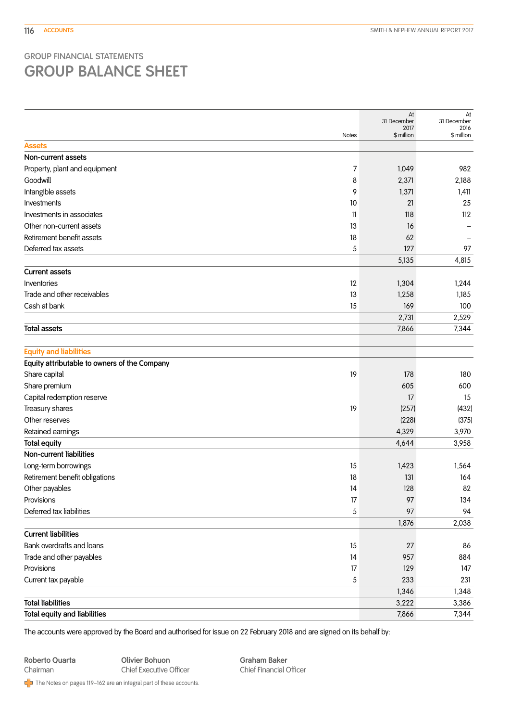## **GROUP FINANCIAL STATEMENTS GROUP BALANCE SHEET**

|                                              |       | At<br>31 December | At<br>31 December |
|----------------------------------------------|-------|-------------------|-------------------|
|                                              |       | 2017              | 2016              |
| <b>Assets</b>                                | Notes | \$ million        | \$ million        |
| Non-current assets                           |       |                   |                   |
| Property, plant and equipment                | 7     | 1,049             | 982               |
| Goodwill                                     | 8     | 2,371             | 2,188             |
| Intangible assets                            | 9     | 1,371             | 1,411             |
| Investments                                  | 10    | 21                | 25                |
| Investments in associates                    | 11    | 118               | 112               |
| Other non-current assets                     | 13    | 16                |                   |
| Retirement benefit assets                    | 18    | 62                |                   |
| Deferred tax assets                          | 5     | 127               | 97                |
|                                              |       | 5,135             | 4,815             |
| <b>Current assets</b>                        |       |                   |                   |
| Inventories                                  | 12    | 1,304             | 1,244             |
| Trade and other receivables                  | 13    | 1,258             | 1,185             |
| Cash at bank                                 | 15    | 169               | 100               |
|                                              |       | 2,731             | 2,529             |
| <b>Total assets</b>                          |       | 7,866             | 7,344             |
| <b>Equity and liabilities</b>                |       |                   |                   |
| Equity attributable to owners of the Company |       |                   |                   |
| Share capital                                | 19    | 178               | 180               |
| Share premium                                |       | 605               | 600               |
| Capital redemption reserve                   |       | 17                | 15                |
| Treasury shares                              | 19    | (257)             | (432)             |
| Other reserves                               |       | (228)             | (375)             |
| Retained earnings                            |       | 4,329             | 3,970             |
| <b>Total equity</b>                          |       | 4,644             | 3,958             |
| Non-current liabilities                      |       |                   |                   |
| Long-term borrowings                         | 15    | 1,423             | 1,564             |
| Retirement benefit obligations               | 18    | 131               | 164               |
| Other payables                               | 14    | 128               | 82                |
| Provisions                                   | 17    | 97                | 134               |
| Deferred tax liabilities                     | 5     | 97                | 94                |
|                                              |       | 1,876             | 2,038             |
| <b>Current liabilities</b>                   |       |                   |                   |
| Bank overdrafts and loans                    | 15    | 27                | 86                |
| Trade and other payables                     | 14    | 957               | 884               |
| Provisions                                   | 17    | 129               | 147               |
| Current tax payable                          | 5     | 233               | 231               |
|                                              |       | 1,346             | 1,348             |
| <b>Total liabilities</b>                     |       | 3,222             | 3,386             |
| Total equity and liabilities                 |       | 7,866             | 7,344             |

The accounts were approved by the Board and authorised for issue on 22 February 2018 and are signed on its behalf by:

**Roberto Quarta Olivier Bohuon Graham Baker** Chief Executive Officer

The Notes on pages 119–162 are an integral part of these accounts.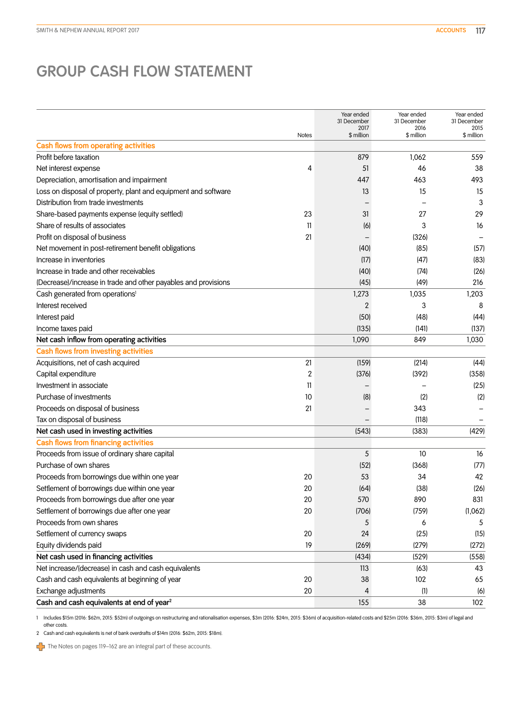# **GROUP CASH FLOW STATEMENT**

|                                                                |                | Year ended<br>31 December | Year ended<br>31 December | Year ended<br>31 December |
|----------------------------------------------------------------|----------------|---------------------------|---------------------------|---------------------------|
|                                                                |                | 2017                      | 2016                      | 2015                      |
| Cash flows from operating activities                           | Notes          | \$ million                | \$ million                | \$ million                |
| Profit before taxation                                         |                | 879                       | 1,062                     | 559                       |
| Net interest expense                                           | 4              | 51                        | 46                        | 38                        |
| Depreciation, amortisation and impairment                      |                | 447                       | 463                       | 493                       |
| Loss on disposal of property, plant and equipment and software |                | 13                        | 15                        | 15                        |
| Distribution from trade investments                            |                |                           |                           | 3                         |
| Share-based payments expense (equity settled)                  | 23             | 31                        | 27                        | 29                        |
| Share of results of associates                                 | 11             | (6)                       | 3                         | 16                        |
| Profit on disposal of business                                 | 21             |                           | (326)                     |                           |
| Net movement in post-retirement benefit obligations            |                | (40)                      | (85)                      | (57)                      |
| Increase in inventories                                        |                | (17)                      | (47)                      | (83)                      |
| Increase in trade and other receivables                        |                | (40)                      | (74)                      | (26)                      |
| (Decrease)/increase in trade and other payables and provisions |                | (45)                      | (49)                      | 216                       |
| Cash generated from operations <sup>1</sup>                    |                | 1,273                     | 1,035                     | 1,203                     |
| Interest received                                              |                | $\overline{2}$            | 3                         | 8                         |
| Interest paid                                                  |                | (50)                      | (48)                      | (44)                      |
| Income taxes paid                                              |                | (135)                     | (141)                     | (137)                     |
| Net cash inflow from operating activities                      |                | 1,090                     | 849                       | 1,030                     |
| <b>Cash flows from investing activities</b>                    |                |                           |                           |                           |
| Acquisitions, net of cash acquired                             | 21             | (159)                     | (214)                     | (44)                      |
| Capital expenditure                                            | $\overline{2}$ | (376)                     | (392)                     | (358)                     |
| Investment in associate                                        | 11             |                           |                           | (25)                      |
| Purchase of investments                                        | 10             | (8)                       | (2)                       | (2)                       |
| Proceeds on disposal of business                               | 21             |                           | 343                       |                           |
| Tax on disposal of business                                    |                |                           | (118)                     |                           |
| Net cash used in investing activities                          |                | (543)                     | (383)                     | (429)                     |
| <b>Cash flows from financing activities</b>                    |                |                           |                           |                           |
| Proceeds from issue of ordinary share capital                  |                | 5                         | 10                        | 16                        |
| Purchase of own shares                                         |                | (52)                      | (368)                     | (77)                      |
| Proceeds from borrowings due within one year                   | 20             | 53                        | 34                        | 42                        |
| Settlement of borrowings due within one year                   | 20             | (64)                      | (38)                      | (26)                      |
| Proceeds from borrowings due after one year                    | 20             | 570                       | 890                       | 831                       |
| Settlement of borrowings due after one year                    | 20             | (706)                     | (759)                     | (1,062)                   |
| Proceeds from own shares                                       |                | 5                         | 6                         | 5                         |
| Settlement of currency swaps                                   | 20             | 24                        | (25)                      | (15)                      |
| Equity dividends paid                                          | 19             | (269)                     | (279)                     | (272)                     |
| Net cash used in financing activities                          |                | (434)                     | (529)                     | (558)                     |
| Net increase/(decrease) in cash and cash equivalents           |                | 113                       | (63)                      | 43                        |
| Cash and cash equivalents at beginning of year                 | 20             | 38                        | 102                       | 65                        |
| Exchange adjustments                                           | 20             | 4                         | (1)                       | (6)                       |
| Cash and cash equivalents at end of year <sup>2</sup>          |                | 155                       | 38                        | 102                       |

1 Includes \$15m (2016: \$62m, 2015: \$52m) of outgoings on restructuring and rationalisation expenses, \$3m (2016: \$24m, 2015: \$36m) of acquisition-related costs and \$25m (2016: \$36m, 2015: \$3m) of legal and other costs.

2 Cash and cash equivalents is net of bank overdrafts of \$14m (2016: \$62m, 2015: \$18m).

The Notes on pages 119-162 are an integral part of these accounts.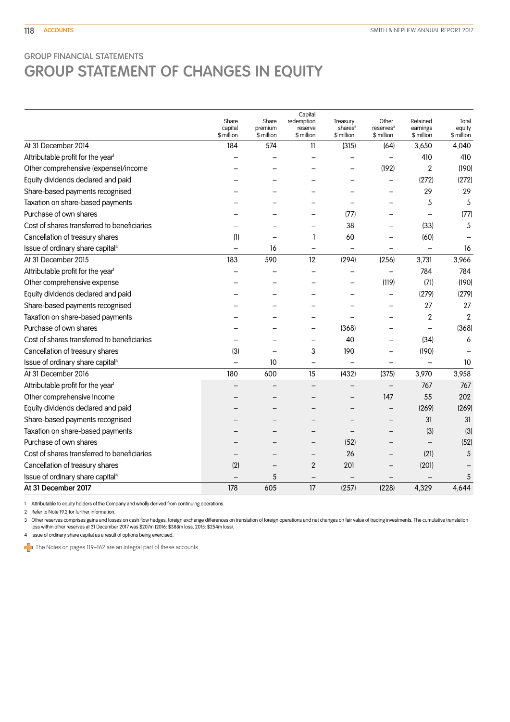## **GROUP FINANCIAL STATEMENTS GROUP STATEMENT OF CHANGES IN EQUITY**

|                                               | Share<br>capital<br>\$ million | Share<br>premium<br>\$ million | Capital<br>redemption<br>reserve<br>\$ million | Treasury<br>shares $2$<br>\$ million | Other<br>reserves <sup>3</sup><br>\$ million | Retained<br>earnings<br>\$ million | Total<br>equity<br>\$ million |
|-----------------------------------------------|--------------------------------|--------------------------------|------------------------------------------------|--------------------------------------|----------------------------------------------|------------------------------------|-------------------------------|
| At 31 December 2014                           | 184                            | 574                            | 11                                             | (315)                                | (64)                                         | 3,650                              | 4,040                         |
| Attributable profit for the year <sup>1</sup> |                                |                                |                                                |                                      | $\overline{\phantom{0}}$                     | 410                                | 410                           |
| Other comprehensive (expense)/income          |                                |                                |                                                |                                      | (192)                                        | $\overline{2}$                     | (190)                         |
| Equity dividends declared and paid            |                                |                                |                                                |                                      | $\overline{\phantom{0}}$                     | (272)                              | (272)                         |
| Share-based payments recognised               |                                |                                |                                                |                                      |                                              | 29                                 | 29                            |
| Taxation on share-based payments              |                                |                                |                                                |                                      |                                              | 5                                  | 5                             |
| Purchase of own shares                        |                                |                                |                                                | (77)                                 |                                              |                                    | (77)                          |
| Cost of shares transferred to beneficiaries   |                                |                                |                                                | 38                                   | $\overline{\phantom{0}}$                     | (33)                               | 5                             |
| Cancellation of treasury shares               | (1)                            |                                | 1                                              | 60                                   |                                              | (60)                               |                               |
| Issue of ordinary share capital <sup>4</sup>  |                                | 16                             |                                                |                                      |                                              |                                    | 16                            |
| At 31 December 2015                           | 183                            | 590                            | 12                                             | (294)                                | (256)                                        | 3,731                              | 3,966                         |
| Attributable profit for the year <sup>1</sup> |                                |                                |                                                |                                      |                                              | 784                                | 784                           |
| Other comprehensive expense                   |                                |                                |                                                |                                      | (119)                                        | (71)                               | (190)                         |
| Equity dividends declared and paid            |                                |                                |                                                |                                      |                                              | (279)                              | (279)                         |
| Share-based payments recognised               |                                |                                |                                                |                                      |                                              | 27                                 | 27                            |
| Taxation on share-based payments              |                                |                                |                                                |                                      |                                              | $\overline{2}$                     | $\overline{2}$                |
| Purchase of own shares                        |                                |                                |                                                | (368)                                | $\overline{\phantom{0}}$                     | $\overline{\phantom{0}}$           | (368)                         |
| Cost of shares transferred to beneficiaries   |                                |                                |                                                | 40                                   |                                              | (34)                               | 6                             |
| Cancellation of treasury shares               | (3)                            |                                | 3                                              | 190                                  |                                              | (190)                              |                               |
| Issue of ordinary share capital <sup>4</sup>  | $\overline{ }$                 | 10                             |                                                |                                      |                                              |                                    | 10                            |
| At 31 December 2016                           | 180                            | 600                            | 15                                             | (432)                                | (375)                                        | 3,970                              | 3,958                         |
| Attributable profit for the year <sup>1</sup> |                                |                                |                                                |                                      | $\overline{\phantom{0}}$                     | 767                                | 767                           |
| Other comprehensive income                    |                                |                                |                                                |                                      | 147                                          | 55                                 | 202                           |
| Equity dividends declared and paid            |                                |                                |                                                |                                      |                                              | (269)                              | (269)                         |
| Share-based payments recognised               |                                |                                |                                                |                                      |                                              | 31                                 | 31                            |
| Taxation on share-based payments              |                                |                                |                                                |                                      |                                              | (3)                                | (3)                           |
| Purchase of own shares                        |                                |                                |                                                | (52)                                 |                                              |                                    | (52)                          |
| Cost of shares transferred to beneficiaries   |                                |                                |                                                | 26                                   |                                              | (21)                               | 5                             |
| Cancellation of treasury shares               | (2)                            |                                | $\mathbf{2}$                                   | 201                                  |                                              | (201)                              |                               |
| Issue of ordinary share capital <sup>4</sup>  |                                | 5                              |                                                |                                      |                                              |                                    | 5                             |
| At 31 December 2017                           | 178                            | 605                            | 17                                             | (257)                                | (228)                                        | 4,329                              | 4,644                         |

1 Attributable to equity holders of the Company and wholly derived from continuing operations.

2 Refer to Note 19.2 for further information.

3 Other reserves comprises gains and losses on cash flow hedges, foreign exchange differences on translation of foreign operations and net changes on fair value of trading investments. The cumulative translation<br>loss withi

4 Issue of ordinary share capital as a result of options being exercised.

The Notes on pages 119-162 are an integral part of these accounts.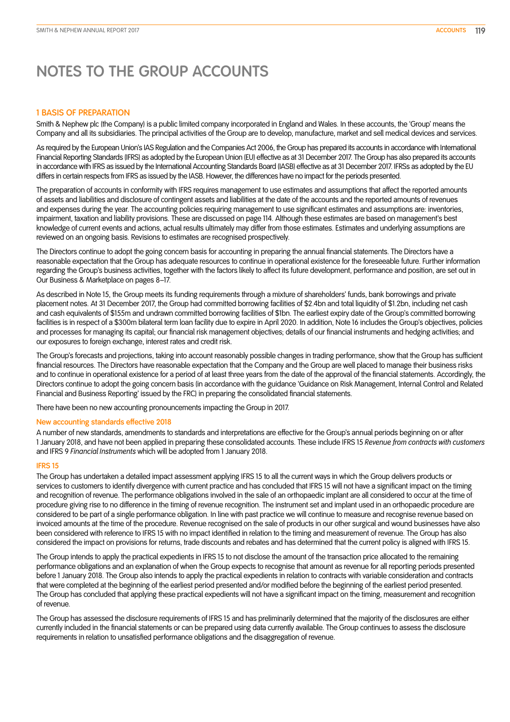# **NOTES TO THE GROUP ACCOUNTS**

### **1 BASIS OF PREPARATION**

Smith & Nephew plc (the Company) is a public limited company incorporated in England and Wales. In these accounts, the 'Group' means the Company and all its subsidiaries. The principal activities of the Group are to develop, manufacture, market and sell medical devices and services.

As required by the European Union's IAS Regulation and the Companies Act 2006, the Group has prepared its accounts in accordance with International Financial Reporting Standards (IFRS) as adopted by the European Union (EU) effective as at 31 December 2017. The Group has also prepared its accounts in accordance with IFRS as issued by the International Accounting Standards Board (IASB) effective as at 31 December 2017. IFRSs as adopted by the EU differs in certain respects from IFRS as issued by the IASB. However, the differences have no impact for the periods presented.

The preparation of accounts in conformity with IFRS requires management to use estimates and assumptions that affect the reported amounts of assets and liabilities and disclosure of contingent assets and liabilities at the date of the accounts and the reported amounts of revenues and expenses during the year. The accounting policies requiring management to use significant estimates and assumptions are: inventories, impairment, taxation and liability provisions. These are discussed on page 114. Although these estimates are based on management's best knowledge of current events and actions, actual results ultimately may differ from those estimates. Estimates and underlying assumptions are reviewed on an ongoing basis. Revisions to estimates are recognised prospectively.

The Directors continue to adopt the going concern basis for accounting in preparing the annual financial statements. The Directors have a reasonable expectation that the Group has adequate resources to continue in operational existence for the foreseeable future. Further information regarding the Group's business activities, together with the factors likely to affect its future development, performance and position, are set out in Our Business & Marketplace on pages 8–17.

As described in Note 15, the Group meets its funding requirements through a mixture of shareholders' funds, bank borrowings and private placement notes. At 31 December 2017, the Group had committed borrowing facilities of \$2.4bn and total liquidity of \$1.2bn, including net cash and cash equivalents of \$155m and undrawn committed borrowing facilities of \$1bn. The earliest expiry date of the Group's committed borrowing facilities is in respect of a \$300m bilateral term loan facility due to expire in April 2020. In addition, Note 16 includes the Group's objectives, policies and processes for managing its capital; our financial risk management objectives; details of our financial instruments and hedging activities; and our exposures to foreign exchange, interest rates and credit risk.

The Group's forecasts and projections, taking into account reasonably possible changes in trading performance, show that the Group has sufficient financial resources. The Directors have reasonable expectation that the Company and the Group are well placed to manage their business risks and to continue in operational existence for a period of at least three years from the date of the approval of the financial statements. Accordingly, the Directors continue to adopt the going concern basis (in accordance with the guidance 'Guidance on Risk Management, Internal Control and Related Financial and Business Reporting' issued by the FRC) in preparing the consolidated financial statements.

There have been no new accounting pronouncements impacting the Group in 2017.

#### **New accounting standards effective 2018**

A number of new standards, amendments to standards and interpretations are effective for the Group's annual periods beginning on or after 1 January 2018, and have not been applied in preparing these consolidated accounts. These include IFRS 15 *Revenue from contracts with customers* and IFRS 9 *Financial Instruments* which will be adopted from 1 January 2018.

#### **IFRS 15**

The Group has undertaken a detailed impact assessment applying IFRS 15 to all the current ways in which the Group delivers products or services to customers to identify divergence with current practice and has concluded that IFRS 15 will not have a significant impact on the timing and recognition of revenue. The performance obligations involved in the sale of an orthopaedic implant are all considered to occur at the time of procedure giving rise to no difference in the timing of revenue recognition. The instrument set and implant used in an orthopaedic procedure are considered to be part of a single performance obligation. In line with past practice we will continue to measure and recognise revenue based on invoiced amounts at the time of the procedure. Revenue recognised on the sale of products in our other surgical and wound businesses have also been considered with reference to IFRS 15 with no impact identified in relation to the timing and measurement of revenue. The Group has also considered the impact on provisions for returns, trade discounts and rebates and has determined that the current policy is aligned with IFRS 15.

The Group intends to apply the practical expedients in IFRS 15 to not disclose the amount of the transaction price allocated to the remaining performance obligations and an explanation of when the Group expects to recognise that amount as revenue for all reporting periods presented before 1 January 2018. The Group also intends to apply the practical expedients in relation to contracts with variable consideration and contracts that were completed at the beginning of the earliest period presented and/or modified before the beginning of the earliest period presented. The Group has concluded that applying these practical expedients will not have a significant impact on the timing, measurement and recognition of revenue.

The Group has assessed the disclosure requirements of IFRS 15 and has preliminarily determined that the majority of the disclosures are either currently included in the financial statements or can be prepared using data currently available. The Group continues to assess the disclosure requirements in relation to unsatisfied performance obligations and the disaggregation of revenue.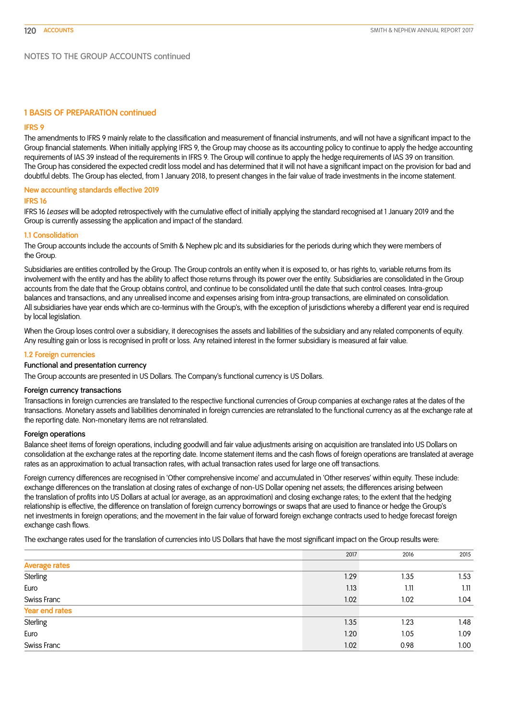#### **1 BASIS OF PREPARATION continued**

#### **IFRS 9**

The amendments to IFRS 9 mainly relate to the classification and measurement of financial instruments, and will not have a significant impact to the Group financial statements. When initially applying IFRS 9, the Group may choose as its accounting policy to continue to apply the hedge accounting requirements of IAS 39 instead of the requirements in IFRS 9. The Group will continue to apply the hedge requirements of IAS 39 on transition. The Group has considered the expected credit loss model and has determined that it will not have a significant impact on the provision for bad and doubtful debts. The Group has elected, from 1 January 2018, to present changes in the fair value of trade investments in the income statement.

#### **New accounting standards effective 2019**

#### **IFRS 16**

IFRS 16 *Leases* will be adopted retrospectively with the cumulative effect of initially applying the standard recognised at 1 January 2019 and the Group is currently assessing the application and impact of the standard.

#### **1.1 Consolidation**

The Group accounts include the accounts of Smith & Nephew plc and its subsidiaries for the periods during which they were members of the Group.

Subsidiaries are entities controlled by the Group. The Group controls an entity when it is exposed to, or has rights to, variable returns from its involvement with the entity and has the ability to affect those returns through its power over the entity. Subsidiaries are consolidated in the Group accounts from the date that the Group obtains control, and continue to be consolidated until the date that such control ceases. Intra-group balances and transactions, and any unrealised income and expenses arising from intra-group transactions, are eliminated on consolidation. All subsidiaries have year ends which are co-terminus with the Group's, with the exception of jurisdictions whereby a different year end is required by local legislation.

When the Group loses control over a subsidiary, it derecognises the assets and liabilities of the subsidiary and any related components of equity. Any resulting gain or loss is recognised in profit or loss. Any retained interest in the former subsidiary is measured at fair value.

#### **1.2 Foreign currencies**

#### **Functional and presentation currency**

The Group accounts are presented in US Dollars. The Company's functional currency is US Dollars.

#### **Foreign currency transactions**

Transactions in foreign currencies are translated to the respective functional currencies of Group companies at exchange rates at the dates of the transactions. Monetary assets and liabilities denominated in foreign currencies are retranslated to the functional currency as at the exchange rate at the reporting date. Non-monetary items are not retranslated.

#### **Foreign operations**

Balance sheet items of foreign operations, including goodwill and fair value adjustments arising on acquisition are translated into US Dollars on consolidation at the exchange rates at the reporting date. Income statement items and the cash flows of foreign operations are translated at average rates as an approximation to actual transaction rates, with actual transaction rates used for large one off transactions.

Foreign currency differences are recognised in 'Other comprehensive income' and accumulated in 'Other reserves' within equity. These include: exchange differences on the translation at closing rates of exchange of non-US Dollar opening net assets; the differences arising between the translation of profits into US Dollars at actual (or average, as an approximation) and closing exchange rates; to the extent that the hedging relationship is effective, the difference on translation of foreign currency borrowings or swaps that are used to finance or hedge the Group's net investments in foreign operations; and the movement in the fair value of forward foreign exchange contracts used to hedge forecast foreign exchange cash flows.

The exchange rates used for the translation of currencies into US Dollars that have the most significant impact on the Group results were:

|                      | 2017 | 2016 | 2015 |
|----------------------|------|------|------|
| <b>Average rates</b> |      |      |      |
| Sterling             | 1.29 | 1.35 | 1.53 |
| Euro                 | 1.13 | 1.11 | 1.11 |
| Swiss Franc          | 1.02 | 1.02 | 1.04 |
| Year end rates       |      |      |      |
| Sterling             | 1.35 | 1.23 | 1.48 |
| Euro                 | 1.20 | 1.05 | 1.09 |
| Swiss Franc          | 1.02 | 0.98 | 1.00 |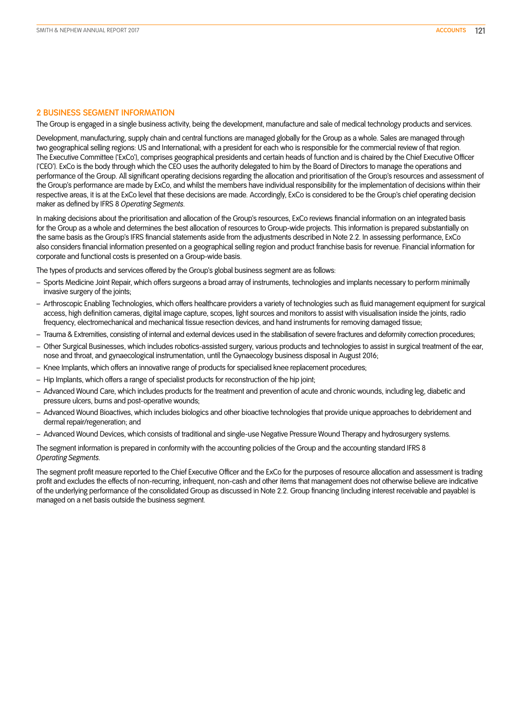#### **2 BUSINESS SEGMENT INFORMATION**

The Group is engaged in a single business activity, being the development, manufacture and sale of medical technology products and services.

Development, manufacturing, supply chain and central functions are managed globally for the Group as a whole. Sales are managed through two geographical selling regions: US and International; with a president for each who is responsible for the commercial review of that region. The Executive Committee ('ExCo'), comprises geographical presidents and certain heads of function and is chaired by the Chief Executive Officer ('CEO'). ExCo is the body through which the CEO uses the authority delegated to him by the Board of Directors to manage the operations and performance of the Group. All significant operating decisions regarding the allocation and prioritisation of the Group's resources and assessment of the Group's performance are made by ExCo, and whilst the members have individual responsibility for the implementation of decisions within their respective areas, it is at the ExCo level that these decisions are made. Accordingly, ExCo is considered to be the Group's chief operating decision maker as defined by IFRS 8 *Operating Segments*.

In making decisions about the prioritisation and allocation of the Group's resources, ExCo reviews financial information on an integrated basis for the Group as a whole and determines the best allocation of resources to Group-wide projects. This information is prepared substantially on the same basis as the Group's IFRS financial statements aside from the adjustments described in Note 2.2. In assessing performance, ExCo also considers financial information presented on a geographical selling region and product franchise basis for revenue. Financial information for corporate and functional costs is presented on a Group-wide basis.

The types of products and services offered by the Group's global business segment are as follows:

- Sports Medicine Joint Repair, which offers surgeons a broad array of instruments, technologies and implants necessary to perform minimally invasive surgery of the joints;
- Arthroscopic Enabling Technologies, which offers healthcare providers a variety of technologies such as fluid management equipment for surgical access, high definition cameras, digital image capture, scopes, light sources and monitors to assist with visualisation inside the joints, radio frequency, electromechanical and mechanical tissue resection devices, and hand instruments for removing damaged tissue;
- Trauma & Extremities, consisting of internal and external devices used in the stabilisation of severe fractures and deformity correction procedures;
- Other Surgical Businesses, which includes robotics-assisted surgery, various products and technologies to assist in surgical treatment of the ear, nose and throat, and gynaecological instrumentation, until the Gynaecology business disposal in August 2016;
- Knee Implants, which offers an innovative range of products for specialised knee replacement procedures;
- Hip Implants, which offers a range of specialist products for reconstruction of the hip joint;
- Advanced Wound Care, which includes products for the treatment and prevention of acute and chronic wounds, including leg, diabetic and pressure ulcers, burns and post-operative wounds;
- Advanced Wound Bioactives, which includes biologics and other bioactive technologies that provide unique approaches to debridement and dermal repair/regeneration; and
- Advanced Wound Devices, which consists of traditional and single-use Negative Pressure Wound Therapy and hydrosurgery systems.

The segment information is prepared in conformity with the accounting policies of the Group and the accounting standard IFRS 8 *Operating Segments*.

The segment profit measure reported to the Chief Executive Officer and the ExCo for the purposes of resource allocation and assessment is trading profit and excludes the effects of non-recurring, infrequent, non-cash and other items that management does not otherwise believe are indicative of the underlying performance of the consolidated Group as discussed in Note 2.2. Group financing (including interest receivable and payable) is managed on a net basis outside the business segment.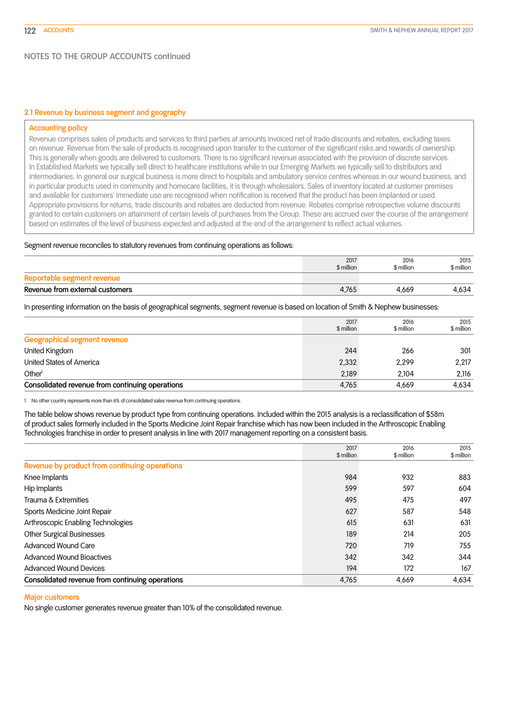#### **2.1 Revenue by business segment and geography**

#### **Accounting policy**

Revenue comprises sales of products and services to third parties at amounts invoiced net of trade discounts and rebates, excluding taxes on revenue. Revenue from the sale of products is recognised upon transfer to the customer of the significant risks and rewards of ownership. This is generally when goods are delivered to customers. There is no significant revenue associated with the provision of discrete services. In Established Markets we typically sell direct to healthcare institutions while in our Emerging Markets we typically sell to distributors and intermediaries. In general our surgical business is more direct to hospitals and ambulatory service centres whereas in our wound business, and in particular products used in community and homecare facilities, it is through wholesalers. Sales of inventory located at customer premises and available for customers' immediate use are recognised when notification is received that the product has been implanted or used. Appropriate provisions for returns, trade discounts and rebates are deducted from revenue. Rebates comprise retrospective volume discounts granted to certain customers on attainment of certain levels of purchases from the Group. These are accrued over the course of the arrangement based on estimates of the level of business expected and adjusted at the end of the arrangement to reflect actual volumes.

#### Segment revenue reconciles to statutory revenues from continuing operations as follows:

|                                 | 2017<br>\$ million | 2016<br>\$ million | 2015<br>\$ million |
|---------------------------------|--------------------|--------------------|--------------------|
|                                 |                    |                    |                    |
| Revenue from external customers | 4.765              | 4,669              | 4,634              |

In presenting information on the basis of geographical segments, segment revenue is based on location of Smith & Nephew businesses:

|                                                 | 2017<br>\$ million | 2016<br>\$ million | 2015<br>\$ million |
|-------------------------------------------------|--------------------|--------------------|--------------------|
| Geographical segment revenue                    |                    |                    |                    |
| United Kingdom                                  | 244                | 266                | 301                |
| United States of America                        | 2,332              | 2.299              | 2,217              |
| Other <sup>1</sup>                              | 2,189              | 2.104              | 2,116              |
| Consolidated revenue from continuing operations | 4.765              | 4.669              | 4,634              |

1 No other country represents more than 6% of consolidated sales revenue from continuing operations.

The table below shows revenue by product type from continuing operations. Included within the 2015 analysis is a reclassification of \$58m of product sales formerly included in the Sports Medicine Joint Repair franchise which has now been included in the Arthroscopic Enabling Technologies franchise in order to present analysis in line with 2017 management reporting on a consistent basis.

|                                                 | 2017<br>\$ million | 2016<br>\$ million | 2015<br>\$ million |
|-------------------------------------------------|--------------------|--------------------|--------------------|
| Revenue by product from continuing operations   |                    |                    |                    |
| Knee Implants                                   | 984                | 932                | 883                |
| Hip Implants                                    | 599                | 597                | 604                |
| Trauma & Extremities                            | 495                | 475                | 497                |
| Sports Medicine Joint Repair                    | 627                | 587                | 548                |
| Arthroscopic Enabling Technologies              | 615                | 631                | 631                |
| Other Surgical Businesses                       | 189                | 214                | 205                |
| Advanced Wound Care                             | 720                | 719                | 755                |
| Advanced Wound Bioactives                       | 342                | 342                | 344                |
| <b>Advanced Wound Devices</b>                   | 194                | 172                | 167                |
| Consolidated revenue from continuing operations | 4.765              | 4.669              | 4.634              |

#### **Major customers**

No single customer generates revenue greater than 10% of the consolidated revenue.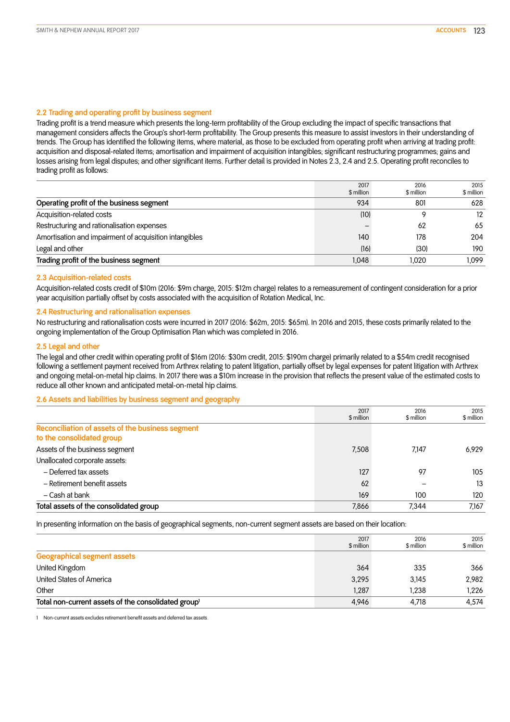#### **2.2 Trading and operating profit by business segment**

Trading profit is a trend measure which presents the long-term profitability of the Group excluding the impact of specific transactions that management considers affects the Group's short-term profitability. The Group presents this measure to assist investors in their understanding of trends. The Group has identified the following items, where material, as those to be excluded from operating profit when arriving at trading profit: acquisition and disposal-related items; amortisation and impairment of acquisition intangibles; significant restructuring programmes; gains and losses arising from legal disputes; and other significant items. Further detail is provided in Notes 2.3, 2.4 and 2.5. Operating profit reconciles to trading profit as follows:

|                                                        | 2017<br>\$ million | 2016<br>\$ million | 2015<br>\$ million |
|--------------------------------------------------------|--------------------|--------------------|--------------------|
| Operating profit of the business segment               | 934                | 801                | 628                |
| Acquisition-related costs                              | (10)               |                    | $12 \overline{ }$  |
| Restructuring and rationalisation expenses             |                    | 62                 | 65                 |
| Amortisation and impairment of acquisition intangibles | 140                | 178                | 204                |
| Legal and other                                        | (16)               | (30)               | 190                |
| Trading profit of the business segment                 | 1,048              | 1.020              | 1.099              |

#### **2.3 Acquisition-related costs**

Acquisition-related costs credit of \$10m (2016: \$9m charge, 2015: \$12m charge) relates to a remeasurement of contingent consideration for a prior year acquisition partially offset by costs associated with the acquisition of Rotation Medical, Inc.

#### **2.4 Restructuring and rationalisation expenses**

No restructuring and rationalisation costs were incurred in 2017 (2016: \$62m, 2015: \$65m). In 2016 and 2015, these costs primarily related to the ongoing implementation of the Group Optimisation Plan which was completed in 2016.

#### **2.5 Legal and other**

The legal and other credit within operating profit of \$16m (2016: \$30m credit, 2015: \$190m charge) primarily related to a \$54m credit recognised following a settlement payment received from Arthrex relating to patent litigation, partially offset by legal expenses for patent litigation with Arthrex and ongoing metal-on-metal hip claims. In 2017 there was a \$10m increase in the provision that reflects the present value of the estimated costs to reduce all other known and anticipated metal-on-metal hip claims.

#### **2.6 Assets and liabilities by business segment and geography**

|                                                                               | 2017<br>\$ million | 2016<br>\$ million | 2015<br>\$ million |
|-------------------------------------------------------------------------------|--------------------|--------------------|--------------------|
| Reconciliation of assets of the business segment<br>to the consolidated group |                    |                    |                    |
| Assets of the business segment                                                | 7.508              | 7.147              | 6.929              |
| Unallocated corporate assets:                                                 |                    |                    |                    |
| - Deferred tax assets                                                         | 127                | 97                 | 105                |
| - Retirement benefit assets                                                   | 62                 |                    | 13                 |
| – Cash at bank                                                                | 169                | 100                | 120                |
| Total assets of the consolidated group                                        | 7,866              | 7.344              | 7,167              |

In presenting information on the basis of geographical segments, non-current segment assets are based on their location:

|                                                     | 2017<br>\$ million | 2016<br>\$ million | 2015<br>\$ million |
|-----------------------------------------------------|--------------------|--------------------|--------------------|
| <b>Geographical segment assets</b>                  |                    |                    |                    |
| United Kingdom                                      | 364                | 335                | 366                |
| United States of America                            | 3.295              | 3.145              | 2.982              |
| Other                                               | 1.287              | 1.238              | 1.226              |
| Total non-current assets of the consolidated group1 | 4.946              | 4.718              | 4.574              |

1 Non-current assets excludes retirement benefit assets and deferred tax assets.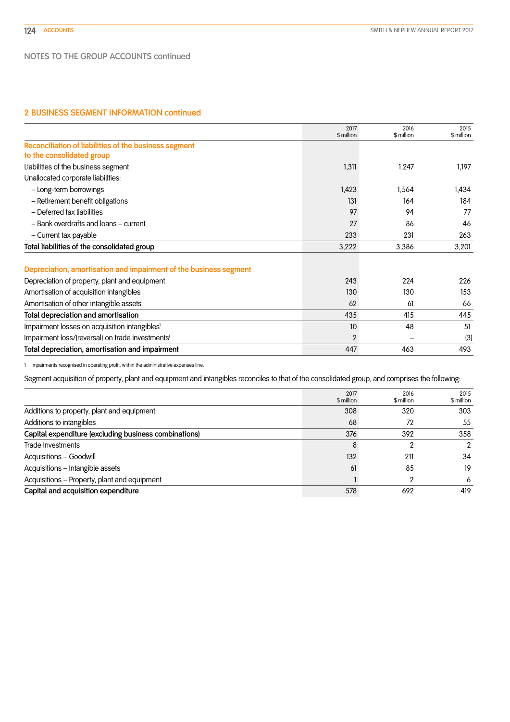## **2 BUSINESS SEGMENT INFORMATION continued**

|                                                                   | 2017<br>\$ million | 2016<br>\$ million | 2015<br>\$ million |
|-------------------------------------------------------------------|--------------------|--------------------|--------------------|
| Reconciliation of liabilities of the business segment             |                    |                    |                    |
| to the consolidated group                                         |                    |                    |                    |
| Liabilities of the business segment                               | 1,311              | 1,247              | 1,197              |
| Unallocated corporate liabilities:                                |                    |                    |                    |
| - Long-term borrowings                                            | 1,423              | 1,564              | 1,434              |
| - Retirement benefit obligations                                  | 131                | 164                | 184                |
| - Deferred tax liabilities                                        | 97                 | 94                 | 77                 |
| - Bank overdrafts and loans - current                             | 27                 | 86                 | 46                 |
| - Current tax payable                                             | 233                | 231                | 263                |
| Total liabilities of the consolidated group                       | 3,222              | 3,386              | 3,201              |
| Depreciation, amortisation and impairment of the business segment |                    |                    |                    |
| Depreciation of property, plant and equipment                     | 243                | 224                | 226                |
| Amortisation of acquisition intangibles                           | 130                | 130                | 153                |
| Amortisation of other intangible assets                           | 62                 | 61                 | 66                 |
| Total depreciation and amortisation                               | 435                | 415                | 445                |
| Impairment losses on acquisition intangibles <sup>1</sup>         | 10 <sup>°</sup>    | 48                 | 51                 |
| Impairment loss/(reversal) on trade investments <sup>1</sup>      | $\overline{2}$     |                    | (3)                |
| Total depreciation, amortisation and impairment                   | 447                | 463                | 493                |

1 Impairments recognised in operating profit, within the administrative expenses line.

Segment acquisition of property, plant and equipment and intangibles reconciles to that of the consolidated group, and comprises the following:

|                                                       | 2017       | 2016       | 2015       |
|-------------------------------------------------------|------------|------------|------------|
|                                                       | \$ million | \$ million | \$ million |
| Additions to property, plant and equipment            | 308        | 320        | 303        |
| Additions to intangibles                              | 68         | 72         | 55         |
| Capital expenditure (excluding business combinations) | 376        | 392        | 358        |
| Trade investments                                     | 8          | Ω          | 2          |
| Acquisitions - Goodwill                               | 132        | 211        | 34         |
| Acquisitions - Intangible assets                      | 61         | 85         | 19         |
| Acquisitions - Property, plant and equipment          |            | റ          | 6          |
| Capital and acquisition expenditure                   | 578        | 692        | 419        |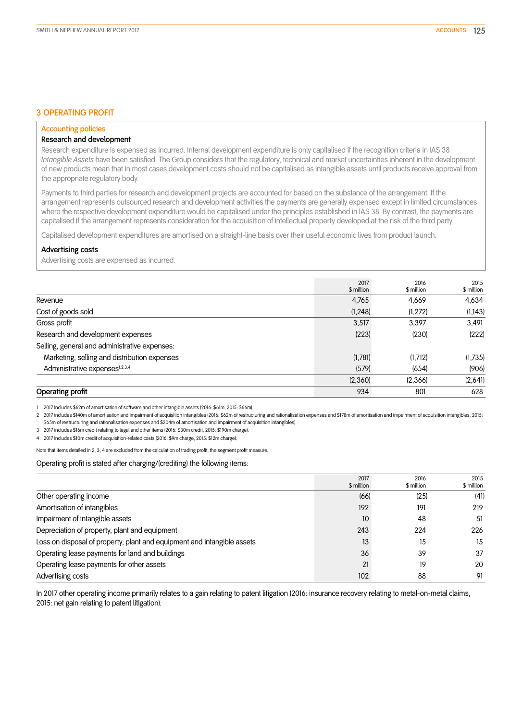## **3 OPERATING PROFIT**

#### **Accounting policies**

#### **Research and development**

Research expenditure is expensed as incurred. Internal development expenditure is only capitalised if the recognition criteria in IAS 38 *Intangible Assets* have been satisfied. The Group considers that the regulatory, technical and market uncertainties inherent in the development of new products mean that in most cases development costs should not be capitalised as intangible assets until products receive approval from the appropriate regulatory body.

Payments to third parties for research and development projects are accounted for based on the substance of the arrangement. If the arrangement represents outsourced research and development activities the payments are generally expensed except in limited circumstances where the respective development expenditure would be capitalised under the principles established in IAS 38. By contrast, the payments are capitalised if the arrangement represents consideration for the acquisition of intellectual property developed at the risk of the third party.

Capitalised development expenditures are amortised on a straight-line basis over their useful economic lives from product launch.

#### **Advertising costs**

Advertising costs are expensed as incurred.

|                                               | 2017       | 2016       | 2015       |
|-----------------------------------------------|------------|------------|------------|
|                                               | \$ million | \$ million | \$ million |
| Revenue                                       | 4,765      | 4,669      | 4,634      |
| Cost of goods sold                            | (1, 248)   | (1, 272)   | (1, 143)   |
| Gross profit                                  | 3,517      | 3.397      | 3,491      |
| Research and development expenses             | (223)      | (230)      | (222)      |
| Selling, general and administrative expenses: |            |            |            |
| Marketing, selling and distribution expenses  | (1,781)    | (1,712)    | (1,735)    |
| Administrative expenses <sup>1,2,3,4</sup>    | (579)      | (654)      | (906)      |
|                                               | (2,360)    | (2,366)    | (2,641)    |
| Operating profit                              | 934        | 801        | 628        |

1 2017 includes \$62m of amortisation of software and other intangible assets (2016: \$61m, 2015: \$66m).

2 2017 includes \$140m of amortisation and impairment of acquisition intangibles (2016: \$62m of restructuring and rationalisation expenses and \$178m of amortisation and impairment of acquisition intangibles, 2015: \$65m of restructuring and rationalisation expenses and \$204m of amortisation and impairment of acquisition intangibles).

3 2017 includes \$16m credit relating to legal and other items (2016: \$30m credit, 2015: \$190m charge).

4 2017 includes \$10m credit of acquisition-related costs (2016: \$9m charge, 2015: \$12m charge).

Note that items detailed in 2, 3, 4 are excluded from the calculation of trading profit, the segment profit measure.

#### Operating profit is stated after charging/(crediting) the following items:

|                                                                         | 2017<br>\$ million | 2016<br>\$ million | 2015<br>\$ million |
|-------------------------------------------------------------------------|--------------------|--------------------|--------------------|
| Other operating income                                                  | (66)               | (25)               | (41)               |
| Amortisation of intangibles                                             | 192                | 191                | 219                |
| Impairment of intangible assets                                         | 10                 | 48                 | -51                |
| Depreciation of property, plant and equipment                           | 243                | 224                | 226                |
| Loss on disposal of property, plant and equipment and intangible assets | 13                 | 15                 | 15                 |
| Operating lease payments for land and buildings                         | 36                 | 39                 | 37                 |
| Operating lease payments for other assets                               | 21                 | 19                 | 20                 |
| Advertising costs                                                       | 102                | 88                 | 91                 |

In 2017 other operating income primarily relates to a gain relating to patent litigation (2016: insurance recovery relating to metal-on-metal claims, 2015: net gain relating to patent litigation).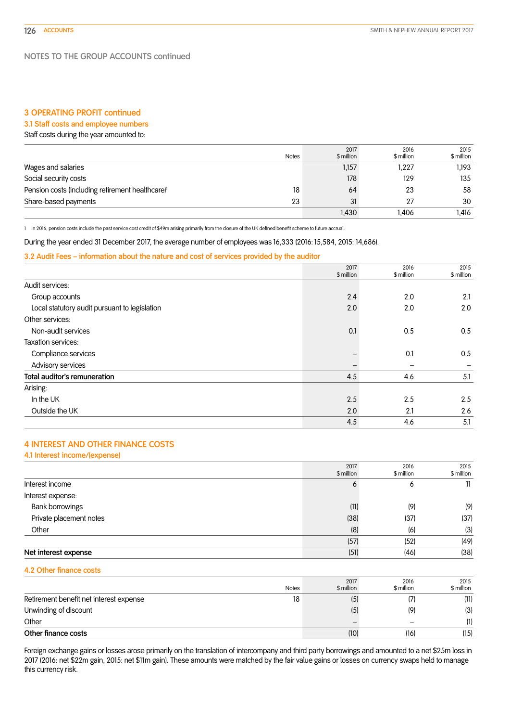## **3 OPERATING PROFIT continued**

## **3.1 Staff costs and employee numbers**

Staff costs during the year amounted to:

|                                                              | <b>Notes</b> | 2017<br>\$ million | 2016<br>\$ million | 2015<br>\$ million |
|--------------------------------------------------------------|--------------|--------------------|--------------------|--------------------|
| Wages and salaries                                           |              | 1,157              | 1,227              | 1,193              |
| Social security costs                                        |              | 178                | 129                | 135                |
| Pension costs (including retirement healthcare) <sup>1</sup> | 18           | 64                 | 23                 | 58                 |
| Share-based payments                                         | 23           | 31                 | 27                 | 30                 |
|                                                              |              | 1.430              | .406               | 1.416              |

1 In 2016, pension costs include the past service cost credit of \$49m arising primarily from the closure of the UK defined benefit scheme to future accrual.

During the year ended 31 December 2017, the average number of employees was 16,333 (2016: 15,584, 2015: 14,686).

**3.2 Audit Fees – information about the nature and cost of services provided by the auditor**

|                                               | 2017<br>\$ million | 2016<br>\$ million | 2015<br>\$ million |
|-----------------------------------------------|--------------------|--------------------|--------------------|
| Audit services:                               |                    |                    |                    |
| Group accounts                                | 2.4                | 2.0                | 2.1                |
| Local statutory audit pursuant to legislation | 2.0                | 2.0                | 2.0                |
| Other services:                               |                    |                    |                    |
| Non-audit services                            | 0.1                | 0.5                | 0.5                |
| Taxation services:                            |                    |                    |                    |
| Compliance services                           |                    | 0.1                | 0.5                |
| Advisory services                             |                    |                    |                    |
| Total auditor's remuneration                  | 4.5                | 4.6                | 5.1                |
| Arising:                                      |                    |                    |                    |
| In the UK                                     | 2.5                | 2.5                | 2.5                |
| Outside the UK                                | 2.0                | 2.1                | 2.6                |
|                                               | 4.5                | 4.6                | 5.1                |

## **4 INTEREST AND OTHER FINANCE COSTS**

**4.1 Interest income/(expense)**

|                         | 2017<br>\$ million | 2016<br>\$ million | 2015<br>\$ million |
|-------------------------|--------------------|--------------------|--------------------|
| Interest income         | b                  | о                  | 11                 |
| Interest expense:       |                    |                    |                    |
| <b>Bank borrowings</b>  | (11)               | (9)                | (9)                |
| Private placement notes | (38)               | (37)               | (37)               |
| Other                   | (8)                | (6)                | (3)                |
|                         | (57)               | (52)               | (49)               |
| Net interest expense    | (51)               | (46)               | (38)               |

**4.2 Other finance costs**

| Other finance costs                     |              | (10)               | (16)               | (15)               |
|-----------------------------------------|--------------|--------------------|--------------------|--------------------|
| Other                                   |              |                    | $\qquad \qquad$    | (1)                |
| Unwinding of discount                   |              | (5)                | (9)                | (3)                |
| Retirement benefit net interest expense | 18           | (5)                |                    | (11)               |
|                                         | <b>Notes</b> | 2017<br>\$ million | 2016<br>\$ million | 2015<br>\$ million |

Foreign exchange gains or losses arose primarily on the translation of intercompany and third party borrowings and amounted to a net \$25m loss in 2017 (2016: net \$22m gain, 2015: net \$11m gain). These amounts were matched by the fair value gains or losses on currency swaps held to manage this currency risk.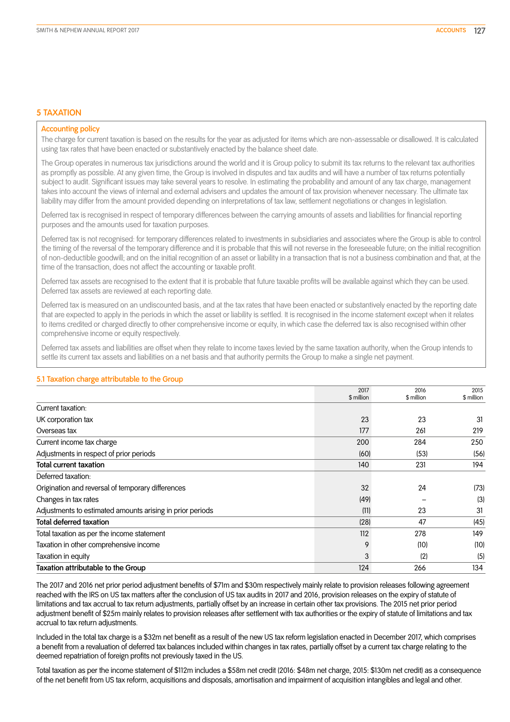## **5 TAXATION**

#### **Accounting policy**

The charge for current taxation is based on the results for the year as adjusted for items which are non-assessable or disallowed. It is calculated using tax rates that have been enacted or substantively enacted by the balance sheet date.

The Group operates in numerous tax jurisdictions around the world and it is Group policy to submit its tax returns to the relevant tax authorities as promptly as possible. At any given time, the Group is involved in disputes and tax audits and will have a number of tax returns potentially subject to audit. Significant issues may take several years to resolve. In estimating the probability and amount of any tax charge, management takes into account the views of internal and external advisers and updates the amount of tax provision whenever necessary. The ultimate tax liability may differ from the amount provided depending on interpretations of tax law, settlement negotiations or changes in legislation.

Deferred tax is recognised in respect of temporary differences between the carrying amounts of assets and liabilities for financial reporting purposes and the amounts used for taxation purposes.

Deferred tax is not recognised: for temporary differences related to investments in subsidiaries and associates where the Group is able to control the timing of the reversal of the temporary difference and it is probable that this will not reverse in the foreseeable future; on the initial recognition of non-deductible goodwill; and on the initial recognition of an asset or liability in a transaction that is not a business combination and that, at the time of the transaction, does not affect the accounting or taxable profit.

Deferred tax assets are recognised to the extent that it is probable that future taxable profits will be available against which they can be used. Deferred tax assets are reviewed at each reporting date.

Deferred tax is measured on an undiscounted basis, and at the tax rates that have been enacted or substantively enacted by the reporting date that are expected to apply in the periods in which the asset or liability is settled. It is recognised in the income statement except when it relates to items credited or charged directly to other comprehensive income or equity, in which case the deferred tax is also recognised within other comprehensive income or equity respectively.

Deferred tax assets and liabilities are offset when they relate to income taxes levied by the same taxation authority, when the Group intends to settle its current tax assets and liabilities on a net basis and that authority permits the Group to make a single net payment.

#### **5.1 Taxation charge attributable to the Group**

|                                                           | 2017<br>\$ million | 2016<br>\$ million | 2015<br>\$ million |
|-----------------------------------------------------------|--------------------|--------------------|--------------------|
| Current taxation:                                         |                    |                    |                    |
| UK corporation tax                                        | 23                 | 23                 | -31                |
| Overseas tax                                              | 177                | 261                | 219                |
| Current income tax charge                                 | 200                | 284                | 250                |
| Adjustments in respect of prior periods                   | (60)               | (53)               | (56)               |
| Total current taxation                                    | 140                | 231                | 194                |
| Deferred taxation:                                        |                    |                    |                    |
| Origination and reversal of temporary differences         | 32                 | 24                 | (73)               |
| Changes in tax rates                                      | (49)               |                    | (3)                |
| Adjustments to estimated amounts arising in prior periods | (11)               | 23                 | 31                 |
| Total deferred taxation                                   | (28)               | 47                 | (45)               |
| Total taxation as per the income statement                | 112                | 278                | 149                |
| Taxation in other comprehensive income                    | 9                  | (10)               | (10)               |
| Taxation in equity                                        | 3                  | (2)                | (5)                |
| Taxation attributable to the Group                        | 124                | 266                | 134                |

The 2017 and 2016 net prior period adjustment benefits of \$71m and \$30m respectively mainly relate to provision releases following agreement reached with the IRS on US tax matters after the conclusion of US tax audits in 2017 and 2016, provision releases on the expiry of statute of limitations and tax accrual to tax return adjustments, partially offset by an increase in certain other tax provisions. The 2015 net prior period adjustment benefit of \$25m mainly relates to provision releases after settlement with tax authorities or the expiry of statute of limitations and tax accrual to tax return adjustments.

Included in the total tax charge is a \$32m net benefit as a result of the new US tax reform legislation enacted in December 2017, which comprises a benefit from a revaluation of deferred tax balances included within changes in tax rates, partially offset by a current tax charge relating to the deemed repatriation of foreign profits not previously taxed in the US.

Total taxation as per the income statement of \$112m includes a \$58m net credit (2016: \$48m net charge, 2015: \$130m net credit) as a consequence of the net benefit from US tax reform, acquisitions and disposals, amortisation and impairment of acquisition intangibles and legal and other.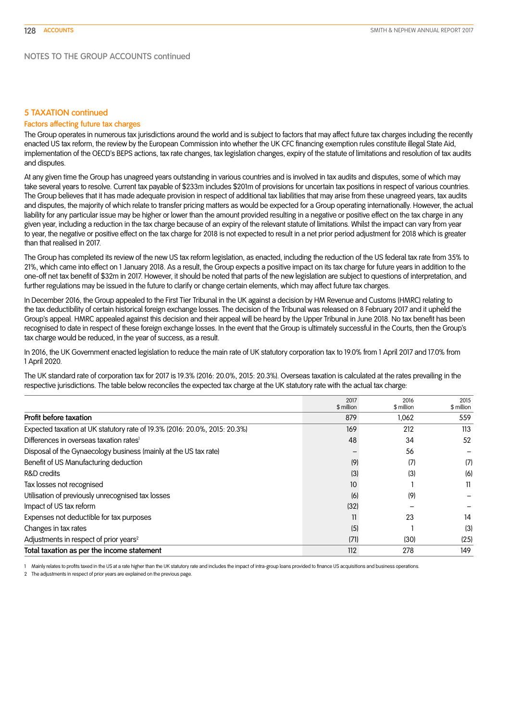#### **5 TAXATION continued**

#### **Factors affecting future tax charges**

The Group operates in numerous tax jurisdictions around the world and is subject to factors that may affect future tax charges including the recently enacted US tax reform, the review by the European Commission into whether the UK CFC financing exemption rules constitute illegal State Aid, implementation of the OECD's BEPS actions, tax rate changes, tax legislation changes, expiry of the statute of limitations and resolution of tax audits and disputes.

At any given time the Group has unagreed years outstanding in various countries and is involved in tax audits and disputes, some of which may take several years to resolve. Current tax payable of \$233m includes \$201m of provisions for uncertain tax positions in respect of various countries. The Group believes that it has made adequate provision in respect of additional tax liabilities that may arise from these unagreed years, tax audits and disputes, the majority of which relate to transfer pricing matters as would be expected for a Group operating internationally. However, the actual liability for any particular issue may be higher or lower than the amount provided resulting in a negative or positive effect on the tax charge in any given year, including a reduction in the tax charge because of an expiry of the relevant statute of limitations. Whilst the impact can vary from year to year, the negative or positive effect on the tax charge for 2018 is not expected to result in a net prior period adjustment for 2018 which is greater than that realised in 2017.

The Group has completed its review of the new US tax reform legislation, as enacted, including the reduction of the US federal tax rate from 35% to 21%, which came into effect on 1 January 2018. As a result, the Group expects a positive impact on its tax charge for future years in addition to the one-off net tax benefit of \$32m in 2017. However, it should be noted that parts of the new legislation are subject to questions of interpretation, and further regulations may be issued in the future to clarify or change certain elements, which may affect future tax charges.

In December 2016, the Group appealed to the First Tier Tribunal in the UK against a decision by HM Revenue and Customs (HMRC) relating to the tax deductibility of certain historical foreign exchange losses. The decision of the Tribunal was released on 8 February 2017 and it upheld the Group's appeal. HMRC appealed against this decision and their appeal will be heard by the Upper Tribunal in June 2018. No tax benefit has been recognised to date in respect of these foreign exchange losses. In the event that the Group is ultimately successful in the Courts, then the Group's tax charge would be reduced, in the year of success, as a result.

In 2016, the UK Government enacted legislation to reduce the main rate of UK statutory corporation tax to 19.0% from 1 April 2017 and 17.0% from 1 April 2020.

The UK standard rate of corporation tax for 2017 is 19.3% (2016: 20.0%, 2015: 20.3%). Overseas taxation is calculated at the rates prevailing in the respective jurisdictions. The table below reconciles the expected tax charge at the UK statutory rate with the actual tax charge:

|                                                                            | 2017       | 2016       | 2015       |
|----------------------------------------------------------------------------|------------|------------|------------|
|                                                                            | \$ million | \$ million | \$ million |
| Profit before taxation                                                     | 879        | 1.062      | 559        |
| Expected taxation at UK statutory rate of 19.3% (2016: 20.0%, 2015: 20.3%) | 169        | 212        | 113        |
| Differences in overseas taxation rates <sup>1</sup>                        | 48         | 34         | 52         |
| Disposal of the Gynaecology business (mainly at the US tax rate)           |            | 56         |            |
| Benefit of US Manufacturing deduction                                      | (9)        | (7)        | (7)        |
| R&D credits                                                                | (3)        | (3)        | (6)        |
| Tax losses not recognised                                                  | 10         |            | 11         |
| Utilisation of previously unrecognised tax losses                          | (6)        | (9)        |            |
| Impact of US tax reform                                                    | (32)       |            |            |
| Expenses not deductible for tax purposes                                   | 11         | 23         | 14         |
| Changes in tax rates                                                       | (5)        |            | (3)        |
| Adjustments in respect of prior years <sup>2</sup>                         | (71)       | (30)       | (25)       |
| Total taxation as per the income statement                                 | 112        | 278        | 149        |

1 Mainly relates to profits taxed in the US at a rate higher than the UK statutory rate and includes the impact of intra-group loans provided to finance US acquisitions and business operations.

2 The adjustments in respect of prior years are explained on the previous page.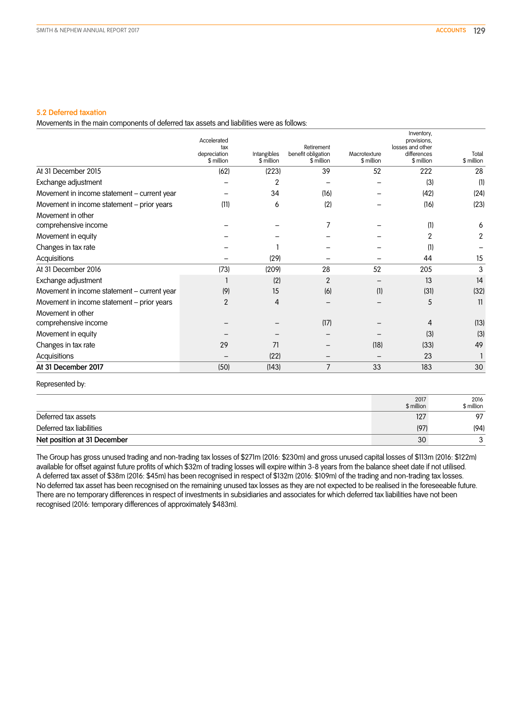#### **5.2 Deferred taxation**

Movements in the main components of deferred tax assets and liabilities were as follows:

|                                             | Accelerated<br>tax<br>depreciation<br>\$ million | Intangibles<br>\$ million | Retirement<br>benefit obligation<br>\$ million | Macrotexture<br>\$ million | Inventory,<br>provisions,<br>losses and other<br>differences<br>\$ million | Total<br>\$ million |
|---------------------------------------------|--------------------------------------------------|---------------------------|------------------------------------------------|----------------------------|----------------------------------------------------------------------------|---------------------|
| At 31 December 2015                         | (62)                                             | (223)                     | 39                                             | 52                         | 222                                                                        | 28                  |
| Exchange adjustment                         |                                                  | 2                         |                                                |                            | (3)                                                                        | (1)                 |
| Movement in income statement - current year |                                                  | 34                        | (16)                                           |                            | (42)                                                                       | (24)                |
| Movement in income statement - prior years  | (11)                                             | 6                         | (2)                                            |                            | (16)                                                                       | (23)                |
| Movement in other                           |                                                  |                           |                                                |                            |                                                                            |                     |
| comprehensive income                        |                                                  |                           |                                                |                            | (1)                                                                        | 6                   |
| Movement in equity                          |                                                  |                           |                                                |                            | 2                                                                          | 2                   |
| Changes in tax rate                         |                                                  |                           |                                                |                            | (1)                                                                        |                     |
| Acquisitions                                |                                                  | (29)                      |                                                |                            | 44                                                                         | 15                  |
| At 31 December 2016                         | (73)                                             | (209)                     | 28                                             | 52                         | 205                                                                        | 3                   |
| Exchange adjustment                         |                                                  | (2)                       | $\overline{2}$                                 |                            | 13                                                                         | 14                  |
| Movement in income statement - current year | (9)                                              | 15                        | (6)                                            | (1)                        | (31)                                                                       | (32)                |
| Movement in income statement - prior years  | $\overline{2}$                                   | 4                         |                                                |                            | 5                                                                          | 11                  |
| Movement in other<br>comprehensive income   |                                                  |                           | (17)                                           |                            | 4                                                                          | (13)                |
| Movement in equity                          |                                                  |                           |                                                |                            | (3)                                                                        | (3)                 |
| Changes in tax rate                         | 29                                               | 71                        |                                                | (18)                       | (33)                                                                       | 49                  |
| Acquisitions                                |                                                  | (22)                      |                                                |                            | 23                                                                         |                     |
| At 31 December 2017                         | (50)                                             | (143)                     |                                                | 33                         | 183                                                                        | 30                  |

Represented by:

|                             | 2017       | 2016       |
|-----------------------------|------------|------------|
|                             | \$ million | \$ million |
| Deferred tax assets         | 127        | 97         |
| Deferred tax liabilities    | (97)       | (94)       |
| Net position at 31 December | 30         |            |

The Group has gross unused trading and non-trading tax losses of \$271m (2016: \$230m) and gross unused capital losses of \$113m (2016: \$122m) available for offset against future profits of which \$32m of trading losses will expire within 3-8 years from the balance sheet date if not utilised. A deferred tax asset of \$38m (2016: \$45m) has been recognised in respect of \$132m (2016: \$109m) of the trading and non-trading tax losses. No deferred tax asset has been recognised on the remaining unused tax losses as they are not expected to be realised in the foreseeable future. There are no temporary differences in respect of investments in subsidiaries and associates for which deferred tax liabilities have not been recognised (2016: temporary differences of approximately \$483m).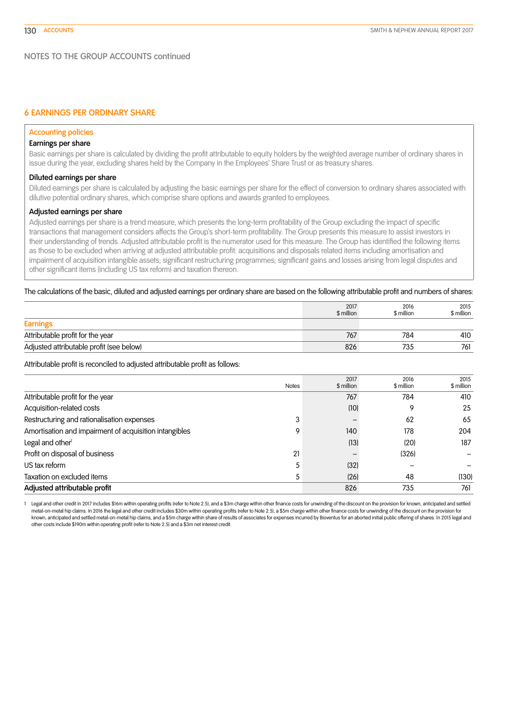### **6 EARNINGS PER ORDINARY SHARE**

### **Accounting policies**

#### **Earnings per share**

Basic earnings per share is calculated by dividing the profit attributable to equity holders by the weighted average number of ordinary shares in issue during the year, excluding shares held by the Company in the Employees' Share Trust or as treasury shares.

#### **Diluted earnings per share**

Diluted earnings per share is calculated by adjusting the basic earnings per share for the effect of conversion to ordinary shares associated with dilutive potential ordinary shares, which comprise share options and awards granted to employees.

#### **Adjusted earnings per share**

Adjusted earnings per share is a trend measure, which presents the long-term profitability of the Group excluding the impact of specific transactions that management considers affects the Group's short-term profitability. The Group presents this measure to assist investors in their understanding of trends. Adjusted attributable profit is the numerator used for this measure. The Group has identified the following items as those to be excluded when arriving at adjusted attributable profit: acquisitions and disposals related items including amortisation and impairment of acquisition intangible assets; significant restructuring programmes; significant gains and losses arising from legal disputes and other significant items (including US tax reform) and taxation thereon.

The calculations of the basic, diluted and adjusted earnings per ordinary share are based on the following attributable profit and numbers of shares:

|                                          | 2017<br>\$ million | 2016<br>\$ million | 2015<br>\$ million |
|------------------------------------------|--------------------|--------------------|--------------------|
| <b>Earnings</b>                          |                    |                    |                    |
| Attributable profit for the year         | 767                | 784                | 410                |
| Adjusted attributable profit (see below) | 826                | 735                | 761                |

Attributable profit is reconciled to adjusted attributable profit as follows:

| <b>Notes</b> | 2017<br>\$ million | 2016<br>\$ million | 2015<br>\$ million |
|--------------|--------------------|--------------------|--------------------|
|              | 767                | 784                | 410                |
|              | (10)               | 9                  | 25                 |
| 3            |                    | 62                 | 65                 |
| 9            | 140                | 178                | 204                |
|              | (13)               | (20)               | 187                |
| 21           |                    | (326)              |                    |
| 5            | (32)               |                    |                    |
| 5            | (26)               | 48                 | (130)              |
|              | 826                | 735                | 761                |
|              |                    |                    |                    |

1 Legal and other credit in 2017 includes \$16m within operating profits (refer to Note 2.5), and a \$3m charge within other finance costs for unwinding of the discount on the provision for known, anticipated and settled metal-on-metal hip claims. In 2016 the legal and other credit includes \$30m within operating profits (refer to Note 2.5), a \$5m charge within other finance costs for unwinding of the discount on the provision for known, anticipated and settled metal-on-metal hip claims, and a \$5m charge within share of results of associates for expenses incurred by Bioventus for an aborted initial public offering of shares. In 2015 legal and other costs include \$190m within operating profit (refer to Note 2.5) and a \$3m net interest credit.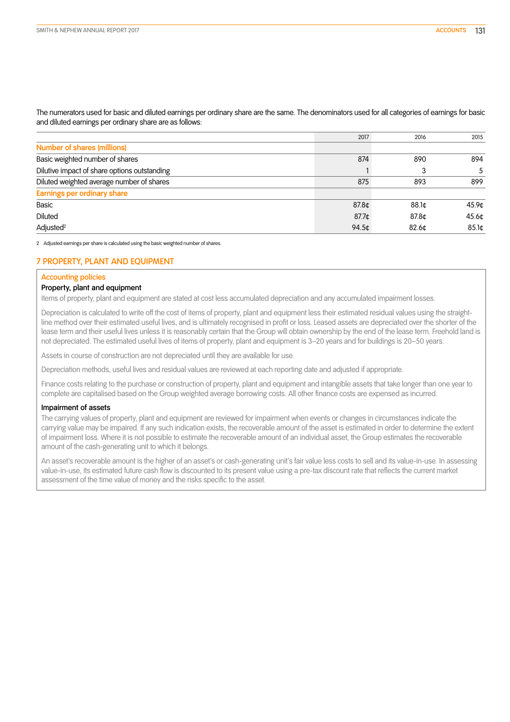The numerators used for basic and diluted earnings per ordinary share are the same. The denominators used for all categories of earnings for basic and diluted earnings per ordinary share are as follows:

|                                              | 2017               | 2016  | 2015  |
|----------------------------------------------|--------------------|-------|-------|
| <b>Number of shares (millions)</b>           |                    |       |       |
| Basic weighted number of shares              | 874                | 890   | 894   |
| Dilutive impact of share options outstanding |                    | 3     | 5     |
| Diluted weighted average number of shares    | 875                | 893   | 899   |
| Earnings per ordinary share                  |                    |       |       |
| Basic                                        | 87.8¢              | 88.1¢ | 45.9⊄ |
| <b>Diluted</b>                               | 87.7 <sub>CD</sub> | 87.8¢ | 45.6⊄ |
| Adjusted <sup>2</sup>                        | 94.5¢              | 82.6¢ | 85.1c |

2 Adjusted earnings per share is calculated using the basic weighted number of shares.

### **7 PROPERTY, PLANT AND EQUIPMENT**

#### **Accounting policies**

## **Property, plant and equipment**

Items of property, plant and equipment are stated at cost less accumulated depreciation and any accumulated impairment losses.

Depreciation is calculated to write off the cost of items of property, plant and equipment less their estimated residual values using the straightline method over their estimated useful lives, and is ultimately recognised in profit or loss. Leased assets are depreciated over the shorter of the lease term and their useful lives unless it is reasonably certain that the Group will obtain ownership by the end of the lease term. Freehold land is not depreciated. The estimated useful lives of items of property, plant and equipment is 3–20 years and for buildings is 20–50 years.

Assets in course of construction are not depreciated until they are available for use.

Depreciation methods, useful lives and residual values are reviewed at each reporting date and adjusted if appropriate.

Finance costs relating to the purchase or construction of property, plant and equipment and intangible assets that take longer than one year to complete are capitalised based on the Group weighted average borrowing costs. All other finance costs are expensed as incurred.

#### **Impairment of assets**

The carrying values of property, plant and equipment are reviewed for impairment when events or changes in circumstances indicate the carrying value may be impaired. If any such indication exists, the recoverable amount of the asset is estimated in order to determine the extent of impairment loss. Where it is not possible to estimate the recoverable amount of an individual asset, the Group estimates the recoverable amount of the cash-generating unit to which it belongs.

An asset's recoverable amount is the higher of an asset's or cash-generating unit's fair value less costs to sell and its value-in-use. In assessing value‑in-use, its estimated future cash flow is discounted to its present value using a pre-tax discount rate that reflects the current market assessment of the time value of money and the risks specific to the asset.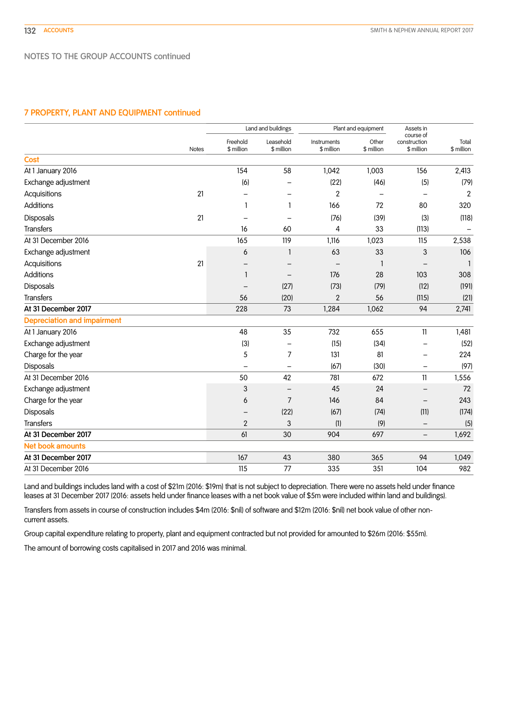#### **7 PROPERTY, PLANT AND EQUIPMENT continued**

|                                    | <b>Notes</b> |                        | Land and buildings      |                           | Plant and equipment | Assets in                               |                     |
|------------------------------------|--------------|------------------------|-------------------------|---------------------------|---------------------|-----------------------------------------|---------------------|
|                                    |              | Freehold<br>\$ million | Leasehold<br>\$ million | Instruments<br>\$ million | Other<br>\$ million | course of<br>construction<br>\$ million | Total<br>\$ million |
| <b>Cost</b>                        |              |                        |                         |                           |                     |                                         |                     |
| At 1 January 2016                  |              | 154                    | 58                      | 1,042                     | 1,003               | 156                                     | 2,413               |
| Exchange adjustment                |              | (6)                    |                         | (22)                      | (46)                | (5)                                     | (79)                |
| Acquisitions                       | 21           |                        |                         | $\overline{2}$            |                     |                                         | $\mathbf{2}$        |
| <b>Additions</b>                   |              | 1                      | 1                       | 166                       | 72                  | 80                                      | 320                 |
| Disposals                          | 21           |                        |                         | (76)                      | (39)                | (3)                                     | (118)               |
| Transfers                          |              | 16                     | 60                      | 4                         | 33                  | (113)                                   |                     |
| At 31 December 2016                |              | 165                    | 119                     | 1,116                     | 1,023               | 115                                     | 2,538               |
| Exchange adjustment                |              | 6                      | 1                       | 63                        | 33                  | 3                                       | 106                 |
| Acquisitions                       | 21           |                        |                         |                           | $\mathbf{1}$        |                                         | $\overline{1}$      |
| Additions                          |              | 1                      |                         | 176                       | 28                  | 103                                     | 308                 |
| Disposals                          |              |                        | (27)                    | (73)                      | (79)                | (12)                                    | (191)               |
| <b>Transfers</b>                   |              | 56                     | (20)                    | $\overline{2}$            | 56                  | (115)                                   | (21)                |
| At 31 December 2017                |              | 228                    | 73                      | 1,284                     | 1,062               | 94                                      | 2,741               |
| <b>Depreciation and impairment</b> |              |                        |                         |                           |                     |                                         |                     |
| At 1 January 2016                  |              | 48                     | 35                      | 732                       | 655                 | 11                                      | 1,481               |
| Exchange adjustment                |              | (3)                    |                         | (15)                      | (34)                |                                         | (52)                |
| Charge for the year                |              | 5                      | 7                       | 131                       | 81                  |                                         | 224                 |
| Disposals                          |              |                        |                         | (67)                      | (30)                |                                         | (97)                |
| At 31 December 2016                |              | 50                     | 42                      | 781                       | 672                 | 11                                      | 1,556               |
| Exchange adjustment                |              | 3                      |                         | 45                        | 24                  |                                         | 72                  |
| Charge for the year                |              | 6                      | 7                       | 146                       | 84                  |                                         | 243                 |
| Disposals                          |              |                        | (22)                    | (67)                      | (74)                | (11)                                    | (174)               |
| <b>Transfers</b>                   |              | $\mathbf{2}$           | 3                       | (1)                       | (9)                 | $\qquad \qquad -$                       | (5)                 |
| At 31 December 2017                |              | 61                     | 30                      | 904                       | 697                 | $\qquad \qquad -$                       | 1,692               |
| Net book amounts                   |              |                        |                         |                           |                     |                                         |                     |
| At 31 December 2017                |              | 167                    | 43                      | 380                       | 365                 | 94                                      | 1,049               |
| At 31 December 2016                |              | 115                    | 77                      | 335                       | 351                 | 104                                     | 982                 |

Land and buildings includes land with a cost of \$21m (2016: \$19m) that is not subject to depreciation. There were no assets held under finance leases at 31 December 2017 (2016: assets held under finance leases with a net book value of \$5m were included within land and buildings).

Transfers from assets in course of construction includes \$4m (2016: \$nil) of software and \$12m (2016: \$nil) net book value of other noncurrent assets.

Group capital expenditure relating to property, plant and equipment contracted but not provided for amounted to \$26m (2016: \$55m).

The amount of borrowing costs capitalised in 2017 and 2016 was minimal.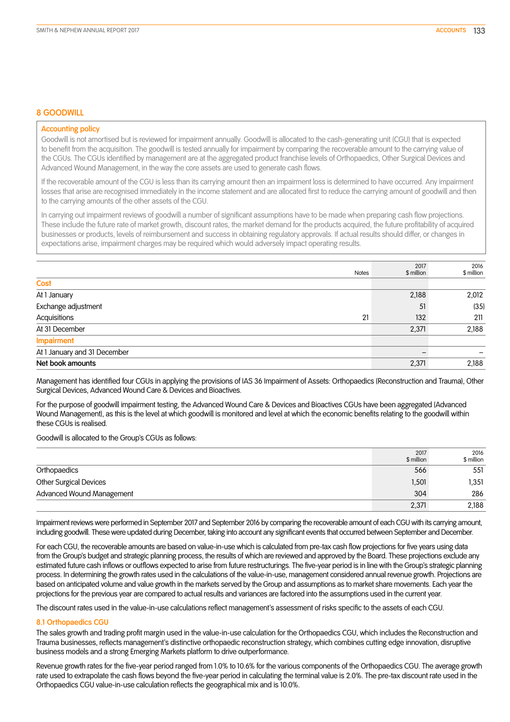#### **8 GOODWILL**

#### **Accounting policy**

Goodwill is not amortised but is reviewed for impairment annually. Goodwill is allocated to the cash-generating unit (CGU) that is expected to benefit from the acquisition. The goodwill is tested annually for impairment by comparing the recoverable amount to the carrying value of the CGUs. The CGUs identified by management are at the aggregated product franchise levels of Orthopaedics, Other Surgical Devices and Advanced Wound Management, in the way the core assets are used to generate cash flows.

If the recoverable amount of the CGU is less than its carrying amount then an impairment loss is determined to have occurred. Any impairment losses that arise are recognised immediately in the income statement and are allocated first to reduce the carrying amount of goodwill and then to the carrying amounts of the other assets of the CGU.

In carrying out impairment reviews of goodwill a number of significant assumptions have to be made when preparing cash flow projections. These include the future rate of market growth, discount rates, the market demand for the products acquired, the future profitability of acquired businesses or products, levels of reimbursement and success in obtaining regulatory approvals. If actual results should differ, or changes in expectations arise, impairment charges may be required which would adversely impact operating results.

|                              |              | 2017       | 2016       |
|------------------------------|--------------|------------|------------|
|                              | <b>Notes</b> | \$ million | \$ million |
| <b>Cost</b>                  |              |            |            |
| At 1 January                 |              | 2,188      | 2,012      |
| Exchange adjustment          |              | 51         | (35)       |
| Acquisitions                 | 21           | 132        | 211        |
| At 31 December               |              | 2,371      | 2,188      |
| Impairment                   |              |            |            |
| At 1 January and 31 December |              |            |            |
| Net book amounts             |              | 2,371      | 2,188      |

Management has identified four CGUs in applying the provisions of IAS 36 Impairment of Assets: Orthopaedics (Reconstruction and Trauma), Other Surgical Devices, Advanced Wound Care & Devices and Bioactives.

For the purpose of goodwill impairment testing, the Advanced Wound Care & Devices and Bioactives CGUs have been aggregated (Advanced Wound Management), as this is the level at which goodwill is monitored and level at which the economic benefits relating to the goodwill within these CGUs is realised.

Goodwill is allocated to the Group's CGUs as follows:

|                           | 2017<br>\$ million | 2016<br>\$ million |
|---------------------------|--------------------|--------------------|
| Orthopaedics              | 566                | 551                |
| Other Surgical Devices    | 1,501              | 1,351              |
| Advanced Wound Management | 304                | 286                |
|                           | 2,371              | 2.188              |

Impairment reviews were performed in September 2017 and September 2016 by comparing the recoverable amount of each CGU with its carrying amount, including goodwill. These were updated during December, taking into account any significant events that occurred between September and December.

For each CGU, the recoverable amounts are based on value-in-use which is calculated from pre-tax cash flow projections for five years using data from the Group's budget and strategic planning process, the results of which are reviewed and approved by the Board. These projections exclude any estimated future cash inflows or outflows expected to arise from future restructurings. The five-year period is in line with the Group's strategic planning process. In determining the growth rates used in the calculations of the value-in-use, management considered annual revenue growth. Projections are based on anticipated volume and value growth in the markets served by the Group and assumptions as to market share movements. Each year the projections for the previous year are compared to actual results and variances are factored into the assumptions used in the current year.

The discount rates used in the value-in-use calculations reflect management's assessment of risks specific to the assets of each CGU.

#### **8.1 Orthopaedics CGU**

The sales growth and trading profit margin used in the value-in-use calculation for the Orthopaedics CGU, which includes the Reconstruction and Trauma businesses, reflects management's distinctive orthopaedic reconstruction strategy, which combines cutting edge innovation, disruptive business models and a strong Emerging Markets platform to drive outperformance.

Revenue growth rates for the five-year period ranged from 1.0% to 10.6% for the various components of the Orthopaedics CGU. The average growth rate used to extrapolate the cash flows beyond the five-year period in calculating the terminal value is 2.0%. The pre-tax discount rate used in the Orthopaedics CGU value-in-use calculation reflects the geographical mix and is 10.0%.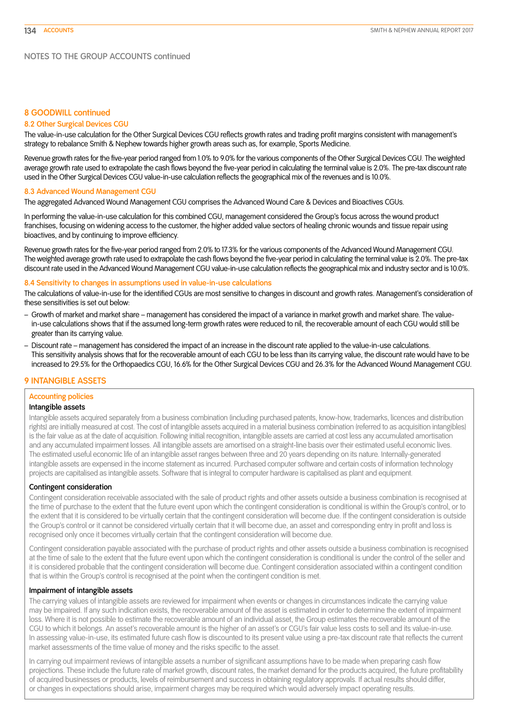#### **8 GOODWILL continued**

## **8.2 Other Surgical Devices CGU**

The value-in-use calculation for the Other Surgical Devices CGU reflects growth rates and trading profit margins consistent with management's strategy to rebalance Smith & Nephew towards higher growth areas such as, for example, Sports Medicine.

Revenue growth rates for the five-year period ranged from 1.0% to 9.0% for the various components of the Other Surgical Devices CGU. The weighted average growth rate used to extrapolate the cash flows beyond the five-year period in calculating the terminal value is 2.0%. The pre-tax discount rate used in the Other Surgical Devices CGU value-in-use calculation reflects the geographical mix of the revenues and is 10.0%.

#### **8.3 Advanced Wound Management CGU**

The aggregated Advanced Wound Management CGU comprises the Advanced Wound Care & Devices and Bioactives CGUs.

In performing the value-in-use calculation for this combined CGU, management considered the Group's focus across the wound product franchises, focusing on widening access to the customer, the higher added value sectors of healing chronic wounds and tissue repair using bioactives, and by continuing to improve efficiency.

Revenue growth rates for the five-year period ranged from 2.0% to 17.3% for the various components of the Advanced Wound Management CGU. The weighted average growth rate used to extrapolate the cash flows beyond the five-year period in calculating the terminal value is 2.0%. The pre-tax discount rate used in the Advanced Wound Management CGU value-in-use calculation reflects the geographical mix and industry sector and is 10.0%.

#### **8.4 Sensitivity to changes in assumptions used in value-in-use calculations**

The calculations of value-in-use for the identified CGUs are most sensitive to changes in discount and growth rates. Management's consideration of these sensitivities is set out below:

- Growth of market and market share management has considered the impact of a variance in market growth and market share. The valuein-use calculations shows that if the assumed long-term growth rates were reduced to nil, the recoverable amount of each CGU would still be greater than its carrying value.
- Discount rate management has considered the impact of an increase in the discount rate applied to the value-in-use calculations. This sensitivity analysis shows that for the recoverable amount of each CGU to be less than its carrying value, the discount rate would have to be increased to 29.5% for the Orthopaedics CGU, 16.6% for the Other Surgical Devices CGU and 26.3% for the Advanced Wound Management CGU.

## **9 INTANGIBLE ASSETS**

#### **Accounting policies**

#### **Intangible assets**

Intangible assets acquired separately from a business combination (including purchased patents, know-how, trademarks, licences and distribution rights) are initially measured at cost. The cost of intangible assets acquired in a material business combination (referred to as acquisition intangibles) is the fair value as at the date of acquisition. Following initial recognition, intangible assets are carried at cost less any accumulated amortisation and any accumulated impairment losses. All intangible assets are amortised on a straight-line basis over their estimated useful economic lives. The estimated useful economic life of an intangible asset ranges between three and 20 years depending on its nature. Internally-generated intangible assets are expensed in the income statement as incurred. Purchased computer software and certain costs of information technology projects are capitalised as intangible assets. Software that is integral to computer hardware is capitalised as plant and equipment.

#### **Contingent consideration**

Contingent consideration receivable associated with the sale of product rights and other assets outside a business combination is recognised at the time of purchase to the extent that the future event upon which the contingent consideration is conditional is within the Group's control, or to the extent that it is considered to be virtually certain that the contingent consideration will become due. If the contingent consideration is outside the Group's control or it cannot be considered virtually certain that it will become due, an asset and corresponding entry in profit and loss is recognised only once it becomes virtually certain that the contingent consideration will become due.

Contingent consideration payable associated with the purchase of product rights and other assets outside a business combination is recognised at the time of sale to the extent that the future event upon which the contingent consideration is conditional is under the control of the seller and it is considered probable that the contingent consideration will become due. Contingent consideration associated within a contingent condition that is within the Group's control is recognised at the point when the contingent condition is met.

#### **Impairment of intangible assets**

The carrying values of intangible assets are reviewed for impairment when events or changes in circumstances indicate the carrying value may be impaired. If any such indication exists, the recoverable amount of the asset is estimated in order to determine the extent of impairment loss. Where it is not possible to estimate the recoverable amount of an individual asset, the Group estimates the recoverable amount of the CGU to which it belongs. An asset's recoverable amount is the higher of an asset's or CGU's fair value less costs to sell and its value-in-use. In assessing value-in-use, its estimated future cash flow is discounted to its present value using a pre-tax discount rate that reflects the current market assessments of the time value of money and the risks specific to the asset.

In carrying out impairment reviews of intangible assets a number of significant assumptions have to be made when preparing cash flow projections. These include the future rate of market growth, discount rates, the market demand for the products acquired, the future profitability of acquired businesses or products, levels of reimbursement and success in obtaining regulatory approvals. If actual results should differ, or changes in expectations should arise, impairment charges may be required which would adversely impact operating results.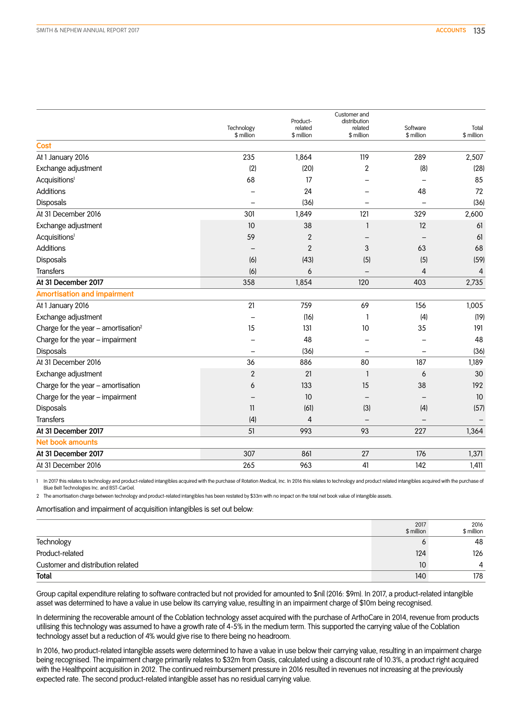|                                                 | Technology<br>\$ million | Product-<br>related<br>\$ million | Customer and<br>distribution<br>related<br>\$ million | Software<br>\$ million   | Total<br>\$ million |
|-------------------------------------------------|--------------------------|-----------------------------------|-------------------------------------------------------|--------------------------|---------------------|
| <b>Cost</b>                                     |                          |                                   |                                                       |                          |                     |
| At 1 January 2016                               | 235                      | 1,864                             | 119                                                   | 289                      | 2,507               |
| Exchange adjustment                             | (2)                      | (20)                              | $\boldsymbol{2}$                                      | (8)                      | (28)                |
| Acquisitions <sup>1</sup>                       | 68                       | 17                                |                                                       |                          | 85                  |
| <b>Additions</b>                                |                          | 24                                |                                                       | 48                       | 72                  |
| Disposals                                       |                          | (36)                              |                                                       | $\overline{\phantom{0}}$ | (36)                |
| At 31 December 2016                             | 301                      | 1,849                             | 121                                                   | 329                      | 2,600               |
| Exchange adjustment                             | 10                       | 38                                | 1                                                     | 12                       | 61                  |
| Acquisitions <sup>1</sup>                       | 59                       | $\overline{2}$                    |                                                       |                          | 61                  |
| Additions                                       | $\overline{\phantom{0}}$ | $\overline{2}$                    | 3                                                     | 63                       | 68                  |
| Disposals                                       | (6)                      | (43)                              | (5)                                                   | (5)                      | (59)                |
| <b>Transfers</b>                                | (6)                      | 6                                 |                                                       | 4                        | 4                   |
| At 31 December 2017                             | 358                      | 1,854                             | 120                                                   | 403                      | 2,735               |
| <b>Amortisation and impairment</b>              |                          |                                   |                                                       |                          |                     |
| At 1 January 2016                               | 21                       | 759                               | 69                                                    | 156                      | 1,005               |
| Exchange adjustment                             |                          | (16)                              | 1                                                     | (4)                      | (19)                |
| Charge for the year - amortisation <sup>2</sup> | 15                       | 131                               | 10                                                    | 35                       | 191                 |
| Charge for the year - impairment                |                          | 48                                |                                                       |                          | 48                  |
| Disposals                                       |                          | (36)                              |                                                       |                          | (36)                |
| At 31 December 2016                             | 36                       | 886                               | 80                                                    | 187                      | 1,189               |
| Exchange adjustment                             | $\overline{2}$           | 21                                | 1                                                     | 6                        | 30                  |
| Charge for the year - amortisation              | 6                        | 133                               | 15                                                    | 38                       | 192                 |
| Charge for the year - impairment                |                          | 10                                |                                                       |                          | 10                  |
| Disposals                                       | 11                       | (61)                              | (3)                                                   | (4)                      | (57)                |
| <b>Transfers</b>                                | (4)                      | $\overline{4}$                    |                                                       |                          |                     |
| At 31 December 2017                             | 51                       | 993                               | 93                                                    | 227                      | 1,364               |
| <b>Net book amounts</b>                         |                          |                                   |                                                       |                          |                     |
| At 31 December 2017                             | 307                      | 861                               | 27                                                    | 176                      | 1,371               |
| At 31 December 2016                             | 265                      | 963                               | 41                                                    | 142                      | 1,411               |

In 2017 this relates to technology and product-related intangibles acquired with the purchase of Rotation Medical, Inc. In 2016 this relates to technology and product related intangibles acquired with the purchase of Blue Belt Technologies Inc. and BST-CarGel.

2 The amortisation charge between technology and product-related intangibles has been restated by \$33m with no impact on the total net book value of intangible assets.

Amortisation and impairment of acquisition intangibles is set out below:

|                                   | 2017<br>\$ million | 2016<br>\$ million |
|-----------------------------------|--------------------|--------------------|
| Technology                        |                    | 48                 |
| Product-related                   | 124                | 126                |
| Customer and distribution related | 10                 | $\overline{a}$     |
| Total                             | 140                | 178                |

Group capital expenditure relating to software contracted but not provided for amounted to \$nil (2016: \$9m). In 2017, a product-related intangible asset was determined to have a value in use below its carrying value, resulting in an impairment charge of \$10m being recognised.

In determining the recoverable amount of the Coblation technology asset acquired with the purchase of ArthoCare in 2014, revenue from products utilising this technology was assumed to have a growth rate of 4-5% in the medium term. This supported the carrying value of the Coblation technology asset but a reduction of 4% would give rise to there being no headroom.

In 2016, two product-related intangible assets were determined to have a value in use below their carrying value, resulting in an impairment charge being recognised. The impairment charge primarily relates to \$32m from Oasis, calculated using a discount rate of 10.3%, a product right acquired with the Healthpoint acquisition in 2012. The continued reimbursement pressure in 2016 resulted in revenues not increasing at the previously expected rate. The second product-related intangible asset has no residual carrying value.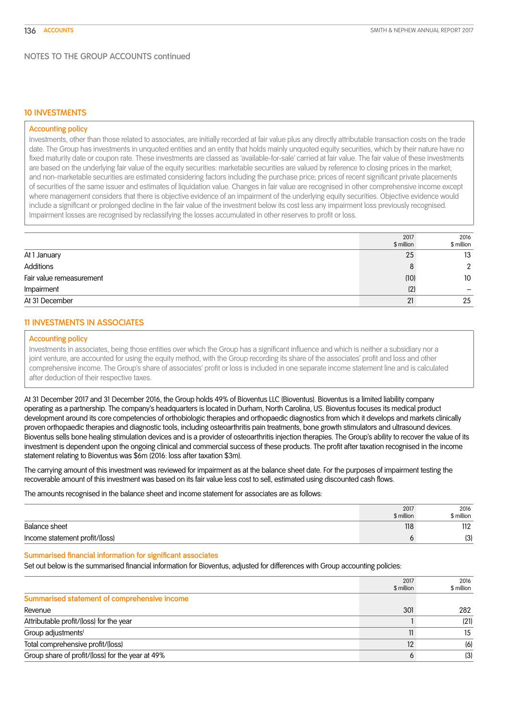## **10 INVESTMENTS**

#### **Accounting policy**

Investments, other than those related to associates, are initially recorded at fair value plus any directly attributable transaction costs on the trade date. The Group has investments in unquoted entities and an entity that holds mainly unquoted equity securities, which by their nature have no fixed maturity date or coupon rate. These investments are classed as 'available-for-sale' carried at fair value. The fair value of these investments are based on the underlying fair value of the equity securities: marketable securities are valued by reference to closing prices in the market; and non-marketable securities are estimated considering factors including the purchase price; prices of recent significant private placements of securities of the same issuer and estimates of liquidation value. Changes in fair value are recognised in other comprehensive income except where management considers that there is objective evidence of an impairment of the underlying equity securities. Objective evidence would include a significant or prolonged decline in the fair value of the investment below its cost less any impairment loss previously recognised. Impairment losses are recognised by reclassifying the losses accumulated in other reserves to profit or loss.

|                          | 2017<br>\$ million | 2016<br>\$ million    |
|--------------------------|--------------------|-----------------------|
| At 1 January             | 25                 | 13                    |
| Additions                | 8                  | $\mathbf{2}^{\prime}$ |
| Fair value remeasurement | (10)               | 10                    |
| Impairment               | (2)                |                       |
| At 31 December           | 21                 | 25                    |

## **11 INVESTMENTS IN ASSOCIATES**

#### **Accounting policy**

Investments in associates, being those entities over which the Group has a significant influence and which is neither a subsidiary nor a joint venture, are accounted for using the equity method, with the Group recording its share of the associates' profit and loss and other comprehensive income. The Group's share of associates' profit or loss is included in one separate income statement line and is calculated after deduction of their respective taxes.

At 31 December 2017 and 31 December 2016, the Group holds 49% of Bioventus LLC (Bioventus). Bioventus is a limited liability company operating as a partnership. The company's headquarters is located in Durham, North Carolina, US. Bioventus focuses its medical product development around its core competencies of orthobiologic therapies and orthopaedic diagnostics from which it develops and markets clinically proven orthopaedic therapies and diagnostic tools, including osteoarthritis pain treatments, bone growth stimulators and ultrasound devices. Bioventus sells bone healing stimulation devices and is a provider of osteoarthritis injection therapies. The Group's ability to recover the value of its investment is dependent upon the ongoing clinical and commercial success of these products. The profit after taxation recognised in the income statement relating to Bioventus was \$6m (2016: loss after taxation \$3m).

The carrying amount of this investment was reviewed for impairment as at the balance sheet date. For the purposes of impairment testing the recoverable amount of this investment was based on its fair value less cost to sell, estimated using discounted cash flows.

#### The amounts recognised in the balance sheet and income statement for associates are as follows:

|                                | 2017<br>\$ million | 2016<br>\$ million |
|--------------------------------|--------------------|--------------------|
| Balance sheet                  | 118                | 112                |
| Income statement profit/(loss) | ີ                  | (3)                |

#### **Summarised financial information for significant associates**

Set out below is the summarised financial information for Bioventus, adjusted for differences with Group accounting policies:

|                                                  | 2017<br>\$ million | 2016<br>\$ million |
|--------------------------------------------------|--------------------|--------------------|
| Summarised statement of comprehensive income     |                    |                    |
| Revenue                                          | 301                | 282                |
| Attributable profit/(loss) for the year          |                    | (21)               |
| Group adjustments <sup>1</sup>                   | 11                 | 15                 |
| Total comprehensive profit/(loss)                | $12 \overline{ }$  | (6)                |
| Group share of profit/(loss) for the year at 49% |                    | (3)                |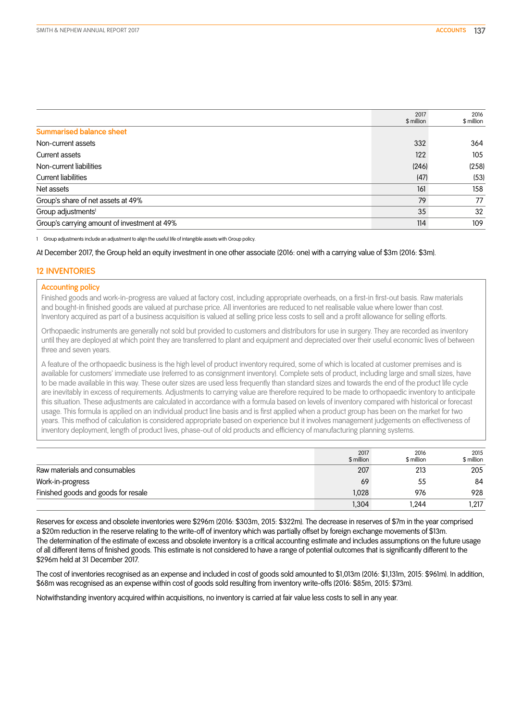|                                              | 2017<br>\$ million | 2016<br>\$ million |
|----------------------------------------------|--------------------|--------------------|
| <b>Summarised balance sheet</b>              |                    |                    |
| Non-current assets                           | 332                | 364                |
| Current assets                               | 122                | 105                |
| Non-current liabilities                      | (246)              | (258)              |
| <b>Current liabilities</b>                   | (47)               | (53)               |
| Net assets                                   | 161                | 158                |
| Group's share of net assets at 49%           | 79                 | 77                 |
| Group adjustments <sup>1</sup>               | 35                 | 32                 |
| Group's carrying amount of investment at 49% | 114                | 109                |

1 Group adjustments include an adjustment to align the useful life of intangible assets with Group policy.

At December 2017, the Group held an equity investment in one other associate (2016: one) with a carrying value of \$3m (2016: \$3m).

#### **12 INVENTORIES**

#### **Accounting policy**

Finished goods and work-in-progress are valued at factory cost, including appropriate overheads, on a first-in first-out basis. Raw materials and bought-in finished goods are valued at purchase price. All inventories are reduced to net realisable value where lower than cost. Inventory acquired as part of a business acquisition is valued at selling price less costs to sell and a profit allowance for selling efforts.

Orthopaedic instruments are generally not sold but provided to customers and distributors for use in surgery. They are recorded as inventory until they are deployed at which point they are transferred to plant and equipment and depreciated over their useful economic lives of between three and seven years.

A feature of the orthopaedic business is the high level of product inventory required, some of which is located at customer premises and is available for customers' immediate use (referred to as consignment inventory). Complete sets of product, including large and small sizes, have to be made available in this way. These outer sizes are used less frequently than standard sizes and towards the end of the product life cycle are inevitably in excess of requirements. Adjustments to carrying value are therefore required to be made to orthopaedic inventory to anticipate this situation. These adjustments are calculated in accordance with a formula based on levels of inventory compared with historical or forecast usage. This formula is applied on an individual product line basis and is first applied when a product group has been on the market for two years. This method of calculation is considered appropriate based on experience but it involves management judgements on effectiveness of inventory deployment, length of product lives, phase-out of old products and efficiency of manufacturing planning systems.

|                                     | 2017<br>\$ million | 2016<br>\$ million | 2015<br>\$ million |
|-------------------------------------|--------------------|--------------------|--------------------|
| Raw materials and consumables       | 207                | 213                | 205                |
| Work-in-progress                    | 69                 | 55                 | 84                 |
| Finished goods and goods for resale | 1.028              | 976                | 928                |
|                                     | 1,304              | .244               | ,217               |

Reserves for excess and obsolete inventories were \$296m (2016: \$303m, 2015: \$322m). The decrease in reserves of \$7m in the year comprised a \$20m reduction in the reserve relating to the write-off of inventory which was partially offset by foreign exchange movements of \$13m. The determination of the estimate of excess and obsolete inventory is a critical accounting estimate and includes assumptions on the future usage of all different items of finished goods. This estimate is not considered to have a range of potential outcomes that is significantly different to the \$296m held at 31 December 2017.

The cost of inventories recognised as an expense and included in cost of goods sold amounted to \$1,013m (2016: \$1,131m, 2015: \$961m). In addition, \$68m was recognised as an expense within cost of goods sold resulting from inventory write-offs (2016: \$85m, 2015: \$73m).

Notwithstanding inventory acquired within acquisitions, no inventory is carried at fair value less costs to sell in any year.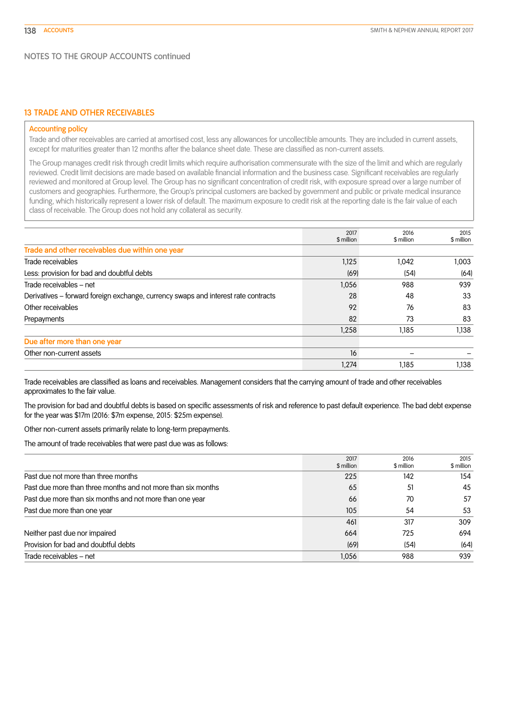## **13 TRADE AND OTHER RECEIVABLES**

#### **Accounting policy**

Trade and other receivables are carried at amortised cost, less any allowances for uncollectible amounts. They are included in current assets, except for maturities greater than 12 months after the balance sheet date. These are classified as non-current assets.

The Group manages credit risk through credit limits which require authorisation commensurate with the size of the limit and which are regularly reviewed. Credit limit decisions are made based on available financial information and the business case. Significant receivables are regularly reviewed and monitored at Group level. The Group has no significant concentration of credit risk, with exposure spread over a large number of customers and geographies. Furthermore, the Group's principal customers are backed by government and public or private medical insurance funding, which historically represent a lower risk of default. The maximum exposure to credit risk at the reporting date is the fair value of each class of receivable. The Group does not hold any collateral as security.

| 2017<br>\$ million<br>Trade and other receivables due within one year<br>Trade receivables<br>1,125<br>Less: provision for bad and doubtful debts<br>(69)<br>Trade receivables - net<br>1,056<br>Derivatives - forward foreign exchange, currency swaps and interest rate contracts<br>28<br>Other receivables<br>92<br>82<br>Prepayments | 2016<br>\$ million | 2015<br>\$ million |
|-------------------------------------------------------------------------------------------------------------------------------------------------------------------------------------------------------------------------------------------------------------------------------------------------------------------------------------------|--------------------|--------------------|
|                                                                                                                                                                                                                                                                                                                                           |                    |                    |
|                                                                                                                                                                                                                                                                                                                                           |                    |                    |
|                                                                                                                                                                                                                                                                                                                                           | 1,042              | 1,003              |
|                                                                                                                                                                                                                                                                                                                                           | (54)               | (64)               |
|                                                                                                                                                                                                                                                                                                                                           | 988                | 939                |
|                                                                                                                                                                                                                                                                                                                                           | 48                 | 33                 |
|                                                                                                                                                                                                                                                                                                                                           | 76                 | 83                 |
|                                                                                                                                                                                                                                                                                                                                           | 73                 | 83                 |
| 1,258                                                                                                                                                                                                                                                                                                                                     | 1,185              | 1,138              |
| Due after more than one year                                                                                                                                                                                                                                                                                                              |                    |                    |
| 16<br>Other non-current assets                                                                                                                                                                                                                                                                                                            |                    |                    |
| 1,274                                                                                                                                                                                                                                                                                                                                     | 1.185              | 1.138              |

Trade receivables are classified as loans and receivables. Management considers that the carrying amount of trade and other receivables approximates to the fair value.

The provision for bad and doubtful debts is based on specific assessments of risk and reference to past default experience. The bad debt expense for the year was \$17m (2016: \$7m expense, 2015: \$25m expense).

Other non-current assets primarily relate to long-term prepayments.

The amount of trade receivables that were past due was as follows:

|                                                              | 2017<br>\$ million | 2016<br>\$ million | 2015<br>\$ million |
|--------------------------------------------------------------|--------------------|--------------------|--------------------|
| Past due not more than three months                          | 225                | 142                | 154                |
| Past due more than three months and not more than six months | 65                 | 51                 | 45                 |
| Past due more than six months and not more than one year     | 66                 | 70                 | 57                 |
| Past due more than one year                                  | 105                | 54                 | 53                 |
|                                                              | 461                | 317                | 309                |
| Neither past due nor impaired                                | 664                | 725                | 694                |
| Provision for bad and doubtful debts                         | (69)               | (54)               | (64)               |
| Trade receivables - net                                      | 1.056              | 988                | 939                |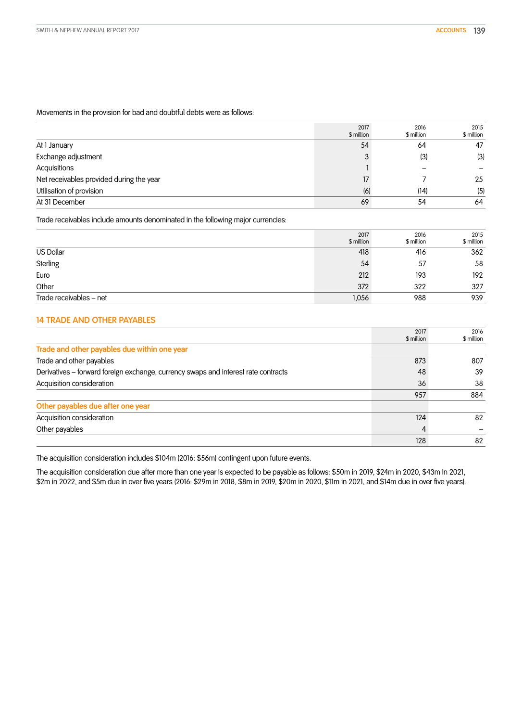#### Movements in the provision for bad and doubtful debts were as follows:

|                                          | 2017<br>\$ million | 2016<br>\$ million | 2015<br>\$ million |
|------------------------------------------|--------------------|--------------------|--------------------|
| At 1 January                             | 54                 | 64                 | 47                 |
| Exchange adjustment                      |                    | (3)                | (3)                |
| Acquisitions                             |                    |                    |                    |
| Net receivables provided during the year |                    |                    | 25                 |
| Utilisation of provision                 | (6)                | (14)               | (5)                |
| At 31 December                           | 69                 | 54                 | 64                 |

Trade receivables include amounts denominated in the following major currencies:

|                         | 2017<br>\$ million | 2016<br>\$ million | 2015<br>\$ million |
|-------------------------|--------------------|--------------------|--------------------|
| US Dollar               | 418                | 416                | 362                |
| Sterling                | 54                 | 57                 | 58                 |
| Euro                    | 212                | 193                | 192                |
| Other                   | 372                | 322                | 327                |
| Trade receivables - net | 1,056              | 988                | 939                |

#### **14 TRADE AND OTHER PAYABLES**

|                                                                                    | 2017<br>\$ million | 2016<br>\$ million |
|------------------------------------------------------------------------------------|--------------------|--------------------|
| Trade and other payables due within one year                                       |                    |                    |
| Trade and other payables                                                           | 873                | 807                |
| Derivatives - forward foreign exchange, currency swaps and interest rate contracts | 48                 | 39                 |
| Acquisition consideration                                                          | 36                 | 38                 |
|                                                                                    | 957                | 884                |
| Other payables due after one year                                                  |                    |                    |
| Acquisition consideration                                                          | 124                | 82                 |
| Other payables                                                                     | 4                  |                    |
|                                                                                    | 128                | 82                 |

The acquisition consideration includes \$104m (2016: \$56m) contingent upon future events.

The acquisition consideration due after more than one year is expected to be payable as follows: \$50m in 2019, \$24m in 2020, \$43m in 2021, \$2m in 2022, and \$5m due in over five years (2016: \$29m in 2018, \$8m in 2019, \$20m in 2020, \$11m in 2021, and \$14m due in over five years).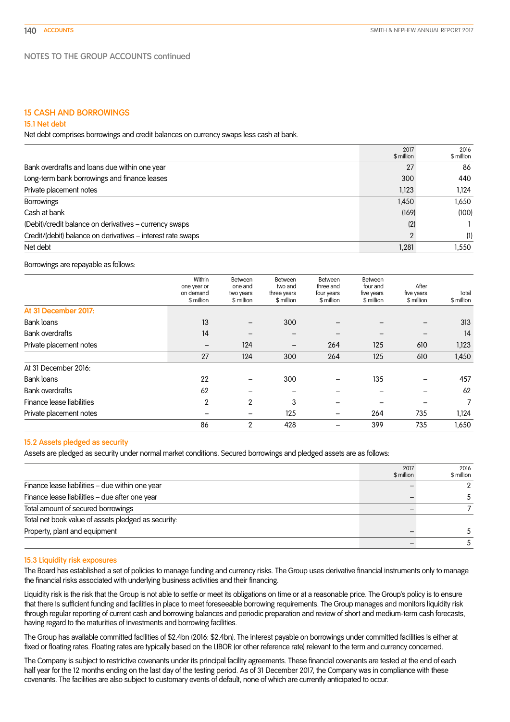#### **15 CASH AND BORROWINGS**

## **15.1 Net debt**

Net debt comprises borrowings and credit balances on currency swaps less cash at bank.

|                                                             | 2017<br>\$ million | 2016<br>\$ million |
|-------------------------------------------------------------|--------------------|--------------------|
| Bank overdrafts and loans due within one year               | 27                 | 86                 |
| Long-term bank borrowings and finance leases                | 300                | 440                |
| Private placement notes                                     | 1,123              | 1.124              |
| Borrowings                                                  | 1,450              | 1,650              |
| Cash at bank                                                | (169)              | (100)              |
| (Debit)/credit balance on derivatives - currency swaps      | (2)                |                    |
| Credit/(debit) balance on derivatives - interest rate swaps | $\overline{2}$     | (1)                |
| Net debt                                                    | 1,281              | 1.550              |

Borrowings are repayable as follows:

|                           | Within<br>one year or<br>on demand<br>\$ million | <b>Between</b><br>one and<br>two years<br>\$ million | Between<br>two and<br>three years<br>\$ million | Between<br>three and<br>four years<br>\$ million | Between<br>four and<br>five years<br>\$ million | After<br>five years<br>\$ million | Total<br>\$ million |
|---------------------------|--------------------------------------------------|------------------------------------------------------|-------------------------------------------------|--------------------------------------------------|-------------------------------------------------|-----------------------------------|---------------------|
| At 31 December 2017:      |                                                  |                                                      |                                                 |                                                  |                                                 |                                   |                     |
| <b>Bank loans</b>         | 13                                               |                                                      | 300                                             |                                                  |                                                 |                                   | 313                 |
| <b>Bank overdrafts</b>    | 14                                               |                                                      |                                                 |                                                  |                                                 |                                   | 14                  |
| Private placement notes   | $\qquad \qquad$                                  | 124                                                  |                                                 | 264                                              | 125                                             | 610                               | 1,123               |
|                           | 27                                               | 124                                                  | 300                                             | 264                                              | 125                                             | 610                               | 1,450               |
| At 31 December 2016:      |                                                  |                                                      |                                                 |                                                  |                                                 |                                   |                     |
| Bank loans                | 22                                               |                                                      | 300                                             |                                                  | 135                                             |                                   | 457                 |
| <b>Bank overdrafts</b>    | 62                                               |                                                      |                                                 |                                                  |                                                 |                                   | 62                  |
| Finance lease liabilities | 2                                                | $\mathbf{2}$                                         | 3                                               |                                                  |                                                 |                                   | 7                   |
| Private placement notes   |                                                  |                                                      | 125                                             |                                                  | 264                                             | 735                               | 1,124               |
|                           | 86                                               | $\overline{2}$                                       | 428                                             |                                                  | 399                                             | 735                               | 1,650               |
|                           |                                                  |                                                      |                                                 |                                                  |                                                 |                                   |                     |

#### **15.2 Assets pledged as security**

Assets are pledged as security under normal market conditions. Secured borrowings and pledged assets are as follows:

|                                                     | 2017<br>\$ million | 2016<br>\$ million |
|-----------------------------------------------------|--------------------|--------------------|
| Finance lease liabilities - due within one year     |                    | 2                  |
| Finance lease liabilities - due after one year      |                    |                    |
| Total amount of secured borrowings                  |                    |                    |
| Total net book value of assets pledged as security: |                    |                    |
| Property, plant and equipment                       |                    |                    |
|                                                     |                    |                    |

#### **15.3 Liquidity risk exposures**

The Board has established a set of policies to manage funding and currency risks. The Group uses derivative financial instruments only to manage the financial risks associated with underlying business activities and their financing.

Liquidity risk is the risk that the Group is not able to settle or meet its obligations on time or at a reasonable price. The Group's policy is to ensure that there is sufficient funding and facilities in place to meet foreseeable borrowing requirements. The Group manages and monitors liquidity risk through regular reporting of current cash and borrowing balances and periodic preparation and review of short and medium-term cash forecasts, having regard to the maturities of investments and borrowing facilities.

The Group has available committed facilities of \$2.4bn (2016: \$2.4bn). The interest payable on borrowings under committed facilities is either at fixed or floating rates. Floating rates are typically based on the LIBOR (or other reference rate) relevant to the term and currency concerned.

The Company is subject to restrictive covenants under its principal facility agreements. These financial covenants are tested at the end of each half year for the 12 months ending on the last day of the testing period. As of 31 December 2017, the Company was in compliance with these covenants. The facilities are also subject to customary events of default, none of which are currently anticipated to occur.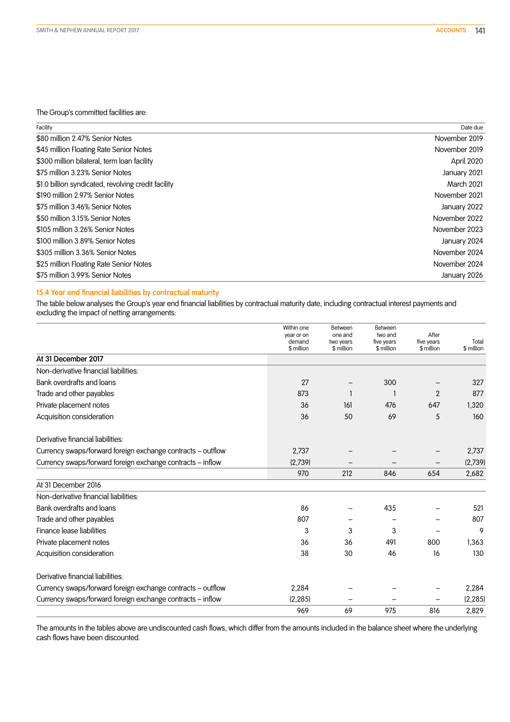## The Group's committed facilities are:

| Facility                                            | Date due          |
|-----------------------------------------------------|-------------------|
| \$80 million 2.47% Senior Notes                     | November 2019     |
| \$45 million Floating Rate Senior Notes             | November 2019     |
| \$300 million bilateral, term loan facility         | April 2020        |
| \$75 million 3.23% Senior Notes                     | January 2021      |
| \$1.0 billion syndicated, revolving credit facility | <b>March 2021</b> |
| \$190 million 2.97% Senior Notes                    | November 2021     |
| \$75 million 3.46% Senior Notes                     | January 2022      |
| \$50 million 3.15% Senior Notes                     | November 2022     |
| \$105 million 3.26% Senior Notes                    | November 2023     |
| \$100 million 3.89% Senior Notes                    | January 2024      |
| \$305 million 3.36% Senior Notes                    | November 2024     |
| \$25 million Floating Rate Senior Notes             | November 2024     |
| \$75 million 3.99% Senior Notes                     | January 2026      |

## **15.4 Year end financial liabilities by contractual maturity**

The table below analyses the Group's year end financial liabilities by contractual maturity date, including contractual interest payments and excluding the impact of netting arrangements:

|                                                             | Within one<br>year or on<br>demand<br>\$ million | Between<br>one and<br>two years<br>\$ million | Between<br>two and<br>five years<br>\$ million | After<br>five years<br>\$ million | Total<br>\$ million |
|-------------------------------------------------------------|--------------------------------------------------|-----------------------------------------------|------------------------------------------------|-----------------------------------|---------------------|
| At 31 December 2017                                         |                                                  |                                               |                                                |                                   |                     |
| Non-derivative financial liabilities:                       |                                                  |                                               |                                                |                                   |                     |
| Bank overdrafts and loans                                   | 27                                               |                                               | 300                                            |                                   | 327                 |
| Trade and other payables                                    | 873                                              | 1                                             |                                                | $\overline{2}$                    | 877                 |
| Private placement notes                                     | 36                                               | 161                                           | 476                                            | 647                               | 1,320               |
| Acquisition consideration                                   | 36                                               | 50                                            | 69                                             | 5                                 | 160                 |
| Derivative financial liabilities:                           |                                                  |                                               |                                                |                                   |                     |
| Currency swaps/forward foreign exchange contracts - outflow | 2,737                                            |                                               |                                                |                                   | 2,737               |
| Currency swaps/forward foreign exchange contracts - inflow  | (2,739)                                          |                                               |                                                |                                   | (2,739)             |
|                                                             | 970                                              | 212                                           | 846                                            | 654                               | 2,682               |
| At 31 December 2016                                         |                                                  |                                               |                                                |                                   |                     |
| Non-derivative financial liabilities:                       |                                                  |                                               |                                                |                                   |                     |
| Bank overdrafts and loans                                   | 86                                               |                                               | 435                                            |                                   | 521                 |
| Trade and other payables                                    | 807                                              |                                               |                                                |                                   | 807                 |
| Finance lease liabilities                                   | 3                                                | 3                                             | 3                                              |                                   | 9                   |
| Private placement notes                                     | 36                                               | 36                                            | 491                                            | 800                               | 1,363               |
| Acquisition consideration                                   | 38                                               | 30                                            | 46                                             | 16                                | 130                 |
| Derivative financial liabilities:                           |                                                  |                                               |                                                |                                   |                     |
| Currency swaps/forward foreign exchange contracts - outflow | 2,284                                            |                                               |                                                |                                   | 2,284               |
| Currency swaps/forward foreign exchange contracts - inflow  | (2, 285)                                         |                                               |                                                |                                   | (2, 285)            |
|                                                             | 969                                              | 69                                            | 975                                            | 816                               | 2,829               |

The amounts in the tables above are undiscounted cash flows, which differ from the amounts included in the balance sheet where the underlying cash flows have been discounted.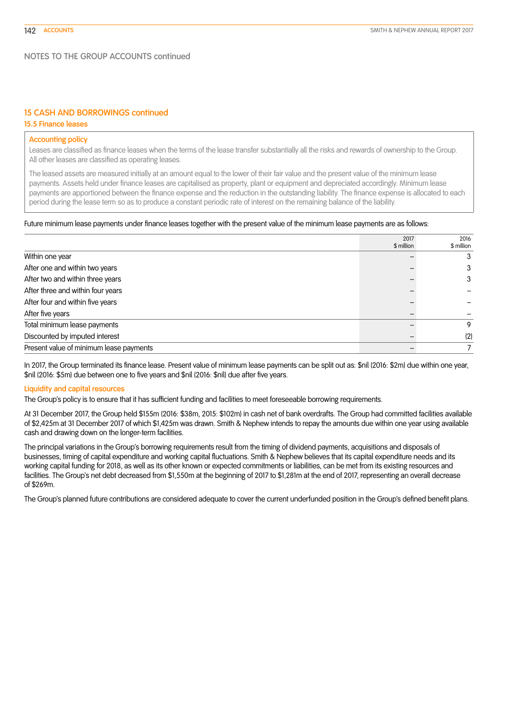#### **15 CASH AND BORROWINGS continued**

# **15.5 Finance leases**

# **Accounting policy**

Leases are classified as finance leases when the terms of the lease transfer substantially all the risks and rewards of ownership to the Group. All other leases are classified as operating leases.

The leased assets are measured initially at an amount equal to the lower of their fair value and the present value of the minimum lease payments. Assets held under finance leases are capitalised as property, plant or equipment and depreciated accordingly. Minimum lease payments are apportioned between the finance expense and the reduction in the outstanding liability. The finance expense is allocated to each period during the lease term so as to produce a constant periodic rate of interest on the remaining balance of the liability.

#### Future minimum lease payments under finance leases together with the present value of the minimum lease payments are as follows:

|                                         | 2017<br>\$ million | 2016<br>\$ million |
|-----------------------------------------|--------------------|--------------------|
| Within one year                         |                    | 3                  |
| After one and within two years          |                    | 3                  |
| After two and within three years        |                    | 3                  |
| After three and within four years       |                    |                    |
| After four and within five years        |                    |                    |
| After five years                        |                    |                    |
| Total minimum lease payments            |                    | 9                  |
| Discounted by imputed interest          |                    | (2)                |
| Present value of minimum lease payments |                    |                    |

In 2017, the Group terminated its finance lease. Present value of minimum lease payments can be split out as: \$nil (2016: \$2m) due within one year, \$nil (2016: \$5m) due between one to five years and \$nil (2016: \$nil) due after five years.

# **Liquidity and capital resources**

The Group's policy is to ensure that it has sufficient funding and facilities to meet foreseeable borrowing requirements.

At 31 December 2017, the Group held \$155m (2016: \$38m, 2015: \$102m) in cash net of bank overdrafts. The Group had committed facilities available of \$2,425m at 31 December 2017 of which \$1,425m was drawn. Smith & Nephew intends to repay the amounts due within one year using available cash and drawing down on the longer-term facilities.

The principal variations in the Group's borrowing requirements result from the timing of dividend payments, acquisitions and disposals of businesses, timing of capital expenditure and working capital fluctuations. Smith & Nephew believes that its capital expenditure needs and its working capital funding for 2018, as well as its other known or expected commitments or liabilities, can be met from its existing resources and facilities. The Group's net debt decreased from \$1,550m at the beginning of 2017 to \$1,281m at the end of 2017, representing an overall decrease of \$269m.

The Group's planned future contributions are considered adequate to cover the current underfunded position in the Group's defined benefit plans.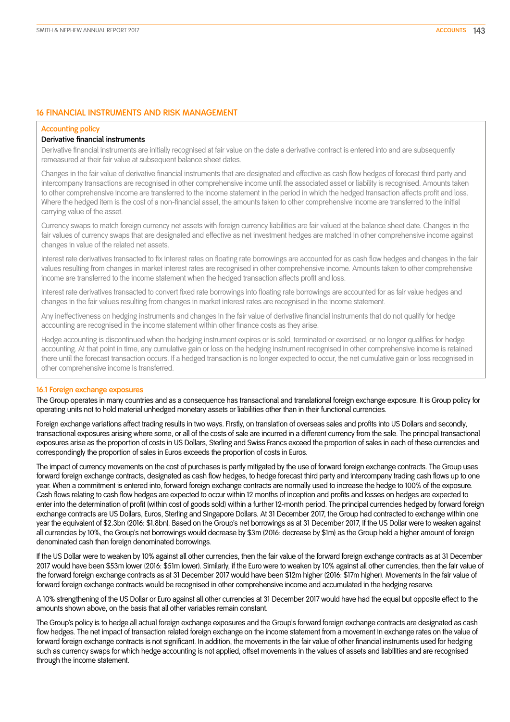# **16 FINANCIAL INSTRUMENTS AND RISK MANAGEMENT**

#### **Accounting policy**

#### **Derivative financial instruments**

Derivative financial instruments are initially recognised at fair value on the date a derivative contract is entered into and are subsequently remeasured at their fair value at subsequent balance sheet dates.

Changes in the fair value of derivative financial instruments that are designated and effective as cash flow hedges of forecast third party and intercompany transactions are recognised in other comprehensive income until the associated asset or liability is recognised. Amounts taken to other comprehensive income are transferred to the income statement in the period in which the hedged transaction affects profit and loss. Where the hedged item is the cost of a non-financial asset, the amounts taken to other comprehensive income are transferred to the initial carrying value of the asset.

Currency swaps to match foreign currency net assets with foreign currency liabilities are fair valued at the balance sheet date. Changes in the fair values of currency swaps that are designated and effective as net investment hedges are matched in other comprehensive income against changes in value of the related net assets.

Interest rate derivatives transacted to fix interest rates on floating rate borrowings are accounted for as cash flow hedges and changes in the fair values resulting from changes in market interest rates are recognised in other comprehensive income. Amounts taken to other comprehensive income are transferred to the income statement when the hedged transaction affects profit and loss.

Interest rate derivatives transacted to convert fixed rate borrowings into floating rate borrowings are accounted for as fair value hedges and changes in the fair values resulting from changes in market interest rates are recognised in the income statement.

Any ineffectiveness on hedging instruments and changes in the fair value of derivative financial instruments that do not qualify for hedge accounting are recognised in the income statement within other finance costs as they arise.

Hedge accounting is discontinued when the hedging instrument expires or is sold, terminated or exercised, or no longer qualifies for hedge accounting. At that point in time, any cumulative gain or loss on the hedging instrument recognised in other comprehensive income is retained there until the forecast transaction occurs. If a hedged transaction is no longer expected to occur, the net cumulative gain or loss recognised in other comprehensive income is transferred.

#### **16.1 Foreign exchange exposures**

The Group operates in many countries and as a consequence has transactional and translational foreign exchange exposure. It is Group policy for operating units not to hold material unhedged monetary assets or liabilities other than in their functional currencies.

Foreign exchange variations affect trading results in two ways. Firstly, on translation of overseas sales and profits into US Dollars and secondly, transactional exposures arising where some, or all of the costs of sale are incurred in a different currency from the sale. The principal transactional exposures arise as the proportion of costs in US Dollars, Sterling and Swiss Francs exceed the proportion of sales in each of these currencies and correspondingly the proportion of sales in Euros exceeds the proportion of costs in Euros.

The impact of currency movements on the cost of purchases is partly mitigated by the use of forward foreign exchange contracts. The Group uses forward foreign exchange contracts, designated as cash flow hedges, to hedge forecast third party and intercompany trading cash flows up to one year. When a commitment is entered into, forward foreign exchange contracts are normally used to increase the hedge to 100% of the exposure. Cash flows relating to cash flow hedges are expected to occur within 12 months of inception and profits and losses on hedges are expected to enter into the determination of profit (within cost of goods sold) within a further 12-month period. The principal currencies hedged by forward foreign exchange contracts are US Dollars, Euros, Sterling and Singapore Dollars. At 31 December 2017, the Group had contracted to exchange within one year the equivalent of \$2.3bn (2016: \$1.8bn). Based on the Group's net borrowings as at 31 December 2017, if the US Dollar were to weaken against all currencies by 10%, the Group's net borrowings would decrease by \$3m (2016: decrease by \$1m) as the Group held a higher amount of foreign denominated cash than foreign denominated borrowings.

If the US Dollar were to weaken by 10% against all other currencies, then the fair value of the forward foreign exchange contracts as at 31 December 2017 would have been \$53m lower (2016: \$51m lower). Similarly, if the Euro were to weaken by 10% against all other currencies, then the fair value of the forward foreign exchange contracts as at 31 December 2017 would have been \$12m higher (2016: \$17m higher). Movements in the fair value of forward foreign exchange contracts would be recognised in other comprehensive income and accumulated in the hedging reserve.

A 10% strengthening of the US Dollar or Euro against all other currencies at 31 December 2017 would have had the equal but opposite effect to the amounts shown above, on the basis that all other variables remain constant.

The Group's policy is to hedge all actual foreign exchange exposures and the Group's forward foreign exchange contracts are designated as cash flow hedges. The net impact of transaction related foreign exchange on the income statement from a movement in exchange rates on the value of forward foreign exchange contracts is not significant. In addition, the movements in the fair value of other financial instruments used for hedging such as currency swaps for which hedge accounting is not applied, offset movements in the values of assets and liabilities and are recognised through the income statement.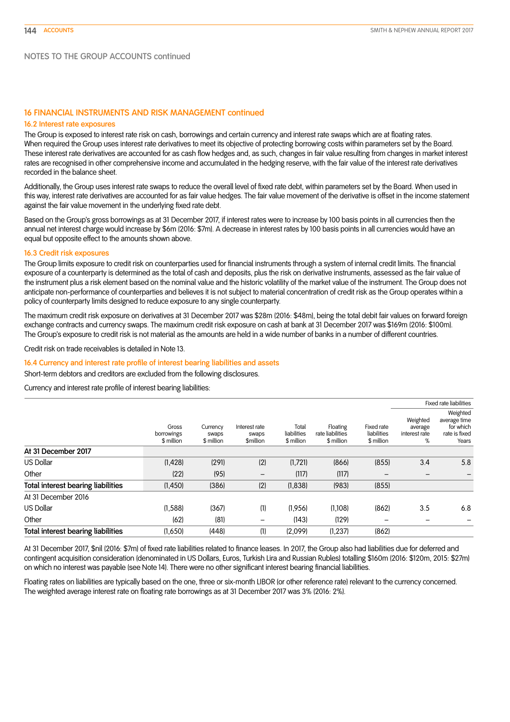#### **16 FINANCIAL INSTRUMENTS AND RISK MANAGEMENT continued**

#### **16.2 Interest rate exposures**

The Group is exposed to interest rate risk on cash, borrowings and certain currency and interest rate swaps which are at floating rates. When required the Group uses interest rate derivatives to meet its objective of protecting borrowing costs within parameters set by the Board. These interest rate derivatives are accounted for as cash flow hedges and, as such, changes in fair value resulting from changes in market interest rates are recognised in other comprehensive income and accumulated in the hedging reserve, with the fair value of the interest rate derivatives recorded in the balance sheet.

Additionally, the Group uses interest rate swaps to reduce the overall level of fixed rate debt, within parameters set by the Board. When used in this way, interest rate derivatives are accounted for as fair value hedges. The fair value movement of the derivative is offset in the income statement against the fair value movement in the underlying fixed rate debt.

Based on the Group's gross borrowings as at 31 December 2017, if interest rates were to increase by 100 basis points in all currencies then the annual net interest charge would increase by \$6m (2016: \$7m). A decrease in interest rates by 100 basis points in all currencies would have an equal but opposite effect to the amounts shown above.

#### **16.3 Credit risk exposures**

The Group limits exposure to credit risk on counterparties used for financial instruments through a system of internal credit limits. The financial exposure of a counterparty is determined as the total of cash and deposits, plus the risk on derivative instruments, assessed as the fair value of the instrument plus a risk element based on the nominal value and the historic volatility of the market value of the instrument. The Group does not anticipate non-performance of counterparties and believes it is not subject to material concentration of credit risk as the Group operates within a policy of counterparty limits designed to reduce exposure to any single counterparty.

The maximum credit risk exposure on derivatives at 31 December 2017 was \$28m (2016: \$48m), being the total debit fair values on forward foreign exchange contracts and currency swaps. The maximum credit risk exposure on cash at bank at 31 December 2017 was \$169m (2016: \$100m). The Group's exposure to credit risk is not material as the amounts are held in a wide number of banks in a number of different countries.

Credit risk on trade receivables is detailed in Note 13.

**16.4 Currency and interest rate profile of interest bearing liabilities and assets**

Short-term debtors and creditors are excluded from the following disclosures.

Currency and interest rate profile of interest bearing liabilities:

|                                    |                                   |                                 |                                           |                                    |                                            |                                         |                                           | Fixed rate liabilities                                          |
|------------------------------------|-----------------------------------|---------------------------------|-------------------------------------------|------------------------------------|--------------------------------------------|-----------------------------------------|-------------------------------------------|-----------------------------------------------------------------|
|                                    | Gross<br>borrowings<br>\$ million | Currency<br>swaps<br>\$ million | Interest rate<br>swaps<br><b>Smillion</b> | Total<br>liabilities<br>\$ million | Floating<br>rate liabilities<br>\$ million | Fixed rate<br>liabilities<br>\$ million | Weighted<br>average<br>interest rate<br>% | Weighted<br>average time<br>for which<br>rate is fixed<br>Years |
| At 31 December 2017                |                                   |                                 |                                           |                                    |                                            |                                         |                                           |                                                                 |
| <b>US Dollar</b>                   | (1, 428)                          | (291)                           | (2)                                       | (1,721)                            | (866)                                      | (855)                                   | 3.4                                       | 5.8                                                             |
| Other                              | (22)                              | (95)                            | -                                         | (117)                              | (117)                                      | $\overline{\phantom{0}}$                |                                           |                                                                 |
| Total interest bearing liabilities | (1,450)                           | (386)                           | (2)                                       | (1,838)                            | (983)                                      | (855)                                   |                                           |                                                                 |
| At 31 December 2016                |                                   |                                 |                                           |                                    |                                            |                                         |                                           |                                                                 |
| <b>US Dollar</b>                   | (1,588)                           | (367)                           | (1)                                       | (1,956)                            | (1,108)                                    | (862)                                   | 3.5                                       | 6.8                                                             |
| Other                              | (62)                              | (81)                            | -                                         | (143)                              | (129)                                      |                                         |                                           |                                                                 |
| Total interest bearing liabilities | (1,650)                           | (448)                           | (1)                                       | (2,099)                            | (1, 237)                                   | (862)                                   |                                           |                                                                 |

At 31 December 2017, \$nil (2016: \$7m) of fixed rate liabilities related to finance leases. In 2017, the Group also had liabilities due for deferred and contingent acquisition consideration (denominated in US Dollars, Euros, Turkish Lira and Russian Rubles) totalling \$160m (2016: \$120m, 2015: \$27m) on which no interest was payable (see Note 14). There were no other significant interest bearing financial liabilities.

Floating rates on liabilities are typically based on the one, three or six-month LIBOR (or other reference rate) relevant to the currency concerned. The weighted average interest rate on floating rate borrowings as at 31 December 2017 was 3% (2016: 2%).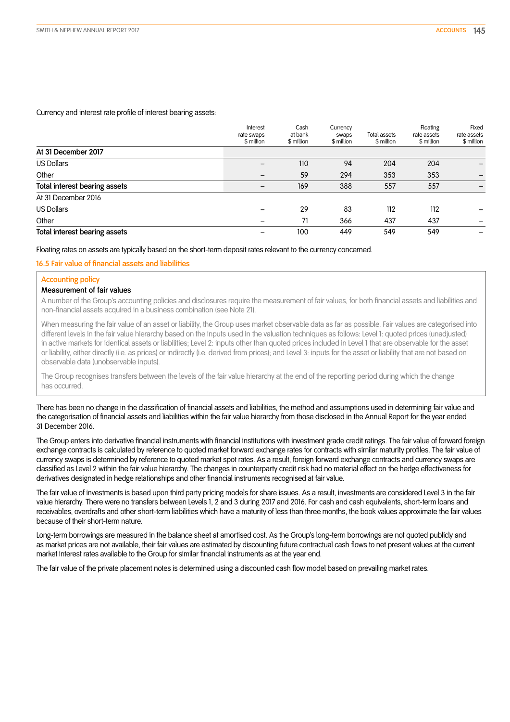#### Currency and interest rate profile of interest bearing assets:

|                               | Interest<br>rate swaps<br>\$ million | Cash<br>at bank<br>\$ million | Currency<br>swaps<br>\$ million | Total assets<br>\$ million | Floating<br>rate assets<br>\$ million | Fixed<br>rate assets<br>\$ million |
|-------------------------------|--------------------------------------|-------------------------------|---------------------------------|----------------------------|---------------------------------------|------------------------------------|
| At 31 December 2017           |                                      |                               |                                 |                            |                                       |                                    |
| <b>US Dollars</b>             |                                      | 110                           | 94                              | 204                        | 204                                   |                                    |
| Other                         |                                      | 59                            | 294                             | 353                        | 353                                   |                                    |
| Total interest bearing assets |                                      | 169                           | 388                             | 557                        | 557                                   |                                    |
| At 31 December 2016           |                                      |                               |                                 |                            |                                       |                                    |
| <b>US Dollars</b>             |                                      | 29                            | 83                              | 112                        | 112                                   |                                    |
| Other                         |                                      | 71                            | 366                             | 437                        | 437                                   |                                    |
| Total interest bearing assets |                                      | 100                           | 449                             | 549                        | 549                                   |                                    |
|                               |                                      |                               |                                 |                            |                                       |                                    |

Floating rates on assets are typically based on the short-term deposit rates relevant to the currency concerned.

#### **16.5 Fair value of financial assets and liabilities**

#### **Accounting policy**

# **Measurement of fair values**

A number of the Group's accounting policies and disclosures require the measurement of fair values, for both financial assets and liabilities and non-financial assets acquired in a business combination (see Note 21).

When measuring the fair value of an asset or liability, the Group uses market observable data as far as possible. Fair values are categorised into different levels in the fair value hierarchy based on the inputs used in the valuation techniques as follows: Level 1: quoted prices (unadjusted) in active markets for identical assets or liabilities; Level 2: inputs other than quoted prices included in Level 1 that are observable for the asset or liability, either directly (i.e. as prices) or indirectly (i.e. derived from prices); and Level 3: inputs for the asset or liability that are not based on observable data (unobservable inputs).

The Group recognises transfers between the levels of the fair value hierarchy at the end of the reporting period during which the change has occurred.

There has been no change in the classification of financial assets and liabilities, the method and assumptions used in determining fair value and the categorisation of financial assets and liabilities within the fair value hierarchy from those disclosed in the Annual Report for the year ended 31 December 2016.

The Group enters into derivative financial instruments with financial institutions with investment grade credit ratings. The fair value of forward foreign exchange contracts is calculated by reference to quoted market forward exchange rates for contracts with similar maturity profiles. The fair value of currency swaps is determined by reference to quoted market spot rates. As a result, foreign forward exchange contracts and currency swaps are classified as Level 2 within the fair value hierarchy. The changes in counterparty credit risk had no material effect on the hedge effectiveness for derivatives designated in hedge relationships and other financial instruments recognised at fair value.

The fair value of investments is based upon third party pricing models for share issues. As a result, investments are considered Level 3 in the fair value hierarchy. There were no transfers between Levels 1, 2 and 3 during 2017 and 2016. For cash and cash equivalents, short-term loans and receivables, overdrafts and other short-term liabilities which have a maturity of less than three months, the book values approximate the fair values because of their short-term nature.

Long-term borrowings are measured in the balance sheet at amortised cost. As the Group's long-term borrowings are not quoted publicly and as market prices are not available, their fair values are estimated by discounting future contractual cash flows to net present values at the current market interest rates available to the Group for similar financial instruments as at the year end.

The fair value of the private placement notes is determined using a discounted cash flow model based on prevailing market rates.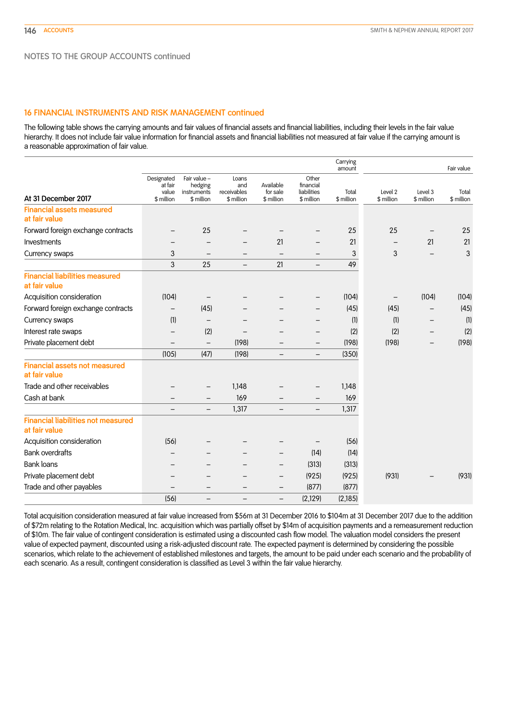# **16 FINANCIAL INSTRUMENTS AND RISK MANAGEMENT continued**

The following table shows the carrying amounts and fair values of financial assets and financial liabilities, including their levels in the fair value hierarchy. It does not include fair value information for financial assets and financial liabilities not measured at fair value if the carrying amount is a reasonable approximation of fair value.

|                                                            |                                              |                                                      |                                           |                                     |                                                 | Carrying<br>amount  |                       |                       | Fair value          |
|------------------------------------------------------------|----------------------------------------------|------------------------------------------------------|-------------------------------------------|-------------------------------------|-------------------------------------------------|---------------------|-----------------------|-----------------------|---------------------|
| At 31 December 2017                                        | Designated<br>at fair<br>value<br>\$ million | Fair value -<br>hedging<br>instruments<br>\$ million | Loans<br>and<br>receivables<br>\$ million | Available<br>for sale<br>\$ million | Other<br>financial<br>liabilities<br>\$ million | Total<br>\$ million | Level 2<br>\$ million | Level 3<br>\$ million | Total<br>\$ million |
| <b>Financial assets measured</b><br>at fair value          |                                              |                                                      |                                           |                                     |                                                 |                     |                       |                       |                     |
| Forward foreign exchange contracts                         |                                              | 25                                                   |                                           |                                     |                                                 | 25                  | 25                    |                       | 25                  |
| Investments                                                |                                              |                                                      |                                           | 21                                  | —                                               | 21                  | $\qquad \qquad -$     | 21                    | 21                  |
| Currency swaps                                             | 3                                            |                                                      |                                           |                                     | —                                               | 3                   | 3                     |                       | 3                   |
|                                                            | 3                                            | 25                                                   | $\overline{\phantom{0}}$                  | 21                                  | $\qquad \qquad -$                               | 49                  |                       |                       |                     |
| <b>Financial liabilities measured</b><br>at fair value     |                                              |                                                      |                                           |                                     |                                                 |                     |                       |                       |                     |
| Acquisition consideration                                  | (104)                                        |                                                      |                                           |                                     |                                                 | (104)               | $\qquad \qquad -$     | (104)                 | (104)               |
| Forward foreign exchange contracts                         |                                              | (45)                                                 |                                           |                                     |                                                 | (45)                | (45)                  |                       | (45)                |
| Currency swaps                                             | (1)                                          |                                                      |                                           |                                     |                                                 | (1)                 | (1)                   |                       | (1)                 |
| Interest rate swaps                                        |                                              | (2)                                                  |                                           |                                     |                                                 | (2)                 | (2)                   |                       | (2)                 |
| Private placement debt                                     |                                              |                                                      | (198)                                     |                                     | —                                               | (198)               | (198)                 |                       | (198)               |
|                                                            | (105)                                        | (47)                                                 | (198)                                     | $\qquad \qquad -$                   | $\overline{\phantom{m}}$                        | (350)               |                       |                       |                     |
| <b>Financial assets not measured</b><br>at fair value      |                                              |                                                      |                                           |                                     |                                                 |                     |                       |                       |                     |
| Trade and other receivables                                |                                              |                                                      | 1,148                                     |                                     |                                                 | 1,148               |                       |                       |                     |
| Cash at bank                                               |                                              |                                                      | 169                                       |                                     | $\overline{\phantom{0}}$                        | 169                 |                       |                       |                     |
|                                                            |                                              | $\overline{\phantom{m}}$                             | 1,317                                     | $\overline{\phantom{0}}$            | $\overline{\phantom{m}}$                        | 1,317               |                       |                       |                     |
| <b>Financial liabilities not measured</b><br>at fair value |                                              |                                                      |                                           |                                     |                                                 |                     |                       |                       |                     |
| Acquisition consideration                                  | (56)                                         |                                                      |                                           |                                     |                                                 | (56)                |                       |                       |                     |
| <b>Bank overdrafts</b>                                     |                                              |                                                      |                                           |                                     | (14)                                            | (14)                |                       |                       |                     |
| <b>Bank loans</b>                                          |                                              |                                                      |                                           | —                                   | (313)                                           | (313)               |                       |                       |                     |
| Private placement debt                                     |                                              |                                                      |                                           | $\overline{\phantom{0}}$            | (925)                                           | (925)               | (931)                 |                       | (931)               |
| Trade and other payables                                   |                                              |                                                      |                                           |                                     | (877)                                           | (877)               |                       |                       |                     |
|                                                            | (56)                                         |                                                      |                                           | $\qquad \qquad -$                   | (2,129)                                         | (2,185)             |                       |                       |                     |

Total acquisition consideration measured at fair value increased from \$56m at 31 December 2016 to \$104m at 31 December 2017 due to the addition of \$72m relating to the Rotation Medical, Inc. acquisition which was partially offset by \$14m of acquisition payments and a remeasurement reduction of \$10m. The fair value of contingent consideration is estimated using a discounted cash flow model. The valuation model considers the present value of expected payment, discounted using a risk-adjusted discount rate. The expected payment is determined by considering the possible scenarios, which relate to the achievement of established milestones and targets, the amount to be paid under each scenario and the probability of each scenario. As a result, contingent consideration is classified as Level 3 within the fair value hierarchy.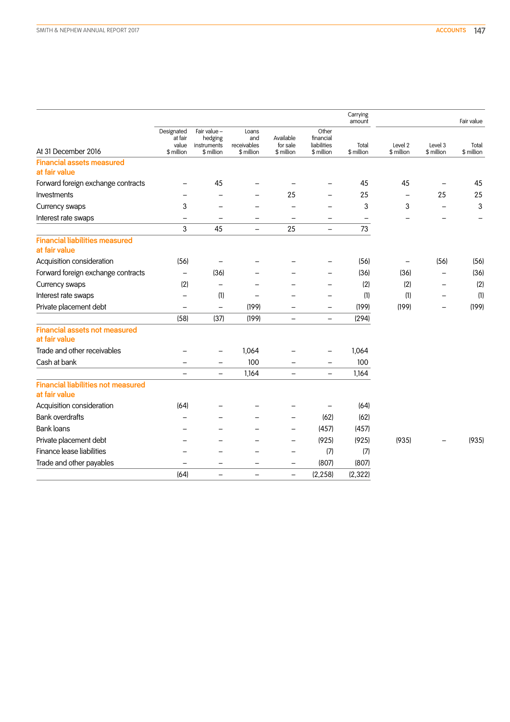|                                                            |                                              |                                                      |                                           |                                     |                                                 | Carrying<br>amount       |                          |                       | Fair value          |
|------------------------------------------------------------|----------------------------------------------|------------------------------------------------------|-------------------------------------------|-------------------------------------|-------------------------------------------------|--------------------------|--------------------------|-----------------------|---------------------|
| At 31 December 2016                                        | Designated<br>at fair<br>value<br>\$ million | Fair value -<br>hedging<br>instruments<br>\$ million | Loans<br>and<br>receivables<br>\$ million | Available<br>for sale<br>\$ million | Other<br>financial<br>liabilities<br>\$ million | Total<br>\$ million      | Level 2<br>\$ million    | Level 3<br>\$ million | Total<br>\$ million |
| <b>Financial assets measured</b><br>at fair value          |                                              |                                                      |                                           |                                     |                                                 |                          |                          |                       |                     |
| Forward foreign exchange contracts                         |                                              | 45                                                   |                                           |                                     |                                                 | 45                       | 45                       |                       | 45                  |
| Investments                                                |                                              |                                                      |                                           | 25                                  |                                                 | 25                       | $\overline{\phantom{0}}$ | 25                    | 25                  |
| Currency swaps                                             | 3                                            |                                                      |                                           |                                     |                                                 | 3                        | 3                        |                       | 3                   |
| Interest rate swaps                                        | $\overline{\phantom{0}}$                     |                                                      |                                           |                                     | —                                               | $\overline{\phantom{0}}$ |                          |                       |                     |
|                                                            | 3                                            | 45                                                   | $\qquad \qquad -$                         | 25                                  | $\overline{\phantom{0}}$                        | 73                       |                          |                       |                     |
| <b>Financial liabilities measured</b><br>at fair value     |                                              |                                                      |                                           |                                     |                                                 |                          |                          |                       |                     |
| Acquisition consideration                                  | (56)                                         |                                                      |                                           |                                     |                                                 | (56)                     |                          | (56)                  | (56)                |
| Forward foreign exchange contracts                         |                                              | (36)                                                 |                                           |                                     |                                                 | (36)                     | (36)                     |                       | (36)                |
| Currency swaps                                             | (2)                                          | $\overline{\phantom{m}}$                             |                                           |                                     |                                                 | (2)                      | (2)                      | -                     | (2)                 |
| Interest rate swaps                                        |                                              | (1)                                                  |                                           |                                     |                                                 | (1)                      | (1)                      |                       | (1)                 |
| Private placement debt                                     |                                              | $\overline{\phantom{0}}$                             | (199)                                     |                                     | $\overline{\phantom{0}}$                        | (199)                    | (199)                    |                       | (199)               |
|                                                            | (58)                                         | (37)                                                 | (199)                                     | $\overline{\phantom{0}}$            | $\qquad \qquad -$                               | (294)                    |                          |                       |                     |
| <b>Financial assets not measured</b><br>at fair value      |                                              |                                                      |                                           |                                     |                                                 |                          |                          |                       |                     |
| Trade and other receivables                                |                                              |                                                      | 1,064                                     |                                     |                                                 | 1,064                    |                          |                       |                     |
| Cash at bank                                               |                                              |                                                      | 100                                       |                                     |                                                 | 100                      |                          |                       |                     |
|                                                            | $\overline{\phantom{0}}$                     | $\overline{\phantom{0}}$                             | 1,164                                     | $\overline{\phantom{0}}$            | $\overline{\phantom{0}}$                        | 1,164                    |                          |                       |                     |
| <b>Financial liabilities not measured</b><br>at fair value |                                              |                                                      |                                           |                                     |                                                 |                          |                          |                       |                     |
| Acquisition consideration                                  | (64)                                         |                                                      |                                           |                                     |                                                 | (64)                     |                          |                       |                     |
| <b>Bank overdrafts</b>                                     |                                              |                                                      |                                           | $\overline{\phantom{0}}$            | (62)                                            | (62)                     |                          |                       |                     |
| <b>Bank loans</b>                                          |                                              |                                                      |                                           | $\overline{\phantom{0}}$            | (457)                                           | (457)                    |                          |                       |                     |
| Private placement debt                                     |                                              |                                                      |                                           |                                     | (925)                                           | (925)                    | (935)                    |                       | (935)               |
| Finance lease liabilities                                  |                                              |                                                      |                                           |                                     | (7)                                             | (7)                      |                          |                       |                     |
| Trade and other payables                                   |                                              |                                                      |                                           | —                                   | (807)                                           | (807)                    |                          |                       |                     |
|                                                            | (64)                                         |                                                      |                                           | $\overline{\phantom{0}}$            | (2, 258)                                        | (2, 322)                 |                          |                       |                     |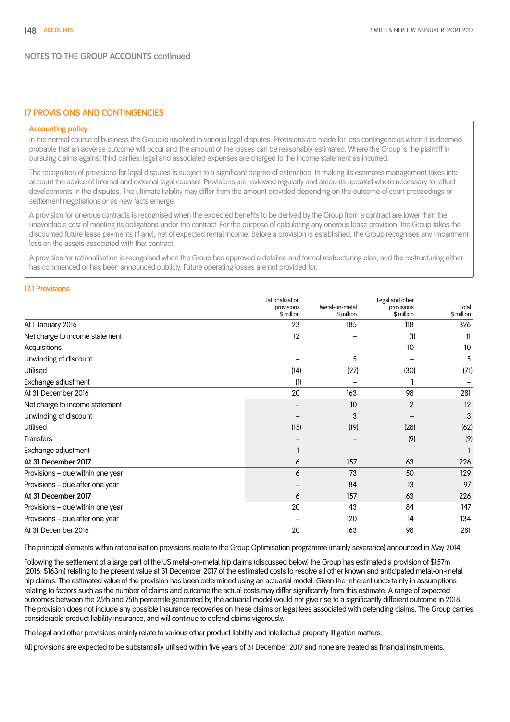# **17 PROVISIONS AND CONTINGENCIES**

#### **Accounting policy**

In the normal course of business the Group is involved in various legal disputes. Provisions are made for loss contingencies when it is deemed probable that an adverse outcome will occur and the amount of the losses can be reasonably estimated. Where the Group is the plaintiff in pursuing claims against third parties, legal and associated expenses are charged to the income statement as incurred.

The recognition of provisions for legal disputes is subject to a significant degree of estimation. In making its estimates management takes into account the advice of internal and external legal counsel. Provisions are reviewed regularly and amounts updated where necessary to reflect developments in the disputes. The ultimate liability may differ from the amount provided depending on the outcome of court proceedings or settlement negotiations or as new facts emerge.

A provision for onerous contracts is recognised when the expected benefits to be derived by the Group from a contract are lower than the unavoidable cost of meeting its obligations under the contract. For the purpose of calculating any onerous lease provision, the Group takes the discounted future lease payments (if any), net of expected rental income. Before a provision is established, the Group recognises any impairment loss on the assets associated with that contract.

A provision for rationalisation is recognised when the Group has approved a detailed and formal restructuring plan, and the restructuring either has commenced or has been announced publicly. Future operating losses are not provided for.

#### **17.1 Provisions**

|                                  | Rationalisation<br>provisions<br>\$ million | Metal-on-metal<br>\$ million | Legal and other<br>provisions<br>\$ million | Total<br>\$ million |
|----------------------------------|---------------------------------------------|------------------------------|---------------------------------------------|---------------------|
| At 1 January 2016                | 23                                          | 185                          | 118                                         | 326                 |
| Net charge to income statement   | 12                                          |                              | (1)                                         | 11                  |
| Acquisitions                     |                                             |                              | 10                                          | 10                  |
| Unwinding of discount            |                                             | 5                            |                                             | 5                   |
| <b>Utilised</b>                  | (14)                                        | (27)                         | (30)                                        | (71)                |
| Exchange adjustment              | (1)                                         |                              |                                             |                     |
| At 31 December 2016              | 20                                          | 163                          | 98                                          | 281                 |
| Net charge to income statement   |                                             | 10                           | 2                                           | 12                  |
| Unwinding of discount            |                                             | 3                            |                                             | 3                   |
| Utilised                         | (15)                                        | (19)                         | (28)                                        | (62)                |
| <b>Transfers</b>                 |                                             |                              | (9)                                         | (9)                 |
| Exchange adjustment              |                                             |                              |                                             |                     |
| At 31 December 2017              | 6                                           | 157                          | 63                                          | 226                 |
| Provisions - due within one year | 6                                           | 73                           | 50                                          | 129                 |
| Provisions - due after one year  |                                             | 84                           | 13                                          | 97                  |
| At 31 December 2017              | 6                                           | 157                          | 63                                          | 226                 |
| Provisions - due within one year | 20                                          | 43                           | 84                                          | 147                 |
| Provisions - due after one year  |                                             | 120                          | 14                                          | 134                 |
| At 31 December 2016              | 20                                          | 163                          | 98                                          | 281                 |

The principal elements within rationalisation provisions relate to the Group Optimisation programme (mainly severance) announced in May 2014.

Following the settlement of a large part of the US metal-on-metal hip claims (discussed below) the Group has estimated a provision of \$157m (2016: \$163m) relating to the present value at 31 December 2017 of the estimated costs to resolve all other known and anticipated metal-on-metal hip claims. The estimated value of the provision has been determined using an actuarial model. Given the inherent uncertainty in assumptions relating to factors such as the number of claims and outcome the actual costs may differ significantly from this estimate. A range of expected outcomes between the 25th and 75th percentile generated by the actuarial model would not give rise to a significantly different outcome in 2018. The provision does not include any possible insurance recoveries on these claims or legal fees associated with defending claims. The Group carries considerable product liability insurance, and will continue to defend claims vigorously.

The legal and other provisions mainly relate to various other product liability and intellectual property litigation matters.

All provisions are expected to be substantially utilised within five years of 31 December 2017 and none are treated as financial instruments.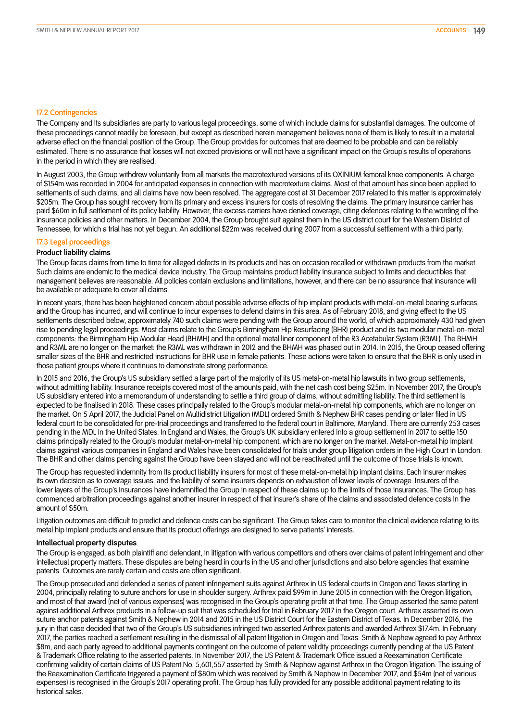#### **17.2 Contingencies**

The Company and its subsidiaries are party to various legal proceedings, some of which include claims for substantial damages. The outcome of these proceedings cannot readily be foreseen, but except as described herein management believes none of them is likely to result in a material adverse effect on the financial position of the Group. The Group provides for outcomes that are deemed to be probable and can be reliably estimated. There is no assurance that losses will not exceed provisions or will not have a significant impact on the Group's results of operations in the period in which they are realised.

In August 2003, the Group withdrew voluntarily from all markets the macrotextured versions of its OXINIUM femoral knee components. A charge of \$154m was recorded in 2004 for anticipated expenses in connection with macrotexture claims. Most of that amount has since been applied to settlements of such claims, and all claims have now been resolved. The aggregate cost at 31 December 2017 related to this matter is approximately \$205m. The Group has sought recovery from its primary and excess insurers for costs of resolving the claims. The primary insurance carrier has paid \$60m in full settlement of its policy liability. However, the excess carriers have denied coverage, citing defences relating to the wording of the insurance policies and other matters. In December 2004, the Group brought suit against them in the US district court for the Western District of Tennessee, for which a trial has not yet begun. An additional \$22m was received during 2007 from a successful settlement with a third party.

#### **17.3 Legal proceedings**

#### **Product liability claims**

The Group faces claims from time to time for alleged defects in its products and has on occasion recalled or withdrawn products from the market. Such claims are endemic to the medical device industry. The Group maintains product liability insurance subject to limits and deductibles that management believes are reasonable. All policies contain exclusions and limitations, however, and there can be no assurance that insurance will be available or adequate to cover all claims.

In recent years, there has been heightened concern about possible adverse effects of hip implant products with metal-on-metal bearing surfaces, and the Group has incurred, and will continue to incur expenses to defend claims in this area. As of February 2018, and giving effect to the US settlements described below, approximately 740 such claims were pending with the Group around the world, of which approximately 430 had given rise to pending legal proceedings. Most claims relate to the Group's Birmingham Hip Resurfacing (BHR) product and its two modular metal-on-metal components: the Birmingham Hip Modular Head (BHMH) and the optional metal liner component of the R3 Acetabular System (R3ML). The BHMH and R3ML are no longer on the market: the R3ML was withdrawn in 2012 and the BHMH was phased out in 2014. In 2015, the Group ceased offering smaller sizes of the BHR and restricted instructions for BHR use in female patients. These actions were taken to ensure that the BHR is only used in those patient groups where it continues to demonstrate strong performance.

In 2015 and 2016, the Group's US subsidiary settled a large part of the majority of its US metal-on-metal hip lawsuits in two group settlements, without admitting liability. Insurance receipts covered most of the amounts paid, with the net cash cost being \$25m. In November 2017, the Group's US subsidiary entered into a memorandum of understanding to settle a third group of claims, without admitting liability. The third settlement is expected to be finalised in 2018. These cases principally related to the Group's modular metal-on-metal hip components, which are no longer on the market. On 5 April 2017, the Judicial Panel on Multidistrict Litigation (MDL) ordered Smith & Nephew BHR cases pending or later filed in US federal court to be consolidated for pre-trial proceedings and transferred to the federal court in Baltimore, Maryland. There are currently 253 cases pending in the MDL in the United States. In England and Wales, the Group's UK subsidiary entered into a group settlement in 2017 to settle 150 claims principally related to the Group's modular metal-on-metal hip component, which are no longer on the market. Metal-on-metal hip implant claims against various companies in England and Wales have been consolidated for trials under group litigation orders in the High Court in London. The BHR and other claims pending against the Group have been stayed and will not be reactivated until the outcome of those trials is known.

The Group has requested indemnity from its product liability insurers for most of these metal-on-metal hip implant claims. Each insurer makes its own decision as to coverage issues, and the liability of some insurers depends on exhaustion of lower levels of coverage. Insurers of the lower layers of the Group's insurances have indemnified the Group in respect of these claims up to the limits of those insurances. The Group has commenced arbitration proceedings against another insurer in respect of that insurer's share of the claims and associated defence costs in the amount of \$50m.

Litigation outcomes are difficult to predict and defence costs can be significant. The Group takes care to monitor the clinical evidence relating to its metal hip implant products and ensure that its product offerings are designed to serve patients' interests.

#### **Intellectual property disputes**

The Group is engaged, as both plaintiff and defendant, in litigation with various competitors and others over claims of patent infringement and other intellectual property matters. These disputes are being heard in courts in the US and other jurisdictions and also before agencies that examine patents. Outcomes are rarely certain and costs are often significant.

The Group prosecuted and defended a series of patent infringement suits against Arthrex in US federal courts in Oregon and Texas starting in 2004, principally relating to suture anchors for use in shoulder surgery. Arthrex paid \$99m in June 2015 in connection with the Oregon litigation, and most of that award (net of various expenses) was recognised in the Group's operating profit at that time. The Group asserted the same patent against additional Arthrex products in a follow-up suit that was scheduled for trial in February 2017 in the Oregon court. Arthrex asserted its own suture anchor patents against Smith & Nephew in 2014 and 2015 in the US District Court for the Eastern District of Texas. In December 2016, the jury in that case decided that two of the Group's US subsidiaries infringed two asserted Arthrex patents and awarded Arthrex \$17.4m. In February 2017, the parties reached a settlement resulting in the dismissal of all patent litigation in Oregon and Texas. Smith & Nephew agreed to pay Arthrex \$8m, and each party agreed to additional payments contingent on the outcome of patent validity proceedings currently pending at the US Patent & Trademark Office relating to the asserted patents. In November 2017, the US Patent & Trademark Office issued a Reexamination Certificate confirming validity of certain claims of US Patent No. 5,601,557 asserted by Smith & Nephew against Arthrex in the Oregon litigation. The issuing of the Reexamination Certificate triggered a payment of \$80m which was received by Smith & Nephew in December 2017, and \$54m (net of various expenses) is recognised in the Group's 2017 operating profit. The Group has fully provided for any possible additional payment relating to its historical sales.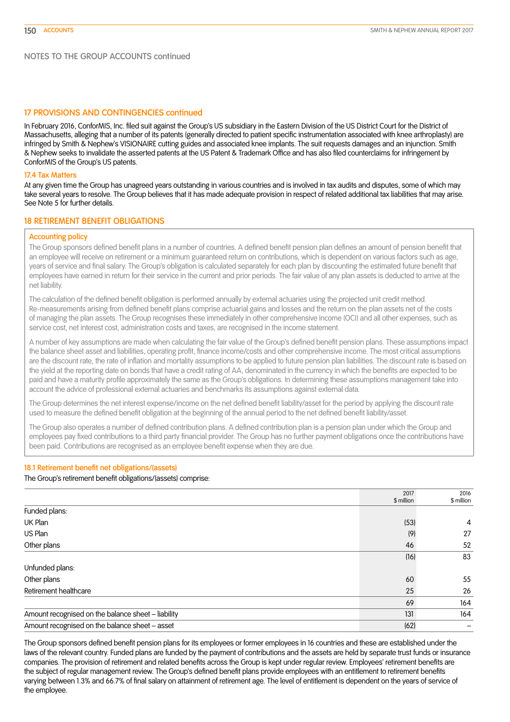#### **17 PROVISIONS AND CONTINGENCIES continued**

In February 2016, ConforMIS, Inc. filed suit against the Group's US subsidiary in the Eastern Division of the US District Court for the District of Massachusetts, alleging that a number of its patents (generally directed to patient specific instrumentation associated with knee arthroplasty) are infringed by Smith & Nephew's VISIONAIRE cutting guides and associated knee implants. The suit requests damages and an injunction. Smith & Nephew seeks to invalidate the asserted patents at the US Patent & Trademark Office and has also filed counterclaims for infringement by ConforMIS of the Group's US patents.

#### **17.4 Tax Matters**

At any given time the Group has unagreed years outstanding in various countries and is involved in tax audits and disputes, some of which may take several years to resolve. The Group believes that it has made adequate provision in respect of related additional tax liabilities that may arise. See Note 5 for further details.

# **18 RETIREMENT BENEFIT OBLIGATIONS**

#### **Accounting policy**

The Group sponsors defined benefit plans in a number of countries. A defined benefit pension plan defines an amount of pension benefit that an employee will receive on retirement or a minimum guaranteed return on contributions, which is dependent on various factors such as age, years of service and final salary. The Group's obligation is calculated separately for each plan by discounting the estimated future benefit that employees have earned in return for their service in the current and prior periods. The fair value of any plan assets is deducted to arrive at the net liability.

The calculation of the defined benefit obligation is performed annually by external actuaries using the projected unit credit method. Re-measurements arising from defined benefit plans comprise actuarial gains and losses and the return on the plan assets net of the costs of managing the plan assets. The Group recognises these immediately in other comprehensive income (OCI) and all other expenses, such as service cost, net interest cost, administration costs and taxes, are recognised in the income statement.

A number of key assumptions are made when calculating the fair value of the Group's defined benefit pension plans. These assumptions impact the balance sheet asset and liabilities, operating profit, finance income/costs and other comprehensive income. The most critical assumptions are the discount rate, the rate of inflation and mortality assumptions to be applied to future pension plan liabilities. The discount rate is based on the yield at the reporting date on bonds that have a credit rating of AA, denominated in the currency in which the benefits are expected to be paid and have a maturity profile approximately the same as the Group's obligations. In determining these assumptions management take into account the advice of professional external actuaries and benchmarks its assumptions against external data.

The Group determines the net interest expense/income on the net defined benefit liability/asset for the period by applying the discount rate used to measure the defined benefit obligation at the beginning of the annual period to the net defined benefit liability/asset.

The Group also operates a number of defined contribution plans. A defined contribution plan is a pension plan under which the Group and employees pay fixed contributions to a third party financial provider. The Group has no further payment obligations once the contributions have been paid. Contributions are recognised as an employee benefit expense when they are due.

#### **18.1 Retirement benefit net obligations/(assets)**

#### The Group's retirement benefit obligations/(assets) comprise:

|                                                    | 2017       | 2016           |
|----------------------------------------------------|------------|----------------|
|                                                    | \$ million | \$ million     |
| Funded plans:                                      |            |                |
| UK Plan                                            | (53)       | $\overline{4}$ |
| US Plan                                            | (9)        | 27             |
| Other plans                                        | 46         | 52             |
|                                                    | (16)       | 83             |
| Unfunded plans:                                    |            |                |
| Other plans                                        | 60         | 55             |
| Retirement healthcare                              | 25         | 26             |
|                                                    | 69         | 164            |
| Amount recognised on the balance sheet - liability | 131        | 164            |
| Amount recognised on the balance sheet - asset     | (62)       |                |

The Group sponsors defined benefit pension plans for its employees or former employees in 16 countries and these are established under the laws of the relevant country. Funded plans are funded by the payment of contributions and the assets are held by separate trust funds or insurance companies. The provision of retirement and related benefits across the Group is kept under regular review. Employees' retirement benefits are the subject of regular management review. The Group's defined benefit plans provide employees with an entitlement to retirement benefits varying between 1.3% and 66.7% of final salary on attainment of retirement age. The level of entitlement is dependent on the years of service of the employee.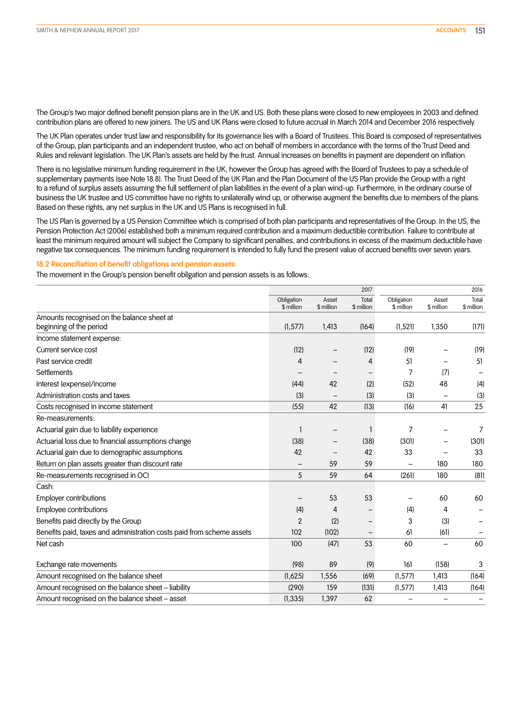The Group's two major defined benefit pension plans are in the UK and US. Both these plans were closed to new employees in 2003 and defined contribution plans are offered to new joiners. The US and UK Plans were closed to future accrual in March 2014 and December 2016 respectively.

The UK Plan operates under trust law and responsibility for its governance lies with a Board of Trustees. This Board is composed of representatives of the Group, plan participants and an independent trustee, who act on behalf of members in accordance with the terms of the Trust Deed and Rules and relevant legislation. The UK Plan's assets are held by the trust. Annual increases on benefits in payment are dependent on inflation.

There is no legislative minimum funding requirement in the UK, however the Group has agreed with the Board of Trustees to pay a schedule of supplementary payments (see Note 18.8). The Trust Deed of the UK Plan and the Plan Document of the US Plan provide the Group with a right to a refund of surplus assets assuming the full settlement of plan liabilities in the event of a plan wind-up. Furthermore, in the ordinary course of business the UK trustee and US committee have no rights to unilaterally wind up, or otherwise augment the benefits due to members of the plans. Based on these rights, any net surplus in the UK and US Plans is recognised in full.

The US Plan is governed by a US Pension Committee which is comprised of both plan participants and representatives of the Group. In the US, the Pension Protection Act (2006) established both a minimum required contribution and a maximum deductible contribution. Failure to contribute at least the minimum required amount will subject the Company to significant penalties, and contributions in excess of the maximum deductible have negative tax consequences. The minimum funding requirement is intended to fully fund the present value of accrued benefits over seven years.

#### **18.2 Reconciliation of benefit obligations and pension assets**

The movement in the Group's pension benefit obligation and pension assets is as follows:

|                                                                       |                          |                     | 2017                |                          |                     | 2016                |
|-----------------------------------------------------------------------|--------------------------|---------------------|---------------------|--------------------------|---------------------|---------------------|
|                                                                       | Obligation<br>\$ million | Asset<br>\$ million | Total<br>\$ million | Obligation<br>\$ million | Asset<br>\$ million | Total<br>\$ million |
| Amounts recognised on the balance sheet at                            |                          |                     |                     |                          |                     |                     |
| beginning of the period                                               | (1, 577)                 | 1,413               | (164)               | (1, 521)                 | 1,350               | (171)               |
| Income statement expense:                                             |                          |                     |                     |                          |                     |                     |
| Current service cost                                                  | (12)                     |                     | (12)                | (19)                     |                     | (19)                |
| Past service credit                                                   | 4                        |                     | 4                   | 51                       |                     | 51                  |
| Settlements                                                           |                          |                     |                     | 7                        | (7)                 |                     |
| Interest (expense)/income                                             | (44)                     | 42                  | (2)                 | (52)                     | 48                  | (4)                 |
| Administration costs and taxes                                        | (3)                      |                     | (3)                 | (3)                      |                     | (3)                 |
| Costs recognised in income statement                                  | (55)                     | 42                  | (13)                | (16)                     | 41                  | 25                  |
| Re-measurements:                                                      |                          |                     |                     |                          |                     |                     |
| Actuarial gain due to liability experience                            |                          |                     |                     | 7                        |                     | 7                   |
| Actuarial loss due to financial assumptions change                    | (38)                     |                     | (38)                | (301)                    |                     | (301)               |
| Actuarial gain due to demographic assumptions                         | 42                       |                     | 42                  | 33                       |                     | 33                  |
| Return on plan assets greater than discount rate                      |                          | 59                  | 59                  |                          | 180                 | 180                 |
| Re-measurements recognised in OCI                                     | 5                        | 59                  | 64                  | (261)                    | 180                 | (81)                |
| Cash:                                                                 |                          |                     |                     |                          |                     |                     |
| <b>Employer contributions</b>                                         |                          | 53                  | 53                  |                          | 60                  | 60                  |
| Employee contributions                                                | (4)                      | 4                   |                     | (4)                      | 4                   |                     |
| Benefits paid directly by the Group                                   | 2                        | (2)                 |                     | 3                        | (3)                 |                     |
| Benefits paid, taxes and administration costs paid from scheme assets | 102                      | (102)               |                     | 61                       | (61)                |                     |
| Net cash                                                              | 100                      | (47)                | 53                  | 60                       |                     | 60                  |
| Exchange rate movements                                               | (98)                     | 89                  | (9)                 | 161                      | (158)               | 3                   |
| Amount recognised on the balance sheet                                | (1,625)                  | 1,556               | (69)                | (1, 577)                 | 1,413               | (164)               |
| Amount recognised on the balance sheet - liability                    | (290)                    | 159                 | (131)               | (1, 577)                 | 1,413               | (164)               |
| Amount recognised on the balance sheet - asset                        | (1, 335)                 | 1,397               | 62                  |                          |                     |                     |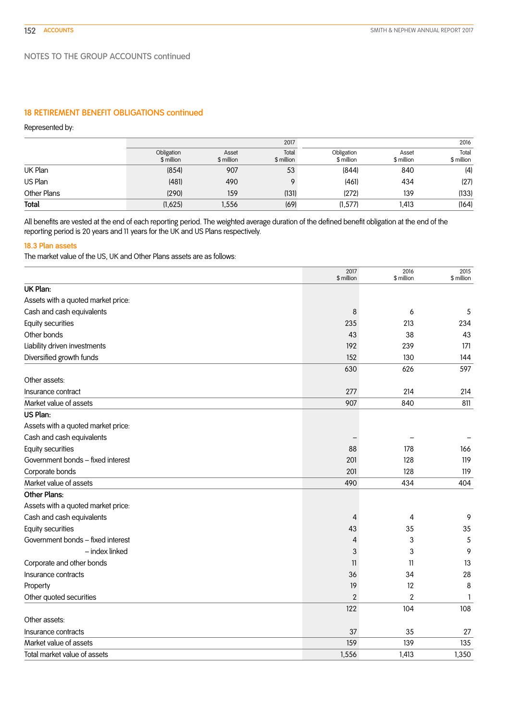# **18 RETIREMENT BENEFIT OBLIGATIONS continued**

Represented by:

|             |                          |                     | 2017                |                          |                     | 2016                |
|-------------|--------------------------|---------------------|---------------------|--------------------------|---------------------|---------------------|
|             | Obligation<br>\$ million | Asset<br>\$ million | Total<br>\$ million | Obligation<br>\$ million | Asset<br>\$ million | Total<br>\$ million |
| UK Plan     | (854)                    | 907                 | 53                  | (844)                    | 840                 | (4)                 |
| US Plan     | (481)                    | 490                 |                     | (461)                    | 434                 | (27)                |
| Other Plans | (290)                    | 159                 | (131)               | (272)                    | 139                 | (133)               |
| Total       | (1,625)                  | 1,556               | (69)                | (1, 577)                 | 1,413               | (164)               |

All benefits are vested at the end of each reporting period. The weighted average duration of the defined benefit obligation at the end of the reporting period is 20 years and 11 years for the UK and US Plans respectively.

# **18.3 Plan assets**

The market value of the US, UK and Other Plans assets are as follows:

|                                    | 2017<br>\$ million | 2016<br>\$ million | 2015<br>\$ million |
|------------------------------------|--------------------|--------------------|--------------------|
| UK Plan:                           |                    |                    |                    |
| Assets with a quoted market price: |                    |                    |                    |
| Cash and cash equivalents          | 8                  | 6                  | 5                  |
| <b>Equity securities</b>           | 235                | 213                | 234                |
| Other bonds                        | 43                 | 38                 | 43                 |
| Liability driven investments       | 192                | 239                | 171                |
| Diversified growth funds           | 152                | 130                | 144                |
|                                    | 630                | 626                | 597                |
| Other assets:                      |                    |                    |                    |
| Insurance contract                 | 277                | 214                | 214                |
| Market value of assets             | 907                | 840                | 811                |
| US Plan:                           |                    |                    |                    |
| Assets with a quoted market price: |                    |                    |                    |
| Cash and cash equivalents          |                    |                    |                    |
| <b>Equity securities</b>           | 88                 | 178                | 166                |
| Government bonds - fixed interest  | 201                | 128                | 119                |
| Corporate bonds                    | 201                | 128                | 119                |
| Market value of assets             | 490                | 434                | 404                |
| Other Plans:                       |                    |                    |                    |
| Assets with a quoted market price: |                    |                    |                    |
| Cash and cash equivalents          | 4                  | 4                  | 9                  |
| <b>Equity securities</b>           | 43                 | 35                 | 35                 |
| Government bonds - fixed interest  | 4                  | 3                  | $\sqrt{5}$         |
| - index linked                     | 3                  | 3                  | 9                  |
| Corporate and other bonds          | 11                 | 11                 | 13                 |
| Insurance contracts                | 36                 | 34                 | 28                 |
| Property                           | 19                 | 12                 | 8                  |
| Other quoted securities            | $\overline{2}$     | $\overline{2}$     | 1                  |
|                                    | 122                | 104                | 108                |
| Other assets:                      |                    |                    |                    |
| Insurance contracts                | 37                 | 35                 | 27                 |
| Market value of assets             | 159                | 139                | 135                |
| Total market value of assets       | 1,556              | 1,413              | 1,350              |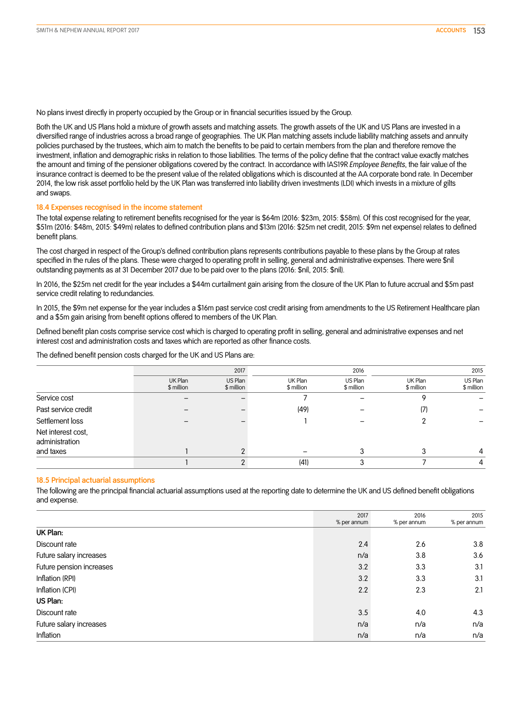No plans invest directly in property occupied by the Group or in financial securities issued by the Group.

Both the UK and US Plans hold a mixture of growth assets and matching assets. The growth assets of the UK and US Plans are invested in a diversified range of industries across a broad range of geographies. The UK Plan matching assets include liability matching assets and annuity policies purchased by the trustees, which aim to match the benefits to be paid to certain members from the plan and therefore remove the investment, inflation and demographic risks in relation to those liabilities. The terms of the policy define that the contract value exactly matches the amount and timing of the pensioner obligations covered by the contract. In accordance with IAS19R *Employee Benefits*, the fair value of the insurance contract is deemed to be the present value of the related obligations which is discounted at the AA corporate bond rate. In December 2014, the low risk asset portfolio held by the UK Plan was transferred into liability driven investments (LDI) which invests in a mixture of gilts and swaps.

#### **18.4 Expenses recognised in the income statement**

The total expense relating to retirement benefits recognised for the year is \$64m (2016: \$23m, 2015: \$58m). Of this cost recognised for the year, \$51m (2016: \$48m, 2015: \$49m) relates to defined contribution plans and \$13m (2016: \$25m net credit, 2015: \$9m net expense) relates to defined benefit plans.

The cost charged in respect of the Group's defined contribution plans represents contributions payable to these plans by the Group at rates specified in the rules of the plans. These were charged to operating profit in selling, general and administrative expenses. There were \$nil outstanding payments as at 31 December 2017 due to be paid over to the plans (2016: \$nil, 2015: \$nil).

In 2016, the \$25m net credit for the year includes a \$44m curtailment gain arising from the closure of the UK Plan to future accrual and \$5m past service credit relating to redundancies.

In 2015, the \$9m net expense for the year includes a \$16m past service cost credit arising from amendments to the US Retirement Healthcare plan and a \$5m gain arising from benefit options offered to members of the UK Plan.

Defined benefit plan costs comprise service cost which is charged to operating profit in selling, general and administrative expenses and net interest cost and administration costs and taxes which are reported as other finance costs.

The defined benefit pension costs charged for the UK and US Plans are:

|                                      |                       | 2017                  |                       | 2016                  |                       | 2015                  |
|--------------------------------------|-----------------------|-----------------------|-----------------------|-----------------------|-----------------------|-----------------------|
|                                      | UK Plan<br>\$ million | US Plan<br>\$ million | UK Plan<br>\$ million | US Plan<br>\$ million | UK Plan<br>\$ million | US Plan<br>\$ million |
| Service cost                         |                       |                       |                       |                       |                       |                       |
| Past service credit                  |                       |                       | (49)                  |                       | (7)                   |                       |
| Settlement loss                      |                       |                       |                       |                       |                       |                       |
| Net interest cost,<br>administration |                       |                       |                       |                       |                       |                       |
| and taxes                            |                       |                       |                       |                       |                       | 4                     |
|                                      |                       | C                     | (41)                  | ാ                     |                       | 4                     |

#### **18.5 Principal actuarial assumptions**

The following are the principal financial actuarial assumptions used at the reporting date to determine the UK and US defined benefit obligations and expense.

| 2017<br>% per annum<br>2.4 | 2016<br>% per annum<br>2.6 | 2015<br>% per annum<br>3.8 |
|----------------------------|----------------------------|----------------------------|
|                            |                            |                            |
|                            |                            |                            |
|                            |                            |                            |
|                            |                            |                            |
| n/a                        | 3.8                        | 3.6                        |
| 3.2                        | 3.3                        | 3.1                        |
| 3.2                        | 3.3                        | 3.1                        |
| 2.2                        | 2.3                        | 2.1                        |
|                            |                            |                            |
| 3.5                        | 4.0                        | 4.3                        |
| n/a                        | n/a                        | n/a                        |
| n/a                        | n/a                        | n/a                        |
|                            |                            |                            |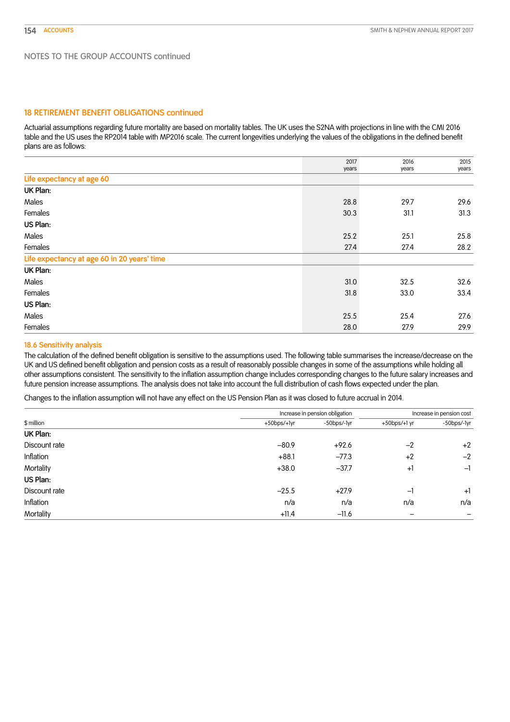#### **18 RETIREMENT BENEFIT OBLIGATIONS continued**

Actuarial assumptions regarding future mortality are based on mortality tables. The UK uses the S2NA with projections in line with the CMI 2016 table and the US uses the RP2014 table with MP2016 scale. The current longevities underlying the values of the obligations in the defined benefit plans are as follows:

|                                             | 2017  | 2016  | 2015  |
|---------------------------------------------|-------|-------|-------|
|                                             | years | years | years |
| Life expectancy at age 60                   |       |       |       |
| UK Plan:                                    |       |       |       |
| Males                                       | 28.8  | 29.7  | 29.6  |
| Females                                     | 30.3  | 31.1  | 31.3  |
| US Plan:                                    |       |       |       |
| Males                                       | 25.2  | 25.1  | 25.8  |
| Females                                     | 27.4  | 27.4  | 28.2  |
| Life expectancy at age 60 in 20 years' time |       |       |       |
| UK Plan:                                    |       |       |       |
| Males                                       | 31.0  | 32.5  | 32.6  |
| Females                                     | 31.8  | 33.0  | 33.4  |
| US Plan:                                    |       |       |       |
| Males                                       | 25.5  | 25.4  | 27.6  |
| Females                                     | 28.0  | 27.9  | 29.9  |

# **18.6 Sensitivity analysis**

The calculation of the defined benefit obligation is sensitive to the assumptions used. The following table summarises the increase/decrease on the UK and US defined benefit obligation and pension costs as a result of reasonably possible changes in some of the assumptions while holding all other assumptions consistent. The sensitivity to the inflation assumption change includes corresponding changes to the future salary increases and future pension increase assumptions. The analysis does not take into account the full distribution of cash flows expected under the plan.

Changes to the inflation assumption will not have any effect on the US Pension Plan as it was closed to future accrual in 2014.

|               |                    | Increase in pension obligation | Increase in pension cost |             |
|---------------|--------------------|--------------------------------|--------------------------|-------------|
| \$ million    | $+50$ bps/ $+1$ yr | $-50$ bps/ $-1$ yr             | $+50$ bps/ $+1$ yr       | -50bps/-1yr |
| UK Plan:      |                    |                                |                          |             |
| Discount rate | $-80.9$            | $+92.6$                        | $-2$                     | $+2$        |
| Inflation     | $+88.1$            | $-77.3$                        | $+2$                     | $-2$        |
| Mortality     | $+38.0$            | $-37.7$                        | $+1$                     | $-1$        |
| US Plan:      |                    |                                |                          |             |
| Discount rate | $-25.5$            | $+27.9$                        | $\overline{\phantom{0}}$ | $+1$        |
| Inflation     | n/a                | n/a                            | n/a                      | n/a         |
| Mortality     | $+11.4$            | $-11.6$                        | $\qquad \qquad$          |             |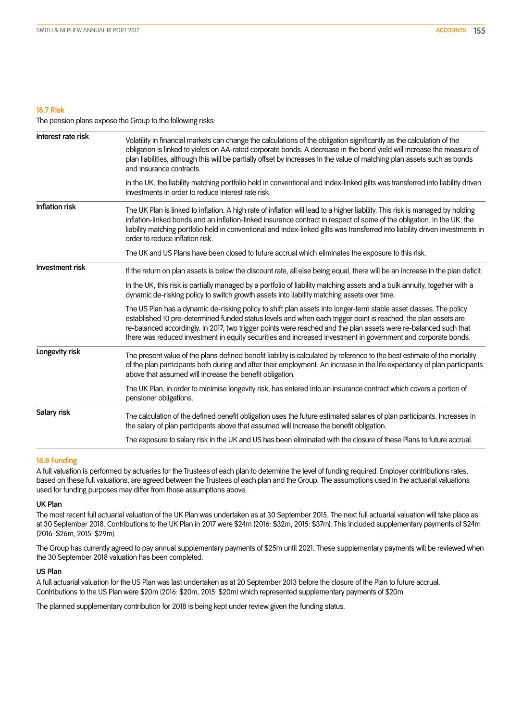# **18.7 Risk**

The pension plans expose the Group to the following risks:

| Interest rate risk     | Volatility in financial markets can change the calculations of the obligation significantly as the calculation of the<br>obligation is linked to yields on AA-rated corporate bonds. A decrease in the bond yield will increase the measure of<br>plan liabilities, although this will be partially offset by increases in the value of matching plan assets such as bonds<br>and insurance contracts.                                                                    |
|------------------------|---------------------------------------------------------------------------------------------------------------------------------------------------------------------------------------------------------------------------------------------------------------------------------------------------------------------------------------------------------------------------------------------------------------------------------------------------------------------------|
|                        | In the UK, the liability matching portfolio held in conventional and index-linked gilts was transferred into liability driven<br>investments in order to reduce interest rate risk.                                                                                                                                                                                                                                                                                       |
| <b>Inflation risk</b>  | The UK Plan is linked to inflation. A high rate of inflation will lead to a higher liability. This risk is managed by holding<br>inflation-linked bonds and an inflation-linked insurance contract in respect of some of the obligation. In the UK, the<br>liability matching portfolio held in conventional and index-linked gilts was transferred into liability driven investments in<br>order to reduce inflation risk.                                               |
|                        | The UK and US Plans have been closed to future accrual which eliminates the exposure to this risk.                                                                                                                                                                                                                                                                                                                                                                        |
| <b>Investment risk</b> | If the return on plan assets is below the discount rate, all else being equal, there will be an increase in the plan deficit.                                                                                                                                                                                                                                                                                                                                             |
|                        | In the UK, this risk is partially managed by a portfolio of liability matching assets and a bulk annuity, together with a<br>dynamic de-risking policy to switch growth assets into liability matching assets over time.                                                                                                                                                                                                                                                  |
|                        | The US Plan has a dynamic de-risking policy to shift plan assets into longer-term stable asset classes. The policy<br>established 10 pre-determined funded status levels and when each trigger point is reached, the plan assets are<br>re-balanced accordingly. In 2017, two trigger points were reached and the plan assets were re-balanced such that<br>there was reduced investment in equity securities and increased investment in government and corporate bonds. |
| Longevity risk         | The present value of the plans defined benefit liability is calculated by reference to the best estimate of the mortality<br>of the plan participants both during and after their employment. An increase in the life expectancy of plan participants<br>above that assumed will increase the benefit obligation.                                                                                                                                                         |
|                        | The UK Plan, in order to minimise longevity risk, has entered into an insurance contract which covers a portion of<br>pensioner obligations.                                                                                                                                                                                                                                                                                                                              |
| Salary risk            | The calculation of the defined benefit obligation uses the future estimated salaries of plan participants. Increases in<br>the salary of plan participants above that assumed will increase the benefit obligation.                                                                                                                                                                                                                                                       |
|                        | The exposure to salary risk in the UK and US has been eliminated with the closure of these Plans to future accrual.                                                                                                                                                                                                                                                                                                                                                       |

# **18.8 Funding**

A full valuation is performed by actuaries for the Trustees of each plan to determine the level of funding required. Employer contributions rates, based on these full valuations, are agreed between the Trustees of each plan and the Group. The assumptions used in the actuarial valuations used for funding purposes may differ from those assumptions above.

# **UK Plan**

The most recent full actuarial valuation of the UK Plan was undertaken as at 30 September 2015. The next full actuarial valuation will take place as at 30 September 2018. Contributions to the UK Plan in 2017 were \$24m (2016: \$32m, 2015: \$37m). This included supplementary payments of \$24m (2016: \$26m, 2015: \$29m).

The Group has currently agreed to pay annual supplementary payments of \$25m until 2021. These supplementary payments will be reviewed when the 30 September 2018 valuation has been completed.

#### **US Plan**

A full actuarial valuation for the US Plan was last undertaken as at 20 September 2013 before the closure of the Plan to future accrual. Contributions to the US Plan were \$20m (2016: \$20m, 2015: \$20m) which represented supplementary payments of \$20m.

The planned supplementary contribution for 2018 is being kept under review given the funding status.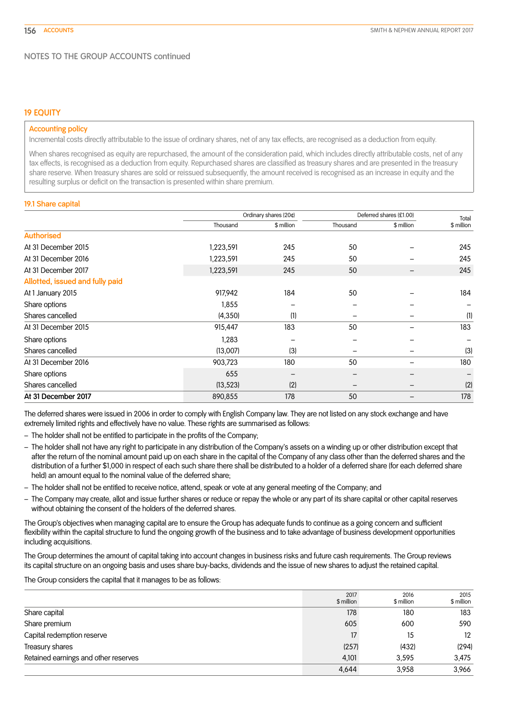# **19 EQUITY**

#### **Accounting policy**

Incremental costs directly attributable to the issue of ordinary shares, net of any tax effects, are recognised as a deduction from equity.

When shares recognised as equity are repurchased, the amount of the consideration paid, which includes directly attributable costs, net of any tax effects, is recognised as a deduction from equity. Repurchased shares are classified as treasury shares and are presented in the treasury share reserve. When treasury shares are sold or reissued subsequently, the amount received is recognised as an increase in equity and the resulting surplus or deficit on the transaction is presented within share premium.

#### **19.1 Share capital**

|                                 |           | Ordinary shares (20¢) |          | Deferred shares (£1.00) |                     |  |
|---------------------------------|-----------|-----------------------|----------|-------------------------|---------------------|--|
|                                 | Thousand  | \$ million            | Thousand | \$ million              | Total<br>\$ million |  |
| <b>Authorised</b>               |           |                       |          |                         |                     |  |
| At 31 December 2015             | 1,223,591 | 245                   | 50       |                         | 245                 |  |
| At 31 December 2016             | 1,223,591 | 245                   | 50       |                         | 245                 |  |
| At 31 December 2017             | 1,223,591 | 245                   | 50       |                         | 245                 |  |
| Allotted, issued and fully paid |           |                       |          |                         |                     |  |
| At 1 January 2015               | 917,942   | 184                   | 50       |                         | 184                 |  |
| Share options                   | 1,855     |                       |          |                         |                     |  |
| Shares cancelled                | (4, 350)  | (1)                   |          |                         | (1)                 |  |
| At 31 December 2015             | 915,447   | 183                   | 50       |                         | 183                 |  |
| Share options                   | 1,283     |                       |          |                         |                     |  |
| Shares cancelled                | (13,007)  | (3)                   |          |                         | (3)                 |  |
| At 31 December 2016             | 903,723   | 180                   | 50       |                         | 180                 |  |
| Share options                   | 655       |                       |          |                         |                     |  |
| Shares cancelled                | (13, 523) | (2)                   |          |                         | (2)                 |  |
| At 31 December 2017             | 890,855   | 178                   | 50       |                         | 178                 |  |

The deferred shares were issued in 2006 in order to comply with English Company law. They are not listed on any stock exchange and have extremely limited rights and effectively have no value. These rights are summarised as follows:

- The holder shall not be entitled to participate in the profits of the Company;
- The holder shall not have any right to participate in any distribution of the Company's assets on a winding up or other distribution except that after the return of the nominal amount paid up on each share in the capital of the Company of any class other than the deferred shares and the distribution of a further \$1,000 in respect of each such share there shall be distributed to a holder of a deferred share (for each deferred share held) an amount equal to the nominal value of the deferred share;
- The holder shall not be entitled to receive notice, attend, speak or vote at any general meeting of the Company; and
- The Company may create, allot and issue further shares or reduce or repay the whole or any part of its share capital or other capital reserves without obtaining the consent of the holders of the deferred shares.

The Group's objectives when managing capital are to ensure the Group has adequate funds to continue as a going concern and sufficient flexibility within the capital structure to fund the ongoing growth of the business and to take advantage of business development opportunities including acquisitions.

The Group determines the amount of capital taking into account changes in business risks and future cash requirements. The Group reviews its capital structure on an ongoing basis and uses share buy-backs, dividends and the issue of new shares to adjust the retained capital.

The Group considers the capital that it manages to be as follows:

|                                      | 2017<br>\$ million | 2016<br>\$ million | 2015<br>\$ million |
|--------------------------------------|--------------------|--------------------|--------------------|
| Share capital                        | 178                | 180                | 183                |
| Share premium                        | 605                | 600                | 590                |
| Capital redemption reserve           | 17                 | 15                 | 12                 |
| Treasury shares                      | (257)              | (432)              | (294)              |
| Retained earnings and other reserves | 4,101              | 3.595              | 3,475              |
|                                      | 4,644              | 3.958              | 3,966              |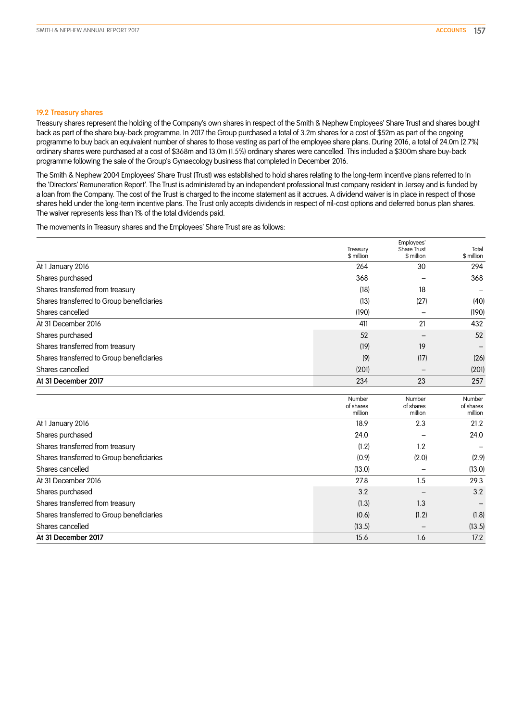#### **19.2 Treasury shares**

Treasury shares represent the holding of the Company's own shares in respect of the Smith & Nephew Employees' Share Trust and shares bought back as part of the share buy-back programme. In 2017 the Group purchased a total of 3.2m shares for a cost of \$52m as part of the ongoing programme to buy back an equivalent number of shares to those vesting as part of the employee share plans. During 2016, a total of 24.0m (2.7%) ordinary shares were purchased at a cost of \$368m and 13.0m (1.5%) ordinary shares were cancelled. This included a \$300m share buy-back programme following the sale of the Group's Gynaecology business that completed in December 2016.

The Smith & Nephew 2004 Employees' Share Trust (Trust) was established to hold shares relating to the long-term incentive plans referred to in the 'Directors' Remuneration Report'. The Trust is administered by an independent professional trust company resident in Jersey and is funded by a loan from the Company. The cost of the Trust is charged to the income statement as it accrues. A dividend waiver is in place in respect of those shares held under the long-term incentive plans. The Trust only accepts dividends in respect of nil-cost options and deferred bonus plan shares. The waiver represents less than 1% of the total dividends paid.

The movements in Treasury shares and the Employees' Share Trust are as follows:

|                                           | Treasury<br>\$ million         | Employees'<br><b>Share Trust</b><br>\$ million | Total<br>\$ million            |
|-------------------------------------------|--------------------------------|------------------------------------------------|--------------------------------|
| At 1 January 2016                         | 264                            | 30                                             | 294                            |
| Shares purchased                          | 368                            |                                                | 368                            |
| Shares transferred from treasury          | (18)                           | 18                                             |                                |
| Shares transferred to Group beneficiaries | (13)                           | (27)                                           | (40)                           |
| Shares cancelled                          | (190)                          |                                                | (190)                          |
| At 31 December 2016                       | 411                            | 21                                             | 432                            |
| Shares purchased                          | 52                             |                                                | 52                             |
| Shares transferred from treasury          | (19)                           | 19                                             |                                |
| Shares transferred to Group beneficiaries | (9)                            | (17)                                           | (26)                           |
| Shares cancelled                          | (201)                          |                                                | (201)                          |
| At 31 December 2017                       | 234                            | 23                                             | 257                            |
|                                           | Number<br>of shares<br>million | Number<br>of shares<br>million                 | Number<br>of shares<br>million |
| At 1 January 2016                         | 18.9                           | 2.3                                            | 21.2                           |
| Shares purchased                          | 24.0                           |                                                | 24.0                           |
| Shares transferred from treasury          | (1.2)                          | 1.2                                            |                                |
| Shares transferred to Group beneficiaries | (0.9)                          | (2.0)                                          | (2.9)                          |
| Shares cancelled                          | (13.0)                         |                                                | (13.0)                         |
| At 31 December 2016                       | 27.8                           | 1.5                                            | 29.3                           |
| Shares purchased                          | 3.2                            |                                                | 3.2                            |
| Shares transferred from treasury          | (1.3)                          | 1.3                                            |                                |
| Shares transferred to Group beneficiaries | (0.6)                          | (1.2)                                          | (1.8)                          |
| Shares cancelled                          | (13.5)                         |                                                | (13.5)                         |
| At 31 December 2017                       | 15.6                           | 1.6                                            | 17.2                           |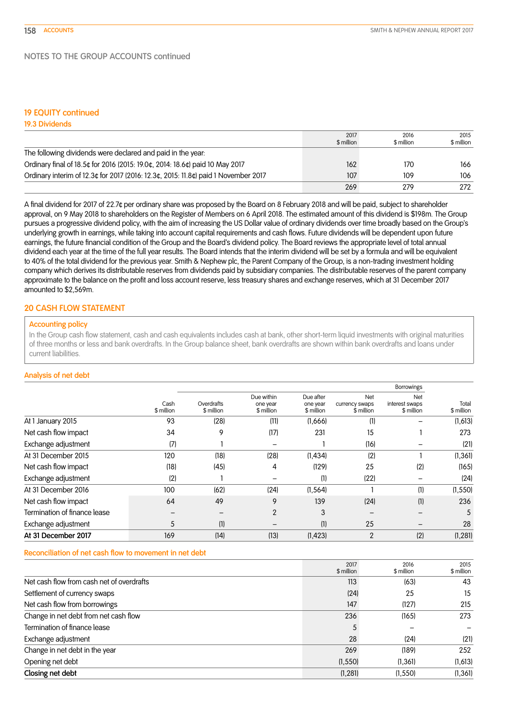# **19 EQUITY continued**

**19.3 Dividends**

|                                                                                    | 2017<br>\$ million | 2016<br>\$ million | 2015<br>\$ million |
|------------------------------------------------------------------------------------|--------------------|--------------------|--------------------|
| The following dividends were declared and paid in the year:                        |                    |                    |                    |
| Ordinary final of 18.5¢ for 2016 (2015: 19.0¢, 2014: 18.6¢) paid 10 May 2017       | 162                | 170                | 166                |
| Ordinary interim of 12.3¢ for 2017 (2016: 12.3¢, 2015: 11.8¢) paid 1 November 2017 | 107                | 109                | 106                |
|                                                                                    | 269                | 279                | 272                |

A final dividend for 2017 of 22.7¢ per ordinary share was proposed by the Board on 8 February 2018 and will be paid, subject to shareholder approval, on 9 May 2018 to shareholders on the Register of Members on 6 April 2018. The estimated amount of this dividend is \$198m. The Group pursues a progressive dividend policy, with the aim of increasing the US Dollar value of ordinary dividends over time broadly based on the Group's underlying growth in earnings, while taking into account capital requirements and cash flows. Future dividends will be dependent upon future earnings, the future financial condition of the Group and the Board's dividend policy. The Board reviews the appropriate level of total annual dividend each year at the time of the full year results. The Board intends that the interim dividend will be set by a formula and will be equivalent to 40% of the total dividend for the previous year. Smith & Nephew plc, the Parent Company of the Group, is a non-trading investment holding company which derives its distributable reserves from dividends paid by subsidiary companies. The distributable reserves of the parent company approximate to the balance on the profit and loss account reserve, less treasury shares and exchange reserves, which at 31 December 2017 amounted to \$2,569m.

# **20 CASH FLOW STATEMENT**

# **Accounting policy**

In the Group cash flow statement, cash and cash equivalents includes cash at bank, other short-term liquid investments with original maturities of three months or less and bank overdrafts. In the Group balance sheet, bank overdrafts are shown within bank overdrafts and loans under current liabilities.

#### **Analysis of net debt**

|                              |                    |                          |                                      |                                     |                                     | <b>Borrowings</b>                   |                     |
|------------------------------|--------------------|--------------------------|--------------------------------------|-------------------------------------|-------------------------------------|-------------------------------------|---------------------|
|                              | Cash<br>\$ million | Overdrafts<br>\$ million | Due within<br>one year<br>\$ million | Due after<br>one year<br>\$ million | Net<br>currency swaps<br>\$ million | Net<br>interest swaps<br>\$ million | Total<br>\$ million |
| At 1 January 2015            | 93                 | (28)                     | (11)                                 | (1,666)                             | (1)                                 |                                     | (1,613)             |
| Net cash flow impact         | 34                 | 9                        | (17)                                 | 231                                 | 15                                  |                                     | 273                 |
| Exchange adjustment          | (7)                |                          |                                      |                                     | (16)                                |                                     | (21)                |
| At 31 December 2015          | 120                | (18)                     | (28)                                 | (1, 434)                            | (2)                                 |                                     | (1, 361)            |
| Net cash flow impact         | (18)               | (45)                     | 4                                    | (129)                               | 25                                  | (2)                                 | (165)               |
| Exchange adjustment          | (2)                |                          |                                      | (1)                                 | (22)                                |                                     | (24)                |
| At 31 December 2016          | 100                | (62)                     | (24)                                 | (1, 564)                            |                                     | (1)                                 | (1, 550)            |
| Net cash flow impact         | 64                 | 49                       | 9                                    | 139                                 | (24)                                | (1)                                 | 236                 |
| Termination of finance lease |                    |                          | $\mathbf{2}$                         | 3                                   |                                     |                                     | 5                   |
| Exchange adjustment          | 5                  | (1)                      |                                      | (1)                                 | 25                                  |                                     | 28                  |
| At 31 December 2017          | 169                | (14)                     | (13)                                 | (1, 423)                            | $\overline{2}$                      | (2)                                 | (1, 281)            |

#### **Reconciliation of net cash flow to movement in net debt**

|                                           | 2017<br>\$ million | 2016<br>\$ million | 2015<br>\$ million |
|-------------------------------------------|--------------------|--------------------|--------------------|
| Net cash flow from cash net of overdrafts | 113                | (63)               | 43                 |
| Settlement of currency swaps              | (24)               | 25                 | 15                 |
| Net cash flow from borrowings             | 147                | (127)              | 215                |
| Change in net debt from net cash flow     | 236                | (165)              | 273                |
| Termination of finance lease              |                    |                    |                    |
| Exchange adjustment                       | 28                 | (24)               | (21)               |
| Change in net debt in the year            | 269                | (189)              | 252                |
| Opening net debt                          | (1, 550)           | (1, 361)           | (1,613)            |
| Closing net debt                          | (1, 281)           | (1, 550)           | (1, 361)           |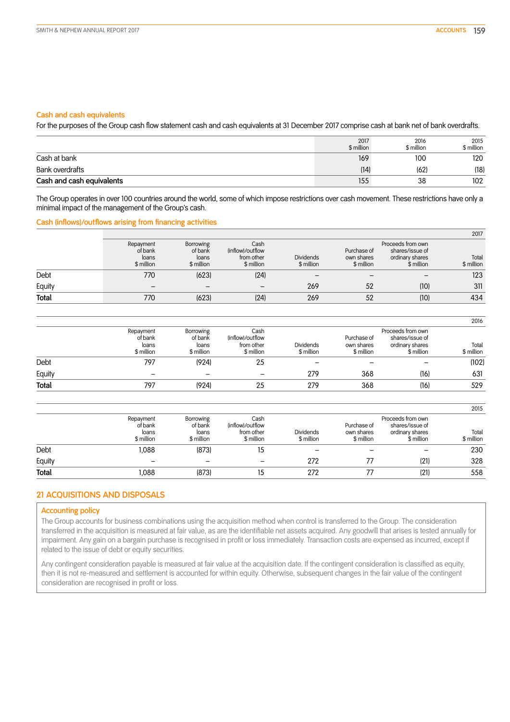#### **Cash and cash equivalents**

For the purposes of the Group cash flow statement cash and cash equivalents at 31 December 2017 comprise cash at bank net of bank overdrafts.

|                           | 2017<br>\$ million | 2016<br>\$ million | 2015<br>\$ million |
|---------------------------|--------------------|--------------------|--------------------|
| Cash at bank              | 169                | 100                | 120                |
| <b>Bank overdrafts</b>    | (14)               | (62)               | (18)               |
| Cash and cash equivalents | 155                | 38                 | 102                |

The Group operates in over 100 countries around the world, some of which impose restrictions over cash movement. These restrictions have only a minimal impact of the management of the Group's cash.

# **Cash (inflows)/outflows arising from financing activities**

|              |                                             |                                             |                                                      |                                |                                         |                                                                       | 2017                |
|--------------|---------------------------------------------|---------------------------------------------|------------------------------------------------------|--------------------------------|-----------------------------------------|-----------------------------------------------------------------------|---------------------|
|              | Repayment<br>of bank<br>loans<br>\$ million | Borrowing<br>of bank<br>loans<br>\$ million | Cash<br>(inflow)/outflow<br>from other<br>\$ million | <b>Dividends</b><br>\$ million | Purchase of<br>own shares<br>\$ million | Proceeds from own<br>shares/issue of<br>ordinary shares<br>\$ million | Total<br>\$ million |
| Debt         | 770                                         | (623)                                       | (24)                                                 |                                |                                         |                                                                       | 123                 |
| Equity       |                                             |                                             |                                                      | 269                            | 52                                      | (10)                                                                  | 311                 |
| <b>Total</b> | 770                                         | (623)                                       | (24)                                                 | 269                            | 52                                      | (10)                                                                  | 434                 |

|        |                                             |                                             |                                                      |                                |                                         |                                                                       | 2016                |
|--------|---------------------------------------------|---------------------------------------------|------------------------------------------------------|--------------------------------|-----------------------------------------|-----------------------------------------------------------------------|---------------------|
|        | Repayment<br>of bank<br>loans<br>\$ million | Borrowing<br>of bank<br>loans<br>\$ million | Cash<br>(inflow)/outflow<br>from other<br>\$ million | <b>Dividends</b><br>\$ million | Purchase of<br>own shares<br>\$ million | Proceeds from own<br>shares/issue of<br>ordinary shares<br>\$ million | Total<br>\$ million |
| Debt   | 797                                         | (924)                                       | 25                                                   |                                |                                         |                                                                       | (102)               |
| Equity | -                                           |                                             |                                                      | 279                            | 368                                     | (16)                                                                  | 631                 |
| Total  | 797                                         | (924)                                       | 25                                                   | 279                            | 368                                     | (16)                                                                  | 529                 |

|              |                                             |                                             |                                                      |                                |                                         |                                                                       | 2015                |
|--------------|---------------------------------------------|---------------------------------------------|------------------------------------------------------|--------------------------------|-----------------------------------------|-----------------------------------------------------------------------|---------------------|
|              | Repayment<br>of bank<br>loans<br>\$ million | Borrowing<br>of bank<br>loans<br>\$ million | Cash<br>(inflow)/outflow<br>from other<br>\$ million | <b>Dividends</b><br>\$ million | Purchase of<br>own shares<br>\$ million | Proceeds from own<br>shares/issue of<br>ordinary shares<br>\$ million | Total<br>\$ million |
| Debt         | 1,088                                       | (873)                                       | I5                                                   | $\overline{\phantom{0}}$       |                                         |                                                                       | 230                 |
| Equity       | $\overline{\phantom{0}}$                    | $\overline{\phantom{m}}$                    |                                                      | 272                            |                                         | (21)                                                                  | 328                 |
| <b>Total</b> | 1,088                                       | (873)                                       | 15                                                   | 272                            |                                         | (21)                                                                  | 558                 |

# **21 ACQUISITIONS AND DISPOSALS**

# **Accounting policy**

The Group accounts for business combinations using the acquisition method when control is transferred to the Group. The consideration transferred in the acquisition is measured at fair value, as are the identifiable net assets acquired. Any goodwill that arises is tested annually for impairment. Any gain on a bargain purchase is recognised in profit or loss immediately. Transaction costs are expensed as incurred, except if related to the issue of debt or equity securities.

Any contingent consideration payable is measured at fair value at the acquisition date. If the contingent consideration is classified as equity, then it is not re-measured and settlement is accounted for within equity. Otherwise, subsequent changes in the fair value of the contingent consideration are recognised in profit or loss.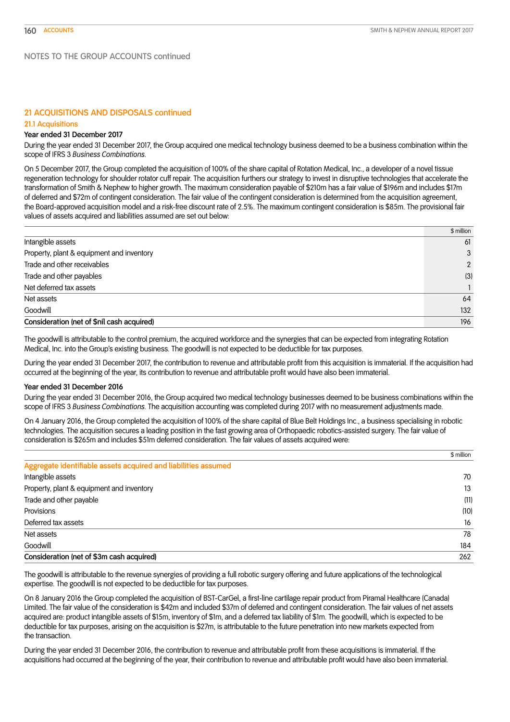#### **21 ACQUISITIONS AND DISPOSALS continued**

#### **21.1 Acquisitions**

#### **Year ended 31 December 2017**

During the year ended 31 December 2017, the Group acquired one medical technology business deemed to be a business combination within the scope of IFRS 3 *Business Combinations*.

On 5 December 2017, the Group completed the acquisition of 100% of the share capital of Rotation Medical, Inc., a developer of a novel tissue regeneration technology for shoulder rotator cuff repair. The acquisition furthers our strategy to invest in disruptive technologies that accelerate the transformation of Smith & Nephew to higher growth. The maximum consideration payable of \$210m has a fair value of \$196m and includes \$17m of deferred and \$72m of contingent consideration. The fair value of the contingent consideration is determined from the acquisition agreement, the Board-approved acquisition model and a risk-free discount rate of 2.5%. The maximum contingent consideration is \$85m. The provisional fair values of assets acquired and liabilities assumed are set out below:

|                                            | \$ million            |
|--------------------------------------------|-----------------------|
| Intangible assets                          | 61                    |
| Property, plant & equipment and inventory  | 3                     |
| Trade and other receivables                | $\mathbf{2}^{\prime}$ |
| Trade and other payables                   | (3)                   |
| Net deferred tax assets                    |                       |
| Net assets                                 | 64                    |
| Goodwill                                   | 132                   |
| Consideration (net of \$nil cash acquired) | 196                   |

The goodwill is attributable to the control premium, the acquired workforce and the synergies that can be expected from integrating Rotation Medical, Inc. into the Group's existing business. The goodwill is not expected to be deductible for tax purposes.

During the year ended 31 December 2017, the contribution to revenue and attributable profit from this acquisition is immaterial. If the acquisition had occurred at the beginning of the year, its contribution to revenue and attributable profit would have also been immaterial.

#### **Year ended 31 December 2016**

During the year ended 31 December 2016, the Group acquired two medical technology businesses deemed to be business combinations within the scope of IFRS 3 *Business Combinations*. The acquisition accounting was completed during 2017 with no measurement adjustments made.

On 4 January 2016, the Group completed the acquisition of 100% of the share capital of Blue Belt Holdings Inc., a business specialising in robotic technologies. The acquisition secures a leading position in the fast growing area of Orthopaedic robotics-assisted surgery. The fair value of consideration is \$265m and includes \$51m deferred consideration. The fair values of assets acquired were:

|                                                                | \$ million |
|----------------------------------------------------------------|------------|
| Aggregate identifiable assets acquired and liabilities assumed |            |
| Intangible assets                                              | 70         |
| Property, plant & equipment and inventory                      | 13         |
| Trade and other payable                                        | (11)       |
| Provisions                                                     | (10)       |
| Deferred tax assets                                            | 16         |
| Net assets                                                     | 78         |
| Goodwill                                                       | 184        |
| Consideration (net of \$3m cash acquired)                      | 262        |

The goodwill is attributable to the revenue synergies of providing a full robotic surgery offering and future applications of the technological expertise. The goodwill is not expected to be deductible for tax purposes.

On 8 January 2016 the Group completed the acquisition of BST-CarGel, a first-line cartilage repair product from Piramal Healthcare (Canada) Limited. The fair value of the consideration is \$42m and included \$37m of deferred and contingent consideration. The fair values of net assets acquired are: product intangible assets of \$15m, inventory of \$1m, and a deferred tax liability of \$1m. The goodwill, which is expected to be deductible for tax purposes, arising on the acquisition is \$27m, is attributable to the future penetration into new markets expected from the transaction.

During the year ended 31 December 2016, the contribution to revenue and attributable profit from these acquisitions is immaterial. If the acquisitions had occurred at the beginning of the year, their contribution to revenue and attributable profit would have also been immaterial.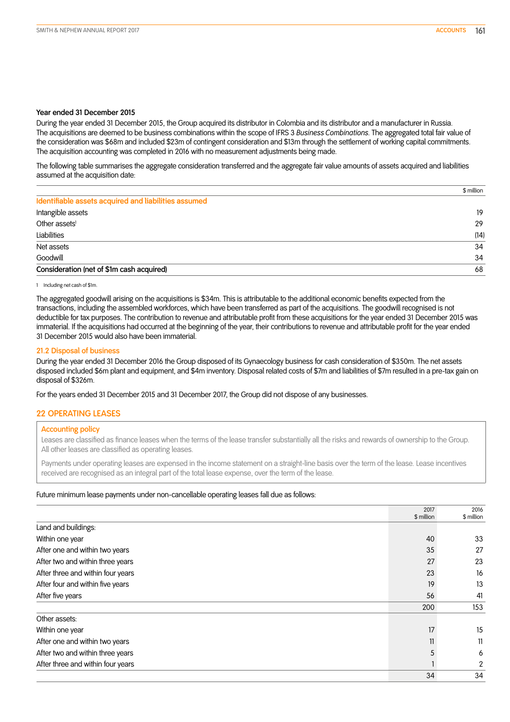#### **Year ended 31 December 2015**

During the year ended 31 December 2015, the Group acquired its distributor in Colombia and its distributor and a manufacturer in Russia. The acquisitions are deemed to be business combinations within the scope of IFRS 3 *Business Combinations*. The aggregated total fair value of the consideration was \$68m and included \$23m of contingent consideration and \$13m through the settlement of working capital commitments. The acquisition accounting was completed in 2016 with no measurement adjustments being made.

The following table summarises the aggregate consideration transferred and the aggregate fair value amounts of assets acquired and liabilities assumed at the acquisition date:

|                                                      | \$ million |
|------------------------------------------------------|------------|
| Identifiable assets acquired and liabilities assumed |            |
| Intangible assets                                    | 19         |
| Other assets <sup>1</sup>                            | 29         |
| Liabilities                                          | (14)       |
| Net assets                                           | 34         |
| Goodwill                                             | 34         |
| Consideration (net of \$1m cash acquired)            | 68         |

#### 1 Including net cash of \$1m.

The aggregated goodwill arising on the acquisitions is \$34m. This is attributable to the additional economic benefits expected from the transactions, including the assembled workforces, which have been transferred as part of the acquisitions. The goodwill recognised is not deductible for tax purposes. The contribution to revenue and attributable profit from these acquisitions for the year ended 31 December 2015 was immaterial. If the acquisitions had occurred at the beginning of the year, their contributions to revenue and attributable profit for the year ended 31 December 2015 would also have been immaterial.

#### **21.2 Disposal of business**

During the year ended 31 December 2016 the Group disposed of its Gynaecology business for cash consideration of \$350m. The net assets disposed included \$6m plant and equipment, and \$4m inventory. Disposal related costs of \$7m and liabilities of \$7m resulted in a pre-tax gain on disposal of \$326m.

For the years ended 31 December 2015 and 31 December 2017, the Group did not dispose of any businesses.

#### **22 OPERATING LEASES**

#### **Accounting policy**

Leases are classified as finance leases when the terms of the lease transfer substantially all the risks and rewards of ownership to the Group. All other leases are classified as operating leases.

Payments under operating leases are expensed in the income statement on a straight-line basis over the term of the lease. Lease incentives received are recognised as an integral part of the total lease expense, over the term of the lease.

#### Future minimum lease payments under non-cancellable operating leases fall due as follows:

|                                   | 2017<br>\$ million | 2016<br>\$ million |
|-----------------------------------|--------------------|--------------------|
| Land and buildings:               |                    |                    |
| Within one year                   | 40                 | 33                 |
| After one and within two years    | 35                 | 27                 |
| After two and within three years  | 27                 | 23                 |
| After three and within four years | 23                 | 16                 |
| After four and within five years  | 19                 | 13                 |
| After five years                  | 56                 | 41                 |
|                                   | 200                | 153                |
| Other assets:                     |                    |                    |
| Within one year                   | 17                 | 15                 |
| After one and within two years    | 11                 | 11                 |
| After two and within three years  | 5                  | 6                  |
| After three and within four years |                    | 2                  |
|                                   | 34                 | 34                 |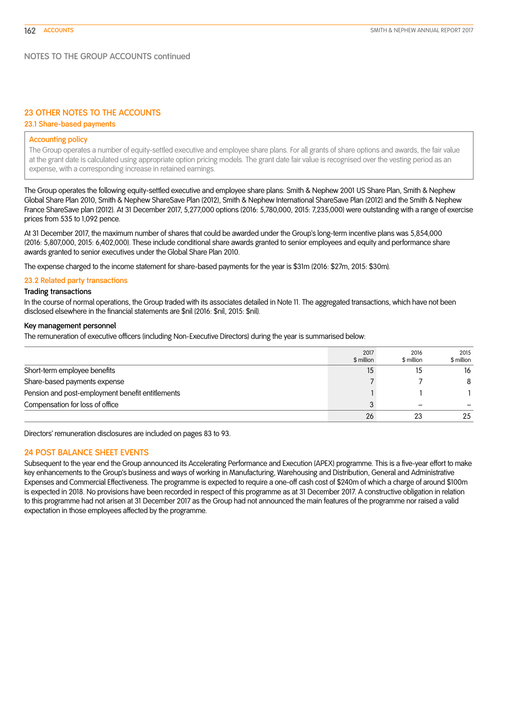# **23 OTHER NOTES TO THE ACCOUNTS**

## **23.1 Share-based payments**

# **Accounting policy**

The Group operates a number of equity-settled executive and employee share plans. For all grants of share options and awards, the fair value at the grant date is calculated using appropriate option pricing models. The grant date fair value is recognised over the vesting period as an expense, with a corresponding increase in retained earnings.

The Group operates the following equity-settled executive and employee share plans: Smith & Nephew 2001 US Share Plan, Smith & Nephew Global Share Plan 2010, Smith & Nephew ShareSave Plan (2012), Smith & Nephew International ShareSave Plan (2012) and the Smith & Nephew France ShareSave plan (2012). At 31 December 2017, 5,277,000 options (2016: 5,780,000, 2015: 7,235,000) were outstanding with a range of exercise prices from 535 to 1,092 pence.

At 31 December 2017, the maximum number of shares that could be awarded under the Group's long-term incentive plans was 5,854,000 (2016: 5,807,000, 2015: 6,402,000). These include conditional share awards granted to senior employees and equity and performance share awards granted to senior executives under the Global Share Plan 2010.

The expense charged to the income statement for share-based payments for the year is \$31m (2016: \$27m, 2015: \$30m).

#### **23.2 Related party transactions**

#### **Trading transactions**

In the course of normal operations, the Group traded with its associates detailed in Note 11. The aggregated transactions, which have not been disclosed elsewhere in the financial statements are \$nil (2016: \$nil, 2015: \$nil).

#### **Key management personnel**

The remuneration of executive officers (including Non-Executive Directors) during the year is summarised below:

|                                                  | 2017<br>\$ million | 2016<br>\$ million | 2015<br>\$ million |
|--------------------------------------------------|--------------------|--------------------|--------------------|
| Short-term employee benefits                     |                    |                    | 16                 |
| Share-based payments expense                     |                    |                    | 8                  |
| Pension and post-employment benefit entitlements |                    |                    |                    |
| Compensation for loss of office                  |                    |                    |                    |
|                                                  | 26                 |                    | 25                 |

Directors' remuneration disclosures are included on pages 83 to 93.

#### **24 POST BALANCE SHEET EVENTS**

Subsequent to the year end the Group announced its Accelerating Performance and Execution (APEX) programme. This is a five-year effort to make key enhancements to the Group's business and ways of working in Manufacturing, Warehousing and Distribution, General and Administrative Expenses and Commercial Effectiveness. The programme is expected to require a one-off cash cost of \$240m of which a charge of around \$100m is expected in 2018. No provisions have been recorded in respect of this programme as at 31 December 2017. A constructive obligation in relation to this programme had not arisen at 31 December 2017 as the Group had not announced the main features of the programme nor raised a valid expectation in those employees affected by the programme.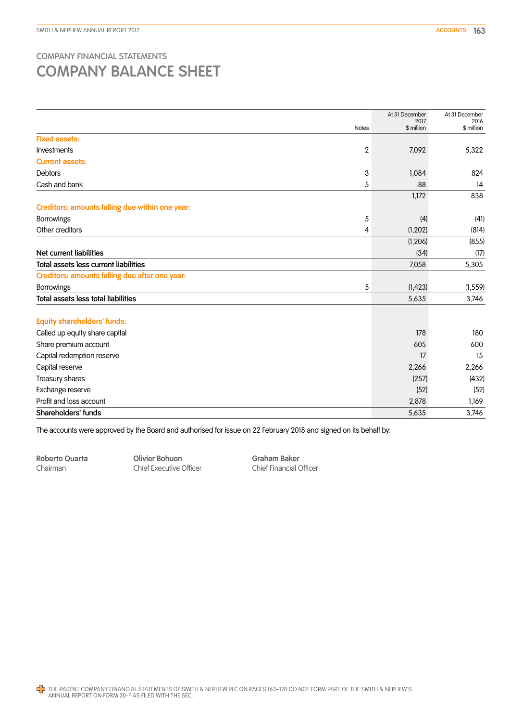# **COMPANY BALANCE SHEET COMPANY FINANCIAL STATEMENTS**

|                                                 | At 31 December<br>2017 | At 31 December<br>2016 |
|-------------------------------------------------|------------------------|------------------------|
| <b>Notes</b>                                    | \$ million             | \$ million             |
| <b>Fixed assets:</b>                            |                        |                        |
| $\overline{2}$<br>Investments                   | 7,092                  | 5,322                  |
| <b>Current assets:</b>                          |                        |                        |
| 3<br><b>Debtors</b>                             | 1,084                  | 824                    |
| Cash and bank<br>5                              | 88                     | 14                     |
|                                                 | 1,172                  | 838                    |
| Creditors: amounts falling due within one year: |                        |                        |
| 5<br><b>Borrowings</b>                          | (4)                    | (41)                   |
| Other creditors<br>4                            | (1, 202)               | (814)                  |
|                                                 | (1, 206)               | (855)                  |
| Net current liabilities                         | (34)                   | (17)                   |
| Total assets less current liabilities           | 7,058                  | 5,305                  |
| Creditors: amounts falling due after one year:  |                        |                        |
| 5<br><b>Borrowings</b>                          | (1, 423)               | (1, 559)               |
| Total assets less total liabilities             | 5,635                  | 3,746                  |
| Equity shareholders' funds:                     |                        |                        |
| Called up equity share capital                  | 178                    | 180                    |
| Share premium account                           | 605                    | 600                    |
| Capital redemption reserve                      | 17                     | 15                     |
| Capital reserve                                 | 2,266                  | 2,266                  |
| Treasury shares                                 | (257)                  | (432)                  |
| Exchange reserve                                | (52)                   | (52)                   |
| Profit and loss account                         | 2,878                  | 1,169                  |
| Shareholders' funds                             | 5,635                  | 3,746                  |

The accounts were approved by the Board and authorised for issue on 22 February 2018 and signed on its behalf by:

**Roberto Quarta Olivier Bohuon Graham Baker** Chairman Chief Executive Officer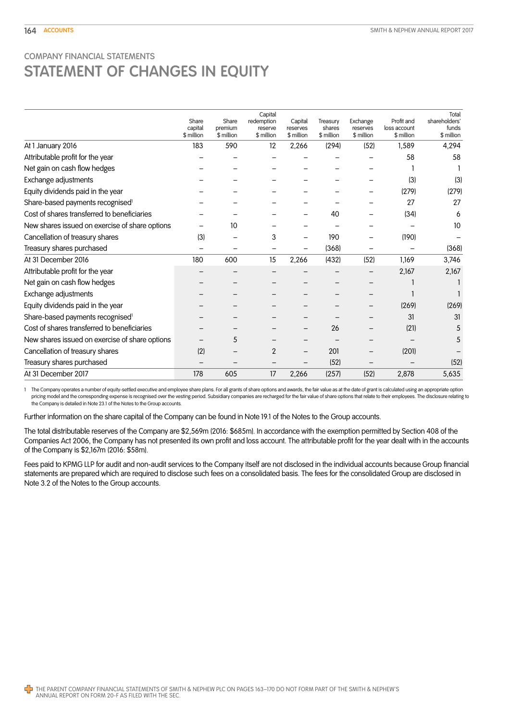# **COMPANY FINANCIAL STATEMENTS STATEMENT OF CHANGES IN EQUITY**

|                                                | Share<br>capital<br>\$ million | Share<br>premium<br>\$ million | Capital<br>redemption<br>reserve<br>\$ million | Capital<br>reserves<br>\$ million | Treasury<br>shares<br>\$ million | Exchange<br>reserves<br>\$ million | Profit and<br>loss account<br>\$ million | Total<br>shareholders'<br>funds<br>\$ million |
|------------------------------------------------|--------------------------------|--------------------------------|------------------------------------------------|-----------------------------------|----------------------------------|------------------------------------|------------------------------------------|-----------------------------------------------|
| At 1 January 2016                              | 183                            | 590                            | 12                                             | 2,266                             | (294)                            | (52)                               | 1,589                                    | 4,294                                         |
| Attributable profit for the year               |                                |                                |                                                |                                   |                                  |                                    | 58                                       | 58                                            |
| Net gain on cash flow hedges                   |                                |                                |                                                |                                   |                                  |                                    |                                          |                                               |
| Exchange adjustments                           |                                |                                |                                                |                                   |                                  |                                    | (3)                                      | (3)                                           |
| Equity dividends paid in the year              |                                |                                |                                                |                                   |                                  |                                    | (279)                                    | (279)                                         |
| Share-based payments recognised <sup>1</sup>   |                                |                                |                                                |                                   |                                  |                                    | 27                                       | 27                                            |
| Cost of shares transferred to beneficiaries    |                                |                                |                                                |                                   | 40                               |                                    | (34)                                     | 6                                             |
| New shares issued on exercise of share options |                                | 10                             |                                                |                                   |                                  |                                    |                                          | 10                                            |
| Cancellation of treasury shares                | (3)                            |                                | 3                                              |                                   | 190                              |                                    | (190)                                    |                                               |
| Treasury shares purchased                      |                                |                                |                                                |                                   | (368)                            |                                    |                                          | (368)                                         |
| At 31 December 2016                            | 180                            | 600                            | 15                                             | 2,266                             | (432)                            | (52)                               | 1.169                                    | 3,746                                         |
| Attributable profit for the year               |                                |                                |                                                |                                   |                                  |                                    | 2,167                                    | 2,167                                         |
| Net gain on cash flow hedges                   |                                |                                |                                                |                                   |                                  |                                    |                                          |                                               |
| Exchange adjustments                           |                                |                                |                                                |                                   |                                  |                                    |                                          |                                               |
| Equity dividends paid in the year              |                                |                                |                                                |                                   |                                  |                                    | (269)                                    | (269)                                         |
| Share-based payments recognised <sup>1</sup>   |                                |                                |                                                |                                   |                                  |                                    | 31                                       | 31                                            |
| Cost of shares transferred to beneficiaries    |                                |                                |                                                |                                   | 26                               |                                    | (21)                                     | 5                                             |
| New shares issued on exercise of share options |                                | 5                              |                                                |                                   |                                  |                                    |                                          | 5                                             |
| Cancellation of treasury shares                | (2)                            |                                | 2                                              |                                   | 201                              |                                    | (201)                                    |                                               |
| Treasury shares purchased                      |                                |                                |                                                |                                   | (52)                             |                                    |                                          | (52)                                          |
| At 31 December 2017                            | 178                            | 605                            | 17                                             | 2,266                             | (257)                            | (52)                               | 2,878                                    | 5,635                                         |

1 The Company operates a number of equity-settled executive and employee share plans. For all grants of share options and awards, the fair value as at the date of grant is calculated using an appropriate option pricing model and the corresponding expense is recognised over the vesting period. Subsidiary companies are recharged for the fair value of share options that relate to their employees. The disclosure relating to<br>the Compa

Further information on the share capital of the Company can be found in Note 19.1 of the Notes to the Group accounts.

The total distributable reserves of the Company are \$2,569m (2016: \$685m). In accordance with the exemption permitted by Section 408 of the Companies Act 2006, the Company has not presented its own profit and loss account. The attributable profit for the year dealt with in the accounts of the Company is \$2,167m (2016: \$58m).

Fees paid to KPMG LLP for audit and non-audit services to the Company itself are not disclosed in the individual accounts because Group financial statements are prepared which are required to disclose such fees on a consolidated basis. The fees for the consolidated Group are disclosed in Note 3.2 of the Notes to the Group accounts.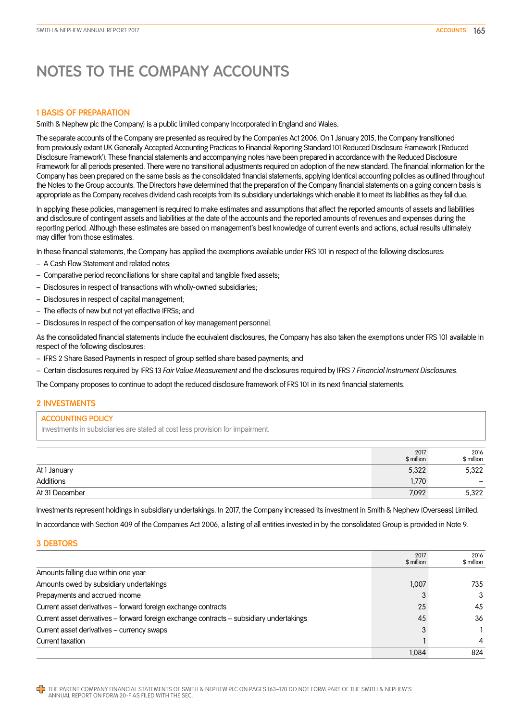# **NOTES TO THE COMPANY ACCOUNTS**

# **1 BASIS OF PREPARATION**

Smith & Nephew plc (the Company) is a public limited company incorporated in England and Wales.

The separate accounts of the Company are presented as required by the Companies Act 2006. On 1 January 2015, the Company transitioned from previously extant UK Generally Accepted Accounting Practices to Financial Reporting Standard 101 Reduced Disclosure Framework ('Reduced Disclosure Framework'). These financial statements and accompanying notes have been prepared in accordance with the Reduced Disclosure Framework for all periods presented. There were no transitional adjustments required on adoption of the new standard. The financial information for the Company has been prepared on the same basis as the consolidated financial statements, applying identical accounting policies as outlined throughout the Notes to the Group accounts. The Directors have determined that the preparation of the Company financial statements on a going concern basis is appropriate as the Company receives dividend cash receipts from its subsidiary undertakings which enable it to meet its liabilities as they fall due.

In applying these policies, management is required to make estimates and assumptions that affect the reported amounts of assets and liabilities and disclosure of contingent assets and liabilities at the date of the accounts and the reported amounts of revenues and expenses during the reporting period. Although these estimates are based on management's best knowledge of current events and actions, actual results ultimately may differ from those estimates.

In these financial statements, the Company has applied the exemptions available under FRS 101 in respect of the following disclosures:

- A Cash Flow Statement and related notes;
- Comparative period reconciliations for share capital and tangible fixed assets;
- Disclosures in respect of transactions with wholly-owned subsidiaries;
- Disclosures in respect of capital management;
- The effects of new but not yet effective IFRSs; and
- Disclosures in respect of the compensation of key management personnel.

As the consolidated financial statements include the equivalent disclosures, the Company has also taken the exemptions under FRS 101 available in respect of the following disclosures:

- IFRS 2 Share Based Payments in respect of group settled share based payments; and
- Certain disclosures required by IFRS 13 *Fair Value Measurement* and the disclosures required by IFRS 7 *Financial Instrument Disclosures*.

The Company proposes to continue to adopt the reduced disclosure framework of FRS 101 in its next financial statements.

# **2 INVESTMENTS**

| <b>ACCOUNTING POLICY</b><br>Investments in subsidiaries are stated at cost less provision for impairment. |  |
|-----------------------------------------------------------------------------------------------------------|--|
|                                                                                                           |  |

|                | 2017       | 2016       |
|----------------|------------|------------|
|                | \$ million | \$ million |
| At 1 January   | 5,322      | 5,322      |
| Additions      | 1,770      | -          |
| At 31 December | 7,092      | 5,322      |

Investments represent holdings in subsidiary undertakings. In 2017, the Company increased its investment in Smith & Nephew (Overseas) Limited.

In accordance with Section 409 of the Companies Act 2006, a listing of all entities invested in by the consolidated Group is provided in Note 9.

#### **3 DEBTORS**

|                                                                                          | 2017<br>\$ million | 2016<br>\$ million |
|------------------------------------------------------------------------------------------|--------------------|--------------------|
| Amounts falling due within one year.                                                     |                    |                    |
| Amounts owed by subsidiary undertakings                                                  | 1.007              | 735                |
| Prepayments and accrued income                                                           | 3                  | 3                  |
| Current asset derivatives - forward foreign exchange contracts                           | 25                 | 45                 |
| Current asset derivatives - forward foreign exchange contracts - subsidiary undertakings | 45                 | 36                 |
| Current asset derivatives - currency swaps                                               | 3                  |                    |
| Current taxation                                                                         |                    | $\overline{4}$     |
|                                                                                          | 1.084              | 824                |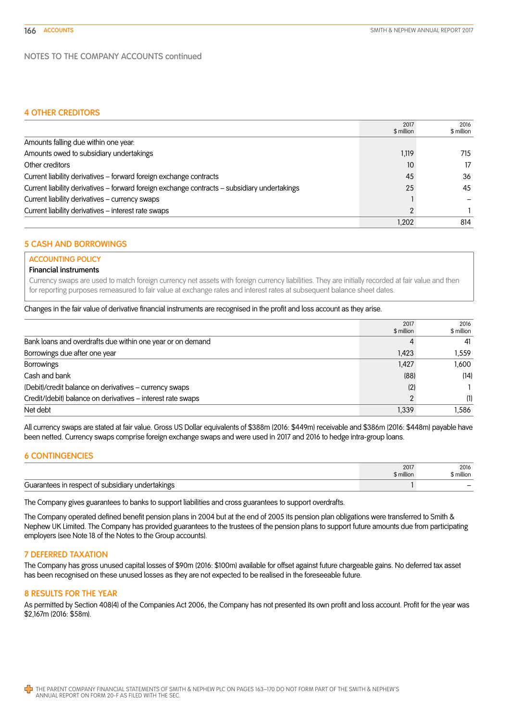## **NOTES TO THE COMPANY ACCOUNTS continued**

# **4 OTHER CREDITORS**

|                                                                                              | 2017<br>\$ million | 2016<br>\$ million |
|----------------------------------------------------------------------------------------------|--------------------|--------------------|
| Amounts falling due within one year:                                                         |                    |                    |
| Amounts owed to subsidiary undertakings                                                      | 1,119              | 715                |
| Other creditors                                                                              | 10                 | 17                 |
| Current liability derivatives - forward foreign exchange contracts                           | 45                 | 36                 |
| Current liability derivatives - forward foreign exchange contracts - subsidiary undertakings | 25                 | 45                 |
| Current liability derivatives - currency swaps                                               |                    |                    |
| Current liability derivatives - interest rate swaps                                          | 0                  |                    |
|                                                                                              | 1.202              | 814                |

# **5 CASH AND BORROWINGS**

# **ACCOUNTING POLICY**

#### **Financial instruments**

Currency swaps are used to match foreign currency net assets with foreign currency liabilities. They are initially recorded at fair value and then for reporting purposes remeasured to fair value at exchange rates and interest rates at subsequent balance sheet dates.

Changes in the fair value of derivative financial instruments are recognised in the profit and loss account as they arise.

|                                                             | 2017<br>\$ million | 2016<br>\$ million |
|-------------------------------------------------------------|--------------------|--------------------|
| Bank loans and overdrafts due within one year or on demand  | 4                  | 41                 |
| Borrowings due after one year                               | 1,423              | 1.559              |
| <b>Borrowings</b>                                           | 1,427              | 1.600              |
| Cash and bank                                               | (88)               | (14)               |
| (Debit)/credit balance on derivatives - currency swaps      | (2)                |                    |
| Credit/(debit) balance on derivatives - interest rate swaps | 2                  | (1)                |
| Net debt                                                    | 1.339              | 1.586              |

All currency swaps are stated at fair value. Gross US Dollar equivalents of \$388m (2016: \$449m) receivable and \$386m (2016: \$448m) payable have been netted. Currency swaps comprise foreign exchange swaps and were used in 2017 and 2016 to hedge intra-group loans.

#### **6 CONTINGENCIES**

|                                                                           | 2017             | 2016      |
|---------------------------------------------------------------------------|------------------|-----------|
|                                                                           | $\delta$ million | s million |
| ∽<br>unde<br>Guar<br>ertakings<br>resneri<br>11885<br>bsidiai.<br>$\cdot$ |                  | -         |

The Company gives guarantees to banks to support liabilities and cross guarantees to support overdrafts.

The Company operated defined benefit pension plans in 2004 but at the end of 2005 its pension plan obligations were transferred to Smith & Nephew UK Limited. The Company has provided guarantees to the trustees of the pension plans to support future amounts due from participating employers (see Note 18 of the Notes to the Group accounts).

#### **7 DEFERRED TAXATION**

The Company has gross unused capital losses of \$90m (2016: \$100m) available for offset against future chargeable gains. No deferred tax asset has been recognised on these unused losses as they are not expected to be realised in the foreseeable future.

#### **8 RESULTS FOR THE YEAR**

ď

As permitted by Section 408(4) of the Companies Act 2006, the Company has not presented its own profit and loss account. Profit for the year was \$2,167m (2016: \$58m).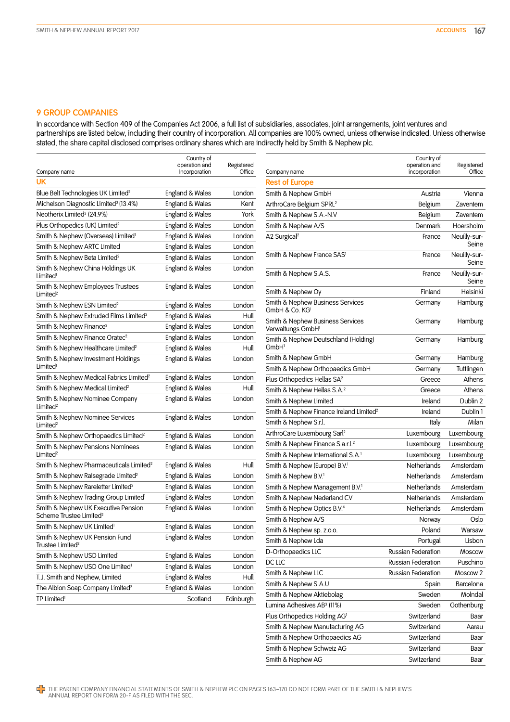# **9 GROUP COMPANIES**

In accordance with Section 409 of the Companies Act 2006, a full list of subsidiaries, associates, joint arrangements, joint ventures and partnerships are listed below, including their country of incorporation. All companies are 100% owned, unless otherwise indicated. Unless otherwise stated, the share capital disclosed comprises ordinary shares which are indirectly held by Smith & Nephew plc.

|                                                                            | Country of<br>operation and | Registered |
|----------------------------------------------------------------------------|-----------------------------|------------|
| Company name                                                               | incorporation               | Office     |
| UK                                                                         |                             |            |
| Blue Belt Technologies UK Limited <sup>2</sup>                             | England & Wales             | London     |
| Michelson Diagnostic Limited <sup>3</sup> (13.4%)                          | England & Wales             | Kent       |
| Neotherix Limited <sup>3</sup> (24.9%)                                     | England & Wales             | York       |
| Plus Orthopedics (UK) Limited <sup>2</sup>                                 | England & Wales             | London     |
| Smith & Nephew (Overseas) Limited <sup>1</sup>                             | England & Wales             | London     |
| Smith & Nephew ARTC Limited                                                | England & Wales             | London     |
| Smith & Nephew Beta Limited <sup>2</sup>                                   | England & Wales             | London     |
| Smith & Nephew China Holdings UK<br>Limited <sup>1</sup>                   | England & Wales             | London     |
| Smith & Nephew Employees Trustees<br>Limited <sup>2</sup>                  | England & Wales             | London     |
| Smith & Nephew ESN Limited <sup>2</sup>                                    | England & Wales             | London     |
| Smith & Nephew Extruded Films Limited <sup>2</sup>                         | England & Wales             | Hull       |
| Smith & Nephew Finance <sup>2</sup>                                        | England & Wales             | London     |
| Smith & Nephew Finance Oratec <sup>2</sup>                                 | England & Wales             | London     |
| Smith & Nephew Healthcare Limited <sup>2</sup>                             | England & Wales             | Hull       |
| Smith & Nephew Investment Holdings<br>Limited <sup>1</sup>                 | England & Wales             | London     |
| Smith & Nephew Medical Fabrics Limited <sup>2</sup>                        | England & Wales             | London     |
| Smith & Nephew Medical Limited <sup>2</sup>                                | England & Wales             | Hull       |
| Smith & Nephew Nominee Company<br>Limited <sup>2</sup>                     | England & Wales             | London     |
| Smith & Nephew Nominee Services<br>Limited <sup>2</sup>                    | England & Wales             | London     |
| Smith & Nephew Orthopaedics Limited <sup>2</sup>                           | England & Wales             | London     |
| Smith & Nephew Pensions Nominees<br>Limited <sup>2</sup>                   | England & Wales             | London     |
| Smith & Nephew Pharmaceuticals Limited <sup>2</sup>                        | England & Wales             | Hull       |
| Smith & Nephew Raisegrade Limited <sup>2</sup>                             | England & Wales             | London     |
| Smith & Nephew Rareletter Limited <sup>2</sup>                             | England & Wales             | London     |
| Smith & Nephew Trading Group Limited <sup>1</sup>                          | England & Wales             | London     |
| Smith & Nephew UK Executive Pension<br>Scheme Trustee Limited <sup>2</sup> | England & Wales             | London     |
| Smith & Nephew UK Limited <sup>1</sup>                                     | England & Wales             | London     |
| Smith & Nephew UK Pension Fund<br>Trustee Limited <sup>2</sup>             | England & Wales             | London     |
| Smith & Nephew USD Limited <sup>1</sup>                                    | England & Wales             | London     |
| Smith & Nephew USD One Limited <sup>1</sup>                                | England & Wales             | London     |
| T.J. Smith and Nephew, Limited                                             | England & Wales             | Hull       |
| The Albion Soap Company Limited <sup>2</sup>                               | England & Wales             | London     |
| TP Limited <sup>1</sup>                                                    | Scotland                    | Edinburgh  |

|                                                                   | Country of<br>operation and<br>incorporation | Registered<br>Office  |
|-------------------------------------------------------------------|----------------------------------------------|-----------------------|
| Company name<br><b>Rest of Europe</b>                             |                                              |                       |
|                                                                   |                                              |                       |
| Smith & Nephew GmbH                                               | Austria                                      | Vienna                |
| ArthroCare Belgium SPRL <sup>2</sup>                              | Belgium                                      | Zaventem              |
| Smith & Nephew S.A.-N.V                                           | Belgium                                      | Zaventem              |
| Smith & Nephew A/S                                                | Denmark                                      | Hoersholm             |
| A2 Surgical <sup>2</sup>                                          | France                                       | Neuilly-sur-<br>Seine |
| Smith & Nephew France SAS <sup>1</sup>                            | France                                       | Neuilly-sur-<br>Seine |
| Smith & Nephew S.A.S.                                             | France                                       | Neuilly-sur-<br>Seine |
| Smith & Nephew Oy                                                 | Finland                                      | Helsinki              |
| Smith & Nephew Business Services<br>GmbH & Co. KG <sup>1</sup>    | Germany                                      | Hamburg               |
| Smith & Nephew Business Services<br>Verwaltungs GmbH <sup>1</sup> | Germany                                      | Hamburg               |
| Smith & Nephew Deutschland (Holding)<br>GmbH <sup>1</sup>         | Germany                                      | Hamburg               |
| Smith & Nephew GmbH                                               | Germany                                      | Hamburg               |
| Smith & Nephew Orthopaedics GmbH                                  | Germany                                      | Tuttlingen            |
| Plus Orthopedics Hellas SA <sup>2</sup>                           | Greece                                       | Athens                |
| Smith & Nephew Hellas S.A. <sup>2</sup>                           | Greece                                       | Athens                |
| Smith & Nephew Limited                                            | Ireland                                      | Dublin 2              |
| Smith & Nephew Finance Ireland Limited <sup>2</sup>               | Ireland                                      | Dublin 1              |
| Smith & Nephew S.r.l.                                             | Italy                                        | Milan                 |
| ArthroCare Luxembourg Sarl <sup>2</sup>                           | Luxembourg                                   | Luxembourg            |
| Smith & Nephew Finance S.a.r.l. <sup>2</sup>                      | Luxembourg                                   | Luxembourg            |
| Smith & Nephew International S.A. <sup>1</sup>                    | Luxembourg                                   | Luxembourg            |
| Smith & Nephew (Europe) B.V. <sup>1</sup>                         | Netherlands                                  | Amsterdam             |
| Smith & Nephew B.V. <sup>1</sup>                                  | Netherlands                                  | Amsterdam             |
| Smith & Nephew Management B.V. <sup>1</sup>                       | Netherlands                                  | Amsterdam             |
| Smith & Nephew Nederland CV                                       | Netherlands                                  | Amsterdam             |
| Smith & Nephew Optics B.V. <sup>4</sup>                           | Netherlands                                  | Amsterdam             |
| Smith & Nephew A/S                                                | Norway                                       | Oslo                  |
| Smith & Nephew sp. z.o.o.                                         | Poland                                       | Warsaw                |
| Smith & Nephew Lda                                                | Portugal                                     | Lisbon                |
| D-Orthopaedics LLC                                                | Russian Federation                           | Moscow                |
| DC LLC                                                            | <b>Russian Federation</b>                    | Puschino              |
| Smith & Nephew LLC                                                | <b>Russian Federation</b>                    | Moscow <sub>2</sub>   |
| Smith & Nephew S.A.U                                              | Spain                                        | Barcelona             |
| Smith & Nephew Aktiebolag                                         | Sweden                                       | Molndal               |
| Lumina Adhesives AB <sup>3</sup> (11%)                            | Sweden                                       | Gothenburg            |
| Plus Orthopedics Holding AG <sup>1</sup>                          | Switzerland                                  | Baar                  |
| Smith & Nephew Manufacturing AG                                   | Switzerland                                  | Aarau                 |
| Smith & Nephew Orthopaedics AG                                    | Switzerland                                  | Baar                  |
| Smith & Nephew Schweiz AG                                         | Switzerland                                  | Baar                  |
| Smith & Nephew AG                                                 | Switzerland                                  | Baar                  |
|                                                                   |                                              |                       |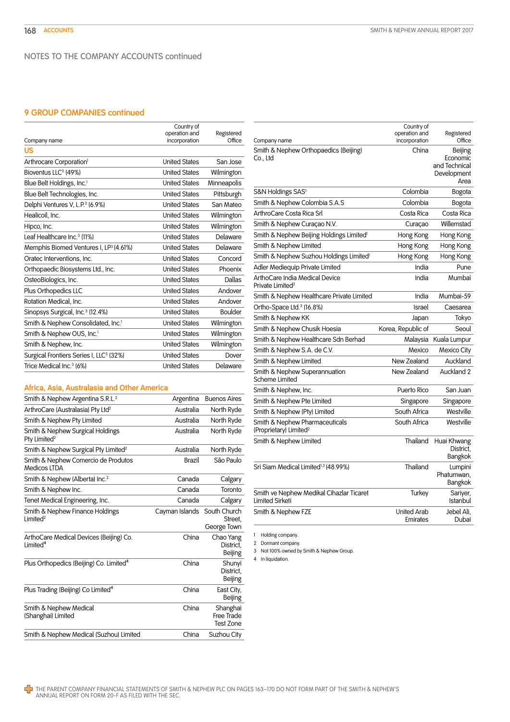# **9 GROUP COMPANIES continued**

|                                                     | Country of           |             |
|-----------------------------------------------------|----------------------|-------------|
|                                                     | operation and        | Registered  |
| Company name                                        | incorporation        | Office      |
| US                                                  |                      |             |
| Arthrocare Corporation <sup>1</sup>                 | <b>United States</b> | San Jose    |
| Bioventus LLC <sup>3</sup> (49%)                    | <b>United States</b> | Wilmington  |
| Blue Belt Holdings, Inc. <sup>1</sup>               | <b>United States</b> | Minneapolis |
| Blue Belt Technologies, Inc.                        | <b>United States</b> | Pittsburgh  |
| Delphi Ventures V, L.P. <sup>3</sup> (6.9%)         | <b>United States</b> | San Mateo   |
| Healicoil, Inc.                                     | <b>United States</b> | Wilmington  |
| Hipco, Inc.                                         | <b>United States</b> | Wilmington  |
| Leaf Healthcare Inc. <sup>3</sup> (11%)             | <b>United States</b> | Delaware    |
| Memphis Biomed Ventures I, LP <sup>3</sup> (4.61%)  | <b>United States</b> | Delaware    |
| Oratec Interventions, Inc.                          | <b>United States</b> | Concord     |
| Orthopaedic Biosystems Ltd., Inc.                   | <b>United States</b> | Phoenix     |
| OsteoBiologics, Inc.                                | <b>United States</b> | Dallas      |
| Plus Orthopedics LLC                                | <b>United States</b> | Andover     |
| Rotation Medical, Inc.                              | <b>United States</b> | Andover     |
| Sinopsys Surgical, Inc. <sup>3</sup> (12.4%)        | <b>United States</b> | Boulder     |
| Smith & Nephew Consolidated, Inc. <sup>1</sup>      | <b>United States</b> | Wilmington  |
| Smith & Nephew OUS, Inc. <sup>1</sup>               | <b>United States</b> | Wilmington  |
| Smith & Nephew, Inc.                                | <b>United States</b> | Wilmington  |
| Surgical Frontiers Series I, LLC <sup>3</sup> (32%) | <b>United States</b> | Dover       |
| Trice Medical Inc. <sup>3</sup> (6%)                | <b>United States</b> | Delaware    |

# **Africa, Asia, Australasia and Other America**

| Smith & Nephew Argentina S.R.L. <sup>2</sup>                     | Argentina      | <b>Buenos Aires</b>                        |
|------------------------------------------------------------------|----------------|--------------------------------------------|
| ArthroCare (Australasia) Pty Ltd <sup>2</sup>                    | Australia      | North Ryde                                 |
| Smith & Nephew Pty Limited                                       | Australia      | North Ryde                                 |
| Smith & Nephew Surgical Holdings<br>Pty Limited <sup>2</sup>     | Australia      | North Ryde                                 |
| Smith & Nephew Surgical Pty Limited <sup>2</sup>                 | Australia      | North Ryde                                 |
| Smith & Nephew Comercio de Produtos<br>Medicos LTDA              | Brazil         | São Paulo                                  |
| Smith & Nephew (Alberta) Inc. <sup>2</sup>                       | Canada         | Calgary                                    |
| Smith & Nephew Inc.                                              | Canada         | Toronto                                    |
| Tenet Medical Engineering, Inc.                                  | Canada         | Calgary                                    |
| Smith & Nephew Finance Holdings<br>Limited <sup>2</sup>          | Cayman Islands | South Church<br>Street.<br>George Town     |
| ArthoCare Medical Devices (Beijing) Co.<br>I imited <sup>4</sup> | China          | Chao Yang<br>District.<br>Beijing          |
| Plus Orthopedics (Beijing) Co. Limited <sup>4</sup>              | China          | Shunyi<br>District.<br>Beijing             |
| Plus Trading (Beijing) Co Limited <sup>4</sup>                   | China          | East City,<br>Beijing                      |
| Smith & Nephew Medical<br>(Shanghai) Limited                     | China          | Shanghai<br>Free Trade<br><b>Test Zone</b> |
| Smith & Nephew Medical (Suzhou) Limited                          | China          | Suzhou City                                |

| Company name                                                         | Country of<br>operation and<br>incorporation | Registered<br>Office                                        |
|----------------------------------------------------------------------|----------------------------------------------|-------------------------------------------------------------|
| Smith & Nephew Orthopaedics (Beijing)<br>Co., Ltd                    | China                                        | Beijing<br>Economic<br>and Technical<br>Development<br>Area |
| S&N Holdings SAS <sup>1</sup>                                        | Colombia                                     | Bogota                                                      |
| Smith & Nephew Colombia S.A.S                                        | Colombia                                     | Bogota                                                      |
| ArthroCare Costa Rica Srl                                            | Costa Rica                                   | Costa Rica                                                  |
| Smith & Nephew Curacao N.V.                                          | Curacao                                      | Willemstad                                                  |
| Smith & Nephew Beijing Holdings Limited <sup>1</sup>                 | Hong Kong                                    | Hong Kong                                                   |
| Smith & Nephew Limited                                               | Hong Kong                                    | Hong Kong                                                   |
| Smith & Nephew Suzhou Holdings Limited <sup>1</sup>                  | Hong Kong                                    | Hong Kong                                                   |
| Adler Mediequip Private Limited                                      | India                                        | Pune                                                        |
| ArthoCare India Medical Device<br>Private Limited <sup>2</sup>       | India                                        | Mumbai                                                      |
| Smith & Nephew Healthcare Private Limited                            | India                                        | Mumbai-59                                                   |
| Ortho-Space Ltd. <sup>3</sup> (16.8%)                                | Israel                                       | Caesarea                                                    |
| Smith & Nephew KK                                                    | Japan                                        | Tokyo                                                       |
| Smith & Nephew Chusik Hoesia                                         | Korea, Republic of                           | Seoul                                                       |
| Smith & Nephew Healthcare Sdn Berhad                                 | Malaysia                                     | Kuala Lumpur                                                |
| Smith & Nephew S.A. de C.V.                                          | Mexico                                       | <b>Mexico City</b>                                          |
| Smith & Nephew Limited                                               | New Zealand                                  | Auckland                                                    |
| Smith & Nephew Superannuation<br><b>Scheme Limited</b>               | New Zealand                                  | Auckland 2                                                  |
| Smith & Nephew, Inc.                                                 | <b>Puerto Rico</b>                           | San Juan                                                    |
| Smith & Nephew Pte Limited                                           | Singapore                                    | Singapore                                                   |
| Smith & Nephew (Pty) Limited                                         | South Africa                                 | Westville                                                   |
| Smith & Nephew Pharmaceuticals<br>(Proprietary) Limited <sup>2</sup> | South Africa                                 | Westville                                                   |
| Smith & Nephew Limited                                               | Thailand                                     | Huai Khwang<br>District,<br>Bangkok                         |
| Sri Siam Medical Limited <sup>1,3</sup> (48.99%)                     | Thailand                                     | Lumpini<br>Phatumwan,<br>Bangkok                            |
| Smith ve Nephew Medikal Cihazlar Ticaret<br><b>Limited Sirketi</b>   | Turkey                                       | Sariyer,<br>Istanbul                                        |
| Smith & Nephew FZE                                                   | <b>United Arab</b><br>Emirates               | Jebel Ali.<br>Dubai                                         |

1 Holding company.

2 Dormant company.

3 Not 100% owned by Smith & Nephew Group.

4 In liquidation.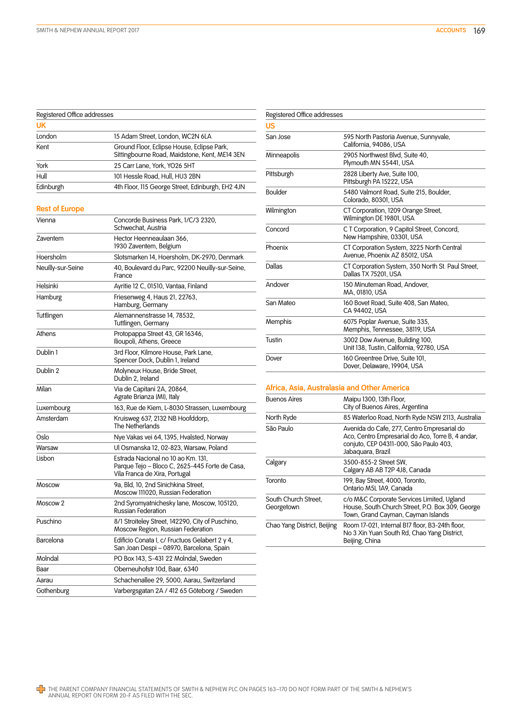# **Rest of Europe**

| Vienna              | Concorde Business Park, 1/C/3 2320,<br>Schwechat, Austria                                                             |
|---------------------|-----------------------------------------------------------------------------------------------------------------------|
| Zaventem            | Hector Heenneaulaan 366,<br>1930 Zaventem, Belgium                                                                    |
| Hoersholm           | Slotsmarken 14, Hoersholm, DK-2970, Denmark                                                                           |
| Neuilly-sur-Seine   | 40, Boulevard du Parc, 92200 Neuilly-sur-Seine,<br>France                                                             |
| Helsinki            | Ayritie 12 C, 01510, Vantaa, Finland                                                                                  |
| Hamburg             | Friesenweg 4, Haus 21, 22763,<br>Hamburg, Germany                                                                     |
| Tuttlingen          | Alemannenstrasse 14, 78532,<br>Tuttlingen, Germany                                                                    |
| Athens              | Protopappa Street 43, GR 16346,<br>Ilioupoli, Athens, Greece                                                          |
| Dublin 1            | 3rd Floor, Kilmore House, Park Lane,<br>Spencer Dock, Dublin 1, Ireland                                               |
| Dublin 2            | Molyneux House, Bride Street,<br>Dublin 2, Ireland                                                                    |
| Milan               | Via de Capitani 2A, 20864,<br>Agrate Brianza (MI), Italy                                                              |
| Luxembourg          | 163, Rue de Kiem, L-8030 Strassen, Luxembourg                                                                         |
| Amsterdam           | Kruisweg 637, 2132 NB Hoofddorp,<br>The Netherlands                                                                   |
| Oslo                | Nye Vakas vei 64, 1395, Hvalsted, Norway                                                                              |
| Warsaw              | Ul Osmanska 12, 02-823, Warsaw, Poland                                                                                |
| Lisbon              | Estrada Nacional no 10 ao Km. 131,<br>Parque Tejo - Bloco C, 2625-445 Forte de Casa,<br>Vila Franca de Xira, Portugal |
| Moscow              | 9a, Bld, 10, 2nd Sinichkina Street,<br>Moscow 111020, Russian Federation                                              |
| Moscow <sub>2</sub> | 2nd Syromyatnichesky lane, Moscow, 105120,<br><b>Russian Federation</b>                                               |
| Puschino            | 8/1 Stroiteley Street, 142290, City of Puschino,<br>Moscow Region, Russian Federation                                 |
| Barcelona           | Edificio Conata I, c/ Fructuos Gelabert 2 y 4,<br>San Joan Despi - 08970, Barcelona, Spain                            |
| Molndal             | PO Box 143, S-431 22 Molndal, Sweden                                                                                  |
| Baar                | Oberneuhofstr 10d, Baar, 6340                                                                                         |
| Aarau               | Schachenallee 29, 5000, Aarau, Switzerland                                                                            |
| Gothenburg          | Varbergsgatan 2A / 412 65 Göteborg / Sweden                                                                           |

| Registered Office addresses |                                                                            |
|-----------------------------|----------------------------------------------------------------------------|
| <b>US</b>                   |                                                                            |
| San Jose                    | 595 North Pastoria Avenue, Sunnyvale,<br>California, 94086, USA            |
| Minneapolis                 | 2905 Northwest Blvd, Suite 40,<br>Plymouth MN 55441, USA                   |
| Pittsburgh                  | 2828 Liberty Ave, Suite 100,<br>Pittsburgh PA 15222, USA                   |
| <b>Boulder</b>              | 5480 Valmont Road, Suite 215, Boulder,<br>Colorado, 80301, USA             |
| Wilmington                  | CT Corporation, 1209 Orange Street,<br>Wilmington DE 19801, USA            |
| Concord                     | CT Corporation, 9 Capitol Street, Concord,<br>New Hampshire, 03301, USA    |
| Phoenix                     | CT Corporation System, 3225 North Central<br>Avenue, Phoenix AZ 85012, USA |
| Dallas                      | CT Corporation System, 350 North St. Paul Street,<br>Dallas TX 75201, USA  |
| Andover                     | 150 Minuteman Road, Andover,<br>MA, 01810, USA                             |
| San Mateo                   | 160 Bovet Road, Suite 408, San Mateo,<br>CA 94402, USA                     |
| Memphis                     | 6075 Poplar Avenue, Suite 335,<br>Memphis, Tennessee, 38119, USA           |
| Tustin                      | 3002 Dow Avenue, Building 100,<br>Unit 138, Tustin, California, 92780, USA |
| Dover                       | 160 Greentree Drive, Suite 101,<br>Dover, Delaware, 19904, USA             |

# **Africa, Asia, Australasia and Other America**

| <b>Buenos Aires</b>                | Maipu 1300, 13th Floor,<br>City of Buenos Aires, Argentina                                                                                                      |
|------------------------------------|-----------------------------------------------------------------------------------------------------------------------------------------------------------------|
| North Ryde                         | 85 Waterloo Road, North Ryde NSW 2113, Australia                                                                                                                |
| São Paulo                          | Avenida do Cafe, 277, Centro Empresarial do<br>Aco, Centro Empresarial do Aco, Torre B, 4 andar,<br>conjuto, CEP 04311-000, São Paulo 403,<br>Jabaquara, Brazil |
| Calgary                            | 3500-855-2 Street SW,<br>Calgary AB AB T2P 4J8, Canada                                                                                                          |
| Toronto                            | 199, Bay Street, 4000, Toronto,<br>Ontario M5L 1A9, Canada                                                                                                      |
| South Church Street,<br>Georgetown | c/o M&C Corporate Services Limited, Ugland<br>House, South Church Street, P.O. Box 309, George<br>Town, Grand Cayman, Cayman Islands                            |
| Chao Yang District, Beijing        | Room 17-021, Internal B17 floor, B3-24th floor,<br>No 3 Xin Yuan South Rd, Chao Yang District,<br>Beijing, China                                                |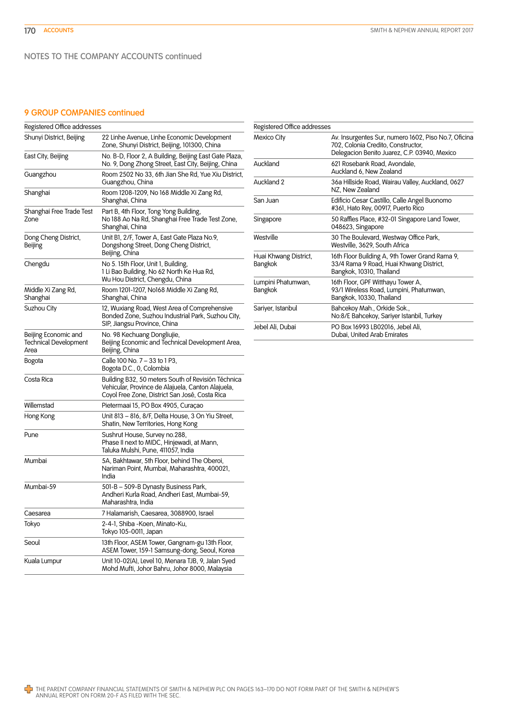# **NOTES TO THE COMPANY ACCOUNTS continued**

# **9 GROUP COMPANIES continued**

| Registered Office addresses                                  |                                                                                                                                                           |  |  |
|--------------------------------------------------------------|-----------------------------------------------------------------------------------------------------------------------------------------------------------|--|--|
| Shunyi District, Beijing                                     | 22 Linhe Avenue, Linhe Economic Development<br>Zone, Shunyi District, Beijing, 101300, China                                                              |  |  |
| East City, Beijing                                           | No. B-D, Floor 2, A Building, Beijing East Gate Plaza,<br>No. 9, Dong Zhong Street, East City, Beijing, China                                             |  |  |
| Guangzhou                                                    | Room 2502 No 33, 6th Jian She Rd, Yue Xiu District,<br>Guangzhou, China                                                                                   |  |  |
| Shanghai                                                     | Room 1208-1209, No 168 Middle Xi Zang Rd,<br>Shanghai, China                                                                                              |  |  |
| Shanghai Free Trade Test<br>Zone                             | Part B, 4th Floor, Tong Yong Building,<br>No 188 Ao Na Rd, Shanghai Free Trade Test Zone,<br>Shanghai, China                                              |  |  |
| Dong Cheng District,<br>Beijing                              | Unit B1, 2/F, Tower A, East Gate Plaza No.9,<br>Dongshong Street, Dong Cheng District,<br>Beijing, China                                                  |  |  |
| Chengdu                                                      | No 5. 15th Floor, Unit 1, Building,<br>1 Li Bao Building, No 62 North Ke Hua Rd,<br>Wu Hou District, Chengdu, China                                       |  |  |
| Middle Xi Zang Rd,<br>Shanghai                               | Room 1201-1207, No168 Middle Xi Zang Rd,<br>Shanghai, China                                                                                               |  |  |
| Suzhou City                                                  | 12, Wuxiang Road, West Area of Comprehensive<br>Bonded Zone, Suzhou Industrial Park, Suzhou City,<br>SIP, Jiangsu Province, China                         |  |  |
| Beijing Economic and<br><b>Technical Development</b><br>Area | No. 98 Kechuang Dongliujie,<br>Beijing Economic and Technical Development Area,<br>Beijing, China                                                         |  |  |
| Bogota                                                       | Calle 100 No. 7 – 33 to 1 P3,<br>Bogota D.C., 0, Colombia                                                                                                 |  |  |
| Costa Rica                                                   | Building B32, 50 meters South of Revisión Téchnica<br>Vehicular, Province de Alajuela, Canton Alajuela,<br>Coyol Free Zone, District San José, Costa Rica |  |  |
| Willemstad                                                   | Pietermaai 15, PO Box 4905, Curaçao                                                                                                                       |  |  |
| Hong Kong                                                    | Unit 813 - 816, 8/F, Delta House, 3 On Yiu Street,<br>Shatin, New Territories, Hong Kong                                                                  |  |  |
| Pune                                                         | Sushrut House, Survey no.288,<br>Phase II next to MIDC, Hinjewadi, at Mann,<br>Taluka Mulshi, Pune, 411057, India                                         |  |  |
| Mumbai                                                       | 5A, Bakhtawar, 5th Floor, behind The Oberoi,<br>Nariman Point, Mumbai, Maharashtra, 400021,<br>India                                                      |  |  |
| Mumbai-59                                                    | 501-B - 509-B Dynasty Business Park,<br>Andheri Kurla Road, Andheri East, Mumbai-59,<br>Maharashtra, India                                                |  |  |
| Caesarea                                                     | 7 Halamarish, Caesarea, 3088900, Israel                                                                                                                   |  |  |
| Tokyo                                                        | 2-4-1, Shiba -Koen, Minato-Ku,<br>Tokyo 105-0011, Japan                                                                                                   |  |  |
| Seoul                                                        | 13th Floor, ASEM Tower, Gangnam-gu 13th Floor,<br>ASEM Tower, 159-1 Samsung-dong, Seoul, Korea                                                            |  |  |
| Kuala Lumpur                                                 | Unit 10-02(A), Level 10, Menara TJB, 9, Jalan Syed<br>Mohd Mufti, Johor Bahru, Johor 8000, Malaysia                                                       |  |  |

| Registered Office addresses      |                                                                                                                                            |  |  |  |  |
|----------------------------------|--------------------------------------------------------------------------------------------------------------------------------------------|--|--|--|--|
| <b>Mexico City</b>               | Av. Insurgentes Sur, numero 1602, Piso No.7, Oficina<br>702, Colonia Credito, Constructor,<br>Delegacion Benito Juarez, C.P. 03940, Mexico |  |  |  |  |
| Auckland                         | 621 Rosebank Road, Avondale,<br>Auckland 6. New Zealand                                                                                    |  |  |  |  |
| Auckland 2                       | 36a Hillside Road, Wairau Valley, Auckland, 0627<br>NZ, New Zealand                                                                        |  |  |  |  |
| San Juan                         | Edificio Cesar Castillo, Calle Angel Buonomo<br>#361, Hato Rey, 00917, Puerto Rico                                                         |  |  |  |  |
| Singapore                        | 50 Raffles Place, #32-01 Singapore Land Tower,<br>048623, Singapore                                                                        |  |  |  |  |
| Westville                        | 30 The Boulevard, Westway Office Park,<br>Westville, 3629, South Africa                                                                    |  |  |  |  |
| Huai Khwang District,<br>Bangkok | 16th Floor Building A, 9th Tower Grand Rama 9,<br>33/4 Rama 9 Road, Huai Khwang District,<br>Bangkok, 10310, Thailand                      |  |  |  |  |
| Lumpini Phatumwan,<br>Bangkok    | 16th Floor, GPF Witthayu Tower A,<br>93/1 Wireless Road, Lumpini, Phatumwan,<br>Bangkok, 10330, Thailand                                   |  |  |  |  |
| Sariyer, Istanbul                | Bahcekoy Mah., Orkide Sok.,<br>No:8/E Bahcekoy, Sariyer Istanbil, Turkey                                                                   |  |  |  |  |
| Jebel Ali, Dubai                 | PO Box 16993 LB02016, Jebel Ali,<br>Dubai, United Arab Emirates                                                                            |  |  |  |  |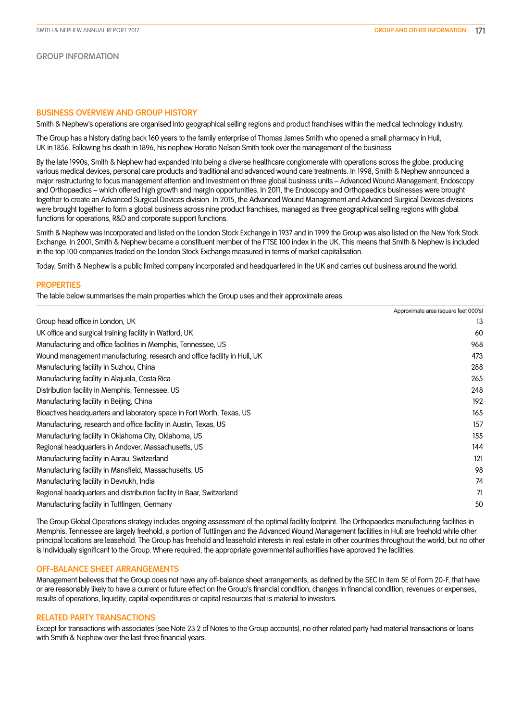# **GROUP INFORMATION**

#### **BUSINESS OVERVIEW AND GROUP HISTORY**

Smith & Nephew's operations are organised into geographical selling regions and product franchises within the medical technology industry.

The Group has a history dating back 160 years to the family enterprise of Thomas James Smith who opened a small pharmacy in Hull, UK in 1856. Following his death in 1896, his nephew Horatio Nelson Smith took over the management of the business.

By the late 1990s, Smith & Nephew had expanded into being a diverse healthcare conglomerate with operations across the globe, producing various medical devices, personal care products and traditional and advanced wound care treatments. In 1998, Smith & Nephew announced a major restructuring to focus management attention and investment on three global business units – Advanced Wound Management, Endoscopy and Orthopaedics – which offered high growth and margin opportunities. In 2011, the Endoscopy and Orthopaedics businesses were brought together to create an Advanced Surgical Devices division. In 2015, the Advanced Wound Management and Advanced Surgical Devices divisions were brought together to form a global business across nine product franchises, managed as three geographical selling regions with global functions for operations, R&D and corporate support functions.

Smith & Nephew was incorporated and listed on the London Stock Exchange in 1937 and in 1999 the Group was also listed on the New York Stock Exchange. In 2001, Smith & Nephew became a constituent member of the FTSE 100 index in the UK. This means that Smith & Nephew is included in the top 100 companies traded on the London Stock Exchange measured in terms of market capitalisation.

Today, Smith & Nephew is a public limited company incorporated and headquartered in the UK and carries out business around the world.

#### **PROPERTIES**

The table below summarises the main properties which the Group uses and their approximate areas.

| Group head office in London, UK<br>UK office and surgical training facility in Watford, UK<br>Manufacturing and office facilities in Memphis, Tennessee, US<br>Wound management manufacturing, research and office facility in Hull, UK | 13<br>60<br>968 |
|-----------------------------------------------------------------------------------------------------------------------------------------------------------------------------------------------------------------------------------------|-----------------|
|                                                                                                                                                                                                                                         |                 |
|                                                                                                                                                                                                                                         |                 |
|                                                                                                                                                                                                                                         |                 |
|                                                                                                                                                                                                                                         | 473             |
| Manufacturing facility in Suzhou, China                                                                                                                                                                                                 | 288             |
| Manufacturing facility in Alajuela, Costa Rica                                                                                                                                                                                          | 265             |
| Distribution facility in Memphis, Tennessee, US                                                                                                                                                                                         | 248             |
| Manufacturing facility in Beijing, China                                                                                                                                                                                                | 192             |
| Bioactives headquarters and laboratory space in Fort Worth, Texas, US                                                                                                                                                                   | 165             |
| Manufacturing, research and office facility in Austin, Texas, US                                                                                                                                                                        | 157             |
| Manufacturing facility in Oklahoma City, Oklahoma, US                                                                                                                                                                                   | 155             |
| Regional headquarters in Andover, Massachusetts, US                                                                                                                                                                                     | 144             |
| Manufacturing facility in Aarau, Switzerland                                                                                                                                                                                            | 121             |
| Manufacturing facility in Mansfield, Massachusetts, US                                                                                                                                                                                  | 98              |
| Manufacturing facility in Devrukh, India                                                                                                                                                                                                | 74              |
| Regional headquarters and distribution facility in Baar, Switzerland                                                                                                                                                                    | 71              |
| Manufacturing facility in Tuttlingen, Germany                                                                                                                                                                                           | 50              |

The Group Global Operations strategy includes ongoing assessment of the optimal facility footprint. The Orthopaedics manufacturing facilities in Memphis, Tennessee are largely freehold, a portion of Tuttlingen and the Advanced Wound Management facilities in Hull are freehold while other principal locations are leasehold. The Group has freehold and leasehold interests in real estate in other countries throughout the world, but no other is individually significant to the Group. Where required, the appropriate governmental authorities have approved the facilities.

# **OFF-BALANCE SHEET ARRANGEMENTS**

Management believes that the Group does not have any off-balance sheet arrangements, as defined by the SEC in item 5E of Form 20-F, that have or are reasonably likely to have a current or future effect on the Group's financial condition, changes in financial condition, revenues or expenses, results of operations, liquidity, capital expenditures or capital resources that is material to investors.

#### **RELATED PARTY TRANSACTIONS**

Except for transactions with associates (see Note 23.2 of Notes to the Group accounts), no other related party had material transactions or loans with Smith & Nephew over the last three financial years.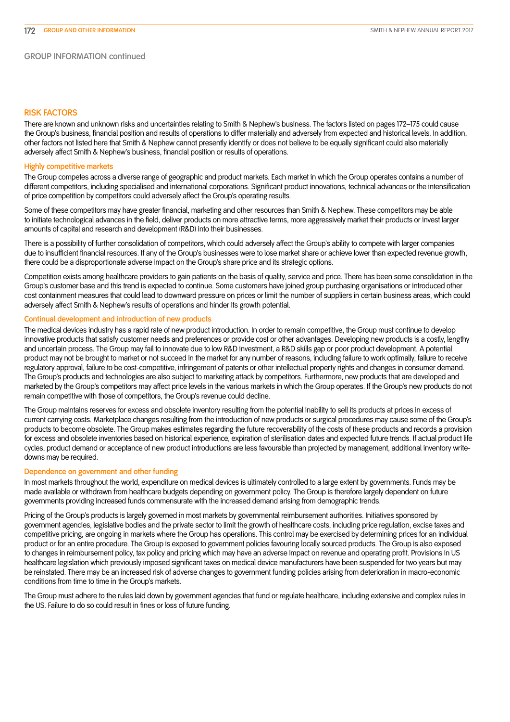#### **RISK FACTORS**

There are known and unknown risks and uncertainties relating to Smith & Nephew's business. The factors listed on pages 172–175 could cause the Group's business, financial position and results of operations to differ materially and adversely from expected and historical levels. In addition, other factors not listed here that Smith & Nephew cannot presently identify or does not believe to be equally significant could also materially adversely affect Smith & Nephew's business, financial position or results of operations.

#### **Highly competitive markets**

The Group competes across a diverse range of geographic and product markets. Each market in which the Group operates contains a number of different competitors, including specialised and international corporations. Significant product innovations, technical advances or the intensification of price competition by competitors could adversely affect the Group's operating results.

Some of these competitors may have greater financial, marketing and other resources than Smith & Nephew. These competitors may be able to initiate technological advances in the field, deliver products on more attractive terms, more aggressively market their products or invest larger amounts of capital and research and development (R&D) into their businesses.

There is a possibility of further consolidation of competitors, which could adversely affect the Group's ability to compete with larger companies due to insufficient financial resources. If any of the Group's businesses were to lose market share or achieve lower than expected revenue growth, there could be a disproportionate adverse impact on the Group's share price and its strategic options.

Competition exists among healthcare providers to gain patients on the basis of quality, service and price. There has been some consolidation in the Group's customer base and this trend is expected to continue. Some customers have joined group purchasing organisations or introduced other cost containment measures that could lead to downward pressure on prices or limit the number of suppliers in certain business areas, which could adversely affect Smith & Nephew's results of operations and hinder its growth potential.

#### **Continual development and introduction of new products**

The medical devices industry has a rapid rate of new product introduction. In order to remain competitive, the Group must continue to develop innovative products that satisfy customer needs and preferences or provide cost or other advantages. Developing new products is a costly, lengthy and uncertain process. The Group may fail to innovate due to low R&D investment, a R&D skills gap or poor product development. A potential product may not be brought to market or not succeed in the market for any number of reasons, including failure to work optimally, failure to receive regulatory approval, failure to be cost-competitive, infringement of patents or other intellectual property rights and changes in consumer demand. The Group's products and technologies are also subject to marketing attack by competitors. Furthermore, new products that are developed and marketed by the Group's competitors may affect price levels in the various markets in which the Group operates. If the Group's new products do not remain competitive with those of competitors, the Group's revenue could decline.

The Group maintains reserves for excess and obsolete inventory resulting from the potential inability to sell its products at prices in excess of current carrying costs. Marketplace changes resulting from the introduction of new products or surgical procedures may cause some of the Group's products to become obsolete. The Group makes estimates regarding the future recoverability of the costs of these products and records a provision for excess and obsolete inventories based on historical experience, expiration of sterilisation dates and expected future trends. If actual product life cycles, product demand or acceptance of new product introductions are less favourable than projected by management, additional inventory writedowns may be required.

#### **Dependence on government and other funding**

In most markets throughout the world, expenditure on medical devices is ultimately controlled to a large extent by governments. Funds may be made available or withdrawn from healthcare budgets depending on government policy. The Group is therefore largely dependent on future governments providing increased funds commensurate with the increased demand arising from demographic trends.

Pricing of the Group's products is largely governed in most markets by governmental reimbursement authorities. Initiatives sponsored by government agencies, legislative bodies and the private sector to limit the growth of healthcare costs, including price regulation, excise taxes and competitive pricing, are ongoing in markets where the Group has operations. This control may be exercised by determining prices for an individual product or for an entire procedure. The Group is exposed to government policies favouring locally sourced products. The Group is also exposed to changes in reimbursement policy, tax policy and pricing which may have an adverse impact on revenue and operating profit. Provisions in US healthcare legislation which previously imposed significant taxes on medical device manufacturers have been suspended for two years but may be reinstated. There may be an increased risk of adverse changes to government funding policies arising from deterioration in macro-economic conditions from time to time in the Group's markets.

The Group must adhere to the rules laid down by government agencies that fund or regulate healthcare, including extensive and complex rules in the US. Failure to do so could result in fines or loss of future funding.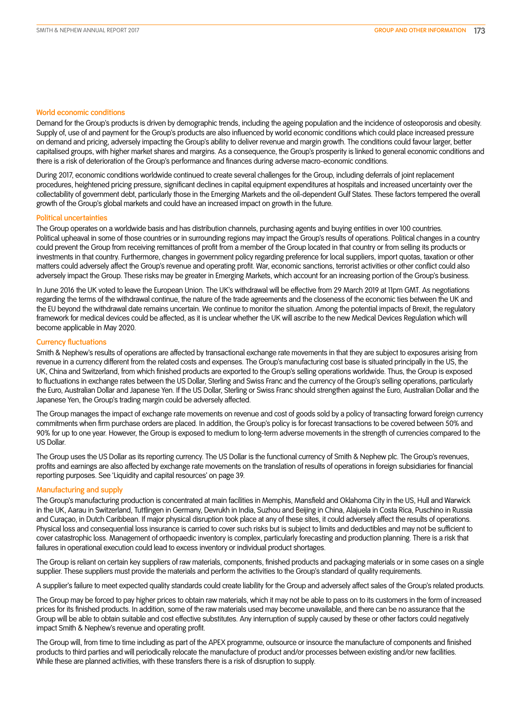#### **World economic conditions**

Demand for the Group's products is driven by demographic trends, including the ageing population and the incidence of osteoporosis and obesity. Supply of, use of and payment for the Group's products are also influenced by world economic conditions which could place increased pressure on demand and pricing, adversely impacting the Group's ability to deliver revenue and margin growth. The conditions could favour larger, better capitalised groups, with higher market shares and margins. As a consequence, the Group's prosperity is linked to general economic conditions and there is a risk of deterioration of the Group's performance and finances during adverse macro-economic conditions.

During 2017, economic conditions worldwide continued to create several challenges for the Group, including deferrals of joint replacement procedures, heightened pricing pressure, significant declines in capital equipment expenditures at hospitals and increased uncertainty over the collectability of government debt, particularly those in the Emerging Markets and the oil-dependent Gulf States. These factors tempered the overall growth of the Group's global markets and could have an increased impact on growth in the future.

#### **Political uncertainties**

The Group operates on a worldwide basis and has distribution channels, purchasing agents and buying entities in over 100 countries. Political upheaval in some of those countries or in surrounding regions may impact the Group's results of operations. Political changes in a country could prevent the Group from receiving remittances of profit from a member of the Group located in that country or from selling its products or investments in that country. Furthermore, changes in government policy regarding preference for local suppliers, import quotas, taxation or other matters could adversely affect the Group's revenue and operating profit. War, economic sanctions, terrorist activities or other conflict could also adversely impact the Group. These risks may be greater in Emerging Markets, which account for an increasing portion of the Group's business.

In June 2016 the UK voted to leave the European Union. The UK's withdrawal will be effective from 29 March 2019 at 11pm GMT. As negotiations regarding the terms of the withdrawal continue, the nature of the trade agreements and the closeness of the economic ties between the UK and the EU beyond the withdrawal date remains uncertain. We continue to monitor the situation. Among the potential impacts of Brexit, the regulatory framework for medical devices could be affected, as it is unclear whether the UK will ascribe to the new Medical Devices Regulation which will become applicable in May 2020.

#### **Currency fluctuations**

Smith & Nephew's results of operations are affected by transactional exchange rate movements in that they are subject to exposures arising from revenue in a currency different from the related costs and expenses. The Group's manufacturing cost base is situated principally in the US, the UK, China and Switzerland, from which finished products are exported to the Group's selling operations worldwide. Thus, the Group is exposed to fluctuations in exchange rates between the US Dollar, Sterling and Swiss Franc and the currency of the Group's selling operations, particularly the Euro, Australian Dollar and Japanese Yen. If the US Dollar, Sterling or Swiss Franc should strengthen against the Euro, Australian Dollar and the Japanese Yen, the Group's trading margin could be adversely affected.

The Group manages the impact of exchange rate movements on revenue and cost of goods sold by a policy of transacting forward foreign currency commitments when firm purchase orders are placed. In addition, the Group's policy is for forecast transactions to be covered between 50% and 90% for up to one year. However, the Group is exposed to medium to long-term adverse movements in the strength of currencies compared to the US Dollar.

The Group uses the US Dollar as its reporting currency. The US Dollar is the functional currency of Smith & Nephew plc. The Group's revenues, profits and earnings are also affected by exchange rate movements on the translation of results of operations in foreign subsidiaries for financial reporting purposes. See 'Liquidity and capital resources' on page 39.

#### **Manufacturing and supply**

The Group's manufacturing production is concentrated at main facilities in Memphis, Mansfield and Oklahoma City in the US, Hull and Warwick in the UK, Aarau in Switzerland, Tuttlingen in Germany, Devrukh in India, Suzhou and Beijing in China, Alajuela in Costa Rica, Puschino in Russia and Curaçao, in Dutch Caribbean. If major physical disruption took place at any of these sites, it could adversely affect the results of operations. Physical loss and consequential loss insurance is carried to cover such risks but is subject to limits and deductibles and may not be sufficient to cover catastrophic loss. Management of orthopaedic inventory is complex, particularly forecasting and production planning. There is a risk that failures in operational execution could lead to excess inventory or individual product shortages.

The Group is reliant on certain key suppliers of raw materials, components, finished products and packaging materials or in some cases on a single supplier. These suppliers must provide the materials and perform the activities to the Group's standard of quality requirements.

A supplier's failure to meet expected quality standards could create liability for the Group and adversely affect sales of the Group's related products.

The Group may be forced to pay higher prices to obtain raw materials, which it may not be able to pass on to its customers in the form of increased prices for its finished products. In addition, some of the raw materials used may become unavailable, and there can be no assurance that the Group will be able to obtain suitable and cost effective substitutes. Any interruption of supply caused by these or other factors could negatively impact Smith & Nephew's revenue and operating profit.

The Group will, from time to time including as part of the APEX programme, outsource or insource the manufacture of components and finished products to third parties and will periodically relocate the manufacture of product and/or processes between existing and/or new facilities. While these are planned activities, with these transfers there is a risk of disruption to supply.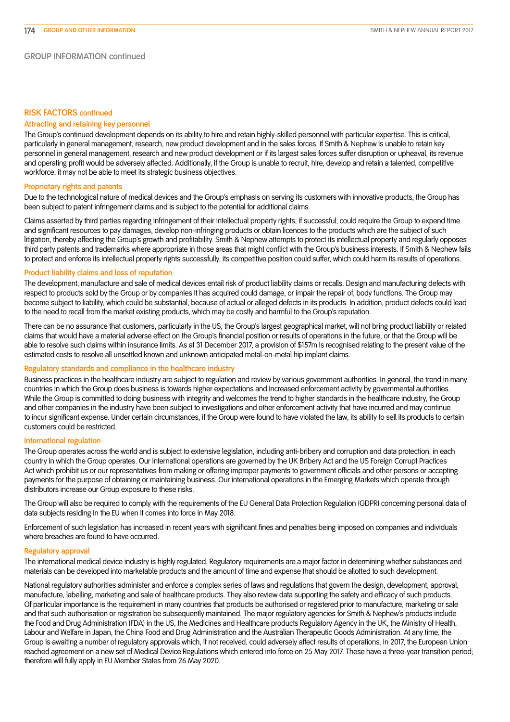#### **RISK FACTORS continued**

# **Attracting and retaining key personnel**

The Group's continued development depends on its ability to hire and retain highly-skilled personnel with particular expertise. This is critical, particularly in general management, research, new product development and in the sales forces. If Smith & Nephew is unable to retain key personnel in general management, research and new product development or if its largest sales forces suffer disruption or upheaval, its revenue and operating profit would be adversely affected. Additionally, if the Group is unable to recruit, hire, develop and retain a talented, competitive workforce, it may not be able to meet its strategic business objectives.

#### **Proprietary rights and patents**

Due to the technological nature of medical devices and the Group's emphasis on serving its customers with innovative products, the Group has been subject to patent infringement claims and is subject to the potential for additional claims.

Claims asserted by third parties regarding infringement of their intellectual property rights, if successful, could require the Group to expend time and significant resources to pay damages, develop non-infringing products or obtain licences to the products which are the subject of such litigation, thereby affecting the Group's growth and profitability. Smith & Nephew attempts to protect its intellectual property and regularly opposes third party patents and trademarks where appropriate in those areas that might conflict with the Group's business interests. If Smith & Nephew fails to protect and enforce its intellectual property rights successfully, its competitive position could suffer, which could harm its results of operations.

#### **Product liability claims and loss of reputation**

The development, manufacture and sale of medical devices entail risk of product liability claims or recalls. Design and manufacturing defects with respect to products sold by the Group or by companies it has acquired could damage, or impair the repair of, body functions. The Group may become subject to liability, which could be substantial, because of actual or alleged defects in its products. In addition, product defects could lead to the need to recall from the market existing products, which may be costly and harmful to the Group's reputation.

There can be no assurance that customers, particularly in the US, the Group's largest geographical market, will not bring product liability or related claims that would have a material adverse effect on the Group's financial position or results of operations in the future, or that the Group will be able to resolve such claims within insurance limits. As at 31 December 2017, a provision of \$157m is recognised relating to the present value of the estimated costs to resolve all unsettled known and unknown anticipated metal-on-metal hip implant claims.

#### **Regulatory standards and compliance in the healthcare industry**

Business practices in the healthcare industry are subject to regulation and review by various government authorities. In general, the trend in many countries in which the Group does business is towards higher expectations and increased enforcement activity by governmental authorities. While the Group is committed to doing business with integrity and welcomes the trend to higher standards in the healthcare industry, the Group and other companies in the industry have been subject to investigations and other enforcement activity that have incurred and may continue to incur significant expense. Under certain circumstances, if the Group were found to have violated the law, its ability to sell its products to certain customers could be restricted.

#### **International regulation**

The Group operates across the world and is subject to extensive legislation, including anti-bribery and corruption and data protection, in each country in which the Group operates. Our international operations are governed by the UK Bribery Act and the US Foreign Corrupt Practices Act which prohibit us or our representatives from making or offering improper payments to government officials and other persons or accepting payments for the purpose of obtaining or maintaining business. Our international operations in the Emerging Markets which operate through distributors increase our Group exposure to these risks.

The Group will also be required to comply with the requirements of the EU General Data Protection Regulation (GDPR) concerning personal data of data subjects residing in the EU when it comes into force in May 2018.

Enforcement of such legislation has increased in recent years with significant fines and penalties being imposed on companies and individuals where breaches are found to have occurred.

#### **Regulatory approval**

The international medical device industry is highly regulated. Regulatory requirements are a major factor in determining whether substances and materials can be developed into marketable products and the amount of time and expense that should be allotted to such development.

National regulatory authorities administer and enforce a complex series of laws and regulations that govern the design, development, approval, manufacture, labelling, marketing and sale of healthcare products. They also review data supporting the safety and efficacy of such products. Of particular importance is the requirement in many countries that products be authorised or registered prior to manufacture, marketing or sale and that such authorisation or registration be subsequently maintained. The major regulatory agencies for Smith & Nephew's products include the Food and Drug Administration (FDA) in the US, the Medicines and Healthcare products Regulatory Agency in the UK, the Ministry of Health, Labour and Welfare in Japan, the China Food and Drug Administration and the Australian Therapeutic Goods Administration. At any time, the Group is awaiting a number of regulatory approvals which, if not received, could adversely affect results of operations. In 2017, the European Union reached agreement on a new set of Medical Device Regulations which entered into force on 25 May 2017. These have a three-year transition period; therefore will fully apply in EU Member States from 26 May 2020.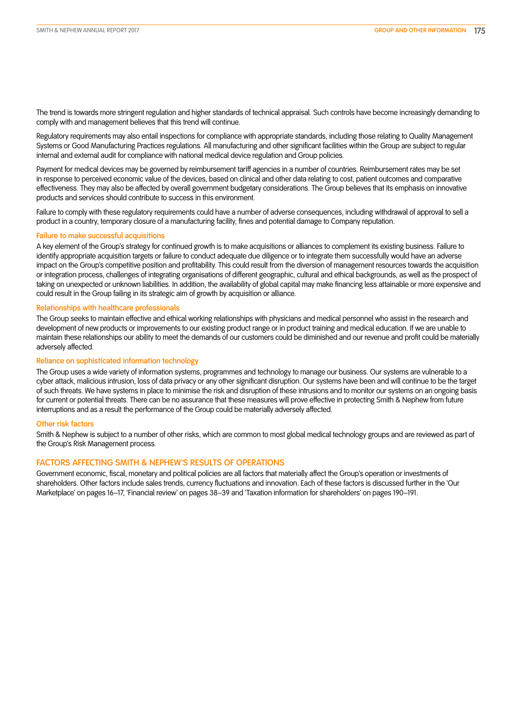The trend is towards more stringent regulation and higher standards of technical appraisal. Such controls have become increasingly demanding to comply with and management believes that this trend will continue.

Regulatory requirements may also entail inspections for compliance with appropriate standards, including those relating to Quality Management Systems or Good Manufacturing Practices regulations. All manufacturing and other significant facilities within the Group are subject to regular internal and external audit for compliance with national medical device regulation and Group policies.

Payment for medical devices may be governed by reimbursement tariff agencies in a number of countries. Reimbursement rates may be set in response to perceived economic value of the devices, based on clinical and other data relating to cost, patient outcomes and comparative effectiveness. They may also be affected by overall government budgetary considerations. The Group believes that its emphasis on innovative products and services should contribute to success in this environment.

Failure to comply with these regulatory requirements could have a number of adverse consequences, including withdrawal of approval to sell a product in a country, temporary closure of a manufacturing facility, fines and potential damage to Company reputation.

#### **Failure to make successful acquisitions**

A key element of the Group's strategy for continued growth is to make acquisitions or alliances to complement its existing business. Failure to identify appropriate acquisition targets or failure to conduct adequate due diligence or to integrate them successfully would have an adverse impact on the Group's competitive position and profitability. This could result from the diversion of management resources towards the acquisition or integration process, challenges of integrating organisations of different geographic, cultural and ethical backgrounds, as well as the prospect of taking on unexpected or unknown liabilities. In addition, the availability of global capital may make financing less attainable or more expensive and could result in the Group failing in its strategic aim of growth by acquisition or alliance.

#### **Relationships with healthcare professionals**

The Group seeks to maintain effective and ethical working relationships with physicians and medical personnel who assist in the research and development of new products or improvements to our existing product range or in product training and medical education. If we are unable to maintain these relationships our ability to meet the demands of our customers could be diminished and our revenue and profit could be materially adversely affected.

#### **Reliance on sophisticated information technology**

The Group uses a wide variety of information systems, programmes and technology to manage our business. Our systems are vulnerable to a cyber attack, malicious intrusion, loss of data privacy or any other significant disruption. Our systems have been and will continue to be the target of such threats. We have systems in place to minimise the risk and disruption of these intrusions and to monitor our systems on an ongoing basis for current or potential threats. There can be no assurance that these measures will prove effective in protecting Smith & Nephew from future interruptions and as a result the performance of the Group could be materially adversely affected.

#### **Other risk factors**

Smith & Nephew is subject to a number of other risks, which are common to most global medical technology groups and are reviewed as part of the Group's Risk Management process.

#### **FACTORS AFFECTING SMITH & NEPHEW'S RESULTS OF OPERATIONS**

Government economic, fiscal, monetary and political policies are all factors that materially affect the Group's operation or investments of shareholders. Other factors include sales trends, currency fluctuations and innovation. Each of these factors is discussed further in the 'Our Marketplace' on pages 16–17, 'Financial review' on pages 38–39 and 'Taxation information for shareholders' on pages 190–191.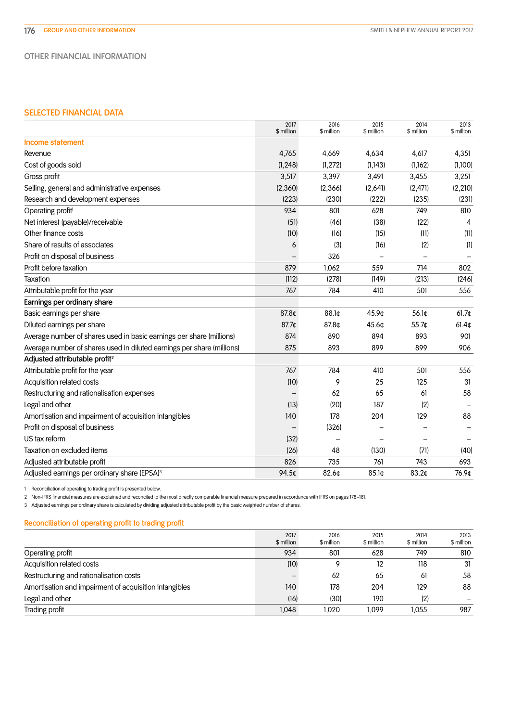# **OTHER FINANCIAL INFORMATION**

# **SELECTED FINANCIAL DATA**

|                                                                        | 2017<br>\$ million | 2016<br>\$ million | 2015<br>\$ million | 2014<br>\$ million | 2013<br>\$ million |
|------------------------------------------------------------------------|--------------------|--------------------|--------------------|--------------------|--------------------|
| Income statement                                                       |                    |                    |                    |                    |                    |
| Revenue                                                                | 4,765              | 4,669              | 4,634              | 4,617              | 4,351              |
| Cost of goods sold                                                     | (1, 248)           | (1, 272)           | (1, 143)           | (1,162)            | (1,100)            |
| Gross profit                                                           | 3,517              | 3,397              | 3,491              | 3,455              | 3,251              |
| Selling, general and administrative expenses                           | (2, 360)           | (2,366)            | (2,641)            | (2, 471)           | (2, 210)           |
| Research and development expenses                                      | (223)              | (230)              | (222)              | (235)              | (231)              |
| Operating profit <sup>1</sup>                                          | 934                | 801                | 628                | 749                | 810                |
| Net interest (payable)/receivable                                      | (51)               | (46)               | (38)               | (22)               | 4                  |
| Other finance costs                                                    | (10)               | (16)               | (15)               | (11)               | (11)               |
| Share of results of associates                                         | 6                  | (3)                | (16)               | (2)                | (1)                |
| Profit on disposal of business                                         |                    | 326                |                    |                    |                    |
| Profit before taxation                                                 | 879                | 1,062              | 559                | 714                | 802                |
| Taxation                                                               | (112)              | (278)              | (149)              | (213)              | (246)              |
| Attributable profit for the year                                       | 767                | 784                | 410                | 501                | 556                |
| Earnings per ordinary share                                            |                    |                    |                    |                    |                    |
| Basic earnings per share                                               | 87.8¢              | 88.1¢              | 45.9¢              | 56.1¢              | 61.7 <sub>¢</sub>  |
| Diluted earnings per share                                             | 87.7¢              | 87.8¢              | 45.6¢              | 55.7¢              | 61.4 <sub>CD</sub> |
| Average number of shares used in basic earnings per share (millions)   | 874                | 890                | 894                | 893                | 901                |
| Average number of shares used in diluted earnings per share (millions) | 875                | 893                | 899                | 899                | 906                |
| Adjusted attributable profit <sup>2</sup>                              |                    |                    |                    |                    |                    |
| Attributable profit for the year                                       | 767                | 784                | 410                | 501                | 556                |
| Acquisition related costs                                              | (10)               | 9                  | 25                 | 125                | 31                 |
| Restructuring and rationalisation expenses                             |                    | 62                 | 65                 | 61                 | 58                 |
| Legal and other                                                        | (13)               | (20)               | 187                | (2)                |                    |
| Amortisation and impairment of acquisition intangibles                 | 140                | 178                | 204                | 129                | 88                 |
| Profit on disposal of business                                         |                    | (326)              |                    |                    |                    |
| US tax reform                                                          | (32)               |                    |                    |                    |                    |
| Taxation on excluded items                                             | (26)               | 48                 | (130)              | (71)               | (40)               |
| Adjusted attributable profit                                           | 826                | 735                | 761                | 743                | 693                |
| Adjusted earnings per ordinary share (EPSA) <sup>3</sup>               | 94.5¢              | 82.6¢              | 85.1¢              | 83.2¢              | 76.9¢              |

1 Reconciliation of operating to trading profit is presented below.

2 Non-IFRS financial measures are explained and reconciled to the most directly comparable financial measure prepared in accordance with IFRS on pages 178–181.

3 Adjusted earnings per ordinary share is calculated by dividing adjusted attributable profit by the basic weighted number of shares.

# **Reconciliation of operating profit to trading profit**

|                                                        | 2017<br>\$ million | 2016<br>\$ million | 2015<br>\$ million | 2014<br>\$ million | 2013<br>\$ million |
|--------------------------------------------------------|--------------------|--------------------|--------------------|--------------------|--------------------|
| Operating profit                                       | 934                | 801                | 628                | 749                | 810                |
| Acquisition related costs                              | (10)               | Q                  | 12                 | 118                | 31                 |
| Restructuring and rationalisation costs                |                    | 62                 | 65                 | 61                 | 58                 |
| Amortisation and impairment of acquisition intangibles | 140                | 178                | 204                | 129                | 88                 |
| Legal and other                                        | (16)               | (30)               | 190                | (2)                |                    |
| Trading profit                                         | 1,048              | 1.020              | 1.099              | 1.055              | 987                |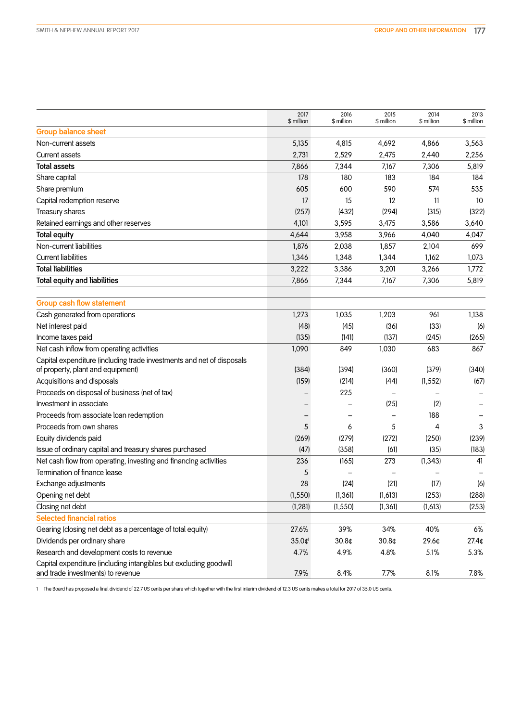2014

2013

|                                                                                                        | \$ million            | \$ million | \$ million | \$ million | \$ million |
|--------------------------------------------------------------------------------------------------------|-----------------------|------------|------------|------------|------------|
| <b>Group balance sheet</b>                                                                             |                       |            |            |            |            |
| Non-current assets                                                                                     | 5,135                 | 4,815      | 4,692      | 4,866      | 3,563      |
| Current assets                                                                                         | 2,731                 | 2,529      | 2,475      | 2,440      | 2,256      |
| <b>Total assets</b>                                                                                    | 7,866                 | 7,344      | 7,167      | 7,306      | 5,819      |
| Share capital                                                                                          | 178                   | 180        | 183        | 184        | 184        |
| Share premium                                                                                          | 605                   | 600        | 590        | 574        | 535        |
| Capital redemption reserve                                                                             | 17                    | 15         | 12         | 11         | 10         |
| Treasury shares                                                                                        | (257)                 | (432)      | (294)      | (315)      | (322)      |
| Retained earnings and other reserves                                                                   | 4,101                 | 3,595      | 3,475      | 3,586      | 3,640      |
| <b>Total equity</b>                                                                                    | 4,644                 | 3,958      | 3,966      | 4,040      | 4,047      |
| Non-current liabilities                                                                                | 1,876                 | 2,038      | 1,857      | 2,104      | 699        |
| <b>Current liabilities</b>                                                                             | 1,346                 | 1,348      | 1,344      | 1,162      | 1,073      |
| <b>Total liabilities</b>                                                                               | 3,222                 | 3,386      | 3,201      | 3,266      | 1,772      |
| Total equity and liabilities                                                                           | 7,866                 | 7,344      | 7,167      | 7,306      | 5,819      |
| <b>Group cash flow statement</b>                                                                       |                       |            |            |            |            |
| Cash generated from operations                                                                         | 1,273                 | 1,035      | 1,203      | 961        | 1,138      |
| Net interest paid                                                                                      | (48)                  | (45)       | (36)       | (33)       | (6)        |
| Income taxes paid                                                                                      | (135)                 | (141)      | (137)      | (245)      | (265)      |
| Net cash inflow from operating activities                                                              | 1,090                 | 849        | 1,030      | 683        | 867        |
| Capital expenditure (including trade investments and net of disposals                                  |                       |            |            |            |            |
| of property, plant and equipment)                                                                      | (384)                 | (394)      | (360)      | (379)      | (340)      |
| Acquisitions and disposals                                                                             | (159)                 | (214)      | (44)       | (1, 552)   | (67)       |
| Proceeds on disposal of business (net of tax)                                                          |                       | 225        |            |            |            |
| Investment in associate                                                                                |                       |            | (25)       | (2)        |            |
| Proceeds from associate loan redemption                                                                |                       |            |            | 188        |            |
| Proceeds from own shares                                                                               | 5                     | 6          | 5          | 4          | 3          |
| Equity dividends paid                                                                                  | (269)                 | (279)      | (272)      | (250)      | (239)      |
| Issue of ordinary capital and treasury shares purchased                                                | (47)                  | (358)      | (61)       | (35)       | (183)      |
| Net cash flow from operating, investing and financing activities                                       | 236                   | (165)      | 273        | (1, 343)   | 41         |
| Termination of finance lease                                                                           | 5                     |            |            |            |            |
| Exchange adjustments                                                                                   | 28                    | (24)       | (21)       | (17)       | (6)        |
| Opening net debt                                                                                       | (1, 550)              | (1, 361)   | (1,613)    | (253)      | (288)      |
| Closing net debt                                                                                       | (1, 281)              | (1, 550)   | (1, 361)   | (1,613)    | (253)      |
| <b>Selected financial ratios</b>                                                                       |                       |            |            |            |            |
| Gearing (closing net debt as a percentage of total equity)                                             | 27.6%                 | 39%        | 34%        | 40%        | 6%         |
| Dividends per ordinary share                                                                           | $35.0$ ¢ <sup>1</sup> | 30.8¢      | 30.8¢      | 29.6¢      | 27.4¢      |
| Research and development costs to revenue                                                              | 4.7%                  | 4.9%       | 4.8%       | 5.1%       | 5.3%       |
| Capital expenditure (including intangibles but excluding goodwill<br>and trade investments) to revenue | 7.9%                  | 8.4%       | 7.7%       | 8.1%       | 7.8%       |

2017

2016

2015

1 The Board has proposed a final dividend of 22.7 US cents per share which together with the first interim dividend of 12.3 US cents makes a total for 2017 of 35.0 US cents.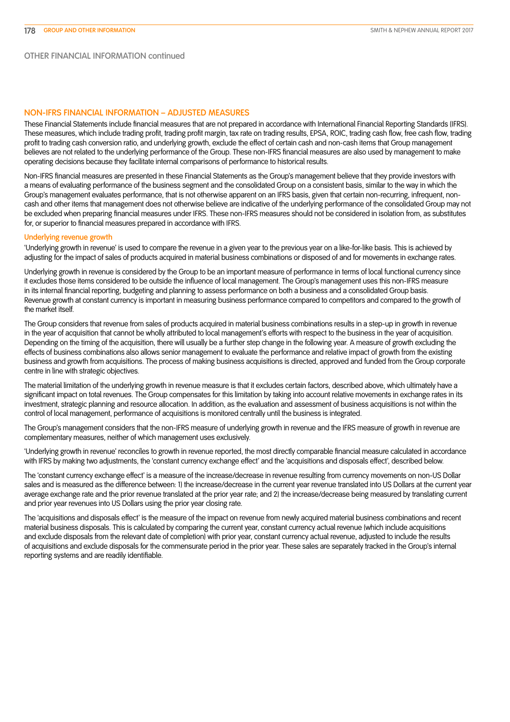# **OTHER FINANCIAL INFORMATION continued**

## **NON-IFRS FINANCIAL INFORMATION – ADJUSTED MEASURES**

These Financial Statements include financial measures that are not prepared in accordance with International Financial Reporting Standards (IFRS). These measures, which include trading profit, trading profit margin, tax rate on trading results, EPSA, ROIC, trading cash flow, free cash flow, trading profit to trading cash conversion ratio, and underlying growth, exclude the effect of certain cash and non-cash items that Group management believes are not related to the underlying performance of the Group. These non-IFRS financial measures are also used by management to make operating decisions because they facilitate internal comparisons of performance to historical results.

Non-IFRS financial measures are presented in these Financial Statements as the Group's management believe that they provide investors with a means of evaluating performance of the business segment and the consolidated Group on a consistent basis, similar to the way in which the Group's management evaluates performance, that is not otherwise apparent on an IFRS basis, given that certain non-recurring, infrequent, noncash and other items that management does not otherwise believe are indicative of the underlying performance of the consolidated Group may not be excluded when preparing financial measures under IFRS. These non-IFRS measures should not be considered in isolation from, as substitutes for, or superior to financial measures prepared in accordance with IFRS.

#### **Underlying revenue growth**

'Underlying growth in revenue' is used to compare the revenue in a given year to the previous year on a like-for-like basis. This is achieved by adjusting for the impact of sales of products acquired in material business combinations or disposed of and for movements in exchange rates.

Underlying growth in revenue is considered by the Group to be an important measure of performance in terms of local functional currency since it excludes those items considered to be outside the influence of local management. The Group's management uses this non-IFRS measure in its internal financial reporting, budgeting and planning to assess performance on both a business and a consolidated Group basis. Revenue growth at constant currency is important in measuring business performance compared to competitors and compared to the growth of the market itself.

The Group considers that revenue from sales of products acquired in material business combinations results in a step-up in growth in revenue in the year of acquisition that cannot be wholly attributed to local management's efforts with respect to the business in the year of acquisition. Depending on the timing of the acquisition, there will usually be a further step change in the following year. A measure of growth excluding the effects of business combinations also allows senior management to evaluate the performance and relative impact of growth from the existing business and growth from acquisitions. The process of making business acquisitions is directed, approved and funded from the Group corporate centre in line with strategic objectives.

The material limitation of the underlying growth in revenue measure is that it excludes certain factors, described above, which ultimately have a significant impact on total revenues. The Group compensates for this limitation by taking into account relative movements in exchange rates in its investment, strategic planning and resource allocation. In addition, as the evaluation and assessment of business acquisitions is not within the control of local management, performance of acquisitions is monitored centrally until the business is integrated.

The Group's management considers that the non-IFRS measure of underlying growth in revenue and the IFRS measure of growth in revenue are complementary measures, neither of which management uses exclusively.

'Underlying growth in revenue' reconciles to growth in revenue reported, the most directly comparable financial measure calculated in accordance with IFRS by making two adjustments, the 'constant currency exchange effect' and the 'acquisitions and disposals effect', described below.

The 'constant currency exchange effect' is a measure of the increase/decrease in revenue resulting from currency movements on non-US Dollar sales and is measured as the difference between: 1) the increase/decrease in the current year revenue translated into US Dollars at the current year average exchange rate and the prior revenue translated at the prior year rate; and 2) the increase/decrease being measured by translating current and prior year revenues into US Dollars using the prior year closing rate.

The 'acquisitions and disposals effect' is the measure of the impact on revenue from newly acquired material business combinations and recent material business disposals. This is calculated by comparing the current year, constant currency actual revenue (which include acquisitions and exclude disposals from the relevant date of completion) with prior year, constant currency actual revenue, adjusted to include the results of acquisitions and exclude disposals for the commensurate period in the prior year. These sales are separately tracked in the Group's internal reporting systems and are readily identifiable.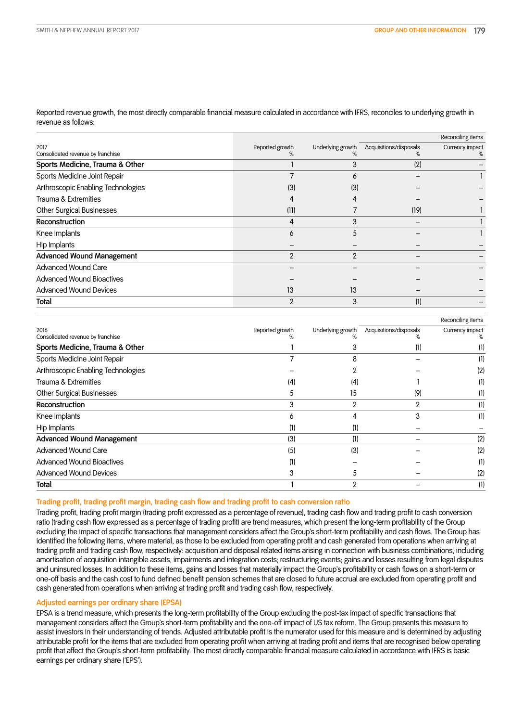Reported revenue growth, the most directly comparable financial measure calculated in accordance with IFRS, reconciles to underlying growth in revenue as follows:

|                                           |                 |                   |                             | Reconciling items    |
|-------------------------------------------|-----------------|-------------------|-----------------------------|----------------------|
| 2017<br>Consolidated revenue by franchise | Reported growth | Underlying growth | Acquisitions/disposals<br>℅ | Currency impact<br>℅ |
| Sports Medicine, Trauma & Other           |                 |                   | (2)                         |                      |
| Sports Medicine Joint Repair              |                 | n                 |                             |                      |
| Arthroscopic Enabling Technologies        | (3)             | (3)               |                             |                      |
| Trauma & Extremities                      | 4               |                   |                             |                      |
| Other Surgical Businesses                 | (11)            |                   | (19)                        |                      |
| Reconstruction                            | 4               |                   |                             |                      |
| Knee Implants                             | 6               |                   |                             |                      |
| Hip Implants                              |                 |                   |                             |                      |
| <b>Advanced Wound Management</b>          | 2               | C                 |                             |                      |
| Advanced Wound Care                       |                 |                   |                             |                      |
| <b>Advanced Wound Bioactives</b>          |                 |                   |                             |                      |
| <b>Advanced Wound Devices</b>             | 13              | 13                |                             |                      |
| Total                                     | 2               | 3                 | (1)                         |                      |
|                                           |                 |                   |                             |                      |

|                                           |                 |                   | Reconciling items      |                      |  |
|-------------------------------------------|-----------------|-------------------|------------------------|----------------------|--|
| 2016<br>Consolidated revenue by franchise | Reported growth | Underlying growth | Acquisitions/disposals | Currency impact<br>℅ |  |
| Sports Medicine, Trauma & Other           |                 |                   | (1)                    | (1)                  |  |
| Sports Medicine Joint Repair              |                 | 8                 |                        | (1)                  |  |
| Arthroscopic Enabling Technologies        |                 |                   |                        | (2)                  |  |
| Trauma & Extremities                      | (4)             | (4)               |                        | (1)                  |  |
| Other Surgical Businesses                 | מ               | 15                | (9)                    | (1)                  |  |
| Reconstruction                            | 3               | റ                 | 2                      | (1)                  |  |
| Knee Implants                             | b               |                   | 3                      | (1)                  |  |
| Hip Implants                              | (1)             | (1)               |                        |                      |  |
| <b>Advanced Wound Management</b>          | (3)             | (1)               |                        | (2)                  |  |
| Advanced Wound Care                       | (5)             | (3)               |                        | (2)                  |  |
| <b>Advanced Wound Bioactives</b>          | (1)             |                   |                        | (1)                  |  |
| <b>Advanced Wound Devices</b>             | 3               |                   |                        | (2)                  |  |
| Total                                     |                 |                   |                        | (1)                  |  |

#### **Trading profit, trading profit margin, trading cash flow and trading profit to cash conversion ratio**

Trading profit, trading profit margin (trading profit expressed as a percentage of revenue), trading cash flow and trading profit to cash conversion ratio (trading cash flow expressed as a percentage of trading profit) are trend measures, which present the long-term profitability of the Group excluding the impact of specific transactions that management considers affect the Group's short-term profitability and cash flows. The Group has identified the following items, where material, as those to be excluded from operating profit and cash generated from operations when arriving at trading profit and trading cash flow, respectively: acquisition and disposal related items arising in connection with business combinations, including amortisation of acquisition intangible assets, impairments and integration costs; restructuring events; gains and losses resulting from legal disputes and uninsured losses. In addition to these items, gains and losses that materially impact the Group's profitability or cash flows on a short-term or one-off basis and the cash cost to fund defined benefit pension schemes that are closed to future accrual are excluded from operating profit and cash generated from operations when arriving at trading profit and trading cash flow, respectively.

#### **Adjusted earnings per ordinary share (EPSA)**

EPSA is a trend measure, which presents the long-term profitability of the Group excluding the post-tax impact of specific transactions that management considers affect the Group's short-term profitability and the one-off impact of US tax reform. The Group presents this measure to assist investors in their understanding of trends. Adjusted attributable profit is the numerator used for this measure and is determined by adjusting attributable profit for the items that are excluded from operating profit when arriving at trading profit and items that are recognised below operating profit that affect the Group's short-term profitability. The most directly comparable financial measure calculated in accordance with IFRS is basic earnings per ordinary share ('EPS').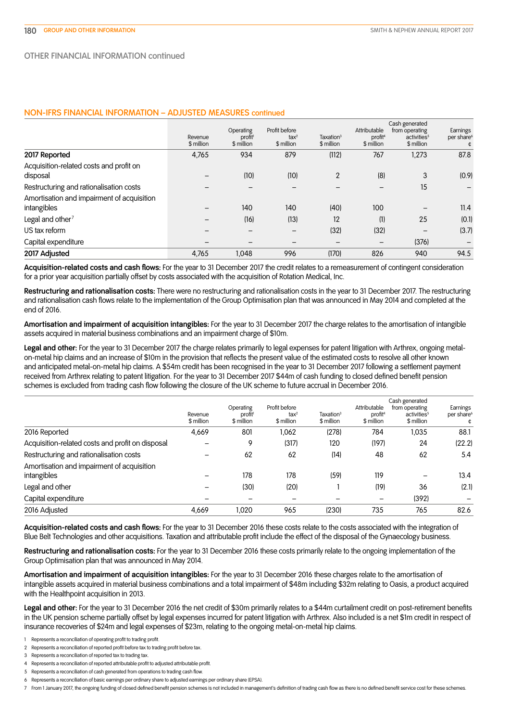## **OTHER FINANCIAL INFORMATION continued**

## **NON-IFRS FINANCIAL INFORMATION – ADJUSTED MEASURES continued**

|                                                           | Revenue<br>\$ million | Operating<br>profit <sup>1</sup><br>\$ million | Profit before<br>$\text{tax}^2$<br>\$ million | Taxation <sup>3</sup><br>\$ million | Attributable<br>profit <sup>4</sup><br>\$ million | Cash generated<br>from operating<br>activities <sup>5</sup><br>\$ million | Earnings<br>per share <sup>6</sup><br>¢ |
|-----------------------------------------------------------|-----------------------|------------------------------------------------|-----------------------------------------------|-------------------------------------|---------------------------------------------------|---------------------------------------------------------------------------|-----------------------------------------|
| 2017 Reported                                             | 4,765                 | 934                                            | 879                                           | (112)                               | 767                                               | 1,273                                                                     | 87.8                                    |
| Acquisition-related costs and profit on<br>disposal       |                       | (10)                                           | (10)                                          | $\overline{2}$                      | (8)                                               | 3                                                                         | (0.9)                                   |
| Restructuring and rationalisation costs                   |                       |                                                |                                               |                                     | -                                                 | 15                                                                        |                                         |
| Amortisation and impairment of acquisition<br>intangibles |                       | 140                                            | 140                                           | (40)                                | 100                                               |                                                                           | 11.4                                    |
| Legal and other <sup>7</sup>                              |                       | (16)                                           | (13)                                          | 12                                  | (1)                                               | 25                                                                        | (0.1)                                   |
| US tax reform                                             |                       |                                                | -                                             | (32)                                | (32)                                              |                                                                           | (3.7)                                   |
| Capital expenditure                                       |                       |                                                |                                               |                                     | $\qquad \qquad$                                   | (376)                                                                     |                                         |
| 2017 Adjusted                                             | 4,765                 | 1,048                                          | 996                                           | (170)                               | 826                                               | 940                                                                       | 94.5                                    |

**Acquisition-related costs and cash flows:** For the year to 31 December 2017 the credit relates to a remeasurement of contingent consideration for a prior year acquisition partially offset by costs associated with the acquisition of Rotation Medical, Inc.

**Restructuring and rationalisation costs:** There were no restructuring and rationalisation costs in the year to 31 December 2017. The restructuring and rationalisation cash flows relate to the implementation of the Group Optimisation plan that was announced in May 2014 and completed at the end of 2016.

**Amortisation and impairment of acquisition intangibles:** For the year to 31 December 2017 the charge relates to the amortisation of intangible assets acquired in material business combinations and an impairment charge of \$10m.

**Legal and other:** For the year to 31 December 2017 the charge relates primarily to legal expenses for patent litigation with Arthrex, ongoing metalon-metal hip claims and an increase of \$10m in the provision that reflects the present value of the estimated costs to resolve all other known and anticipated metal-on-metal hip claims. A \$54m credit has been recognised in the year to 31 December 2017 following a settlement payment received from Arthrex relating to patent litigation. For the year to 31 December 2017 \$44m of cash funding to closed defined benefit pension schemes is excluded from trading cash flow following the closure of the UK scheme to future accrual in December 2016.

|                                                           | Revenue<br>\$ million | Operating<br>profit <sup>1</sup><br>\$ million | Profit before<br>$\text{tax}^2$<br>\$ million | Taxation <sup>3</sup><br>\$ million | Attributable<br>profit <sup>4</sup><br>\$ million | Cash generated<br>from operating<br>activities <sup>5</sup><br>\$ million | Earnings<br>per share <sup>6</sup><br>¢ |
|-----------------------------------------------------------|-----------------------|------------------------------------------------|-----------------------------------------------|-------------------------------------|---------------------------------------------------|---------------------------------------------------------------------------|-----------------------------------------|
| 2016 Reported                                             | 4,669                 | 801                                            | 1.062                                         | (278)                               | 784                                               | 1,035                                                                     | 88.1                                    |
| Acquisition-related costs and profit on disposal          |                       | 9                                              | (317)                                         | 120                                 | (197)                                             | 24                                                                        | (22.2)                                  |
| Restructuring and rationalisation costs                   |                       | 62                                             | 62                                            | (14)                                | 48                                                | 62                                                                        | 5.4                                     |
| Amortisation and impairment of acquisition<br>intangibles |                       | 178                                            | 178                                           | (59)                                | 119                                               |                                                                           | 13.4                                    |
| Legal and other                                           |                       | (30)                                           | (20)                                          |                                     | (19)                                              | 36                                                                        | (2.1)                                   |
| Capital expenditure                                       |                       |                                                |                                               |                                     |                                                   | (392)                                                                     |                                         |
| 2016 Adjusted                                             | 4,669                 | .020                                           | 965                                           | (230)                               | 735                                               | 765                                                                       | 82.6                                    |

**Acquisition-related costs and cash flows:** For the year to 31 December 2016 these costs relate to the costs associated with the integration of Blue Belt Technologies and other acquisitions. Taxation and attributable profit include the effect of the disposal of the Gynaecology business.

**Restructuring and rationalisation costs:** For the year to 31 December 2016 these costs primarily relate to the ongoing implementation of the Group Optimisation plan that was announced in May 2014.

**Amortisation and impairment of acquisition intangibles:** For the year to 31 December 2016 these charges relate to the amortisation of intangible assets acquired in material business combinations and a total impairment of \$48m including \$32m relating to Oasis, a product acquired with the Healthpoint acquisition in 2013.

**Legal and other:** For the year to 31 December 2016 the net credit of \$30m primarily relates to a \$44m curtailment credit on post-retirement benefits in the UK pension scheme partially offset by legal expenses incurred for patent litigation with Arthrex. Also included is a net \$1m credit in respect of insurance recoveries of \$24m and legal expenses of \$23m, relating to the ongoing metal-on-metal hip claims.

- 1 Represents a reconciliation of operating profit to trading profit.
- 2 Represents a reconciliation of reported profit before tax to trading profit before tax.
- 3 Represents a reconciliation of reported tax to trading tax.
- 4 Represents a reconciliation of reported attributable profit to adjusted attributable profit.
- 5 Represents a reconciliation of cash generated from operations to trading cash flow.
- 6 Represents a reconciliation of basic earnings per ordinary share to adjusted earnings per ordinary share (EPSA).
- 7 From 1 January 2017, the ongoing funding of closed defined benefit pension schemes is not included in management's definition of trading cash flow as there is no defined benefit service cost for these schemes.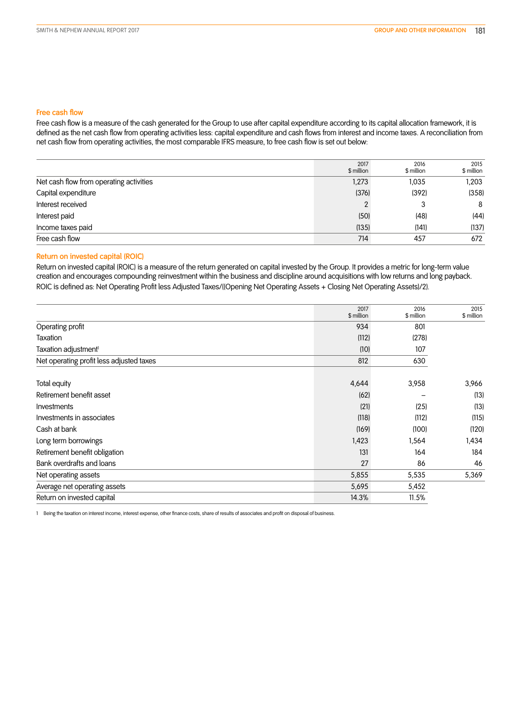## **Free cash flow**

Free cash flow is a measure of the cash generated for the Group to use after capital expenditure according to its capital allocation framework, it is defined as the net cash flow from operating activities less: capital expenditure and cash flows from interest and income taxes. A reconciliation from net cash flow from operating activities, the most comparable IFRS measure, to free cash flow is set out below:

|                                         | 2017<br>\$ million | 2016<br>\$ million | 2015<br>\$ million |
|-----------------------------------------|--------------------|--------------------|--------------------|
| Net cash flow from operating activities | 1,273              | 1,035              | 1,203              |
| Capital expenditure                     | (376)              | (392)              | (358)              |
| Interest received                       |                    | 3                  | 8                  |
| Interest paid                           | (50)               | (48)               | (44)               |
| Income taxes paid                       | (135)              | (141)              | (137)              |
| Free cash flow                          | 714                | 457                | 672                |

# **Return on invested capital (ROIC)**

Return on invested capital (ROIC) is a measure of the return generated on capital invested by the Group. It provides a metric for long-term value creation and encourages compounding reinvestment within the business and discipline around acquisitions with low returns and long payback. ROIC is defined as: Net Operating Profit less Adjusted Taxes/((Opening Net Operating Assets + Closing Net Operating Assets)/2).

|                                          | 2017<br>\$ million | 2016<br>\$ million | 2015<br>\$ million |
|------------------------------------------|--------------------|--------------------|--------------------|
| Operating profit                         | 934                | 801                |                    |
| Taxation                                 | (112)              | (278)              |                    |
| Taxation adjustment <sup>1</sup>         | (10)               | 107                |                    |
| Net operating profit less adjusted taxes | 812                | 630                |                    |
| Total equity                             | 4,644              | 3,958              | 3,966              |
| Retirement benefit asset                 | (62)               |                    | (13)               |
| Investments                              | (21)               | (25)               | (13)               |
| Investments in associates                | (118)              | (112)              | (115)              |
| Cash at bank                             | (169)              | (100)              | (120)              |
| Long term borrowings                     | 1,423              | 1,564              | 1,434              |
| Retirement benefit obligation            | 131                | 164                | 184                |
| Bank overdrafts and loans                | 27                 | 86                 | 46                 |
| Net operating assets                     | 5,855              | 5,535              | 5,369              |
| Average net operating assets             | 5,695              | 5,452              |                    |
| Return on invested capital               | 14.3%              | 11.5%              |                    |

1 Being the taxation on interest income, interest expense, other finance costs, share of results of associates and profit on disposal of business.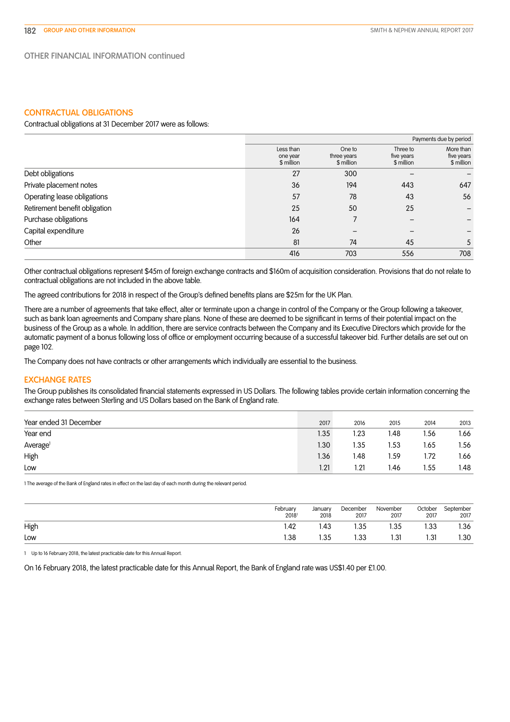## **OTHER FINANCIAL INFORMATION continued**

#### **CONTRACTUAL OBLIGATIONS**

Contractual obligations at 31 December 2017 were as follows:

|                               | Payments due by period              |                                     |                                      |                                       |  |
|-------------------------------|-------------------------------------|-------------------------------------|--------------------------------------|---------------------------------------|--|
|                               | Less than<br>one year<br>\$ million | One to<br>three years<br>\$ million | Three to<br>five years<br>\$ million | More than<br>five years<br>\$ million |  |
| Debt obligations              | 27                                  | 300                                 |                                      |                                       |  |
| Private placement notes       | 36                                  | 194                                 | 443                                  | 647                                   |  |
| Operating lease obligations   | 57                                  | 78                                  | 43                                   | 56                                    |  |
| Retirement benefit obligation | 25                                  | 50                                  | 25                                   |                                       |  |
| Purchase obligations          | 164                                 |                                     |                                      |                                       |  |
| Capital expenditure           | 26                                  |                                     |                                      |                                       |  |
| Other                         | 81                                  | 74                                  | 45                                   | 5                                     |  |
|                               | 416                                 | 703                                 | 556                                  | 708                                   |  |

Other contractual obligations represent \$45m of foreign exchange contracts and \$160m of acquisition consideration. Provisions that do not relate to contractual obligations are not included in the above table.

The agreed contributions for 2018 in respect of the Group's defined benefits plans are \$25m for the UK Plan.

There are a number of agreements that take effect, alter or terminate upon a change in control of the Company or the Group following a takeover, such as bank loan agreements and Company share plans. None of these are deemed to be significant in terms of their potential impact on the business of the Group as a whole. In addition, there are service contracts between the Company and its Executive Directors which provide for the automatic payment of a bonus following loss of office or employment occurring because of a successful takeover bid. Further details are set out on page 102.

The Company does not have contracts or other arrangements which individually are essential to the business.

# **EXCHANGE RATES**

The Group publishes its consolidated financial statements expressed in US Dollars. The following tables provide certain information concerning the exchange rates between Sterling and US Dollars based on the Bank of England rate.

| Year ended 31 December | 2017              | 2016 | 2015 | 2014 | 2013 |
|------------------------|-------------------|------|------|------|------|
| Year end               | 1.35              | 1.23 | 1.48 | l.56 | 1.66 |
| Average <sup>1</sup>   | l.30              | 1.35 | 1.53 | l.65 | l.56 |
| High                   | 1.36 <sub>1</sub> | l.48 | 1.59 | 1.72 | 1.66 |
| Low                    | 1.21              | l.21 | l.46 | l.55 | 1.48 |

1 The average of the Bank of England rates in effect on the last day of each month during the relevant period.

|      | February<br>2018 | January<br>2018 | December<br>2017 | November<br>2017 | October<br>2017 | September<br>2017 |
|------|------------------|-----------------|------------------|------------------|-----------------|-------------------|
| High | 1.42             | 1.43            | 1.35             | 1.35             | 1.33            | 1.36              |
| Low  | .38              | 1.35            | .33              | l.31             | 1.31            | 1.30              |

1 Up to 16 February 2018, the latest practicable date for this Annual Report.

On 16 February 2018, the latest practicable date for this Annual Report, the Bank of England rate was US\$1.40 per £1.00.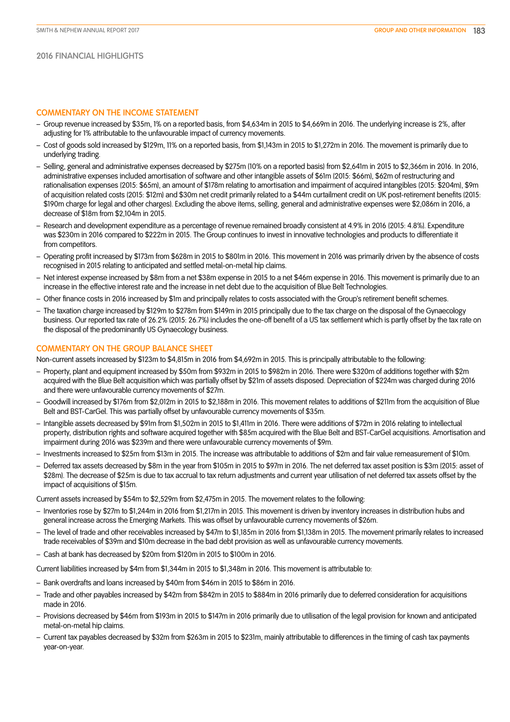# **2016 FINANCIAL HIGHLIGHTS**

## **COMMENTARY ON THE INCOME STATEMENT**

- Group revenue increased by \$35m, 1% on a reported basis, from \$4,634m in 2015 to \$4,669m in 2016. The underlying increase is 2%, after adjusting for 1% attributable to the unfavourable impact of currency movements.
- Cost of goods sold increased by \$129m, 11% on a reported basis, from \$1,143m in 2015 to \$1,272m in 2016. The movement is primarily due to underlying trading.
- Selling, general and administrative expenses decreased by \$275m (10% on a reported basis) from \$2,641m in 2015 to \$2,366m in 2016. In 2016, administrative expenses included amortisation of software and other intangible assets of \$61m (2015: \$66m), \$62m of restructuring and rationalisation expenses (2015: \$65m), an amount of \$178m relating to amortisation and impairment of acquired intangibles (2015: \$204m), \$9m of acquisition related costs (2015: \$12m) and \$30m net credit primarily related to a \$44m curtailment credit on UK post-retirement benefits (2015: \$190m charge for legal and other charges). Excluding the above items, selling, general and administrative expenses were \$2,086m in 2016, a decrease of \$18m from \$2,104m in 2015.
- Research and development expenditure as a percentage of revenue remained broadly consistent at 4.9% in 2016 (2015: 4.8%). Expenditure was \$230m in 2016 compared to \$222m in 2015. The Group continues to invest in innovative technologies and products to differentiate it from competitors.
- Operating profit increased by \$173m from \$628m in 2015 to \$801m in 2016. This movement in 2016 was primarily driven by the absence of costs recognised in 2015 relating to anticipated and settled metal-on-metal hip claims.
- Net interest expense increased by \$8m from a net \$38m expense in 2015 to a net \$46m expense in 2016. This movement is primarily due to an increase in the effective interest rate and the increase in net debt due to the acquisition of Blue Belt Technologies.
- Other finance costs in 2016 increased by \$1m and principally relates to costs associated with the Group's retirement benefit schemes.
- The taxation charge increased by \$129m to \$278m from \$149m in 2015 principally due to the tax charge on the disposal of the Gynaecology business. Our reported tax rate of 26.2% (2015: 26.7%) includes the one-off benefit of a US tax settlement which is partly offset by the tax rate on the disposal of the predominantly US Gynaecology business.

## **COMMENTARY ON THE GROUP BALANCE SHEET**

Non-current assets increased by \$123m to \$4,815m in 2016 from \$4,692m in 2015. This is principally attributable to the following:

- Property, plant and equipment increased by \$50m from \$932m in 2015 to \$982m in 2016. There were \$320m of additions together with \$2m acquired with the Blue Belt acquisition which was partially offset by \$21m of assets disposed. Depreciation of \$224m was charged during 2016 and there were unfavourable currency movements of \$27m.
- Goodwill increased by \$176m from \$2,012m in 2015 to \$2,188m in 2016. This movement relates to additions of \$211m from the acquisition of Blue Belt and BST-CarGel. This was partially offset by unfavourable currency movements of \$35m.
- Intangible assets decreased by \$91m from \$1,502m in 2015 to \$1,411m in 2016. There were additions of \$72m in 2016 relating to intellectual property, distribution rights and software acquired together with \$85m acquired with the Blue Belt and BST-CarGel acquisitions. Amortisation and impairment during 2016 was \$239m and there were unfavourable currency movements of \$9m.
- Investments increased to \$25m from \$13m in 2015. The increase was attributable to additions of \$2m and fair value remeasurement of \$10m.
- Deferred tax assets decreased by \$8m in the year from \$105m in 2015 to \$97m in 2016. The net deferred tax asset position is \$3m (2015: asset of \$28m). The decrease of \$25m is due to tax accrual to tax return adjustments and current year utilisation of net deferred tax assets offset by the impact of acquisitions of \$15m.

Current assets increased by \$54m to \$2,529m from \$2,475m in 2015. The movement relates to the following:

- Inventories rose by \$27m to \$1,244m in 2016 from \$1,217m in 2015. This movement is driven by inventory increases in distribution hubs and general increase across the Emerging Markets. This was offset by unfavourable currency movements of \$26m.
- The level of trade and other receivables increased by \$47m to \$1,185m in 2016 from \$1,138m in 2015. The movement primarily relates to increased trade receivables of \$39m and \$10m decrease in the bad debt provision as well as unfavourable currency movements.
- Cash at bank has decreased by \$20m from \$120m in 2015 to \$100m in 2016.
- Current liabilities increased by \$4m from \$1,344m in 2015 to \$1,348m in 2016. This movement is attributable to:
- Bank overdrafts and loans increased by \$40m from \$46m in 2015 to \$86m in 2016.
- Trade and other payables increased by \$42m from \$842m in 2015 to \$884m in 2016 primarily due to deferred consideration for acquisitions made in 2016.
- Provisions decreased by \$46m from \$193m in 2015 to \$147m in 2016 primarily due to utilisation of the legal provision for known and anticipated metal-on-metal hip claims.
- Current tax payables decreased by \$32m from \$263m in 2015 to \$231m, mainly attributable to differences in the timing of cash tax payments year-on-year.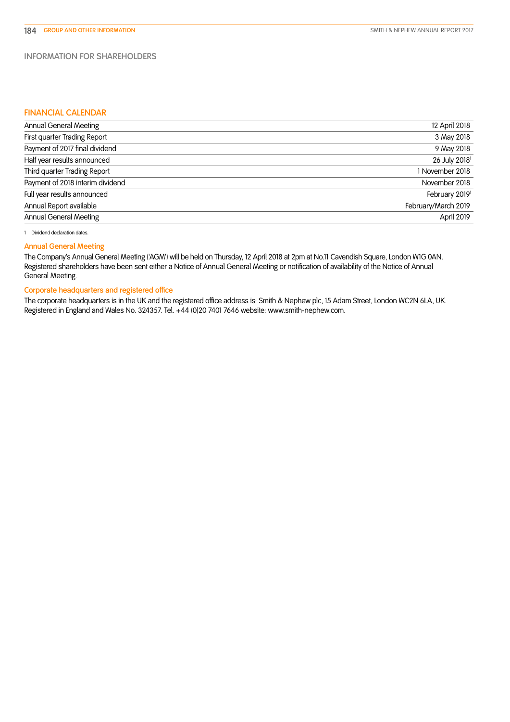# **INFORMATION FOR SHAREHOLDERS**

# **FINANCIAL CALENDAR**

| <b>Annual General Meeting</b>    | 12 April 2018              |
|----------------------------------|----------------------------|
| First quarter Trading Report     | 3 May 2018                 |
| Payment of 2017 final dividend   | 9 May 2018                 |
| Half year results announced      | 26 July 2018 <sup>1</sup>  |
| Third quarter Trading Report     | 1 November 2018            |
| Payment of 2018 interim dividend | November 2018              |
| Full year results announced      | February 2019 <sup>1</sup> |
| Annual Report available          | February/March 2019        |
| <b>Annual General Meeting</b>    | April 2019                 |

1 Dividend declaration dates.

# **Annual General Meeting**

The Company's Annual General Meeting ('AGM') will be held on Thursday, 12 April 2018 at 2pm at No.11 Cavendish Square, London W1G 0AN. Registered shareholders have been sent either a Notice of Annual General Meeting or notification of availability of the Notice of Annual General Meeting.

# **Corporate headquarters and registered office**

The corporate headquarters is in the UK and the registered office address is: Smith & Nephew plc, 15 Adam Street, London WC2N 6LA, UK. Registered in England and Wales No. 324357. Tel. +44 (0)20 7401 7646 website: www.smith-nephew.com.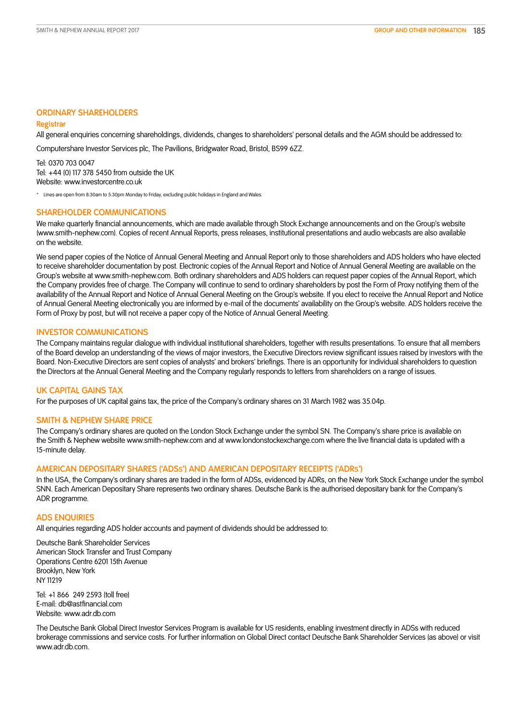## **ORDINARY SHAREHOLDERS**

#### **Registrar**

All general enquiries concerning shareholdings, dividends, changes to shareholders' personal details and the AGM should be addressed to:

Computershare Investor Services plc, The Pavilions, Bridgwater Road, Bristol, BS99 6ZZ.

Tel: 0370 703 0047 Tel: +44 (0) 117 378 5450 from outside the UK Website: www.investorcentre.co.uk

\* Lines are open from 8:30am to 5:30pm Monday to Friday, excluding public holidays in England and Wales.

## **SHAREHOLDER COMMUNICATIONS**

We make quarterly financial announcements, which are made available through Stock Exchange announcements and on the Group's website (www.smith-nephew.com). Copies of recent Annual Reports, press releases, institutional presentations and audio webcasts are also available on the website.

We send paper copies of the Notice of Annual General Meeting and Annual Report only to those shareholders and ADS holders who have elected to receive shareholder documentation by post. Electronic copies of the Annual Report and Notice of Annual General Meeting are available on the Group's website at www.smith-nephew.com. Both ordinary shareholders and ADS holders can request paper copies of the Annual Report, which the Company provides free of charge. The Company will continue to send to ordinary shareholders by post the Form of Proxy notifying them of the availability of the Annual Report and Notice of Annual General Meeting on the Group's website. If you elect to receive the Annual Report and Notice of Annual General Meeting electronically you are informed by e-mail of the documents' availability on the Group's website. ADS holders receive the Form of Proxy by post, but will not receive a paper copy of the Notice of Annual General Meeting.

# **INVESTOR COMMUNICATIONS**

The Company maintains regular dialogue with individual institutional shareholders, together with results presentations. To ensure that all members of the Board develop an understanding of the views of major investors, the Executive Directors review significant issues raised by investors with the Board. Non-Executive Directors are sent copies of analysts' and brokers' briefings. There is an opportunity for individual shareholders to question the Directors at the Annual General Meeting and the Company regularly responds to letters from shareholders on a range of issues.

# **UK CAPITAL GAINS TAX**

For the purposes of UK capital gains tax, the price of the Company's ordinary shares on 31 March 1982 was 35.04p.

#### **SMITH & NEPHEW SHARE PRICE**

The Company's ordinary shares are quoted on the London Stock Exchange under the symbol SN. The Company's share price is available on the Smith & Nephew website www.smith-nephew.com and at www.londonstockexchange.com where the live financial data is updated with a 15-minute delay.

#### **AMERICAN DEPOSITARY SHARES ('ADSS') AND AMERICAN DEPOSITARY RECEIPTS ('ADRS')**

In the USA, the Company's ordinary shares are traded in the form of ADSs, evidenced by ADRs, on the New York Stock Exchange under the symbol SNN. Each American Depositary Share represents two ordinary shares. Deutsche Bank is the authorised depositary bank for the Company's ADR programme.

#### **ADS ENQUIRIES**

All enquiries regarding ADS holder accounts and payment of dividends should be addressed to:

Deutsche Bank Shareholder Services American Stock Transfer and Trust Company Operations Centre 6201 15th Avenue Brooklyn, New York NY 11219

Tel: +1 866 249 2593 (toll free) E-mail: db@astfinancial.com Website: www.adr.db.com

The Deutsche Bank Global Direct Investor Services Program is available for US residents, enabling investment directly in ADSs with reduced brokerage commissions and service costs. For further information on Global Direct contact Deutsche Bank Shareholder Services (as above) or visit www.adr.db.com.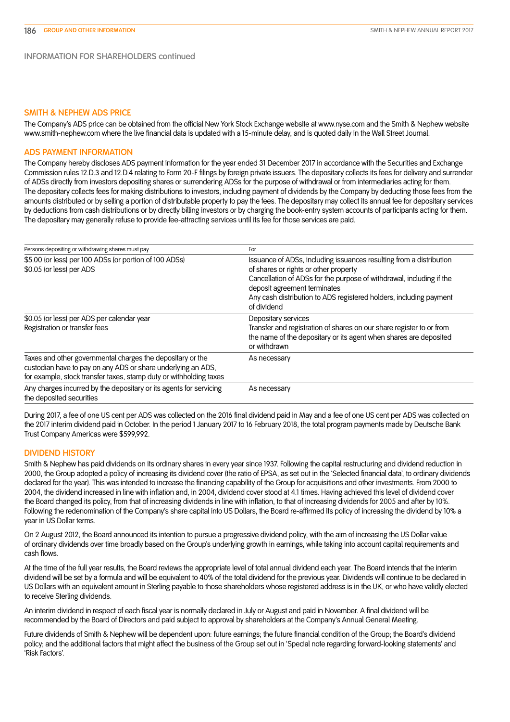# **SMITH & NEPHEW ADS PRICE**

The Company's ADS price can be obtained from the official New York Stock Exchange website at www.nyse.com and the Smith & Nephew website www.smith-nephew.com where the live financial data is updated with a 15-minute delay, and is quoted daily in the Wall Street Journal.

# **ADS PAYMENT INFORMATION**

The Company hereby discloses ADS payment information for the year ended 31 December 2017 in accordance with the Securities and Exchange Commission rules 12.D.3 and 12.D.4 relating to Form 20-F filings by foreign private issuers. The depositary collects its fees for delivery and surrender of ADSs directly from investors depositing shares or surrendering ADSs for the purpose of withdrawal or from intermediaries acting for them. The depositary collects fees for making distributions to investors, including payment of dividends by the Company by deducting those fees from the amounts distributed or by selling a portion of distributable property to pay the fees. The depositary may collect its annual fee for depositary services by deductions from cash distributions or by directly billing investors or by charging the book-entry system accounts of participants acting for them. The depositary may generally refuse to provide fee-attracting services until its fee for those services are paid.

| Persons depositing or withdrawing shares must pay                                                                                                                                                | For                                                                                                                                                                                                                                                                                                       |
|--------------------------------------------------------------------------------------------------------------------------------------------------------------------------------------------------|-----------------------------------------------------------------------------------------------------------------------------------------------------------------------------------------------------------------------------------------------------------------------------------------------------------|
| \$5.00 (or less) per 100 ADSs (or portion of 100 ADSs)<br>\$0.05 (or less) per ADS                                                                                                               | Issuance of ADSs, including issuances resulting from a distribution<br>of shares or rights or other property<br>Cancellation of ADSs for the purpose of withdrawal, including if the<br>deposit agreement terminates<br>Any cash distribution to ADS registered holders, including payment<br>of dividend |
| \$0.05 (or less) per ADS per calendar year<br>Registration or transfer fees                                                                                                                      | Depositary services<br>Transfer and registration of shares on our share register to or from<br>the name of the depositary or its agent when shares are deposited<br>or withdrawn                                                                                                                          |
| Taxes and other governmental charges the depositary or the<br>custodian have to pay on any ADS or share underlying an ADS,<br>for example, stock transfer taxes, stamp duty or withholding taxes | As necessary                                                                                                                                                                                                                                                                                              |
| Any charges incurred by the depositary or its agents for servicing<br>the deposited securities                                                                                                   | As necessary                                                                                                                                                                                                                                                                                              |

During 2017, a fee of one US cent per ADS was collected on the 2016 final dividend paid in May and a fee of one US cent per ADS was collected on the 2017 interim dividend paid in October. In the period 1 January 2017 to 16 February 2018, the total program payments made by Deutsche Bank Trust Company Americas were \$599,992.

## **DIVIDEND HISTORY**

Smith & Nephew has paid dividends on its ordinary shares in every year since 1937. Following the capital restructuring and dividend reduction in 2000, the Group adopted a policy of increasing its dividend cover (the ratio of EPSA, as set out in the 'Selected financial data', to ordinary dividends declared for the year). This was intended to increase the financing capability of the Group for acquisitions and other investments. From 2000 to 2004, the dividend increased in line with inflation and, in 2004, dividend cover stood at 4.1 times. Having achieved this level of dividend cover the Board changed its policy, from that of increasing dividends in line with inflation, to that of increasing dividends for 2005 and after by 10%. Following the redenomination of the Company's share capital into US Dollars, the Board re-affirmed its policy of increasing the dividend by 10% a year in US Dollar terms.

On 2 August 2012, the Board announced its intention to pursue a progressive dividend policy, with the aim of increasing the US Dollar value of ordinary dividends over time broadly based on the Group's underlying growth in earnings, while taking into account capital requirements and cash flows.

At the time of the full year results, the Board reviews the appropriate level of total annual dividend each year. The Board intends that the interim dividend will be set by a formula and will be equivalent to 40% of the total dividend for the previous year. Dividends will continue to be declared in US Dollars with an equivalent amount in Sterling payable to those shareholders whose registered address is in the UK, or who have validly elected to receive Sterling dividends.

An interim dividend in respect of each fiscal year is normally declared in July or August and paid in November. A final dividend will be recommended by the Board of Directors and paid subject to approval by shareholders at the Company's Annual General Meeting.

Future dividends of Smith & Nephew will be dependent upon: future earnings; the future financial condition of the Group; the Board's dividend policy; and the additional factors that might affect the business of the Group set out in 'Special note regarding forward-looking statements' and 'Risk Factors'.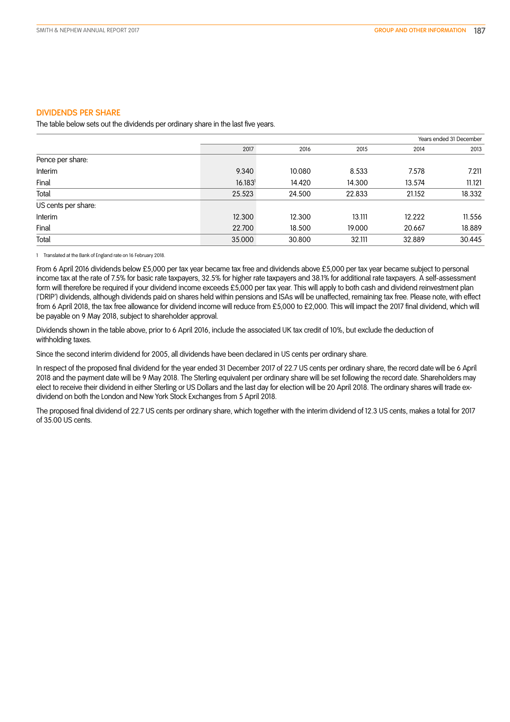## **DIVIDENDS PER SHARE**

The table below sets out the dividends per ordinary share in the last five years.

|                     |                     |        |        |        | Years ended 31 December |
|---------------------|---------------------|--------|--------|--------|-------------------------|
|                     | 2017                | 2016   | 2015   | 2014   | 2013                    |
| Pence per share:    |                     |        |        |        |                         |
| Interim             | 9.340               | 10.080 | 8.533  | 7.578  | 7.211                   |
| Final               | 16.183 <sup>1</sup> | 14.420 | 14.300 | 13.574 | 11.121                  |
| Total               | 25.523              | 24.500 | 22.833 | 21.152 | 18.332                  |
| US cents per share: |                     |        |        |        |                         |
| Interim             | 12.300              | 12.300 | 13.111 | 12.222 | 11.556                  |
| Final               | 22.700              | 18.500 | 19.000 | 20.667 | 18.889                  |
| Total               | 35,000              | 30.800 | 32.111 | 32.889 | 30.445                  |

1 Translated at the Bank of England rate on 16 February 2018.

From 6 April 2016 dividends below £5,000 per tax year became tax free and dividends above £5,000 per tax year became subject to personal income tax at the rate of 7.5% for basic rate taxpayers, 32.5% for higher rate taxpayers and 38.1% for additional rate taxpayers. A self‑assessment form will therefore be required if your dividend income exceeds £5,000 per tax year. This will apply to both cash and dividend reinvestment plan ('DRIP') dividends, although dividends paid on shares held within pensions and ISAs will be unaffected, remaining tax free. Please note, with effect from 6 April 2018, the tax free allowance for dividend income will reduce from £5,000 to £2,000. This will impact the 2017 final dividend, which will be payable on 9 May 2018, subject to shareholder approval.

Dividends shown in the table above, prior to 6 April 2016, include the associated UK tax credit of 10%, but exclude the deduction of withholding taxes.

Since the second interim dividend for 2005, all dividends have been declared in US cents per ordinary share.

In respect of the proposed final dividend for the year ended 31 December 2017 of 22.7 US cents per ordinary share, the record date will be 6 April 2018 and the payment date will be 9 May 2018. The Sterling equivalent per ordinary share will be set following the record date. Shareholders may elect to receive their dividend in either Sterling or US Dollars and the last day for election will be 20 April 2018. The ordinary shares will trade exdividend on both the London and New York Stock Exchanges from 5 April 2018.

The proposed final dividend of 22.7 US cents per ordinary share, which together with the interim dividend of 12.3 US cents, makes a total for 2017 of 35.00 US cents.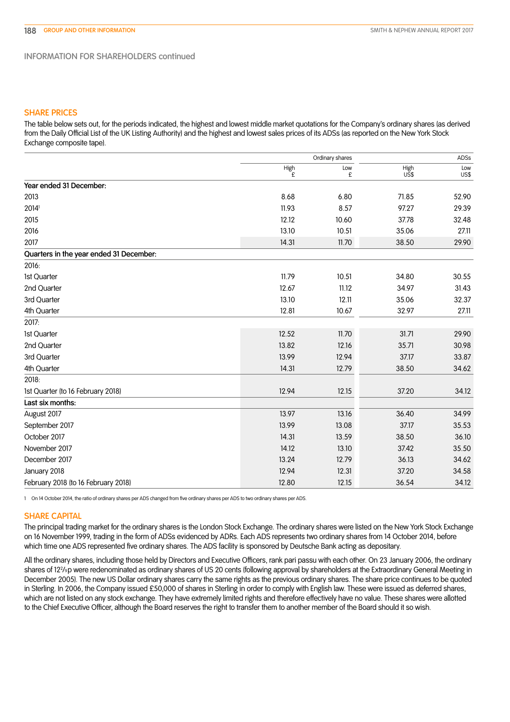## **SHARE PRICES**

The table below sets out, for the periods indicated, the highest and lowest middle market quotations for the Company's ordinary shares (as derived from the Daily Official List of the UK Listing Authority) and the highest and lowest sales prices of its ADSs (as reported on the New York Stock Exchange composite tape).

|                                         | Ordinary shares |          | <b>ADSs</b>  |             |
|-----------------------------------------|-----------------|----------|--------------|-------------|
|                                         | High<br>£       | Low<br>£ | High<br>US\$ | Low<br>US\$ |
| Year ended 31 December:                 |                 |          |              |             |
| 2013                                    | 8.68            | 6.80     | 71.85        | 52.90       |
| 20141                                   | 11.93           | 8.57     | 97.27        | 29.39       |
| 2015                                    | 12.12           | 10.60    | 37.78        | 32.48       |
| 2016                                    | 13.10           | 10.51    | 35.06        | 27.11       |
| 2017                                    | 14.31           | 11.70    | 38.50        | 29.90       |
| Quarters in the year ended 31 December: |                 |          |              |             |
| 2016:                                   |                 |          |              |             |
| 1st Quarter                             | 11.79           | 10.51    | 34.80        | 30.55       |
| 2nd Quarter                             | 12.67           | 11.12    | 34.97        | 31.43       |
| 3rd Quarter                             | 13.10           | 12.11    | 35.06        | 32.37       |
| 4th Quarter                             | 12.81           | 10.67    | 32.97        | 27.11       |
| 2017:                                   |                 |          |              |             |
| 1st Quarter                             | 12.52           | 11.70    | 31.71        | 29.90       |
| 2nd Quarter                             | 13.82           | 12.16    | 35.71        | 30.98       |
| 3rd Quarter                             | 13.99           | 12.94    | 37.17        | 33.87       |
| 4th Quarter                             | 14.31           | 12.79    | 38.50        | 34.62       |
| 2018:                                   |                 |          |              |             |
| 1st Quarter (to 16 February 2018)       | 12.94           | 12.15    | 37.20        | 34.12       |
| Last six months:                        |                 |          |              |             |
| August 2017                             | 13.97           | 13.16    | 36.40        | 34.99       |
| September 2017                          | 13.99           | 13.08    | 37.17        | 35.53       |
| October 2017                            | 14.31           | 13.59    | 38.50        | 36.10       |
| November 2017                           | 14.12           | 13.10    | 37.42        | 35.50       |
| December 2017                           | 13.24           | 12.79    | 36.13        | 34.62       |
| January 2018                            | 12.94           | 12.31    | 37.20        | 34.58       |
| February 2018 (to 16 February 2018)     | 12.80           | 12.15    | 36.54        | 34.12       |

1 On 14 October 2014, the ratio of ordinary shares per ADS changed from five ordinary shares per ADS to two ordinary shares per ADS.

## **SHARE CAPITAL**

The principal trading market for the ordinary shares is the London Stock Exchange. The ordinary shares were listed on the New York Stock Exchange on 16 November 1999, trading in the form of ADSs evidenced by ADRs. Each ADS represents two ordinary shares from 14 October 2014, before which time one ADS represented five ordinary shares. The ADS facility is sponsored by Deutsche Bank acting as depositary.

All the ordinary shares, including those held by Directors and Executive Officers, rank pari passu with each other. On 23 January 2006, the ordinary shares of 12<sup>2</sup> /9p were redenominated as ordinary shares of US 20 cents (following approval by shareholders at the Extraordinary General Meeting in December 2005). The new US Dollar ordinary shares carry the same rights as the previous ordinary shares. The share price continues to be quoted in Sterling. In 2006, the Company issued £50,000 of shares in Sterling in order to comply with English law. These were issued as deferred shares, which are not listed on any stock exchange. They have extremely limited rights and therefore effectively have no value. These shares were allotted to the Chief Executive Officer, although the Board reserves the right to transfer them to another member of the Board should it so wish.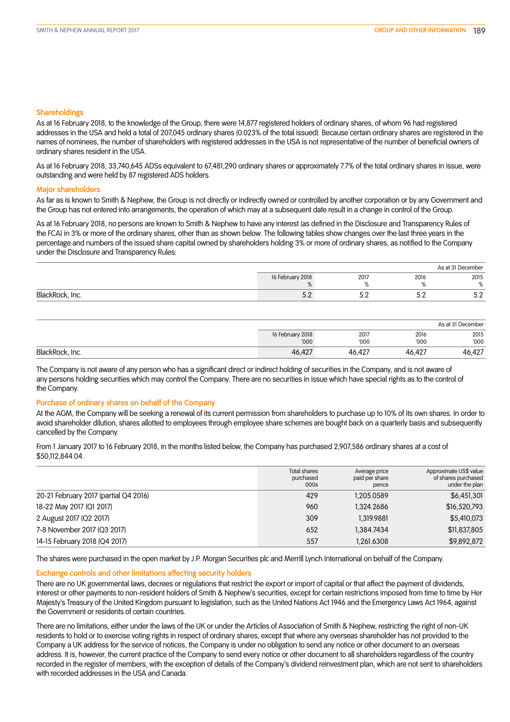#### **Shareholdings**

As at 16 February 2018, to the knowledge of the Group, there were 14,877 registered holders of ordinary shares, of whom 96 had registered addresses in the USA and held a total of 207,045 ordinary shares (0.023% of the total issued). Because certain ordinary shares are registered in the names of nominees, the number of shareholders with registered addresses in the USA is not representative of the number of beneficial owners of ordinary shares resident in the USA.

As at 16 February 2018, 33,740,645 ADSs equivalent to 67,481,290 ordinary shares or approximately 7.7% of the total ordinary shares in issue, were outstanding and were held by 87 registered ADS holders.

#### **Major shareholders**

As far as is known to Smith & Nephew, the Group is not directly or indirectly owned or controlled by another corporation or by any Government and the Group has not entered into arrangements, the operation of which may at a subsequent date result in a change in control of the Group.

As at 16 February 2018, no persons are known to Smith & Nephew to have any interest (as defined in the Disclosure and Transparency Rules of the FCA) in 3% or more of the ordinary shares, other than as shown below. The following tables show changes over the last three years in the percentage and numbers of the issued share capital owned by shareholders holding 3% or more of ordinary shares, as notified to the Company under the Disclosure and Transparency Rules:

|                 |                  |                 |          | As at 31 December |
|-----------------|------------------|-----------------|----------|-------------------|
|                 | 16 February 2018 | 2017            | 2016     | 2015              |
|                 |                  |                 |          | O/L<br>$\sim$     |
| BlackRock, Inc. | ◡.               | . .<br>$\cup$ . | $\cup$ . | - ה<br>◡.∠        |

|                 |                          |              |               | As at 31 December |
|-----------------|--------------------------|--------------|---------------|-------------------|
|                 | 16 February 2018<br>'000 | 2017<br>'000 | 2016<br>'000' | 2015<br>'000      |
| BlackRock, Inc. | 46,427                   | 46,427       | 46,427        | 46,427            |

The Company is not aware of any person who has a significant direct or indirect holding of securities in the Company, and is not aware of any persons holding securities which may control the Company. There are no securities in issue which have special rights as to the control of the Company.

#### **Purchase of ordinary shares on behalf of the Company**

At the AGM, the Company will be seeking a renewal of its current permission from shareholders to purchase up to 10% of its own shares. In order to avoid shareholder dilution, shares allotted to employees through employee share schemes are bought back on a quarterly basis and subsequently cancelled by the Company.

From 1 January 2017 to 16 February 2018, in the months listed below, the Company has purchased 2,907,586 ordinary shares at a cost of \$50,112,844.04.

|                                       | <b>Total shares</b><br>purchased<br>000s | Average price<br>paid per share<br>pence | Approximate US\$ value<br>of shares purchased<br>under the plan |
|---------------------------------------|------------------------------------------|------------------------------------------|-----------------------------------------------------------------|
| 20-21 February 2017 (partial Q4 2016) | 429                                      | 1.205.0589                               | \$6,451,301                                                     |
| 18-22 May 2017 (Q1 2017)              | 960                                      | 1.324.2686                               | \$16,520,793                                                    |
| 2 August 2017 (Q2 2017)               | 309                                      | 1.319.9881                               | \$5,410,073                                                     |
| 7-8 November 2017 (Q3 2017)           | 652                                      | 1.384.7434                               | \$11,837,805                                                    |
| 14-15 February 2018 (Q4 2017)         | 557                                      | 1.261.6308                               | \$9,892,872                                                     |

The shares were purchased in the open market by J.P. Morgan Securities plc and Merrill Lynch International on behalf of the Company.

#### **Exchange controls and other limitations affecting security holders**

There are no UK governmental laws, decrees or regulations that restrict the export or import of capital or that affect the payment of dividends, interest or other payments to non-resident holders of Smith & Nephew's securities, except for certain restrictions imposed from time to time by Her Majesty's Treasury of the United Kingdom pursuant to legislation, such as the United Nations Act 1946 and the Emergency Laws Act 1964, against the Government or residents of certain countries.

There are no limitations, either under the laws of the UK or under the Articles of Association of Smith & Nephew, restricting the right of non-UK residents to hold or to exercise voting rights in respect of ordinary shares, except that where any overseas shareholder has not provided to the Company a UK address for the service of notices, the Company is under no obligation to send any notice or other document to an overseas address. It is, however, the current practice of the Company to send every notice or other document to all shareholders regardless of the country recorded in the register of members, with the exception of details of the Company's dividend reinvestment plan, which are not sent to shareholders with recorded addresses in the USA and Canada.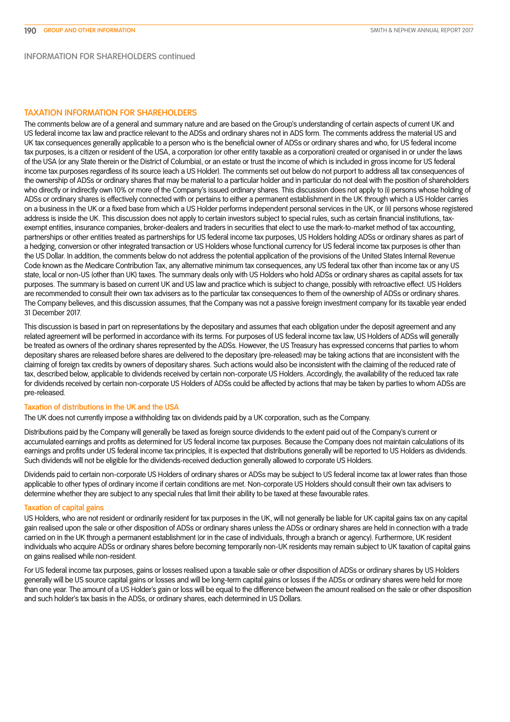# **TAXATION INFORMATION FOR SHAREHOLDERS**

The comments below are of a general and summary nature and are based on the Group's understanding of certain aspects of current UK and US federal income tax law and practice relevant to the ADSs and ordinary shares not in ADS form. The comments address the material US and UK tax consequences generally applicable to a person who is the beneficial owner of ADSs or ordinary shares and who, for US federal income tax purposes, is a citizen or resident of the USA, a corporation (or other entity taxable as a corporation) created or organised in or under the laws of the USA (or any State therein or the District of Columbia), or an estate or trust the income of which is included in gross income for US federal income tax purposes regardless of its source (each a US Holder). The comments set out below do not purport to address all tax consequences of the ownership of ADSs or ordinary shares that may be material to a particular holder and in particular do not deal with the position of shareholders who directly or indirectly own 10% or more of the Company's issued ordinary shares. This discussion does not apply to (i) persons whose holding of ADSs or ordinary shares is effectively connected with or pertains to either a permanent establishment in the UK through which a US Holder carries on a business in the UK or a fixed base from which a US Holder performs independent personal services in the UK, or (ii) persons whose registered address is inside the UK. This discussion does not apply to certain investors subject to special rules, such as certain financial institutions, taxexempt entities, insurance companies, broker-dealers and traders in securities that elect to use the mark-to-market method of tax accounting, partnerships or other entities treated as partnerships for US federal income tax purposes, US Holders holding ADSs or ordinary shares as part of a hedging, conversion or other integrated transaction or US Holders whose functional currency for US federal income tax purposes is other than the US Dollar. In addition, the comments below do not address the potential application of the provisions of the United States Internal Revenue Code known as the Medicare Contribution Tax, any alternative minimum tax consequences, any US federal tax other than income tax or any US state, local or non-US (other than UK) taxes. The summary deals only with US Holders who hold ADSs or ordinary shares as capital assets for tax purposes. The summary is based on current UK and US law and practice which is subject to change, possibly with retroactive effect. US Holders are recommended to consult their own tax advisers as to the particular tax consequences to them of the ownership of ADSs or ordinary shares. The Company believes, and this discussion assumes, that the Company was not a passive foreign investment company for its taxable year ended 31 December 2017.

This discussion is based in part on representations by the depositary and assumes that each obligation under the deposit agreement and any related agreement will be performed in accordance with its terms. For purposes of US federal income tax law, US Holders of ADSs will generally be treated as owners of the ordinary shares represented by the ADSs. However, the US Treasury has expressed concerns that parties to whom depositary shares are released before shares are delivered to the depositary (pre-released) may be taking actions that are inconsistent with the claiming of foreign tax credits by owners of depositary shares. Such actions would also be inconsistent with the claiming of the reduced rate of tax, described below, applicable to dividends received by certain non-corporate US Holders. Accordingly, the availability of the reduced tax rate for dividends received by certain non-corporate US Holders of ADSs could be affected by actions that may be taken by parties to whom ADSs are pre-released.

# **Taxation of distributions in the UK and the USA**

The UK does not currently impose a withholding tax on dividends paid by a UK corporation, such as the Company.

Distributions paid by the Company will generally be taxed as foreign source dividends to the extent paid out of the Company's current or accumulated earnings and profits as determined for US federal income tax purposes. Because the Company does not maintain calculations of its earnings and profits under US federal income tax principles, it is expected that distributions generally will be reported to US Holders as dividends. Such dividends will not be eligible for the dividends-received deduction generally allowed to corporate US Holders.

Dividends paid to certain non-corporate US Holders of ordinary shares or ADSs may be subject to US federal income tax at lower rates than those applicable to other types of ordinary income if certain conditions are met. Non-corporate US Holders should consult their own tax advisers to determine whether they are subject to any special rules that limit their ability to be taxed at these favourable rates.

#### **Taxation of capital gains**

US Holders, who are not resident or ordinarily resident for tax purposes in the UK, will not generally be liable for UK capital gains tax on any capital gain realised upon the sale or other disposition of ADSs or ordinary shares unless the ADSs or ordinary shares are held in connection with a trade carried on in the UK through a permanent establishment (or in the case of individuals, through a branch or agency). Furthermore, UK resident individuals who acquire ADSs or ordinary shares before becoming temporarily non-UK residents may remain subject to UK taxation of capital gains on gains realised while non-resident.

For US federal income tax purposes, gains or losses realised upon a taxable sale or other disposition of ADSs or ordinary shares by US Holders generally will be US source capital gains or losses and will be long-term capital gains or losses if the ADSs or ordinary shares were held for more than one year. The amount of a US Holder's gain or loss will be equal to the difference between the amount realised on the sale or other disposition and such holder's tax basis in the ADSs, or ordinary shares, each determined in US Dollars.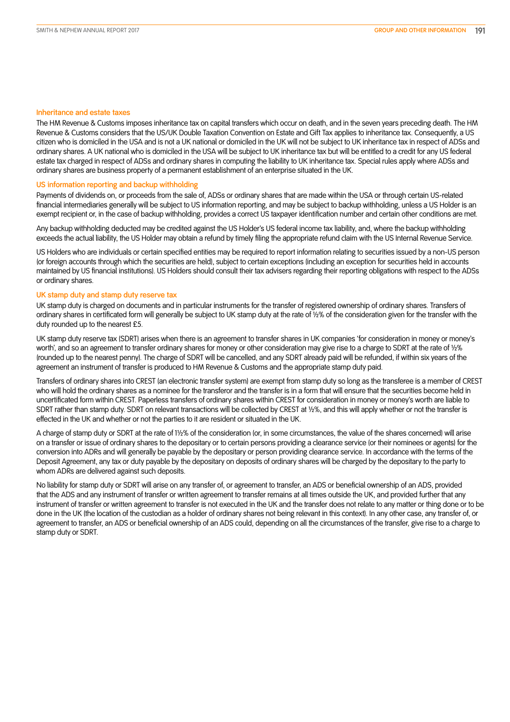#### **Inheritance and estate taxes**

The HM Revenue & Customs imposes inheritance tax on capital transfers which occur on death, and in the seven years preceding death. The HM Revenue & Customs considers that the US/UK Double Taxation Convention on Estate and Gift Tax applies to inheritance tax. Consequently, a US citizen who is domiciled in the USA and is not a UK national or domiciled in the UK will not be subject to UK inheritance tax in respect of ADSs and ordinary shares. A UK national who is domiciled in the USA will be subject to UK inheritance tax but will be entitled to a credit for any US federal estate tax charged in respect of ADSs and ordinary shares in computing the liability to UK inheritance tax. Special rules apply where ADSs and ordinary shares are business property of a permanent establishment of an enterprise situated in the UK.

## **US information reporting and backup withholding**

Payments of dividends on, or proceeds from the sale of, ADSs or ordinary shares that are made within the USA or through certain US-related financial intermediaries generally will be subject to US information reporting, and may be subject to backup withholding, unless a US Holder is an exempt recipient or, in the case of backup withholding, provides a correct US taxpayer identification number and certain other conditions are met.

Any backup withholding deducted may be credited against the US Holder's US federal income tax liability, and, where the backup withholding exceeds the actual liability, the US Holder may obtain a refund by timely filing the appropriate refund claim with the US Internal Revenue Service.

US Holders who are individuals or certain specified entities may be required to report information relating to securities issued by a non-US person (or foreign accounts through which the securities are held), subject to certain exceptions (including an exception for securities held in accounts maintained by US financial institutions). US Holders should consult their tax advisers regarding their reporting obligations with respect to the ADSs or ordinary shares.

## **UK stamp duty and stamp duty reserve tax**

UK stamp duty is charged on documents and in particular instruments for the transfer of registered ownership of ordinary shares. Transfers of ordinary shares in certificated form will generally be subject to UK stamp duty at the rate of ½% of the consideration given for the transfer with the duty rounded up to the nearest £5.

UK stamp duty reserve tax (SDRT) arises when there is an agreement to transfer shares in UK companies 'for consideration in money or money's worth', and so an agreement to transfer ordinary shares for money or other consideration may give rise to a charge to SDRT at the rate of ½% (rounded up to the nearest penny). The charge of SDRT will be cancelled, and any SDRT already paid will be refunded, if within six years of the agreement an instrument of transfer is produced to HM Revenue & Customs and the appropriate stamp duty paid.

Transfers of ordinary shares into CREST (an electronic transfer system) are exempt from stamp duty so long as the transferee is a member of CREST who will hold the ordinary shares as a nominee for the transferor and the transfer is in a form that will ensure that the securities become held in uncertificated form within CREST. Paperless transfers of ordinary shares within CREST for consideration in money or money's worth are liable to SDRT rather than stamp duty. SDRT on relevant transactions will be collected by CREST at ½%, and this will apply whether or not the transfer is effected in the UK and whether or not the parties to it are resident or situated in the UK.

A charge of stamp duty or SDRT at the rate of 1½% of the consideration (or, in some circumstances, the value of the shares concerned) will arise on a transfer or issue of ordinary shares to the depositary or to certain persons providing a clearance service (or their nominees or agents) for the conversion into ADRs and will generally be payable by the depositary or person providing clearance service. In accordance with the terms of the Deposit Agreement, any tax or duty payable by the depositary on deposits of ordinary shares will be charged by the depositary to the party to whom ADRs are delivered against such deposits.

No liability for stamp duty or SDRT will arise on any transfer of, or agreement to transfer, an ADS or beneficial ownership of an ADS, provided that the ADS and any instrument of transfer or written agreement to transfer remains at all times outside the UK, and provided further that any instrument of transfer or written agreement to transfer is not executed in the UK and the transfer does not relate to any matter or thing done or to be done in the UK (the location of the custodian as a holder of ordinary shares not being relevant in this context). In any other case, any transfer of, or agreement to transfer, an ADS or beneficial ownership of an ADS could, depending on all the circumstances of the transfer, give rise to a charge to stamp duty or SDRT.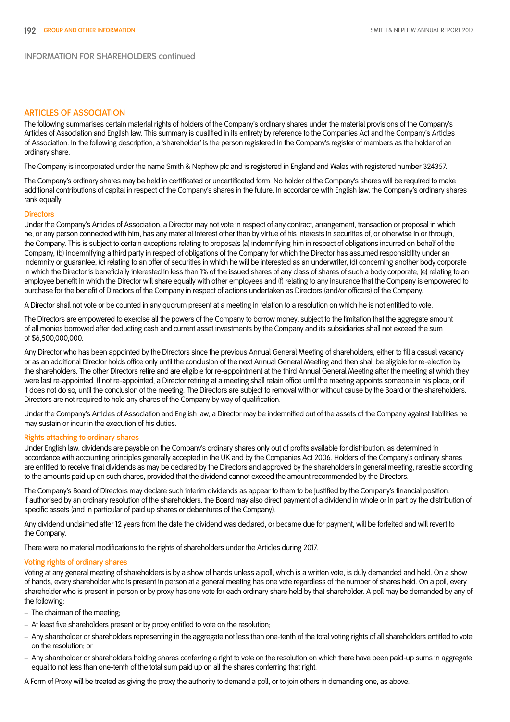## **ARTICLES OF ASSOCIATION**

The following summarises certain material rights of holders of the Company's ordinary shares under the material provisions of the Company's Articles of Association and English law. This summary is qualified in its entirety by reference to the Companies Act and the Company's Articles of Association. In the following description, a 'shareholder' is the person registered in the Company's register of members as the holder of an ordinary share.

The Company is incorporated under the name Smith & Nephew plc and is registered in England and Wales with registered number 324357.

The Company's ordinary shares may be held in certificated or uncertificated form. No holder of the Company's shares will be required to make additional contributions of capital in respect of the Company's shares in the future. In accordance with English law, the Company's ordinary shares rank equally.

#### **Directors**

Under the Company's Articles of Association, a Director may not vote in respect of any contract, arrangement, transaction or proposal in which he, or any person connected with him, has any material interest other than by virtue of his interests in securities of, or otherwise in or through, the Company. This is subject to certain exceptions relating to proposals (a) indemnifying him in respect of obligations incurred on behalf of the Company, (b) indemnifying a third party in respect of obligations of the Company for which the Director has assumed responsibility under an indemnity or guarantee, (c) relating to an offer of securities in which he will be interested as an underwriter, (d) concerning another body corporate in which the Director is beneficially interested in less than 1% of the issued shares of any class of shares of such a body corporate, (e) relating to an employee benefit in which the Director will share equally with other employees and (f) relating to any insurance that the Company is empowered to purchase for the benefit of Directors of the Company in respect of actions undertaken as Directors (and/or officers) of the Company.

A Director shall not vote or be counted in any quorum present at a meeting in relation to a resolution on which he is not entitled to vote.

The Directors are empowered to exercise all the powers of the Company to borrow money, subject to the limitation that the aggregate amount of all monies borrowed after deducting cash and current asset investments by the Company and its subsidiaries shall not exceed the sum of \$6,500,000,000.

Any Director who has been appointed by the Directors since the previous Annual General Meeting of shareholders, either to fill a casual vacancy or as an additional Director holds office only until the conclusion of the next Annual General Meeting and then shall be eligible for re-election by the shareholders. The other Directors retire and are eligible for re-appointment at the third Annual General Meeting after the meeting at which they were last re-appointed. If not re-appointed, a Director retiring at a meeting shall retain office until the meeting appoints someone in his place, or if it does not do so, until the conclusion of the meeting. The Directors are subject to removal with or without cause by the Board or the shareholders. Directors are not required to hold any shares of the Company by way of qualification.

Under the Company's Articles of Association and English law, a Director may be indemnified out of the assets of the Company against liabilities he may sustain or incur in the execution of his duties.

## **Rights attaching to ordinary shares**

Under English law, dividends are payable on the Company's ordinary shares only out of profits available for distribution, as determined in accordance with accounting principles generally accepted in the UK and by the Companies Act 2006. Holders of the Company's ordinary shares are entitled to receive final dividends as may be declared by the Directors and approved by the shareholders in general meeting, rateable according to the amounts paid up on such shares, provided that the dividend cannot exceed the amount recommended by the Directors.

The Company's Board of Directors may declare such interim dividends as appear to them to be justified by the Company's financial position. If authorised by an ordinary resolution of the shareholders, the Board may also direct payment of a dividend in whole or in part by the distribution of specific assets (and in particular of paid up shares or debentures of the Company).

Any dividend unclaimed after 12 years from the date the dividend was declared, or became due for payment, will be forfeited and will revert to the Company.

There were no material modifications to the rights of shareholders under the Articles during 2017.

## **Voting rights of ordinary shares**

Voting at any general meeting of shareholders is by a show of hands unless a poll, which is a written vote, is duly demanded and held. On a show of hands, every shareholder who is present in person at a general meeting has one vote regardless of the number of shares held. On a poll, every shareholder who is present in person or by proxy has one vote for each ordinary share held by that shareholder. A poll may be demanded by any of the following:

- The chairman of the meeting;
- At least five shareholders present or by proxy entitled to vote on the resolution;
- Any shareholder or shareholders representing in the aggregate not less than one-tenth of the total voting rights of all shareholders entitled to vote on the resolution; or
- Any shareholder or shareholders holding shares conferring a right to vote on the resolution on which there have been paid-up sums in aggregate equal to not less than one-tenth of the total sum paid up on all the shares conferring that right.

A Form of Proxy will be treated as giving the proxy the authority to demand a poll, or to join others in demanding one, as above.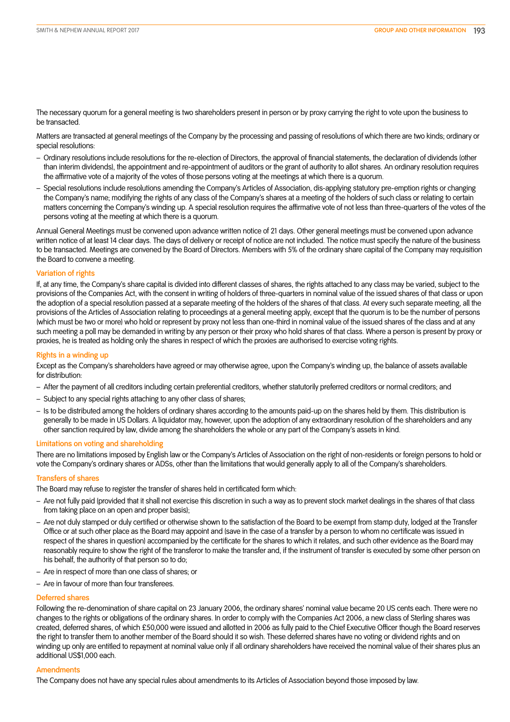The necessary quorum for a general meeting is two shareholders present in person or by proxy carrying the right to vote upon the business to be transacted.

Matters are transacted at general meetings of the Company by the processing and passing of resolutions of which there are two kinds; ordinary or special resolutions:

- Ordinary resolutions include resolutions for the re-election of Directors, the approval of financial statements, the declaration of dividends (other than interim dividends), the appointment and re-appointment of auditors or the grant of authority to allot shares. An ordinary resolution requires the affirmative vote of a majority of the votes of those persons voting at the meetings at which there is a quorum.
- Special resolutions include resolutions amending the Company's Articles of Association, dis-applying statutory pre-emption rights or changing the Company's name; modifying the rights of any class of the Company's shares at a meeting of the holders of such class or relating to certain matters concerning the Company's winding up. A special resolution requires the affirmative vote of not less than three-quarters of the votes of the persons voting at the meeting at which there is a quorum.

Annual General Meetings must be convened upon advance written notice of 21 days. Other general meetings must be convened upon advance written notice of at least 14 clear days. The days of delivery or receipt of notice are not included. The notice must specify the nature of the business to be transacted. Meetings are convened by the Board of Directors. Members with 5% of the ordinary share capital of the Company may requisition the Board to convene a meeting.

## **Variation of rights**

If, at any time, the Company's share capital is divided into different classes of shares, the rights attached to any class may be varied, subject to the provisions of the Companies Act, with the consent in writing of holders of three-quarters in nominal value of the issued shares of that class or upon the adoption of a special resolution passed at a separate meeting of the holders of the shares of that class. At every such separate meeting, all the provisions of the Articles of Association relating to proceedings at a general meeting apply, except that the quorum is to be the number of persons (which must be two or more) who hold or represent by proxy not less than one-third in nominal value of the issued shares of the class and at any such meeting a poll may be demanded in writing by any person or their proxy who hold shares of that class. Where a person is present by proxy or proxies, he is treated as holding only the shares in respect of which the proxies are authorised to exercise voting rights.

## **Rights in a winding up**

Except as the Company's shareholders have agreed or may otherwise agree, upon the Company's winding up, the balance of assets available for distribution:

- After the payment of all creditors including certain preferential creditors, whether statutorily preferred creditors or normal creditors; and
- Subject to any special rights attaching to any other class of shares;
- Is to be distributed among the holders of ordinary shares according to the amounts paid-up on the shares held by them. This distribution is generally to be made in US Dollars. A liquidator may, however, upon the adoption of any extraordinary resolution of the shareholders and any other sanction required by law, divide among the shareholders the whole or any part of the Company's assets in kind.

# **Limitations on voting and shareholding**

There are no limitations imposed by English law or the Company's Articles of Association on the right of non-residents or foreign persons to hold or vote the Company's ordinary shares or ADSs, other than the limitations that would generally apply to all of the Company's shareholders.

## **Transfers of shares**

The Board may refuse to register the transfer of shares held in certificated form which:

- Are not fully paid (provided that it shall not exercise this discretion in such a way as to prevent stock market dealings in the shares of that class from taking place on an open and proper basis);
- Are not duly stamped or duly certified or otherwise shown to the satisfaction of the Board to be exempt from stamp duty, lodged at the Transfer Office or at such other place as the Board may appoint and (save in the case of a transfer by a person to whom no certificate was issued in respect of the shares in question) accompanied by the certificate for the shares to which it relates, and such other evidence as the Board may reasonably require to show the right of the transferor to make the transfer and, if the instrument of transfer is executed by some other person on his behalf, the authority of that person so to do;
- Are in respect of more than one class of shares; or
- Are in favour of more than four transferees.

## **Deferred shares**

Following the re-denomination of share capital on 23 January 2006, the ordinary shares' nominal value became 20 US cents each. There were no changes to the rights or obligations of the ordinary shares. In order to comply with the Companies Act 2006, a new class of Sterling shares was created, deferred shares, of which £50,000 were issued and allotted in 2006 as fully paid to the Chief Executive Officer though the Board reserves the right to transfer them to another member of the Board should it so wish. These deferred shares have no voting or dividend rights and on winding up only are entitled to repayment at nominal value only if all ordinary shareholders have received the nominal value of their shares plus an additional US\$1,000 each.

#### **Amendments**

The Company does not have any special rules about amendments to its Articles of Association beyond those imposed by law.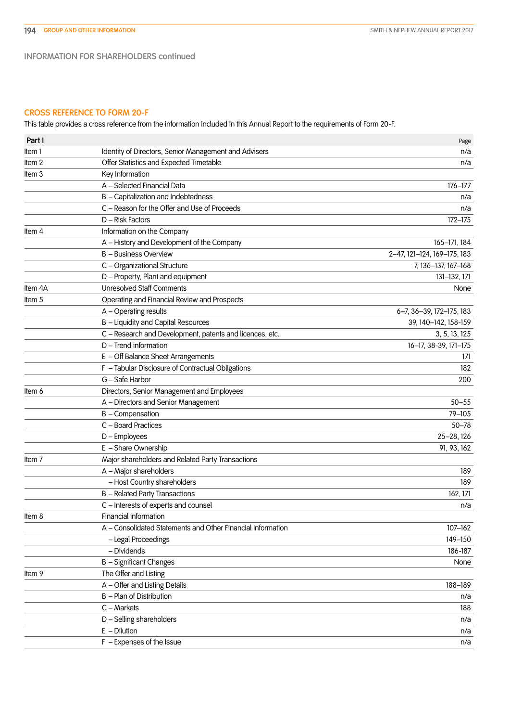# **CROSS REFERENCE TO FORM 20-F**

This table provides a cross reference from the information included in this Annual Report to the requirements of Form 20-F.

| Part I            |                                                             | Page                        |
|-------------------|-------------------------------------------------------------|-----------------------------|
| Item 1            | Identity of Directors, Senior Management and Advisers       | n/a                         |
| Item <sub>2</sub> | Offer Statistics and Expected Timetable                     | n/a                         |
| Item 3            | Key Information                                             |                             |
|                   | A - Selected Financial Data                                 | $176 - 177$                 |
|                   | B - Capitalization and Indebtedness                         | n/a                         |
|                   | C - Reason for the Offer and Use of Proceeds                | n/a                         |
|                   | D - Risk Factors                                            | 172-175                     |
| Item 4            | Information on the Company                                  |                             |
|                   | A - History and Development of the Company                  | 165-171, 184                |
|                   | <b>B</b> - Business Overview                                | 2-47, 121-124, 169-175, 183 |
|                   | C - Organizational Structure                                | 7, 136-137, 167-168         |
|                   | D - Property, Plant and equipment                           | 131-132, 171                |
| Item 4A           | <b>Unresolved Staff Comments</b>                            | None                        |
| Item 5            | Operating and Financial Review and Prospects                |                             |
|                   | A - Operating results                                       | 6-7, 36-39, 172-175, 183    |
|                   | B - Liquidity and Capital Resources                         | 39, 140-142, 158-159        |
|                   | C - Research and Development, patents and licences, etc.    | 3, 5, 13, 125               |
|                   | D - Trend information                                       | 16-17, 38-39, 171-175       |
|                   | E - Off Balance Sheet Arrangements                          | 171                         |
|                   | F - Tabular Disclosure of Contractual Obligations           | 182                         |
|                   | G - Safe Harbor                                             | 200                         |
| ltem 6            | Directors, Senior Management and Employees                  |                             |
|                   | A - Directors and Senior Management                         | $50 - 55$                   |
|                   | <b>B</b> - Compensation                                     | 79-105                      |
|                   | C - Board Practices                                         | $50 - 78$                   |
|                   | $D$ – Employees                                             | 25-28, 126                  |
|                   | E - Share Ownership                                         | 91, 93, 162                 |
| Item <sub>7</sub> | Major shareholders and Related Party Transactions           |                             |
|                   | A - Major shareholders                                      | 189                         |
|                   | - Host Country shareholders                                 | 189                         |
|                   | B - Related Party Transactions                              | 162, 171                    |
|                   | C - Interests of experts and counsel                        | n/a                         |
| Item 8            | Financial information                                       |                             |
|                   | A - Consolidated Statements and Other Financial Information | $107 - 162$                 |
|                   | - Legal Proceedings                                         | 149-150                     |
|                   | - Dividends                                                 | 186-187                     |
|                   | <b>B</b> - Significant Changes                              | None                        |
| Item 9            | The Offer and Listing                                       |                             |
|                   | A - Offer and Listing Details                               | 188-189                     |
|                   | B - Plan of Distribution                                    | n/a                         |
|                   | $C -$ Markets                                               | 188                         |
|                   | D - Selling shareholders                                    | n/a                         |
|                   | $E - Dilution$                                              | n/a                         |
|                   | $F -$ Expenses of the Issue                                 | n/a                         |
|                   |                                                             |                             |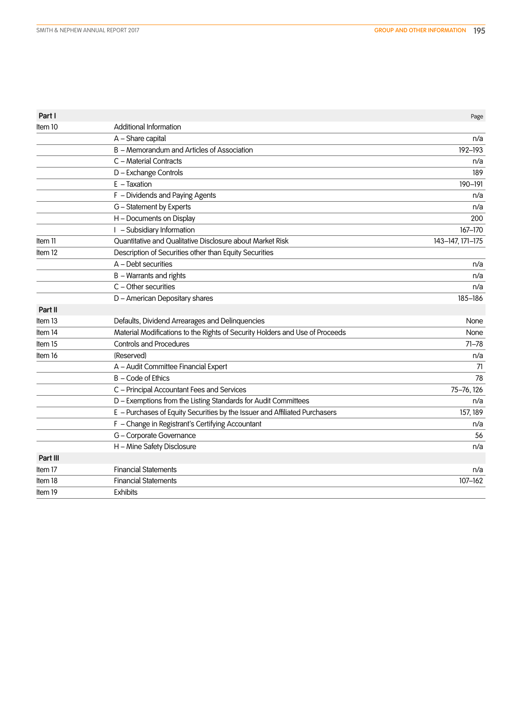| Part I             |                                                                              | Page             |
|--------------------|------------------------------------------------------------------------------|------------------|
| Item 10            | Additional Information                                                       |                  |
|                    | A - Share capital                                                            | n/a              |
|                    | B - Memorandum and Articles of Association                                   | 192-193          |
|                    | C - Material Contracts                                                       | n/a              |
|                    | D - Exchange Controls                                                        | 189              |
|                    | $E - Taxation$                                                               | 190-191          |
|                    | F - Dividends and Paying Agents                                              | n/a              |
|                    | G - Statement by Experts                                                     | n/a              |
|                    | H - Documents on Display                                                     | 200              |
|                    | I - Subsidiary Information                                                   | $167 - 170$      |
| Item 11            | Quantitative and Qualitative Disclosure about Market Risk                    | 143-147, 171-175 |
| Item <sub>12</sub> | Description of Securities other than Equity Securities                       |                  |
|                    | A - Debt securities                                                          | n/a              |
|                    | B - Warrants and rights                                                      | n/a              |
|                    | $C -$ Other securities                                                       | n/a              |
|                    | D - American Depositary shares                                               | 185-186          |
| Part II            |                                                                              |                  |
| Item <sub>13</sub> | Defaults, Dividend Arrearages and Delinquencies                              | None             |
| Item 14            | Material Modifications to the Rights of Security Holders and Use of Proceeds | None             |
| Item 15            | <b>Controls and Procedures</b>                                               | $71 - 78$        |
| Item 16            | (Reserved)                                                                   | n/a              |
|                    | A - Audit Committee Financial Expert                                         | 71               |
|                    | B - Code of Ethics                                                           | 78               |
|                    | C - Principal Accountant Fees and Services                                   | 75-76, 126       |
|                    | D - Exemptions from the Listing Standards for Audit Committees               | n/a              |
|                    | E - Purchases of Equity Securities by the Issuer and Affiliated Purchasers   | 157, 189         |
|                    | F - Change in Registrant's Certifying Accountant                             | n/a              |
|                    | G - Corporate Governance                                                     | 56               |
|                    | H - Mine Safety Disclosure                                                   | n/a              |
| Part III           |                                                                              |                  |
| Item 17            | <b>Financial Statements</b>                                                  | n/a              |
| Item 18            | <b>Financial Statements</b>                                                  | $107 - 162$      |
| Item 19            | Exhibits                                                                     |                  |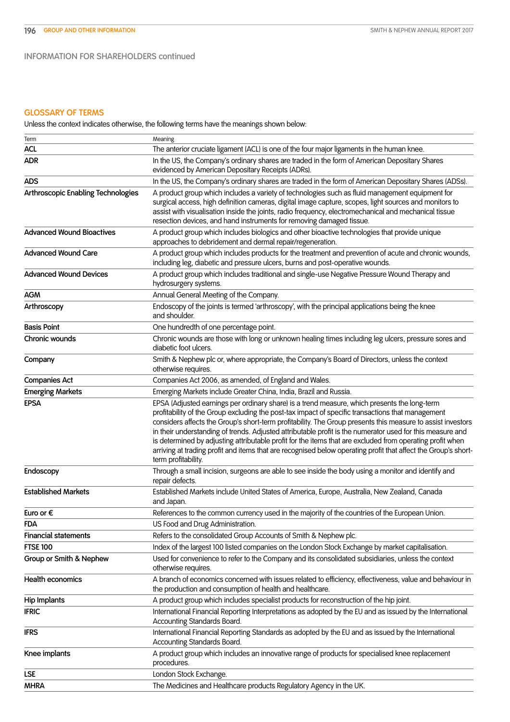# **GLOSSARY OF TERMS**

Unless the context indicates otherwise, the following terms have the meanings shown below:

| Term                               | Meaning                                                                                                                                                                                                                                                                                                                                                                                                                                                                                                                                                                                                                                                                             |
|------------------------------------|-------------------------------------------------------------------------------------------------------------------------------------------------------------------------------------------------------------------------------------------------------------------------------------------------------------------------------------------------------------------------------------------------------------------------------------------------------------------------------------------------------------------------------------------------------------------------------------------------------------------------------------------------------------------------------------|
| <b>ACL</b>                         | The anterior cruciate ligament (ACL) is one of the four major ligaments in the human knee.                                                                                                                                                                                                                                                                                                                                                                                                                                                                                                                                                                                          |
| <b>ADR</b>                         | In the US, the Company's ordinary shares are traded in the form of American Depositary Shares<br>evidenced by American Depositary Receipts (ADRs).                                                                                                                                                                                                                                                                                                                                                                                                                                                                                                                                  |
| <b>ADS</b>                         | In the US, the Company's ordinary shares are traded in the form of American Depositary Shares (ADSs).                                                                                                                                                                                                                                                                                                                                                                                                                                                                                                                                                                               |
| Arthroscopic Enabling Technologies | A product group which includes a variety of technologies such as fluid management equipment for<br>surgical access, high definition cameras, digital image capture, scopes, light sources and monitors to<br>assist with visualisation inside the joints, radio frequency, electromechanical and mechanical tissue<br>resection devices, and hand instruments for removing damaged tissue.                                                                                                                                                                                                                                                                                          |
| <b>Advanced Wound Bioactives</b>   | A product group which includes biologics and other bioactive technologies that provide unique<br>approaches to debridement and dermal repair/regeneration.                                                                                                                                                                                                                                                                                                                                                                                                                                                                                                                          |
| <b>Advanced Wound Care</b>         | A product group which includes products for the treatment and prevention of acute and chronic wounds,<br>including leg, diabetic and pressure ulcers, burns and post-operative wounds.                                                                                                                                                                                                                                                                                                                                                                                                                                                                                              |
| <b>Advanced Wound Devices</b>      | A product group which includes traditional and single-use Negative Pressure Wound Therapy and<br>hydrosurgery systems.                                                                                                                                                                                                                                                                                                                                                                                                                                                                                                                                                              |
| <b>AGM</b>                         | Annual General Meeting of the Company.                                                                                                                                                                                                                                                                                                                                                                                                                                                                                                                                                                                                                                              |
| Arthroscopy                        | Endoscopy of the joints is termed 'arthroscopy', with the principal applications being the knee<br>and shoulder.                                                                                                                                                                                                                                                                                                                                                                                                                                                                                                                                                                    |
| <b>Basis Point</b>                 | One hundredth of one percentage point.                                                                                                                                                                                                                                                                                                                                                                                                                                                                                                                                                                                                                                              |
| Chronic wounds                     | Chronic wounds are those with long or unknown healing times including leg ulcers, pressure sores and<br>diabetic foot ulcers.                                                                                                                                                                                                                                                                                                                                                                                                                                                                                                                                                       |
| Company                            | Smith & Nephew plc or, where appropriate, the Company's Board of Directors, unless the context<br>otherwise requires.                                                                                                                                                                                                                                                                                                                                                                                                                                                                                                                                                               |
| <b>Companies Act</b>               | Companies Act 2006, as amended, of England and Wales.                                                                                                                                                                                                                                                                                                                                                                                                                                                                                                                                                                                                                               |
| <b>Emerging Markets</b>            | Emerging Markets include Greater China, India, Brazil and Russia.                                                                                                                                                                                                                                                                                                                                                                                                                                                                                                                                                                                                                   |
| <b>EPSA</b>                        | EPSA (Adjusted earnings per ordinary share) is a trend measure, which presents the long-term<br>profitability of the Group excluding the post-tax impact of specific transactions that management<br>considers affects the Group's short-term profitability. The Group presents this measure to assist investors<br>in their understanding of trends. Adjusted attributable profit is the numerator used for this measure and<br>is determined by adjusting attributable profit for the items that are excluded from operating profit when<br>arriving at trading profit and items that are recognised below operating profit that affect the Group's short-<br>term profitability. |
| Endoscopy                          | Through a small incision, surgeons are able to see inside the body using a monitor and identify and<br>repair defects.                                                                                                                                                                                                                                                                                                                                                                                                                                                                                                                                                              |
| <b>Established Markets</b>         | Established Markets include United States of America, Europe, Australia, New Zealand, Canada<br>and Japan.                                                                                                                                                                                                                                                                                                                                                                                                                                                                                                                                                                          |
| Euro or $\epsilon$                 | References to the common currency used in the majority of the countries of the European Union.                                                                                                                                                                                                                                                                                                                                                                                                                                                                                                                                                                                      |
| <b>FDA</b>                         | US Food and Drug Administration.                                                                                                                                                                                                                                                                                                                                                                                                                                                                                                                                                                                                                                                    |
| <b>Financial statements</b>        | Refers to the consolidated Group Accounts of Smith & Nephew plc.                                                                                                                                                                                                                                                                                                                                                                                                                                                                                                                                                                                                                    |
| <b>FTSE 100</b>                    | Index of the largest 100 listed companies on the London Stock Exchange by market capitalisation.                                                                                                                                                                                                                                                                                                                                                                                                                                                                                                                                                                                    |
| Group or Smith & Nephew            | Used for convenience to refer to the Company and its consolidated subsidiaries, unless the context<br>otherwise requires.                                                                                                                                                                                                                                                                                                                                                                                                                                                                                                                                                           |
| Health economics                   | A branch of economics concerned with issues related to efficiency, effectiveness, value and behaviour in<br>the production and consumption of health and healthcare.                                                                                                                                                                                                                                                                                                                                                                                                                                                                                                                |
| Hip Implants                       | A product group which includes specialist products for reconstruction of the hip joint.                                                                                                                                                                                                                                                                                                                                                                                                                                                                                                                                                                                             |
| <b>IFRIC</b>                       | International Financial Reporting Interpretations as adopted by the EU and as issued by the International<br>Accounting Standards Board.                                                                                                                                                                                                                                                                                                                                                                                                                                                                                                                                            |
| <b>IFRS</b>                        | International Financial Reporting Standards as adopted by the EU and as issued by the International<br>Accounting Standards Board.                                                                                                                                                                                                                                                                                                                                                                                                                                                                                                                                                  |
| Knee implants                      | A product group which includes an innovative range of products for specialised knee replacement<br>procedures.                                                                                                                                                                                                                                                                                                                                                                                                                                                                                                                                                                      |
| <b>LSE</b>                         | London Stock Exchange.                                                                                                                                                                                                                                                                                                                                                                                                                                                                                                                                                                                                                                                              |
| <b>MHRA</b>                        | The Medicines and Healthcare products Regulatory Agency in the UK.                                                                                                                                                                                                                                                                                                                                                                                                                                                                                                                                                                                                                  |
|                                    |                                                                                                                                                                                                                                                                                                                                                                                                                                                                                                                                                                                                                                                                                     |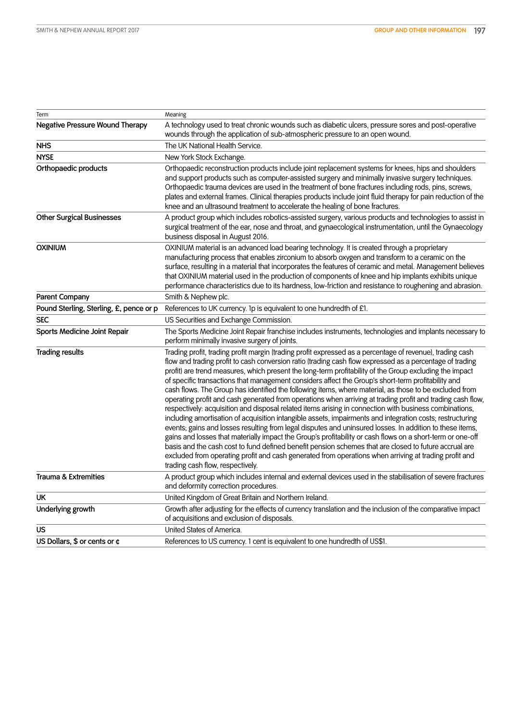| Term                                     | Meaning                                                                                                                                                                                                                                                                                                                                                                                                                                                                                                                                                                                                                                                                                                                                                                                                                                                                                                                                                                                                                                                                                                                                                                                                                                                                                                                                                               |
|------------------------------------------|-----------------------------------------------------------------------------------------------------------------------------------------------------------------------------------------------------------------------------------------------------------------------------------------------------------------------------------------------------------------------------------------------------------------------------------------------------------------------------------------------------------------------------------------------------------------------------------------------------------------------------------------------------------------------------------------------------------------------------------------------------------------------------------------------------------------------------------------------------------------------------------------------------------------------------------------------------------------------------------------------------------------------------------------------------------------------------------------------------------------------------------------------------------------------------------------------------------------------------------------------------------------------------------------------------------------------------------------------------------------------|
| <b>Negative Pressure Wound Therapy</b>   | A technology used to treat chronic wounds such as diabetic ulcers, pressure sores and post-operative<br>wounds through the application of sub-atmospheric pressure to an open wound.                                                                                                                                                                                                                                                                                                                                                                                                                                                                                                                                                                                                                                                                                                                                                                                                                                                                                                                                                                                                                                                                                                                                                                                  |
| <b>NHS</b>                               | The UK National Health Service.                                                                                                                                                                                                                                                                                                                                                                                                                                                                                                                                                                                                                                                                                                                                                                                                                                                                                                                                                                                                                                                                                                                                                                                                                                                                                                                                       |
| <b>NYSE</b>                              | New York Stock Exchange.                                                                                                                                                                                                                                                                                                                                                                                                                                                                                                                                                                                                                                                                                                                                                                                                                                                                                                                                                                                                                                                                                                                                                                                                                                                                                                                                              |
| Orthopaedic products                     | Orthopaedic reconstruction products include joint replacement systems for knees, hips and shoulders<br>and support products such as computer-assisted surgery and minimally invasive surgery techniques.<br>Orthopaedic trauma devices are used in the treatment of bone fractures including rods, pins, screws,<br>plates and external frames. Clinical therapies products include joint fluid therapy for pain reduction of the<br>knee and an ultrasound treatment to accelerate the healing of bone fractures.                                                                                                                                                                                                                                                                                                                                                                                                                                                                                                                                                                                                                                                                                                                                                                                                                                                    |
| <b>Other Surgical Businesses</b>         | A product group which includes robotics-assisted surgery, various products and technologies to assist in<br>surgical treatment of the ear, nose and throat, and gynaecological instrumentation, until the Gynaecology<br>business disposal in August 2016.                                                                                                                                                                                                                                                                                                                                                                                                                                                                                                                                                                                                                                                                                                                                                                                                                                                                                                                                                                                                                                                                                                            |
| <b>OXINIUM</b>                           | OXINIUM material is an advanced load bearing technology. It is created through a proprietary<br>manufacturing process that enables zirconium to absorb oxygen and transform to a ceramic on the<br>surface, resulting in a material that incorporates the features of ceramic and metal. Management believes<br>that OXINIUM material used in the production of components of knee and hip implants exhibits unique<br>performance characteristics due to its hardness, low-friction and resistance to roughening and abrasion.                                                                                                                                                                                                                                                                                                                                                                                                                                                                                                                                                                                                                                                                                                                                                                                                                                       |
| Parent Company                           | Smith & Nephew plc.                                                                                                                                                                                                                                                                                                                                                                                                                                                                                                                                                                                                                                                                                                                                                                                                                                                                                                                                                                                                                                                                                                                                                                                                                                                                                                                                                   |
| Pound Sterling, Sterling, £, pence or p  | References to UK currency. 1p is equivalent to one hundredth of £1.                                                                                                                                                                                                                                                                                                                                                                                                                                                                                                                                                                                                                                                                                                                                                                                                                                                                                                                                                                                                                                                                                                                                                                                                                                                                                                   |
| <b>SEC</b>                               | US Securities and Exchange Commission.                                                                                                                                                                                                                                                                                                                                                                                                                                                                                                                                                                                                                                                                                                                                                                                                                                                                                                                                                                                                                                                                                                                                                                                                                                                                                                                                |
| Sports Medicine Joint Repair             | The Sports Medicine Joint Repair franchise includes instruments, technologies and implants necessary to<br>perform minimally invasive surgery of joints.                                                                                                                                                                                                                                                                                                                                                                                                                                                                                                                                                                                                                                                                                                                                                                                                                                                                                                                                                                                                                                                                                                                                                                                                              |
| <b>Trading results</b>                   | Trading profit, trading profit margin (trading profit expressed as a percentage of revenue), trading cash<br>flow and trading profit to cash conversion ratio (trading cash flow expressed as a percentage of trading<br>profit) are trend measures, which present the long-term profitability of the Group excluding the impact<br>of specific transactions that management considers affect the Group's short-term profitability and<br>cash flows. The Group has identified the following items, where material, as those to be excluded from<br>operating profit and cash generated from operations when arriving at trading profit and trading cash flow,<br>respectively: acquisition and disposal related items arising in connection with business combinations,<br>including amortisation of acquisition intangible assets, impairments and integration costs; restructuring<br>events; gains and losses resulting from legal disputes and uninsured losses. In addition to these items,<br>gains and losses that materially impact the Group's profitability or cash flows on a short-term or one-off<br>basis and the cash cost to fund defined benefit pension schemes that are closed to future accrual are<br>excluded from operating profit and cash generated from operations when arriving at trading profit and<br>trading cash flow, respectively. |
| <b>Trauma &amp; Extremities</b>          | A product group which includes internal and external devices used in the stabilisation of severe fractures<br>and deformity correction procedures.                                                                                                                                                                                                                                                                                                                                                                                                                                                                                                                                                                                                                                                                                                                                                                                                                                                                                                                                                                                                                                                                                                                                                                                                                    |
| UK                                       | United Kingdom of Great Britain and Northern Ireland.                                                                                                                                                                                                                                                                                                                                                                                                                                                                                                                                                                                                                                                                                                                                                                                                                                                                                                                                                                                                                                                                                                                                                                                                                                                                                                                 |
| Underlying growth                        | Growth after adjusting for the effects of currency translation and the inclusion of the comparative impact<br>of acquisitions and exclusion of disposals.                                                                                                                                                                                                                                                                                                                                                                                                                                                                                                                                                                                                                                                                                                                                                                                                                                                                                                                                                                                                                                                                                                                                                                                                             |
| US                                       | United States of America.                                                                                                                                                                                                                                                                                                                                                                                                                                                                                                                                                                                                                                                                                                                                                                                                                                                                                                                                                                                                                                                                                                                                                                                                                                                                                                                                             |
| US Dollars, \$ or cents or $\mathfrak c$ | References to US currency. 1 cent is equivalent to one hundredth of US\$1.                                                                                                                                                                                                                                                                                                                                                                                                                                                                                                                                                                                                                                                                                                                                                                                                                                                                                                                                                                                                                                                                                                                                                                                                                                                                                            |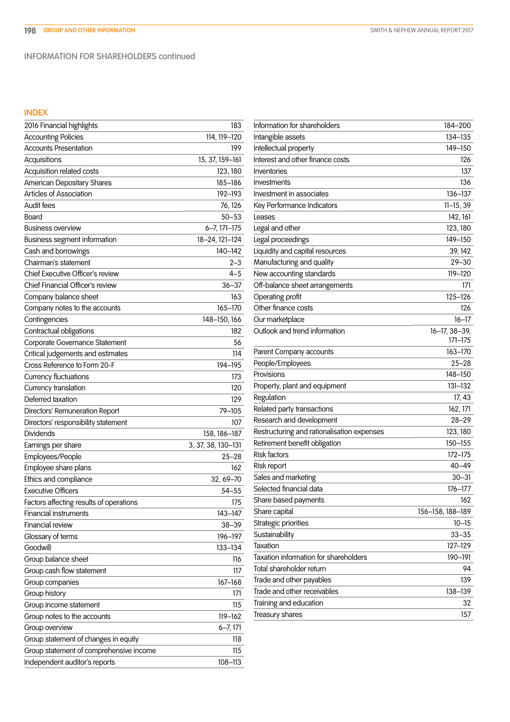# **INDEX**

| 2016 Financial highlights               | 183                |
|-----------------------------------------|--------------------|
| <b>Accounting Policies</b>              | 114, 119-120       |
| <b>Accounts Presentation</b>            | 199                |
| Acquisitions                            | 15, 37, 159-161    |
| Acquisition related costs               | 123, 180           |
| American Depositary Shares              | 185-186            |
| Articles of Association                 | 192-193            |
| Audit fees                              | 76, 126            |
| Board                                   | $50 - 53$          |
| <b>Business overview</b>                | 6-7, 171-175       |
| Business segment information            | 18-24, 121-124     |
| Cash and borrowings                     | 140-142            |
| Chairman's statement                    | $2 - 3$            |
| Chief Executive Officer's review        | $4 - 5$            |
| Chief Financial Officer's review        | $36 - 37$          |
| Company balance sheet                   | 163                |
| Company notes to the accounts           | $165 - 170$        |
| Contingencies                           | 148-150, 166       |
| Contractual obligations                 | 182                |
| Corporate Governance Statement          | 56                 |
| Critical judgements and estimates       | 114                |
| Cross Reference to Form 20-F            | 194-195            |
| <b>Currency fluctuations</b>            | 173                |
| Currency translation                    | 120                |
| Deferred taxation                       | 129                |
| Directors' Remuneration Report          | 79-105             |
| Directors' responsibility statement     | 107                |
| <b>Dividends</b>                        | 158, 186-187       |
| Earnings per share                      | 3, 37, 38, 130-131 |
| Employees/People                        | $25 - 28$          |
| Employee share plans                    | 162                |
| Ethics and compliance                   | 32, 69-70          |
| <b>Executive Officers</b>               | $54 - 55$          |
| Factors affecting results of operations | 175                |
| <b>Financial instruments</b>            | 143-147            |
| Financial review                        | $38 - 39$          |
| Glossary of terms                       | 196-197            |
| Goodwill                                | 133-134            |
| Group balance sheet                     | 116                |
| Group cash flow statement               | 117                |
| Group companies                         | 167-168            |
| Group history                           | 171                |
| Group income statement                  | 115                |
| Group notes to the accounts             | $119 - 162$        |
| Group overview                          | $6 - 7,171$        |
| Group statement of changes in equity    | 118                |
| Group statement of comprehensive income | 115                |
| Independent auditor's reports           | 108-113            |
|                                         |                    |

| Information for shareholders               | 184-200             |
|--------------------------------------------|---------------------|
| Intangible assets                          | 134-135             |
| Intellectual property                      | 149-150             |
| Interest and other finance costs           | 126                 |
| Inventories                                | 137                 |
| Investments                                | 136                 |
| Investment in associates                   | $136 - 137$         |
| Key Performance Indicators                 | $11 - 15, 39$       |
| Leases                                     | 142, 161            |
| Legal and other                            | 123, 180            |
| Legal proceedings                          | 149-150             |
| Liquidity and capital resources            | 39, 142             |
| Manufacturing and quality                  | $29 - 30$           |
| New accounting standards                   | 119-120             |
| Off-balance sheet arrangements             | 171                 |
| Operating profit                           | $125 - 126$         |
| Other finance costs                        | 126                 |
| Our marketplace                            | $16 - 17$           |
| Outlook and trend information              | $16 - 17, 38 - 39,$ |
|                                            | $171 - 175$         |
| Parent Company accounts                    | 163-170             |
| People/Employees                           | $25 - 28$           |
| Provisions                                 | 148-150             |
| Property, plant and equipment              | 131-132             |
| Regulation                                 | 17, 43              |
| Related party transactions                 | 162, 171            |
| Research and development                   | $28 - 29$           |
| Restructuring and rationalisation expenses | 123, 180            |
| Retirement benefit obligation              | $150 - 155$         |
| <b>Risk factors</b>                        | $172 - 175$         |
| Risk report                                | $40 - 49$           |
| Sales and marketing                        | $30 - 31$           |
| Selected financial data                    | $176 - 177$         |
| Share based payments                       | 162                 |
| Share capital                              | 156-158, 188-189    |
| Strategic priorities                       | $10 - 15$           |
| Sustainability                             | $33 - 35$           |
| Taxation                                   | 127-129             |
| Taxation information for shareholders      | 190-191             |
| Total shareholder return                   | 94                  |
| Trade and other payables                   | 139                 |
| Trade and other receivables                | 138-139             |
| Training and education                     | 32                  |
| Treasury shares                            | 157                 |
|                                            |                     |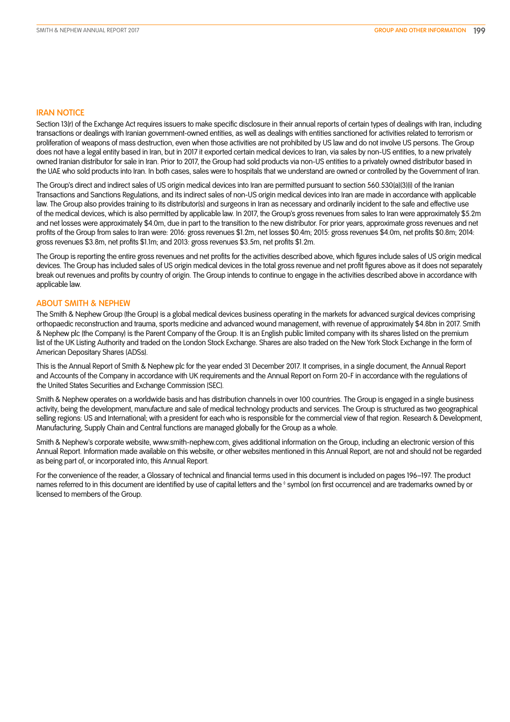## **IRAN NOTICE**

Section 13(r) of the Exchange Act requires issuers to make specific disclosure in their annual reports of certain types of dealings with Iran, including transactions or dealings with Iranian government-owned entities, as well as dealings with entities sanctioned for activities related to terrorism or proliferation of weapons of mass destruction, even when those activities are not prohibited by US law and do not involve US persons. The Group does not have a legal entity based in Iran, but in 2017 it exported certain medical devices to Iran, via sales by non-US entities, to a new privately owned Iranian distributor for sale in Iran. Prior to 2017, the Group had sold products via non-US entities to a privately owned distributor based in the UAE who sold products into Iran. In both cases, sales were to hospitals that we understand are owned or controlled by the Government of Iran.

The Group's direct and indirect sales of US origin medical devices into Iran are permitted pursuant to section 560.530(a)(3)(i) of the Iranian Transactions and Sanctions Regulations, and its indirect sales of non-US origin medical devices into Iran are made in accordance with applicable law. The Group also provides training to its distributor(s) and surgeons in Iran as necessary and ordinarily incident to the safe and effective use of the medical devices, which is also permitted by applicable law. In 2017, the Group's gross revenues from sales to Iran were approximately \$5.2m and net losses were approximately \$4.0m, due in part to the transition to the new distributor. For prior years, approximate gross revenues and net profits of the Group from sales to Iran were: 2016: gross revenues \$1.2m, net losses \$0.4m; 2015: gross revenues \$4.0m, net profits \$0.8m; 2014: gross revenues \$3.8m, net profits \$1.1m; and 2013: gross revenues \$3.5m, net profits \$1.2m.

The Group is reporting the entire gross revenues and net profits for the activities described above, which figures include sales of US origin medical devices. The Group has included sales of US origin medical devices in the total gross revenue and net profit figures above as it does not separately break out revenues and profits by country of origin. The Group intends to continue to engage in the activities described above in accordance with applicable law.

# **ABOUT SMITH & NEPHEW**

The Smith & Nephew Group (the Group) is a global medical devices business operating in the markets for advanced surgical devices comprising orthopaedic reconstruction and trauma, sports medicine and advanced wound management, with revenue of approximately \$4.8bn in 2017. Smith & Nephew plc (the Company) is the Parent Company of the Group. It is an English public limited company with its shares listed on the premium list of the UK Listing Authority and traded on the London Stock Exchange. Shares are also traded on the New York Stock Exchange in the form of American Depositary Shares (ADSs).

This is the Annual Report of Smith & Nephew plc for the year ended 31 December 2017. It comprises, in a single document, the Annual Report and Accounts of the Company in accordance with UK requirements and the Annual Report on Form 20-F in accordance with the regulations of the United States Securities and Exchange Commission (SEC).

Smith & Nephew operates on a worldwide basis and has distribution channels in over 100 countries. The Group is engaged in a single business activity, being the development, manufacture and sale of medical technology products and services. The Group is structured as two geographical selling regions: US and International; with a president for each who is responsible for the commercial view of that region. Research & Development, Manufacturing, Supply Chain and Central functions are managed globally for the Group as a whole.

Smith & Nephew's corporate website, www.smith-nephew.com, gives additional information on the Group, including an electronic version of this Annual Report. Information made available on this website, or other websites mentioned in this Annual Report, are not and should not be regarded as being part of, or incorporated into, this Annual Report.

For the convenience of the reader, a Glossary of technical and financial terms used in this document is included on pages 196–197. The product names referred to in this document are identified by use of capital letters and the  $^\circ$  symbol (on first occurrence) and are trademarks owned by or licensed to members of the Group.